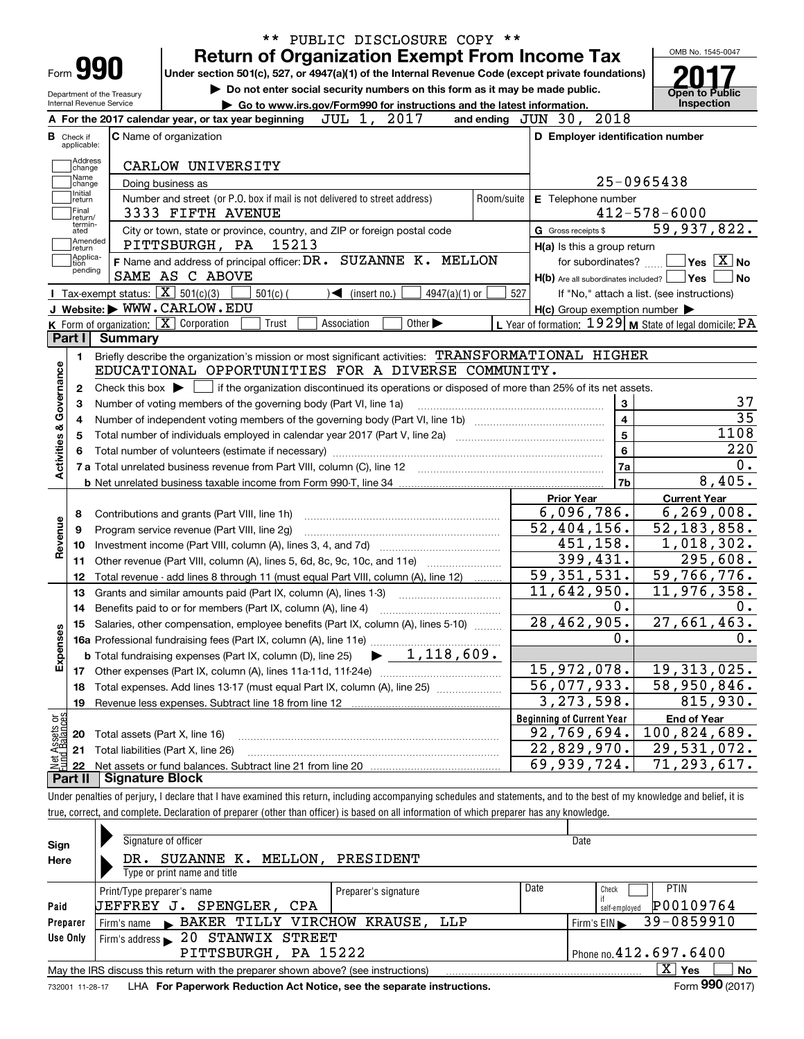|                                                                                                                                                        |                            |                   |                                                                 | <b>Return of Organization Exempt From Income Tax</b>                                                                                                                                                            |            | ** PUBLIC DISCLOSURE COPY ** |  |                             |                                  |                                                                        |                     |                                                                                                    | OMB No. 1545-0047                                                  |                                         |
|--------------------------------------------------------------------------------------------------------------------------------------------------------|----------------------------|-------------------|-----------------------------------------------------------------|-----------------------------------------------------------------------------------------------------------------------------------------------------------------------------------------------------------------|------------|------------------------------|--|-----------------------------|----------------------------------|------------------------------------------------------------------------|---------------------|----------------------------------------------------------------------------------------------------|--------------------------------------------------------------------|-----------------------------------------|
|                                                                                                                                                        | Form 990                   |                   |                                                                 |                                                                                                                                                                                                                 |            |                              |  |                             |                                  |                                                                        |                     | Under section 501(c), 527, or 4947(a)(1) of the Internal Revenue Code (except private foundations) |                                                                    |                                         |
|                                                                                                                                                        | Department of the Treasury |                   |                                                                 | Do not enter social security numbers on this form as it may be made public.                                                                                                                                     |            |                              |  |                             |                                  |                                                                        |                     |                                                                                                    | <b>Open to Public</b>                                              |                                         |
|                                                                                                                                                        | Internal Revenue Service   |                   |                                                                 |                                                                                                                                                                                                                 |            |                              |  |                             |                                  | Go to www.irs.gov/Form990 for instructions and the latest information. |                     |                                                                                                    | Inspection                                                         |                                         |
|                                                                                                                                                        |                            |                   |                                                                 | A For the 2017 calendar year, or tax year beginning                                                                                                                                                             |            | JUL 1, 2017                  |  |                             |                                  |                                                                        |                     | and ending JUN 30, 2018                                                                            |                                                                    |                                         |
| <b>B</b> Check if<br>applicable:                                                                                                                       |                            |                   | C Name of organization                                          |                                                                                                                                                                                                                 |            |                              |  |                             |                                  |                                                                        |                     | D Employer identification number                                                                   |                                                                    |                                         |
|                                                                                                                                                        | Address                    |                   |                                                                 |                                                                                                                                                                                                                 |            |                              |  |                             |                                  |                                                                        |                     |                                                                                                    |                                                                    |                                         |
| Name                                                                                                                                                   | change                     | CARLOW UNIVERSITY |                                                                 |                                                                                                                                                                                                                 |            |                              |  |                             |                                  |                                                                        |                     |                                                                                                    |                                                                    |                                         |
| Initial                                                                                                                                                | change                     | Doing business as |                                                                 |                                                                                                                                                                                                                 |            |                              |  |                             |                                  |                                                                        |                     | 25-0965438                                                                                         |                                                                    |                                         |
| E Telephone number<br>Number and street (or P.O. box if mail is not delivered to street address)<br>Room/suite<br>return<br>Final<br>3333 FIFTH AVENUE |                            |                   |                                                                 |                                                                                                                                                                                                                 |            |                              |  |                             |                                  |                                                                        |                     |                                                                                                    |                                                                    |                                         |
| return/<br>termin-                                                                                                                                     |                            |                   |                                                                 |                                                                                                                                                                                                                 |            |                              |  |                             |                                  |                                                                        |                     |                                                                                                    | $412 - 578 - 6000$<br>59,937,822.                                  |                                         |
| ated                                                                                                                                                   | Amended                    |                   |                                                                 | City or town, state or province, country, and ZIP or foreign postal code<br>PITTSBURGH, PA 15213                                                                                                                |            |                              |  |                             |                                  |                                                                        | G Gross receipts \$ |                                                                                                    |                                                                    |                                         |
| return                                                                                                                                                 | Applica-                   |                   |                                                                 | F Name and address of principal officer: DR. SUZANNE K. MELLON                                                                                                                                                  |            |                              |  |                             |                                  |                                                                        |                     | H(a) Is this a group return                                                                        | $\sqrt{}$ Yes $\sqrt{}$ X $\sqrt{}$ No                             |                                         |
| tion                                                                                                                                                   | pending                    |                   | SAME AS C ABOVE                                                 |                                                                                                                                                                                                                 |            |                              |  |                             |                                  |                                                                        |                     | for subordinates?<br>$H(b)$ Are all subordinates included? $\Box$ Yes                              |                                                                    | No                                      |
|                                                                                                                                                        |                            |                   | Tax-exempt status: $\boxed{\mathbf{X}}$ 501(c)(3)               |                                                                                                                                                                                                                 | $501(c)$ ( | $\sqrt{2}$ (insert no.)      |  |                             | $4947(a)(1)$ or                  | 527                                                                    |                     | If "No," attach a list. (see instructions)                                                         |                                                                    |                                         |
|                                                                                                                                                        |                            |                   | J Website: WWW.CARLOW.EDU                                       |                                                                                                                                                                                                                 |            |                              |  |                             |                                  |                                                                        |                     | $H(c)$ Group exemption number $\blacktriangleright$                                                |                                                                    |                                         |
|                                                                                                                                                        |                            |                   | <b>K</b> Form of organization: $\boxed{\mathbf{X}}$ Corporation |                                                                                                                                                                                                                 | Trust      | Association                  |  | Other $\blacktriangleright$ |                                  |                                                                        |                     | L Year of formation: $1929$ M State of legal domicile: PA                                          |                                                                    |                                         |
| Part I                                                                                                                                                 | <b>Summary</b>             |                   |                                                                 |                                                                                                                                                                                                                 |            |                              |  |                             |                                  |                                                                        |                     |                                                                                                    |                                                                    |                                         |
| Activities & Governance<br>з<br>4<br>5                                                                                                                 |                            |                   |                                                                 | Number of voting members of the governing body (Part VI, line 1a)                                                                                                                                               |            |                              |  |                             |                                  |                                                                        |                     | 3<br>$\overline{\mathbf{4}}$                                                                       |                                                                    | 37<br>$\overline{35}$                   |
| 8<br>9<br>10                                                                                                                                           |                            |                   |                                                                 | 7 a Total unrelated business revenue from Part VIII, column (C), line 12 [11] [12] [11] [12] [11] [11] [12] [1<br>Contributions and grants (Part VIII, line 1h)<br>Program service revenue (Part VIII, line 2g) |            |                              |  |                             |                                  |                                                                        | <b>Prior Year</b>   | $\overline{5}$<br>$6\phantom{a}$<br>7a<br>7 <sub>b</sub><br>6,096,786.<br>52,404,156.<br>451,158.  | <b>Current Year</b><br>6, 269, 008.<br>$\overline{52}$ , 183, 858. |                                         |
| 11                                                                                                                                                     |                            |                   |                                                                 |                                                                                                                                                                                                                 |            |                              |  |                             |                                  |                                                                        |                     | 399,431.                                                                                           | $\overline{1,018,302.}$<br>$\overline{295,608}$ .                  |                                         |
| 12                                                                                                                                                     |                            |                   |                                                                 | Other revenue (Part VIII, column (A), lines 5, 6d, 8c, 9c, 10c, and 11e)<br>Total revenue - add lines 8 through 11 (must equal Part VIII, column (A), line 12)                                                  |            |                              |  |                             |                                  |                                                                        |                     | 59, 351, 531.                                                                                      | 59,766,776.                                                        |                                         |
| 13                                                                                                                                                     |                            |                   |                                                                 | Grants and similar amounts paid (Part IX, column (A), lines 1-3)                                                                                                                                                |            |                              |  |                             |                                  |                                                                        |                     | 11,642,950.                                                                                        | 11,976,358.                                                        |                                         |
| 14                                                                                                                                                     |                            |                   |                                                                 | Benefits paid to or for members (Part IX, column (A), line 4)                                                                                                                                                   |            |                              |  |                             |                                  |                                                                        |                     | 0.                                                                                                 |                                                                    |                                         |
| 15                                                                                                                                                     |                            |                   |                                                                 | Salaries, other compensation, employee benefits (Part IX, column (A), lines 5-10)                                                                                                                               |            |                              |  |                             |                                  |                                                                        |                     | 28,462,905.                                                                                        | 27,661,463.                                                        |                                         |
|                                                                                                                                                        |                            |                   |                                                                 | 16a Professional fundraising fees (Part IX, column (A), line 11e)                                                                                                                                               |            |                              |  |                             |                                  |                                                                        |                     | 0.                                                                                                 |                                                                    |                                         |
|                                                                                                                                                        |                            |                   |                                                                 | <b>b</b> Total fundraising expenses (Part IX, column (D), line 25)                                                                                                                                              |            |                              |  |                             | $\blacktriangleright$ 1,118,609. |                                                                        |                     |                                                                                                    |                                                                    |                                         |
|                                                                                                                                                        |                            |                   |                                                                 | 17 Other expenses (Part IX, column (A), lines 11a-11d, 11f-24e)                                                                                                                                                 |            |                              |  |                             |                                  |                                                                        |                     | 15,972,078.                                                                                        | 19, 313, 025.                                                      |                                         |
| 18                                                                                                                                                     |                            |                   |                                                                 | Total expenses. Add lines 13-17 (must equal Part IX, column (A), line 25)                                                                                                                                       |            |                              |  |                             |                                  |                                                                        |                     | 56,077,933.                                                                                        | 58,950,846.                                                        |                                         |
| 19                                                                                                                                                     |                            |                   |                                                                 | Revenue less expenses. Subtract line 18 from line 12                                                                                                                                                            |            |                              |  |                             |                                  |                                                                        |                     | $\overline{3}$ , 273, 598.                                                                         | 815,930.                                                           |                                         |
|                                                                                                                                                        |                            |                   |                                                                 |                                                                                                                                                                                                                 |            |                              |  |                             |                                  |                                                                        |                     | <b>Beginning of Current Year</b>                                                                   | <b>End of Year</b>                                                 |                                         |
| 20                                                                                                                                                     |                            |                   | Total assets (Part X, line 16)                                  |                                                                                                                                                                                                                 |            |                              |  |                             |                                  |                                                                        |                     | 92,769,694.                                                                                        | 100,824,689.                                                       |                                         |
| 21                                                                                                                                                     |                            |                   | Total liabilities (Part X, line 26)                             |                                                                                                                                                                                                                 |            |                              |  |                             |                                  |                                                                        |                     | 22,829,970.                                                                                        | 29,531,072.                                                        | 1108<br>220<br>0.<br>8,405.<br>0.<br>0. |
| Revenue<br>Expenses<br>Net Assets or<br>Fund Balances<br>22                                                                                            |                            |                   |                                                                 |                                                                                                                                                                                                                 |            |                              |  |                             |                                  |                                                                        |                     | $\overline{69}$ , 939, 724.                                                                        | 71,293,617.                                                        |                                         |

true, correct, and complete. Declaration of preparer (other than officer) is based on all information of which preparer has any knowledge.

| Sign            | Signature of officer                                                              |                      | Date                   |                            |  |  |  |
|-----------------|-----------------------------------------------------------------------------------|----------------------|------------------------|----------------------------|--|--|--|
| Here            | SUZANNE K.<br>MELLON,<br>DR.                                                      | PRESIDENT            |                        |                            |  |  |  |
|                 | Type or print name and title                                                      |                      |                        |                            |  |  |  |
|                 | Print/Type preparer's name                                                        | Preparer's signature | Date                   | <b>PTIN</b><br>Check       |  |  |  |
| Paid            | SPENGLER,<br>JEFFREY<br>CPA<br>J.                                                 |                      |                        | P00109764<br>self-emploved |  |  |  |
| Preparer        | BAKER TILLY VIRCHOW<br>Firm's name                                                | KRAUSE, LLP          |                        | 39-0859910<br>Firm's $EIN$ |  |  |  |
| Use Only        | 20 STANWIX STREET<br>Firm's address                                               |                      |                        |                            |  |  |  |
|                 | PITTSBURGH, PA 15222                                                              |                      | Phone no. 412.697.6400 |                            |  |  |  |
|                 | May the IRS discuss this return with the preparer shown above? (see instructions) |                      |                        | x<br><b>No</b><br>Yes      |  |  |  |
| 732001 11-28-17 | LHA For Paperwork Reduction Act Notice, see the separate instructions.            |                      |                        | Form 990 (2017)            |  |  |  |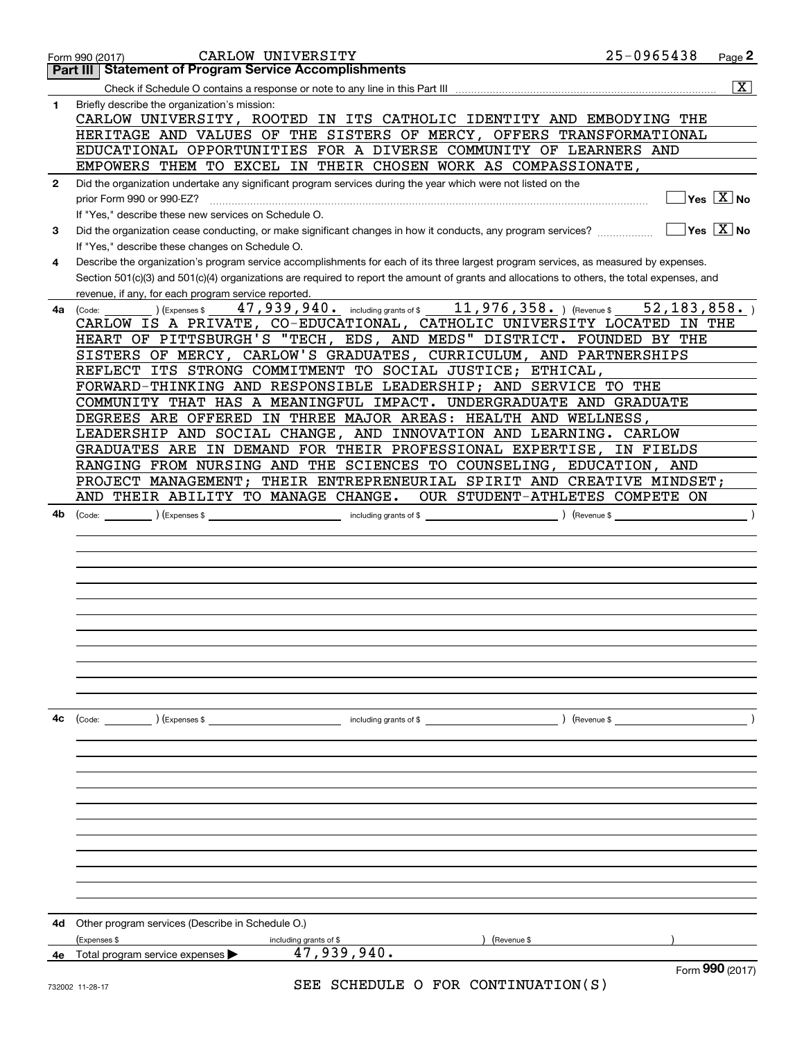|              | CARLOW UNIVERSITY<br>Form 990 (2017)                            |                                                                                                                                                                          | 25-0965438<br>Page 2                   |
|--------------|-----------------------------------------------------------------|--------------------------------------------------------------------------------------------------------------------------------------------------------------------------|----------------------------------------|
|              | <b>Statement of Program Service Accomplishments</b><br>Part III |                                                                                                                                                                          |                                        |
|              |                                                                 | Check if Schedule O contains a response or note to any line in this Part III [11] [12] [12] Check if Schedule O contains a response or note to any line in this Part III | $\overline{\mathbf{x}}$                |
| 1            | Briefly describe the organization's mission:                    | CARLOW UNIVERSITY, ROOTED IN ITS CATHOLIC IDENTITY AND EMBODYING THE                                                                                                     |                                        |
|              |                                                                 | HERITAGE AND VALUES OF THE SISTERS OF MERCY, OFFERS TRANSFORMATIONAL                                                                                                     |                                        |
|              |                                                                 | EDUCATIONAL OPPORTUNITIES FOR A DIVERSE COMMUNITY OF LEARNERS AND                                                                                                        |                                        |
|              |                                                                 | EMPOWERS THEM TO EXCEL IN THEIR CHOSEN WORK AS COMPASSIONATE,                                                                                                            |                                        |
| $\mathbf{2}$ | prior Form 990 or 990-EZ?                                       | Did the organization undertake any significant program services during the year which were not listed on the                                                             | $Yes \ \boxed{X}$ No                   |
|              | If "Yes," describe these new services on Schedule O.            |                                                                                                                                                                          | $\sqrt{}$ Yes $\sqrt{}$ X $\sqrt{}$ No |
| 3            | If "Yes," describe these changes on Schedule O.                 | Did the organization cease conducting, or make significant changes in how it conducts, any program services?                                                             |                                        |
| 4            |                                                                 | Describe the organization's program service accomplishments for each of its three largest program services, as measured by expenses.                                     |                                        |
|              |                                                                 | Section 501(c)(3) and 501(c)(4) organizations are required to report the amount of grants and allocations to others, the total expenses, and                             |                                        |
|              | revenue, if any, for each program service reported.             |                                                                                                                                                                          |                                        |
|              | 4a (Code:<br>(Expenses \$                                       | 47,939,940. including grants of \$11,976,358. ) (Revenue \$52,183,858. )                                                                                                 |                                        |
|              |                                                                 | CARLOW IS A PRIVATE, CO-EDUCATIONAL, CATHOLIC UNIVERSITY LOCATED IN THE                                                                                                  |                                        |
|              |                                                                 | HEART OF PITTSBURGH'S "TECH, EDS, AND MEDS" DISTRICT. FOUNDED BY THE                                                                                                     |                                        |
|              |                                                                 | SISTERS OF MERCY, CARLOW'S GRADUATES, CURRICULUM, AND PARTNERSHIPS                                                                                                       |                                        |
|              |                                                                 | REFLECT ITS STRONG COMMITMENT TO SOCIAL JUSTICE; ETHICAL,                                                                                                                |                                        |
|              |                                                                 | FORWARD-THINKING AND RESPONSIBLE LEADERSHIP; AND SERVICE TO THE                                                                                                          |                                        |
|              |                                                                 | COMMUNITY THAT HAS A MEANINGFUL IMPACT. UNDERGRADUATE AND GRADUATE                                                                                                       |                                        |
|              |                                                                 | DEGREES ARE OFFERED IN THREE MAJOR AREAS: HEALTH AND WELLNESS,                                                                                                           |                                        |
|              |                                                                 | LEADERSHIP AND SOCIAL CHANGE, AND INNOVATION AND LEARNING. CARLOW                                                                                                        |                                        |
|              |                                                                 | GRADUATES ARE IN DEMAND FOR THEIR PROFESSIONAL EXPERTISE, IN FIELDS                                                                                                      |                                        |
|              |                                                                 | RANGING FROM NURSING AND THE SCIENCES TO COUNSELING, EDUCATION, AND                                                                                                      |                                        |
|              |                                                                 | PROJECT MANAGEMENT; THEIR ENTREPRENEURIAL SPIRIT AND CREATIVE MINDSET;                                                                                                   |                                        |
|              | AND THEIR ABILITY TO MANAGE CHANGE.                             | OUR STUDENT-ATHLETES COMPETE ON                                                                                                                                          |                                        |
| 4b           | (Code:                                                          | (Expenses \$                                                                                                                                                             |                                        |
|              |                                                                 |                                                                                                                                                                          |                                        |
|              |                                                                 |                                                                                                                                                                          |                                        |
|              |                                                                 |                                                                                                                                                                          |                                        |
|              |                                                                 |                                                                                                                                                                          |                                        |
|              |                                                                 |                                                                                                                                                                          |                                        |
|              |                                                                 |                                                                                                                                                                          |                                        |
|              |                                                                 |                                                                                                                                                                          |                                        |
|              |                                                                 |                                                                                                                                                                          |                                        |
|              |                                                                 |                                                                                                                                                                          |                                        |
|              |                                                                 |                                                                                                                                                                          |                                        |
|              |                                                                 |                                                                                                                                                                          |                                        |
|              |                                                                 |                                                                                                                                                                          |                                        |
| 4с           |                                                                 |                                                                                                                                                                          |                                        |
|              |                                                                 |                                                                                                                                                                          |                                        |
|              |                                                                 |                                                                                                                                                                          |                                        |
|              |                                                                 |                                                                                                                                                                          |                                        |
|              |                                                                 |                                                                                                                                                                          |                                        |
|              |                                                                 |                                                                                                                                                                          |                                        |
|              |                                                                 |                                                                                                                                                                          |                                        |
|              |                                                                 |                                                                                                                                                                          |                                        |
|              |                                                                 |                                                                                                                                                                          |                                        |
|              |                                                                 |                                                                                                                                                                          |                                        |
|              |                                                                 |                                                                                                                                                                          |                                        |
|              |                                                                 |                                                                                                                                                                          |                                        |
|              |                                                                 |                                                                                                                                                                          |                                        |
| 4d           | Other program services (Describe in Schedule O.)                |                                                                                                                                                                          |                                        |
|              | (Expenses \$                                                    | (Revenue \$<br>including grants of \$                                                                                                                                    |                                        |
| 4е           | Total program service expenses                                  | 47,939,940.                                                                                                                                                              |                                        |
|              |                                                                 |                                                                                                                                                                          | Form 990 (2017)                        |
|              | 732002 11-28-17                                                 | SEE SCHEDULE O FOR CONTINUATION(S)                                                                                                                                       |                                        |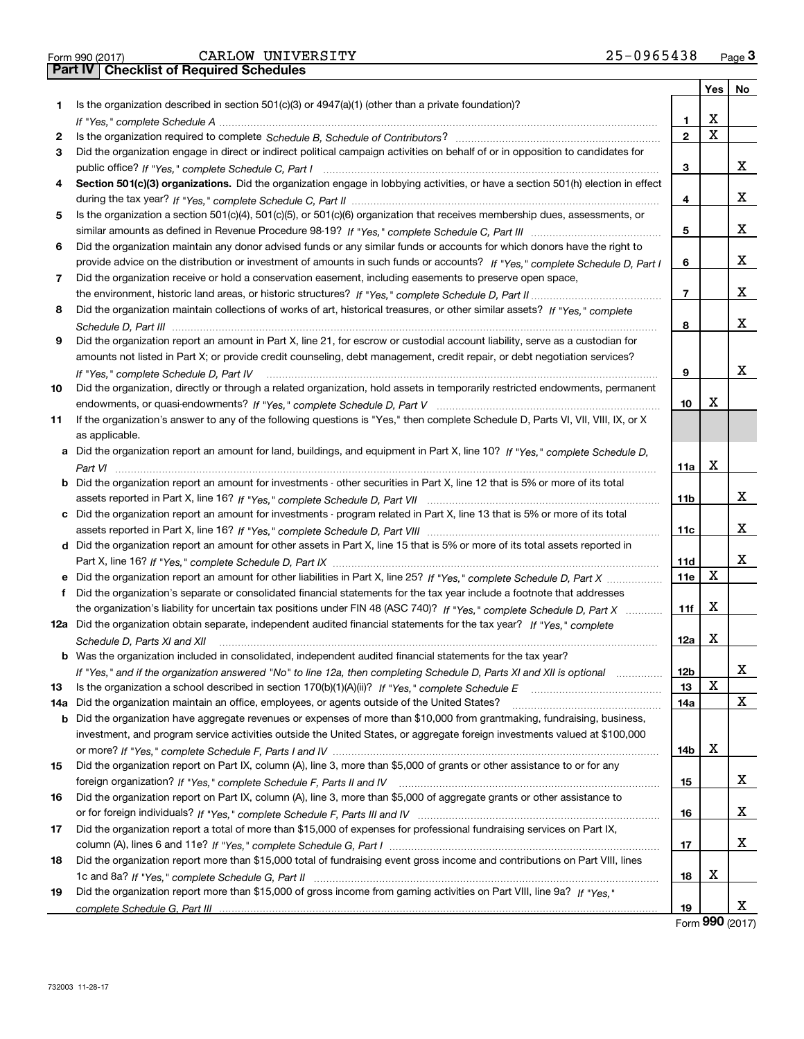| Form 990 (2017) |  |  |
|-----------------|--|--|

|     |                                                                                                                                                                                                                                |                | Yes                     | No |
|-----|--------------------------------------------------------------------------------------------------------------------------------------------------------------------------------------------------------------------------------|----------------|-------------------------|----|
| 1.  | Is the organization described in section $501(c)(3)$ or $4947(a)(1)$ (other than a private foundation)?                                                                                                                        |                |                         |    |
|     | If "Yes," complete Schedule A measure and a control of the state of the state of the state of the state of the state of the state of the state of the state of the state of the state of the state of the state of the state o | 1              | х                       |    |
| 2   |                                                                                                                                                                                                                                | $\overline{2}$ | $\overline{\mathbf{x}}$ |    |
| 3   | Did the organization engage in direct or indirect political campaign activities on behalf of or in opposition to candidates for                                                                                                |                |                         |    |
|     |                                                                                                                                                                                                                                | з              |                         | x  |
| 4   | Section 501(c)(3) organizations. Did the organization engage in lobbying activities, or have a section 501(h) election in effect                                                                                               |                |                         |    |
|     |                                                                                                                                                                                                                                | 4              |                         | х  |
|     |                                                                                                                                                                                                                                |                |                         |    |
| 5   | Is the organization a section 501(c)(4), 501(c)(5), or 501(c)(6) organization that receives membership dues, assessments, or                                                                                                   |                |                         | x  |
|     |                                                                                                                                                                                                                                | 5              |                         |    |
| 6   | Did the organization maintain any donor advised funds or any similar funds or accounts for which donors have the right to                                                                                                      |                |                         |    |
|     | provide advice on the distribution or investment of amounts in such funds or accounts? If "Yes," complete Schedule D, Part I                                                                                                   | 6              |                         | x  |
| 7   | Did the organization receive or hold a conservation easement, including easements to preserve open space,                                                                                                                      |                |                         |    |
|     |                                                                                                                                                                                                                                | $\overline{7}$ |                         | x  |
| 8   | Did the organization maintain collections of works of art, historical treasures, or other similar assets? If "Yes," complete                                                                                                   |                |                         |    |
|     |                                                                                                                                                                                                                                | 8              |                         | x  |
| 9   | Did the organization report an amount in Part X, line 21, for escrow or custodial account liability, serve as a custodian for                                                                                                  |                |                         |    |
|     | amounts not listed in Part X; or provide credit counseling, debt management, credit repair, or debt negotiation services?                                                                                                      |                |                         |    |
|     | If "Yes," complete Schedule D, Part IV                                                                                                                                                                                         | 9              |                         | x  |
| 10  | Did the organization, directly or through a related organization, hold assets in temporarily restricted endowments, permanent                                                                                                  |                |                         |    |
|     |                                                                                                                                                                                                                                | 10             | X                       |    |
| 11  | If the organization's answer to any of the following questions is "Yes," then complete Schedule D, Parts VI, VII, VIII, IX, or X                                                                                               |                |                         |    |
|     | as applicable.                                                                                                                                                                                                                 |                |                         |    |
|     | a Did the organization report an amount for land, buildings, and equipment in Part X, line 10? If "Yes," complete Schedule D,                                                                                                  |                |                         |    |
|     |                                                                                                                                                                                                                                | 11a            | X                       |    |
|     | <b>b</b> Did the organization report an amount for investments - other securities in Part X, line 12 that is 5% or more of its total                                                                                           |                |                         |    |
|     |                                                                                                                                                                                                                                | 11b            |                         | х  |
|     |                                                                                                                                                                                                                                |                |                         |    |
|     | c Did the organization report an amount for investments - program related in Part X, line 13 that is 5% or more of its total                                                                                                   |                |                         | x  |
|     |                                                                                                                                                                                                                                | 11c            |                         |    |
|     | d Did the organization report an amount for other assets in Part X, line 15 that is 5% or more of its total assets reported in                                                                                                 |                |                         |    |
|     |                                                                                                                                                                                                                                | 11d            |                         | x  |
|     | e Did the organization report an amount for other liabilities in Part X, line 25? If "Yes," complete Schedule D, Part X                                                                                                        | 11e            | X                       |    |
| f   | Did the organization's separate or consolidated financial statements for the tax year include a footnote that addresses                                                                                                        |                |                         |    |
|     | the organization's liability for uncertain tax positions under FIN 48 (ASC 740)? If "Yes," complete Schedule D, Part X                                                                                                         | 11f            | X                       |    |
|     | 12a Did the organization obtain separate, independent audited financial statements for the tax year? If "Yes," complete                                                                                                        |                |                         |    |
|     | Schedule D, Parts XI and XII                                                                                                                                                                                                   | 12a            | х                       |    |
|     | <b>b</b> Was the organization included in consolidated, independent audited financial statements for the tax year?                                                                                                             |                |                         |    |
|     | If "Yes," and if the organization answered "No" to line 12a, then completing Schedule D, Parts XI and XII is optional                                                                                                          | 12b            |                         | ▵  |
| 13  | Is the organization a school described in section 170(b)(1)(A)(ii)? If "Yes," complete Schedule E                                                                                                                              | 13             | X                       |    |
| 14a | Did the organization maintain an office, employees, or agents outside of the United States?                                                                                                                                    | 14a            |                         | X  |
|     | <b>b</b> Did the organization have aggregate revenues or expenses of more than \$10,000 from grantmaking, fundraising, business,                                                                                               |                |                         |    |
|     | investment, and program service activities outside the United States, or aggregate foreign investments valued at \$100,000                                                                                                     |                |                         |    |
|     |                                                                                                                                                                                                                                | 14b            | х                       |    |
| 15  | Did the organization report on Part IX, column (A), line 3, more than \$5,000 of grants or other assistance to or for any                                                                                                      |                |                         |    |
|     |                                                                                                                                                                                                                                | 15             |                         | x  |
| 16  | Did the organization report on Part IX, column (A), line 3, more than \$5,000 of aggregate grants or other assistance to                                                                                                       |                |                         |    |
|     |                                                                                                                                                                                                                                | 16             |                         | x  |
| 17  | Did the organization report a total of more than \$15,000 of expenses for professional fundraising services on Part IX,                                                                                                        |                |                         |    |
|     |                                                                                                                                                                                                                                | 17             |                         | x  |
|     | Did the organization report more than \$15,000 total of fundraising event gross income and contributions on Part VIII, lines                                                                                                   |                |                         |    |
| 18  |                                                                                                                                                                                                                                |                | x                       |    |
|     |                                                                                                                                                                                                                                | 18             |                         |    |
| 19  | Did the organization report more than \$15,000 of gross income from gaming activities on Part VIII, line 9a? If "Yes."                                                                                                         |                |                         |    |
|     |                                                                                                                                                                                                                                | 19             |                         | x  |

Form (2017) **990**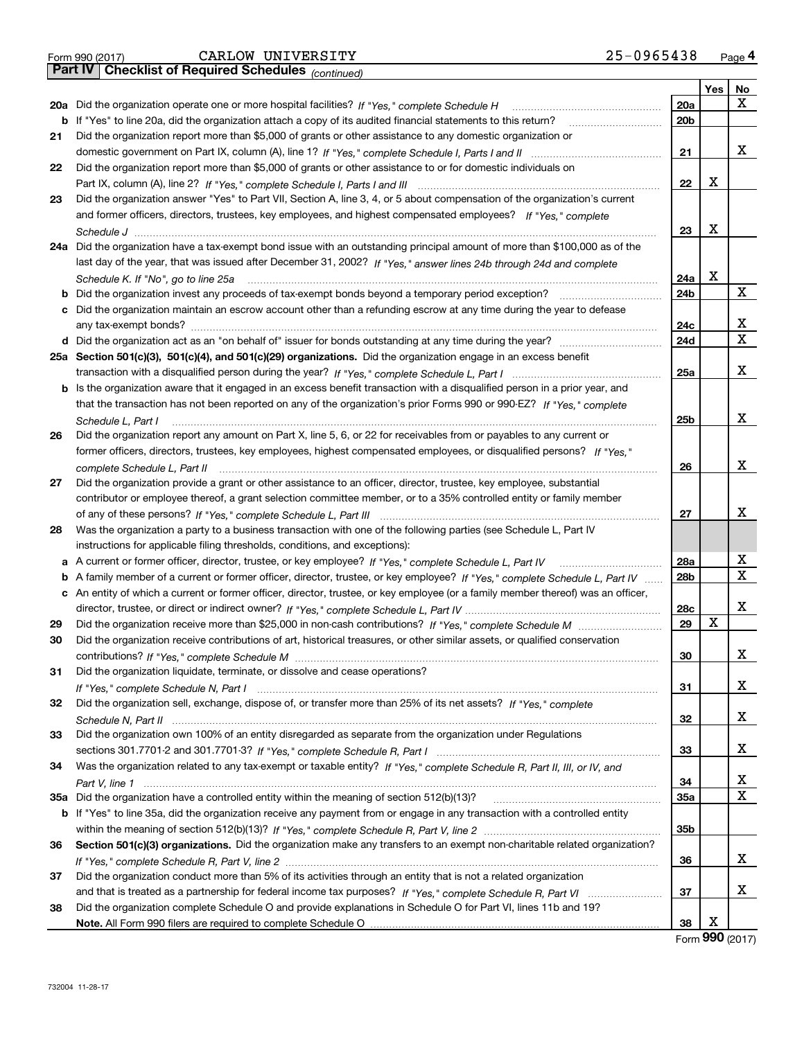|  | Form 990 (2017) |  |
|--|-----------------|--|

*(continued)*

|    |                                                                                                                                   |                 | Yes | No           |
|----|-----------------------------------------------------------------------------------------------------------------------------------|-----------------|-----|--------------|
|    | 20a Did the organization operate one or more hospital facilities? If "Yes," complete Schedule H                                   | <b>20a</b>      |     | х            |
|    | <b>b</b> If "Yes" to line 20a, did the organization attach a copy of its audited financial statements to this return?             | 20 <sub>b</sub> |     |              |
| 21 | Did the organization report more than \$5,000 of grants or other assistance to any domestic organization or                       |                 |     |              |
|    |                                                                                                                                   | 21              |     | х            |
| 22 | Did the organization report more than \$5,000 of grants or other assistance to or for domestic individuals on                     |                 |     |              |
|    |                                                                                                                                   | 22              | х   |              |
| 23 | Did the organization answer "Yes" to Part VII, Section A, line 3, 4, or 5 about compensation of the organization's current        |                 |     |              |
|    | and former officers, directors, trustees, key employees, and highest compensated employees? If "Yes," complete                    |                 |     |              |
|    |                                                                                                                                   | 23              | X   |              |
|    | 24a Did the organization have a tax-exempt bond issue with an outstanding principal amount of more than \$100,000 as of the       |                 |     |              |
|    | last day of the year, that was issued after December 31, 2002? If "Yes," answer lines 24b through 24d and complete                |                 |     |              |
|    | Schedule K. If "No", go to line 25a                                                                                               | 24a             | X   |              |
| b  |                                                                                                                                   | 24b             |     | X            |
|    | c Did the organization maintain an escrow account other than a refunding escrow at any time during the year to defease            |                 |     |              |
|    |                                                                                                                                   | 24c             |     | х            |
|    |                                                                                                                                   | 24d             |     | X            |
|    | 25a Section 501(c)(3), 501(c)(4), and 501(c)(29) organizations. Did the organization engage in an excess benefit                  |                 |     |              |
|    |                                                                                                                                   | 25a             |     | x            |
|    | b Is the organization aware that it engaged in an excess benefit transaction with a disqualified person in a prior year, and      |                 |     |              |
|    | that the transaction has not been reported on any of the organization's prior Forms 990 or 990-EZ? If "Yes," complete             |                 |     |              |
|    | Schedule L, Part I                                                                                                                | 25 <sub>b</sub> |     | x            |
| 26 | Did the organization report any amount on Part X, line 5, 6, or 22 for receivables from or payables to any current or             |                 |     |              |
|    | former officers, directors, trustees, key employees, highest compensated employees, or disqualified persons? If "Yes."            |                 |     |              |
|    | complete Schedule L, Part II                                                                                                      | 26              |     | x            |
| 27 | Did the organization provide a grant or other assistance to an officer, director, trustee, key employee, substantial              |                 |     |              |
|    | contributor or employee thereof, a grant selection committee member, or to a 35% controlled entity or family member               |                 |     |              |
|    |                                                                                                                                   | 27              |     | х            |
| 28 | Was the organization a party to a business transaction with one of the following parties (see Schedule L, Part IV                 |                 |     |              |
|    | instructions for applicable filing thresholds, conditions, and exceptions):                                                       |                 |     |              |
| а  | A current or former officer, director, trustee, or key employee? If "Yes," complete Schedule L, Part IV                           | 28a             |     | х            |
| b  | A family member of a current or former officer, director, trustee, or key employee? If "Yes," complete Schedule L, Part IV        | 28 <sub>b</sub> |     | $\mathbf{X}$ |
|    | c An entity of which a current or former officer, director, trustee, or key employee (or a family member thereof) was an officer, |                 |     |              |
|    |                                                                                                                                   | 28c             |     | х            |
| 29 |                                                                                                                                   | 29              | х   |              |
| 30 | Did the organization receive contributions of art, historical treasures, or other similar assets, or qualified conservation       |                 |     |              |
|    |                                                                                                                                   | 30              |     | x            |
| 31 | Did the organization liquidate, terminate, or dissolve and cease operations?                                                      |                 |     |              |
|    | If "Yes," complete Schedule N, Part I measured and contained and all all of the set of the set of the set of t                    | 31              |     | x            |
| 32 | Did the organization sell, exchange, dispose of, or transfer more than 25% of its net assets? If "Yes," complete                  |                 |     |              |
|    |                                                                                                                                   | 32              |     | x            |
| 33 | Did the organization own 100% of an entity disregarded as separate from the organization under Regulations                        |                 |     |              |
|    |                                                                                                                                   | 33              |     | x            |
| 34 | Was the organization related to any tax-exempt or taxable entity? If "Yes," complete Schedule R, Part II, III, or IV, and         |                 |     |              |
|    |                                                                                                                                   | 34              |     | х            |
|    |                                                                                                                                   | 35a             |     | х            |
|    | b If "Yes" to line 35a, did the organization receive any payment from or engage in any transaction with a controlled entity       |                 |     |              |
|    |                                                                                                                                   | 35b             |     |              |
| 36 | Section 501(c)(3) organizations. Did the organization make any transfers to an exempt non-charitable related organization?        |                 |     |              |
|    |                                                                                                                                   | 36              |     | x            |
| 37 | Did the organization conduct more than 5% of its activities through an entity that is not a related organization                  |                 |     |              |
|    |                                                                                                                                   | 37              |     | x            |
| 38 | Did the organization complete Schedule O and provide explanations in Schedule O for Part VI, lines 11b and 19?                    |                 |     |              |
|    |                                                                                                                                   | 38              | х   |              |

Form (2017) **990**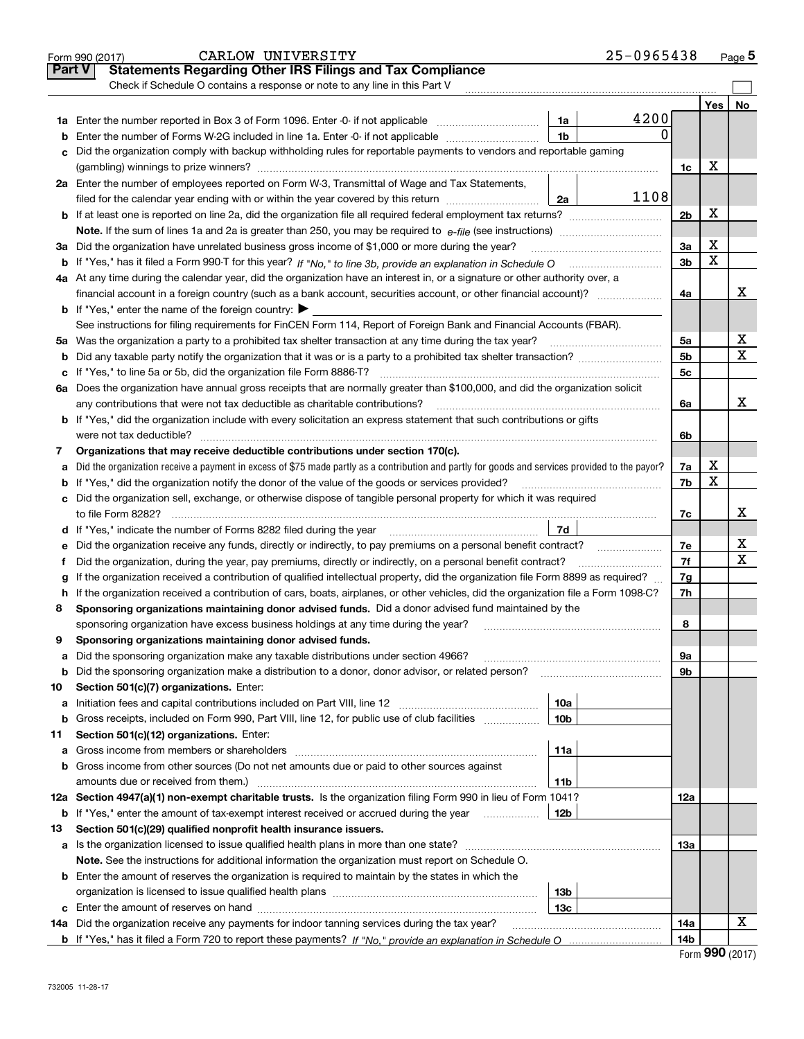|         | CARLOW UNIVERSITY<br>Form 990 (2017)                                                                                                            |                 | 25-0965438 |                |     | <u>Page</u> 5 |  |  |  |
|---------|-------------------------------------------------------------------------------------------------------------------------------------------------|-----------------|------------|----------------|-----|---------------|--|--|--|
| Part V  | <b>Statements Regarding Other IRS Filings and Tax Compliance</b>                                                                                |                 |            |                |     |               |  |  |  |
|         | Check if Schedule O contains a response or note to any line in this Part V                                                                      |                 |            |                |     |               |  |  |  |
|         |                                                                                                                                                 |                 |            |                | Yes | No            |  |  |  |
|         |                                                                                                                                                 | 1a              | 4200       |                |     |               |  |  |  |
| b       | Enter the number of Forms W-2G included in line 1a. Enter -0- if not applicable                                                                 | 1b              | 0          |                |     |               |  |  |  |
| c       | Did the organization comply with backup withholding rules for reportable payments to vendors and reportable gaming                              |                 |            |                |     |               |  |  |  |
|         |                                                                                                                                                 |                 |            | 1c             | х   |               |  |  |  |
|         | 2a Enter the number of employees reported on Form W-3, Transmittal of Wage and Tax Statements,                                                  |                 |            |                |     |               |  |  |  |
|         | filed for the calendar year ending with or within the year covered by this return                                                               | 2a              | 1108       |                |     |               |  |  |  |
|         |                                                                                                                                                 |                 |            |                |     |               |  |  |  |
|         | <b>Note.</b> If the sum of lines 1a and 2a is greater than 250, you may be required to $e$ - <i>file</i> (see instructions)                     |                 |            |                |     |               |  |  |  |
|         | 3a Did the organization have unrelated business gross income of \$1,000 or more during the year?                                                |                 |            | 3a             | X   |               |  |  |  |
|         | b If "Yes," has it filed a Form 990-T for this year? If "No," to line 3b, provide an explanation in Schedule O                                  |                 |            | 3 <sub>b</sub> | X   |               |  |  |  |
|         | 4a At any time during the calendar year, did the organization have an interest in, or a signature or other authority over, a                    |                 |            |                |     |               |  |  |  |
|         | financial account in a foreign country (such as a bank account, securities account, or other financial account)?                                |                 |            | 4a             |     | х             |  |  |  |
|         | <b>b</b> If "Yes," enter the name of the foreign country: $\blacktriangleright$                                                                 |                 |            |                |     |               |  |  |  |
|         | See instructions for filing requirements for FinCEN Form 114, Report of Foreign Bank and Financial Accounts (FBAR).                             |                 |            |                |     |               |  |  |  |
|         | 5a Was the organization a party to a prohibited tax shelter transaction at any time during the tax year?                                        |                 |            | 5а             |     | х             |  |  |  |
| b       | Did any taxable party notify the organization that it was or is a party to a prohibited tax shelter transaction?                                |                 |            | 5 <sub>b</sub> |     | $\mathbf X$   |  |  |  |
|         | If "Yes," to line 5a or 5b, did the organization file Form 8886-T?                                                                              |                 |            | 5 <sub>c</sub> |     |               |  |  |  |
|         | 6a Does the organization have annual gross receipts that are normally greater than \$100,000, and did the organization solicit                  |                 |            |                |     |               |  |  |  |
|         | any contributions that were not tax deductible as charitable contributions?                                                                     |                 |            | 6a             |     | X             |  |  |  |
|         | <b>b</b> If "Yes," did the organization include with every solicitation an express statement that such contributions or gifts                   |                 |            |                |     |               |  |  |  |
|         | were not tax deductible?                                                                                                                        |                 |            | 6b             |     |               |  |  |  |
| 7       | Organizations that may receive deductible contributions under section 170(c).                                                                   |                 |            |                | х   |               |  |  |  |
| а       | Did the organization receive a payment in excess of \$75 made partly as a contribution and partly for goods and services provided to the payor? |                 |            |                |     |               |  |  |  |
| b       | If "Yes," did the organization notify the donor of the value of the goods or services provided?                                                 |                 |            |                |     |               |  |  |  |
|         | c Did the organization sell, exchange, or otherwise dispose of tangible personal property for which it was required                             |                 |            |                |     |               |  |  |  |
|         | to file Form 8282?                                                                                                                              |                 |            | 7c             |     | х             |  |  |  |
|         |                                                                                                                                                 | 7d              |            |                |     |               |  |  |  |
| е       | Did the organization receive any funds, directly or indirectly, to pay premiums on a personal benefit contract?                                 |                 |            | 7e             |     | X             |  |  |  |
| Ť.      | Did the organization, during the year, pay premiums, directly or indirectly, on a personal benefit contract?                                    |                 |            | 7f             |     | X             |  |  |  |
| g       | If the organization received a contribution of qualified intellectual property, did the organization file Form 8899 as required?                |                 |            | 7g             |     |               |  |  |  |
|         | h If the organization received a contribution of cars, boats, airplanes, or other vehicles, did the organization file a Form 1098-C?            |                 |            | 7h             |     |               |  |  |  |
| 8       | Sponsoring organizations maintaining donor advised funds. Did a donor advised fund maintained by the                                            |                 |            |                |     |               |  |  |  |
|         | sponsoring organization have excess business holdings at any time during the year?                                                              |                 |            | 8              |     |               |  |  |  |
| 9       | Sponsoring organizations maintaining donor advised funds.                                                                                       |                 |            |                |     |               |  |  |  |
| а       | Did the sponsoring organization make any taxable distributions under section 4966?                                                              |                 |            | 9а             |     |               |  |  |  |
| b       | Did the sponsoring organization make a distribution to a donor, donor advisor, or related person?                                               |                 |            | 9b             |     |               |  |  |  |
| 10      | Section 501(c)(7) organizations. Enter:                                                                                                         |                 |            |                |     |               |  |  |  |
| а       |                                                                                                                                                 | 10a<br>10b      |            |                |     |               |  |  |  |
| b<br>11 | Gross receipts, included on Form 990, Part VIII, line 12, for public use of club facilities<br>Section 501(c)(12) organizations. Enter:         |                 |            |                |     |               |  |  |  |
| а       |                                                                                                                                                 | 11a             |            |                |     |               |  |  |  |
| b       | Gross income from other sources (Do not net amounts due or paid to other sources against                                                        |                 |            |                |     |               |  |  |  |
|         | amounts due or received from them.)                                                                                                             | 11b             |            |                |     |               |  |  |  |
|         | 12a Section 4947(a)(1) non-exempt charitable trusts. Is the organization filing Form 990 in lieu of Form 1041?                                  |                 |            | 12a            |     |               |  |  |  |
| b       | If "Yes," enter the amount of tax-exempt interest received or accrued during the year                                                           | 12b             |            |                |     |               |  |  |  |
| 13      | Section 501(c)(29) qualified nonprofit health insurance issuers.                                                                                |                 |            |                |     |               |  |  |  |
| а       |                                                                                                                                                 |                 |            | 13а            |     |               |  |  |  |
|         | Note. See the instructions for additional information the organization must report on Schedule O.                                               |                 |            |                |     |               |  |  |  |
|         | <b>b</b> Enter the amount of reserves the organization is required to maintain by the states in which the                                       |                 |            |                |     |               |  |  |  |
|         |                                                                                                                                                 | 13 <sub>b</sub> |            |                |     |               |  |  |  |
|         |                                                                                                                                                 | 13с             |            |                |     |               |  |  |  |
| 14a     | Did the organization receive any payments for indoor tanning services during the tax year?                                                      |                 |            | 14a            |     | х             |  |  |  |
|         |                                                                                                                                                 |                 |            | 14b            |     |               |  |  |  |
|         |                                                                                                                                                 |                 |            |                |     |               |  |  |  |

| Form 990 (2017) |  |  |
|-----------------|--|--|
|-----------------|--|--|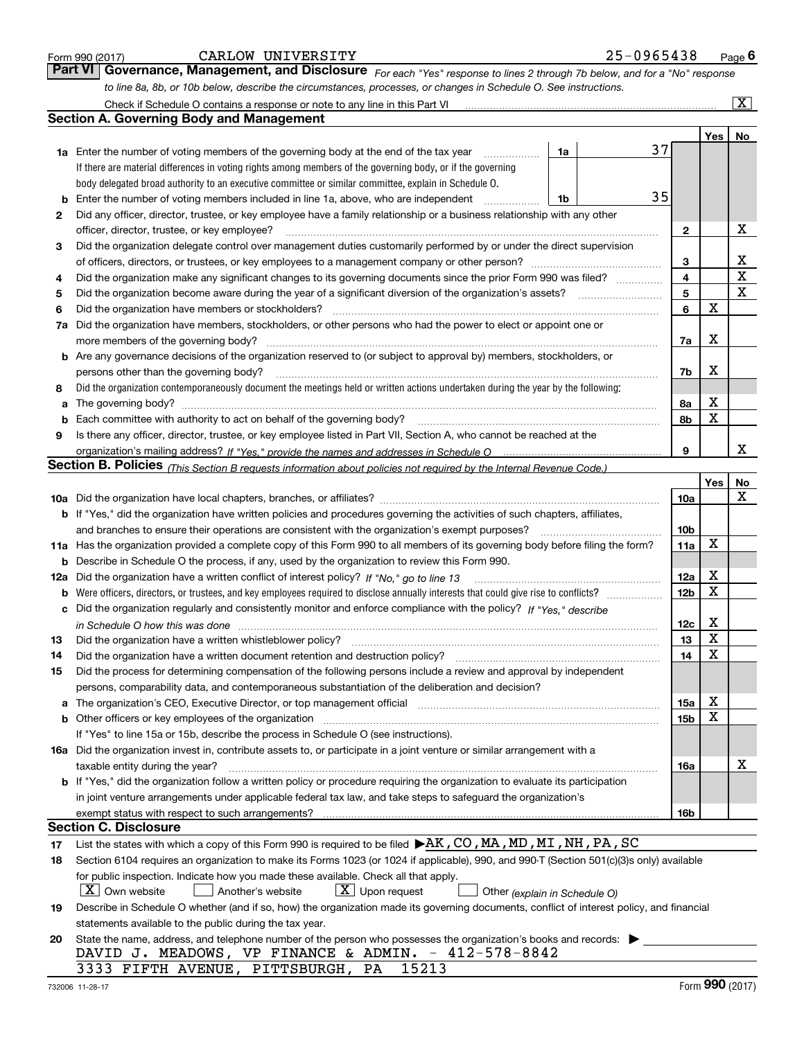|     | <b>1a</b> Enter the number of voting members of the governing body at the end of the tax year                                                                                                                                  | 1a | 37 |                        |                  |                   |  |  |  |
|-----|--------------------------------------------------------------------------------------------------------------------------------------------------------------------------------------------------------------------------------|----|----|------------------------|------------------|-------------------|--|--|--|
|     | If there are material differences in voting rights among members of the governing body, or if the governing                                                                                                                    |    |    |                        |                  |                   |  |  |  |
|     | body delegated broad authority to an executive committee or similar committee, explain in Schedule O.                                                                                                                          |    |    |                        |                  |                   |  |  |  |
| b   | Enter the number of voting members included in line 1a, above, who are independent                                                                                                                                             | 1b | 35 |                        |                  |                   |  |  |  |
| 2   | Did any officer, director, trustee, or key employee have a family relationship or a business relationship with any other                                                                                                       |    |    |                        |                  |                   |  |  |  |
|     | officer, director, trustee, or key employee?                                                                                                                                                                                   |    |    | $\mathbf{2}$           |                  | X                 |  |  |  |
| 3   | Did the organization delegate control over management duties customarily performed by or under the direct supervision                                                                                                          |    |    |                        |                  |                   |  |  |  |
|     |                                                                                                                                                                                                                                |    |    | 3                      |                  | х                 |  |  |  |
| 4   | Did the organization make any significant changes to its governing documents since the prior Form 990 was filed?                                                                                                               |    |    | 4                      |                  | $\mathbf X$       |  |  |  |
| 5   | Did the organization become aware during the year of a significant diversion of the organization's assets?                                                                                                                     |    |    | 5                      |                  | $\mathbf X$       |  |  |  |
| 6   | Did the organization have members or stockholders?                                                                                                                                                                             |    |    | 6                      | X                |                   |  |  |  |
| 7a  | Did the organization have members, stockholders, or other persons who had the power to elect or appoint one or                                                                                                                 |    |    |                        |                  |                   |  |  |  |
|     | more members of the governing body?                                                                                                                                                                                            |    |    | 7a                     | X                |                   |  |  |  |
|     | <b>b</b> Are any governance decisions of the organization reserved to (or subject to approval by) members, stockholders, or                                                                                                    |    |    |                        |                  |                   |  |  |  |
|     | persons other than the governing body?                                                                                                                                                                                         |    |    |                        |                  |                   |  |  |  |
| 8   | Did the organization contemporaneously document the meetings held or written actions undertaken during the year by the following:                                                                                              |    |    |                        |                  |                   |  |  |  |
| a   |                                                                                                                                                                                                                                |    |    | 8а                     | X                |                   |  |  |  |
|     |                                                                                                                                                                                                                                |    |    | 8b                     | $\mathbf X$      |                   |  |  |  |
| b   |                                                                                                                                                                                                                                |    |    |                        |                  |                   |  |  |  |
| 9   | Is there any officer, director, trustee, or key employee listed in Part VII, Section A, who cannot be reached at the                                                                                                           |    |    | 9                      |                  | x                 |  |  |  |
|     |                                                                                                                                                                                                                                |    |    |                        |                  |                   |  |  |  |
|     | Section B. Policies (This Section B requests information about policies not required by the Internal Revenue Code.)                                                                                                            |    |    |                        | <b>Yes</b>       |                   |  |  |  |
|     |                                                                                                                                                                                                                                |    |    |                        |                  | No<br>$\mathbf X$ |  |  |  |
|     |                                                                                                                                                                                                                                |    |    | 10a                    |                  |                   |  |  |  |
|     | <b>b</b> If "Yes," did the organization have written policies and procedures governing the activities of such chapters, affiliates,                                                                                            |    |    |                        |                  |                   |  |  |  |
|     | and branches to ensure their operations are consistent with the organization's exempt purposes?                                                                                                                                |    |    | 10 <sub>b</sub><br>11a | $\mathbf X$      |                   |  |  |  |
|     | 11a Has the organization provided a complete copy of this Form 990 to all members of its governing body before filing the form?                                                                                                |    |    |                        |                  |                   |  |  |  |
|     | Describe in Schedule O the process, if any, used by the organization to review this Form 990.<br>b                                                                                                                             |    |    |                        |                  |                   |  |  |  |
| 12a |                                                                                                                                                                                                                                |    |    | 12a                    | х<br>$\mathbf X$ |                   |  |  |  |
| b   |                                                                                                                                                                                                                                |    |    | 12 <sub>b</sub>        |                  |                   |  |  |  |
| c   | Did the organization regularly and consistently monitor and enforce compliance with the policy? If "Yes," describe                                                                                                             |    |    |                        | X                |                   |  |  |  |
|     |                                                                                                                                                                                                                                |    |    | 12c                    | X                |                   |  |  |  |
| 13  | Did the organization have a written whistleblower policy?                                                                                                                                                                      |    |    | 13                     | $\mathbf X$      |                   |  |  |  |
| 14  |                                                                                                                                                                                                                                |    |    | 14                     |                  |                   |  |  |  |
| 15  | Did the process for determining compensation of the following persons include a review and approval by independent                                                                                                             |    |    |                        |                  |                   |  |  |  |
|     | persons, comparability data, and contemporaneous substantiation of the deliberation and decision?                                                                                                                              |    |    |                        |                  |                   |  |  |  |
|     | The organization's CEO, Executive Director, or top management official manufactured contains and contained and the organization's CEO, and the Director, or top management official manufactured and the organization's CEO, E |    |    | 15a                    | х<br>$\mathbf X$ |                   |  |  |  |
|     |                                                                                                                                                                                                                                |    |    | 15b                    |                  |                   |  |  |  |
|     | If "Yes" to line 15a or 15b, describe the process in Schedule O (see instructions).                                                                                                                                            |    |    |                        |                  |                   |  |  |  |
|     | 16a Did the organization invest in, contribute assets to, or participate in a joint venture or similar arrangement with a                                                                                                      |    |    |                        |                  |                   |  |  |  |
|     | taxable entity during the year?                                                                                                                                                                                                |    |    | 16a                    |                  | х                 |  |  |  |
|     | <b>b</b> If "Yes," did the organization follow a written policy or procedure requiring the organization to evaluate its participation                                                                                          |    |    |                        |                  |                   |  |  |  |
|     | in joint venture arrangements under applicable federal tax law, and take steps to safeguard the organization's                                                                                                                 |    |    |                        |                  |                   |  |  |  |
|     | exempt status with respect to such arrangements?<br><b>Section C. Disclosure</b>                                                                                                                                               |    |    | 16b                    |                  |                   |  |  |  |
|     |                                                                                                                                                                                                                                |    |    |                        |                  |                   |  |  |  |
| 17  | List the states with which a copy of this Form 990 is required to be filed ▶AK, CO, MA, MD, MI, NH, PA, SC                                                                                                                     |    |    |                        |                  |                   |  |  |  |
| 18  | Section 6104 requires an organization to make its Forms 1023 (or 1024 if applicable), 990, and 990-T (Section 501(c)(3)s only) available                                                                                       |    |    |                        |                  |                   |  |  |  |
|     | for public inspection. Indicate how you made these available. Check all that apply.                                                                                                                                            |    |    |                        |                  |                   |  |  |  |
|     | $\boxed{\textbf{X}}$ Upon request<br>$X$ Own website<br>Another's website<br>Other (explain in Schedule O)                                                                                                                     |    |    |                        |                  |                   |  |  |  |
| 19  | Describe in Schedule O whether (and if so, how) the organization made its governing documents, conflict of interest policy, and financial                                                                                      |    |    |                        |                  |                   |  |  |  |
|     | statements available to the public during the tax year.                                                                                                                                                                        |    |    |                        |                  |                   |  |  |  |
| 20  | State the name, address, and telephone number of the person who possesses the organization's books and records:<br>1. MEADOWS VP FINANCE & ADMIN. - 412-578-8842                                                               |    |    |                        |                  |                   |  |  |  |

|  |  | DAVID J. MEADOWS, VP FINANCE & ADMIN. - 412-578-8842 |  |  |  |
|--|--|------------------------------------------------------|--|--|--|
|  |  | 3333 FIFTH AVENUE, PITTSBURGH, PA 15213              |  |  |  |

**Yes**

**No**

 $\boxed{\text{X}}$ 

**Section A. Governing Body and Management**

Check if Schedule O contains a response or note to any line in this Part VI

*For each "Yes" response to lines 2 through 7b below, and for a "No" response to line 8a, 8b, or 10b below, describe the circumstances, processes, or changes in Schedule O. See instructions.* Form 990 (2017) **CARLOW UNIVERSITY**<br>**Part VI Governance, Management, and Disclosure** For each "Yes" response to lines 2 through 7b below, and for a "No" response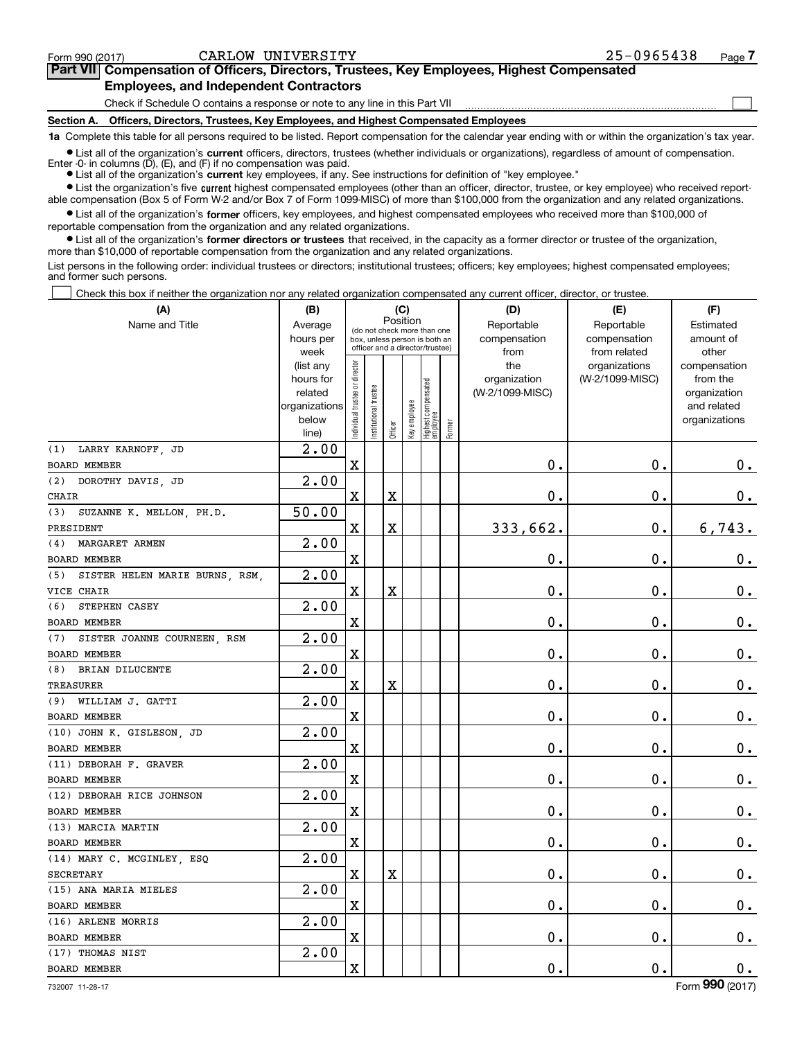$\mathcal{L}^{\text{max}}$ 

# **7Part VII Compensation of Officers, Directors, Trustees, Key Employees, Highest Compensated Employees, and Independent Contractors**

Check if Schedule O contains a response or note to any line in this Part VII

**Section A. Officers, Directors, Trustees, Key Employees, and Highest Compensated Employees**

**1a**  Complete this table for all persons required to be listed. Report compensation for the calendar year ending with or within the organization's tax year.

**•** List all of the organization's current officers, directors, trustees (whether individuals or organizations), regardless of amount of compensation. Enter -0- in columns  $(D)$ ,  $(E)$ , and  $(F)$  if no compensation was paid.

● List all of the organization's **current** key employees, if any. See instructions for definition of "key employee."

**•** List the organization's five current highest compensated employees (other than an officer, director, trustee, or key employee) who received reportable compensation (Box 5 of Form W-2 and/or Box 7 of Form 1099-MISC) of more than \$100,000 from the organization and any related organizations.

 $\bullet$  List all of the organization's **former** officers, key employees, and highest compensated employees who received more than \$100,000 of reportable compensation from the organization and any related organizations.

**•** List all of the organization's former directors or trustees that received, in the capacity as a former director or trustee of the organization, more than \$10,000 of reportable compensation from the organization and any related organizations.

List persons in the following order: individual trustees or directors; institutional trustees; officers; key employees; highest compensated employees; and former such persons.

Check this box if neither the organization nor any related organization compensated any current officer, director, or trustee.  $\mathcal{L}^{\text{max}}$ 

| (A)                                          | (B)                                                                  |                                |                                                                                                 |                         | (C)          |                                   |        | (D)                                    | (E)                                        | (F)                                                                      |
|----------------------------------------------|----------------------------------------------------------------------|--------------------------------|-------------------------------------------------------------------------------------------------|-------------------------|--------------|-----------------------------------|--------|----------------------------------------|--------------------------------------------|--------------------------------------------------------------------------|
| Name and Title                               | Average<br>hours per<br>week                                         |                                | (do not check more than one<br>box, unless person is both an<br>officer and a director/trustee) | Position                |              |                                   |        | Reportable<br>compensation<br>from     | Reportable<br>compensation<br>from related | Estimated<br>amount of<br>other                                          |
|                                              | (list any<br>hours for<br>related<br>organizations<br>below<br>line) | Individual trustee or director | In stitutional trustee                                                                          | Officer                 | Key employee | Highest compensated<br>  employee | Former | the<br>organization<br>(W-2/1099-MISC) | organizations<br>(W-2/1099-MISC)           | compensation<br>from the<br>organization<br>and related<br>organizations |
| (1) LARRY KARNOFF, JD                        | 2.00                                                                 |                                |                                                                                                 |                         |              |                                   |        |                                        |                                            |                                                                          |
| BOARD MEMBER                                 |                                                                      | $\mathbf X$                    |                                                                                                 |                         |              |                                   |        | 0.                                     | $\mathbf 0$ .                              | $0$ .                                                                    |
| (2) DOROTHY DAVIS, JD                        | 2.00                                                                 |                                |                                                                                                 |                         |              |                                   |        |                                        |                                            |                                                                          |
| CHAIR                                        |                                                                      | $\mathbf X$                    |                                                                                                 | $\mathbf X$             |              |                                   |        | $\mathbf 0$ .                          | $\mathbf 0$ .                              | 0.                                                                       |
| SUZANNE K. MELLON, PH.D.<br>(3)<br>PRESIDENT | 50.00                                                                | $\mathbf X$                    |                                                                                                 | $\mathbf X$             |              |                                   |        | 333,662.                               | 0.                                         | 6,743.                                                                   |
| <b>MARGARET ARMEN</b><br>(4)                 | 2.00                                                                 |                                |                                                                                                 |                         |              |                                   |        |                                        |                                            |                                                                          |
| <b>BOARD MEMBER</b>                          |                                                                      | $\mathbf X$                    |                                                                                                 |                         |              |                                   |        | 0.                                     | $\mathbf 0$ .                              | $\mathbf 0$ .                                                            |
| SISTER HELEN MARIE BURNS, RSM,<br>(5)        | 2.00                                                                 |                                |                                                                                                 |                         |              |                                   |        |                                        |                                            |                                                                          |
| VICE CHAIR                                   |                                                                      | $\mathbf X$                    |                                                                                                 | $\mathbf X$             |              |                                   |        | 0.                                     | $\mathbf 0$ .                              | 0.                                                                       |
| (6)<br>STEPHEN CASEY                         | 2.00                                                                 |                                |                                                                                                 |                         |              |                                   |        |                                        |                                            |                                                                          |
| <b>BOARD MEMBER</b>                          |                                                                      | $\mathbf X$                    |                                                                                                 |                         |              |                                   |        | 0.                                     | $\mathbf 0$ .                              | $\mathbf 0$ .                                                            |
| (7) SISTER JOANNE COURNEEN, RSM              | 2.00                                                                 |                                |                                                                                                 |                         |              |                                   |        |                                        |                                            |                                                                          |
| <b>BOARD MEMBER</b>                          |                                                                      | $\mathbf x$                    |                                                                                                 |                         |              |                                   |        | 0.                                     | $\mathbf 0$ .                              | $\mathbf 0$ .                                                            |
| (8) BRIAN DILUCENTE                          | 2.00                                                                 |                                |                                                                                                 |                         |              |                                   |        |                                        |                                            |                                                                          |
| TREASURER                                    |                                                                      | $\mathbf X$                    |                                                                                                 | $\overline{\textbf{X}}$ |              |                                   |        | 0.                                     | 0.                                         | $\mathbf 0$ .                                                            |
| (9) WILLIAM J. GATTI                         | 2.00                                                                 |                                |                                                                                                 |                         |              |                                   |        |                                        |                                            |                                                                          |
| BOARD MEMBER                                 |                                                                      | $\mathbf x$                    |                                                                                                 |                         |              |                                   |        | 0.                                     | $\mathbf 0$ .                              | $\mathbf 0$ .                                                            |
| (10) JOHN K. GISLESON, JD                    | 2.00                                                                 |                                |                                                                                                 |                         |              |                                   |        |                                        |                                            |                                                                          |
| BOARD MEMBER                                 |                                                                      | $\overline{\textbf{X}}$        |                                                                                                 |                         |              |                                   |        | $\mathbf 0$ .                          | $\mathbf 0$ .                              | $\mathbf 0$ .                                                            |
| (11) DEBORAH F. GRAVER                       | 2.00                                                                 |                                |                                                                                                 |                         |              |                                   |        |                                        |                                            |                                                                          |
| BOARD MEMBER                                 |                                                                      | $\mathbf x$                    |                                                                                                 |                         |              |                                   |        | 0.                                     | $\mathbf 0$ .                              | 0.                                                                       |
| (12) DEBORAH RICE JOHNSON                    | 2.00                                                                 |                                |                                                                                                 |                         |              |                                   |        |                                        |                                            |                                                                          |
| BOARD MEMBER                                 |                                                                      | $\mathbf X$                    |                                                                                                 |                         |              |                                   |        | 0.                                     | $\mathbf 0$ .                              | $\mathbf 0$ .                                                            |
| (13) MARCIA MARTIN                           | 2.00                                                                 |                                |                                                                                                 |                         |              |                                   |        |                                        |                                            |                                                                          |
| <b>BOARD MEMBER</b>                          |                                                                      | $\mathbf x$                    |                                                                                                 |                         |              |                                   |        | 0.                                     | $\mathbf 0$ .                              | $0_{.}$                                                                  |
| (14) MARY C. MCGINLEY, ESQ                   | 2.00                                                                 |                                |                                                                                                 |                         |              |                                   |        |                                        |                                            |                                                                          |
| <b>SECRETARY</b>                             |                                                                      | $\mathbf X$                    |                                                                                                 | $\overline{\textbf{X}}$ |              |                                   |        | 0.                                     | $\mathbf 0$ .                              | $0\cdot$                                                                 |
| (15) ANA MARIA MIELES                        | 2.00                                                                 |                                |                                                                                                 |                         |              |                                   |        |                                        |                                            |                                                                          |
| <b>BOARD MEMBER</b>                          |                                                                      | $\mathbf X$                    |                                                                                                 |                         |              |                                   |        | 0.                                     | $\mathbf 0$ .                              | $0\cdot$                                                                 |
| (16) ARLENE MORRIS                           | 2.00                                                                 |                                |                                                                                                 |                         |              |                                   |        |                                        |                                            |                                                                          |
| BOARD MEMBER                                 |                                                                      | X                              |                                                                                                 |                         |              |                                   |        | 0.                                     | $\mathbf 0$ .                              | $0\,.$                                                                   |
| (17) THOMAS NIST                             | $\overline{2.00}$                                                    |                                |                                                                                                 |                         |              |                                   |        |                                        |                                            |                                                                          |
| <b>BOARD MEMBER</b>                          |                                                                      | $\mathbf x$                    |                                                                                                 |                         |              |                                   |        | $\mathbf 0$ .                          | 0.                                         | $\mathbf 0$ .                                                            |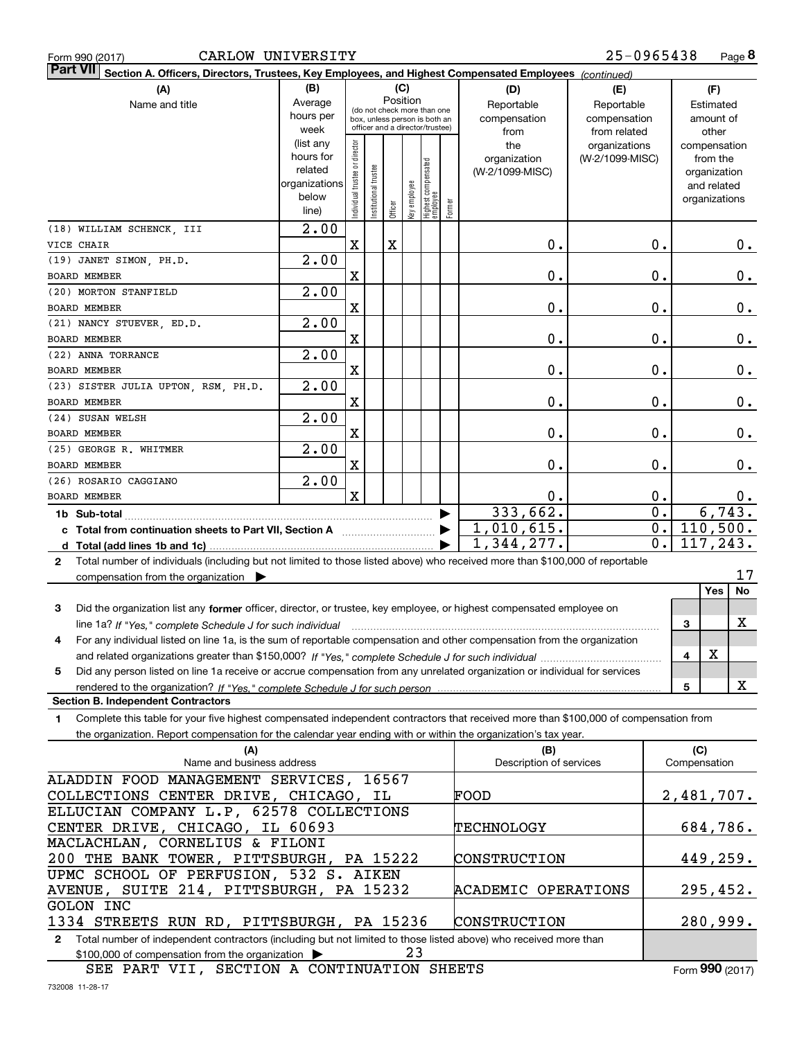| Form 990 (2017 |  |  |
|----------------|--|--|

| CARLOW UNIVERSITY<br>Form 990 (2017)                                                                                                             |               |                                |                      |          |     |                                                              |                         | 25-0965438      |                  |     |               | Page 8 |
|--------------------------------------------------------------------------------------------------------------------------------------------------|---------------|--------------------------------|----------------------|----------|-----|--------------------------------------------------------------|-------------------------|-----------------|------------------|-----|---------------|--------|
| <b>Part VII</b><br>Section A. Officers, Directors, Trustees, Key Employees, and Highest Compensated Employees (continued)                        |               |                                |                      |          |     |                                                              |                         |                 |                  |     |               |        |
| (A)                                                                                                                                              | (B)           |                                |                      |          | (C) |                                                              | (D)                     | (E)             |                  |     | (F)           |        |
| Name and title                                                                                                                                   | Average       |                                |                      | Position |     |                                                              | Reportable              | Reportable      |                  |     | Estimated     |        |
|                                                                                                                                                  | hours per     |                                |                      |          |     | (do not check more than one<br>box, unless person is both an | compensation            | compensation    |                  |     | amount of     |        |
|                                                                                                                                                  | week          |                                |                      |          |     | officer and a director/trustee)                              | from                    | from related    |                  |     | other         |        |
|                                                                                                                                                  | (list any     |                                |                      |          |     |                                                              | the                     | organizations   |                  |     | compensation  |        |
|                                                                                                                                                  | hours for     |                                |                      |          |     |                                                              | organization            | (W-2/1099-MISC) |                  |     | from the      |        |
|                                                                                                                                                  | related       |                                |                      |          |     |                                                              | (W-2/1099-MISC)         |                 |                  |     | organization  |        |
|                                                                                                                                                  | organizations |                                |                      |          |     |                                                              |                         |                 |                  |     | and related   |        |
|                                                                                                                                                  | below         | Individual trustee or director | nstitutional trustee |          |     |                                                              |                         |                 |                  |     | organizations |        |
|                                                                                                                                                  | line)         |                                |                      | Officer  |     | key employee<br>Highest compensated<br>employee<br>Former    |                         |                 |                  |     |               |        |
| (18) WILLIAM SCHENCK, III                                                                                                                        | 2.00          |                                |                      |          |     |                                                              |                         |                 |                  |     |               |        |
| VICE CHAIR                                                                                                                                       |               | $\mathbf X$                    |                      | Χ        |     |                                                              | $\mathbf 0$ .           |                 | 0.               |     |               | $0$ .  |
| (19) JANET SIMON, PH.D.                                                                                                                          | 2.00          |                                |                      |          |     |                                                              |                         |                 |                  |     |               |        |
| <b>BOARD MEMBER</b>                                                                                                                              |               | X                              |                      |          |     |                                                              | 0.                      |                 | 0.               |     |               | 0.     |
| (20) MORTON STANFIELD                                                                                                                            | 2.00          |                                |                      |          |     |                                                              |                         |                 |                  |     |               |        |
| <b>BOARD MEMBER</b>                                                                                                                              |               | X                              |                      |          |     |                                                              | 0.                      |                 | 0.               |     |               | 0.     |
| (21) NANCY STUEVER, ED.D.                                                                                                                        | 2.00          |                                |                      |          |     |                                                              |                         |                 |                  |     |               |        |
| BOARD MEMBER                                                                                                                                     |               | X                              |                      |          |     |                                                              | 0.                      |                 | 0.               |     |               | 0.     |
| (22) ANNA TORRANCE                                                                                                                               | 2.00          |                                |                      |          |     |                                                              |                         |                 |                  |     |               |        |
| <b>BOARD MEMBER</b>                                                                                                                              |               | X                              |                      |          |     |                                                              | 0.                      |                 | 0.               |     |               | 0.     |
| (23) SISTER JULIA UPTON, RSM, PH.D.                                                                                                              | 2.00          |                                |                      |          |     |                                                              |                         |                 |                  |     |               |        |
| BOARD MEMBER                                                                                                                                     |               | X                              |                      |          |     |                                                              | 0.                      |                 | 0.               |     |               | 0.     |
| (24) SUSAN WELSH                                                                                                                                 | 2.00          |                                |                      |          |     |                                                              |                         |                 |                  |     |               |        |
| BOARD MEMBER                                                                                                                                     |               | X                              |                      |          |     |                                                              | 0.                      |                 | 0.               |     |               | 0.     |
| (25) GEORGE R. WHITMER                                                                                                                           | 2.00          |                                |                      |          |     |                                                              |                         |                 |                  |     |               |        |
| BOARD MEMBER                                                                                                                                     |               | X                              |                      |          |     |                                                              | $\mathbf 0$ .           |                 | 0.               |     |               | 0.     |
| (26) ROSARIO CAGGIANO                                                                                                                            | 2.00          |                                |                      |          |     |                                                              |                         |                 |                  |     |               |        |
| <b>BOARD MEMBER</b>                                                                                                                              |               | $\mathbf{x}$                   |                      |          |     |                                                              | Ο.                      |                 | 0.               |     |               |        |
|                                                                                                                                                  |               |                                |                      |          |     |                                                              | 333,662.                |                 | 0.               |     | 6,743.        | $0$ .  |
| 1b Sub-total                                                                                                                                     |               |                                |                      |          |     |                                                              |                         |                 |                  |     |               |        |
| c Total from continuation sheets to Part VII, Section A <b>manual</b> Total Total Section A                                                      |               |                                |                      |          |     |                                                              | 1,010,615.              |                 | 0.               |     | 110,500.      |        |
|                                                                                                                                                  |               |                                |                      |          |     |                                                              | 1,344,277.              |                 | $\overline{0}$ . |     | 117, 243.     |        |
| Total number of individuals (including but not limited to those listed above) who received more than \$100,000 of reportable<br>$\mathbf{2}$     |               |                                |                      |          |     |                                                              |                         |                 |                  |     |               |        |
| compensation from the organization $\blacktriangleright$                                                                                         |               |                                |                      |          |     |                                                              |                         |                 |                  |     |               | 17     |
|                                                                                                                                                  |               |                                |                      |          |     |                                                              |                         |                 |                  |     | <b>Yes</b>    | No     |
| 3<br>Did the organization list any former officer, director, or trustee, key employee, or highest compensated employee on                        |               |                                |                      |          |     |                                                              |                         |                 |                  |     |               |        |
| line 1a? If "Yes," complete Schedule J for such individual manumanamental contents and the 1a? If "Yes," complete Schedule J for such individual |               |                                |                      |          |     |                                                              |                         |                 |                  | 3   |               | x      |
| For any individual listed on line 1a, is the sum of reportable compensation and other compensation from the organization                         |               |                                |                      |          |     |                                                              |                         |                 |                  |     |               |        |
|                                                                                                                                                  |               |                                |                      |          |     |                                                              |                         |                 |                  | 4   | х             |        |
| Did any person listed on line 1a receive or accrue compensation from any unrelated organization or individual for services<br>5                  |               |                                |                      |          |     |                                                              |                         |                 |                  |     |               |        |
|                                                                                                                                                  |               |                                |                      |          |     |                                                              |                         |                 |                  | 5   |               | X      |
| <b>Section B. Independent Contractors</b>                                                                                                        |               |                                |                      |          |     |                                                              |                         |                 |                  |     |               |        |
| Complete this table for your five highest compensated independent contractors that received more than \$100,000 of compensation from<br>1.       |               |                                |                      |          |     |                                                              |                         |                 |                  |     |               |        |
| the organization. Report compensation for the calendar year ending with or within the organization's tax year.                                   |               |                                |                      |          |     |                                                              |                         |                 |                  |     |               |        |
| (A)                                                                                                                                              |               |                                |                      |          |     |                                                              | (B)                     |                 |                  | (C) |               |        |
| Name and business address                                                                                                                        |               |                                |                      |          |     |                                                              | Description of services |                 |                  |     | Compensation  |        |
| ALADDIN FOOD MANAGEMENT SERVICES, 16567                                                                                                          |               |                                |                      |          |     |                                                              |                         |                 |                  |     |               |        |
| COLLECTIONS CENTER DRIVE, CHICAGO, IL                                                                                                            |               |                                |                      |          |     |                                                              | FOOD                    |                 |                  |     | 2,481,707.    |        |
| ELLUCIAN COMPANY L.P, 62578 COLLECTIONS                                                                                                          |               |                                |                      |          |     |                                                              |                         |                 |                  |     |               |        |

| 200 THE BANK TOWER, PITTSBURGH, PA 15222                                                                                         | CONSTRUCTION        | 449,259. |
|----------------------------------------------------------------------------------------------------------------------------------|---------------------|----------|
| UPMC SCHOOL OF PERFUSION, 532 S. AIKEN                                                                                           |                     |          |
| AVENUE, SUITE 214, PITTSBURGH, PA 15232                                                                                          | ACADEMIC OPERATIONS | 295,452. |
| GOLON INC                                                                                                                        |                     |          |
| 1334 STREETS RUN RD, PITTSBURGH, PA 15236                                                                                        | CONSTRUCTION        | 280,999. |
| Total number of independent contractors (including but not limited to those listed above) who received more than<br>$\mathbf{2}$ |                     |          |
| 23<br>$$100,000$ of compensation from the organization $\blacktriangleright$                                                     |                     |          |

TECHNOLOGY

CENTER DRIVE, CHICAGO, IL 60693

MACLACHLAN, CORNELIUS & FILONI

684,786.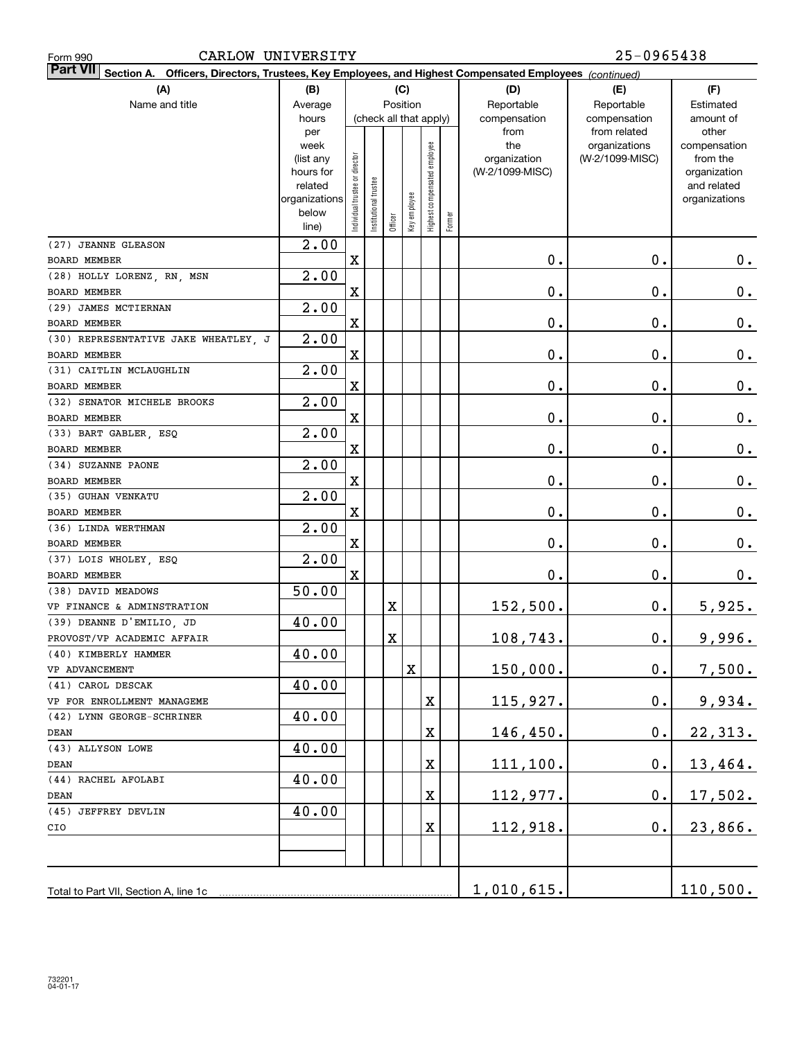| Form 990 |  |
|----------|--|
|          |  |

| <b>Part VII</b> Section A. Officers, Directors, Trustees, Key Employees, and Highest Compensated Employees (continued) |                |                                |                        |          |              |                              |        |                 |                               |                       |
|------------------------------------------------------------------------------------------------------------------------|----------------|--------------------------------|------------------------|----------|--------------|------------------------------|--------|-----------------|-------------------------------|-----------------------|
| (A)                                                                                                                    | (B)            |                                |                        |          | (C)          |                              |        | (D)             | (E)                           | (F)                   |
| Name and title                                                                                                         | Average        |                                |                        | Position |              |                              |        | Reportable      | Reportable                    | Estimated             |
|                                                                                                                        | hours          |                                | (check all that apply) |          |              |                              |        | compensation    | compensation                  | amount of             |
|                                                                                                                        | per<br>week    |                                |                        |          |              |                              |        | from<br>the     | from related<br>organizations | other<br>compensation |
|                                                                                                                        | (list any      |                                |                        |          |              |                              |        | organization    | (W-2/1099-MISC)               | from the              |
|                                                                                                                        | hours for      |                                |                        |          |              |                              |        | (W-2/1099-MISC) |                               | organization          |
|                                                                                                                        | related        |                                |                        |          |              |                              |        |                 |                               | and related           |
|                                                                                                                        | organizations  |                                |                        |          |              |                              |        |                 |                               | organizations         |
|                                                                                                                        | below<br>line) | Individual trustee or director | nstitutional trustee   | Officer  | Key employee | Highest compensated employee | Former |                 |                               |                       |
| (27) JEANNE GLEASON                                                                                                    | 2.00           |                                |                        |          |              |                              |        |                 |                               |                       |
| <b>BOARD MEMBER</b>                                                                                                    |                | $\mathbf X$                    |                        |          |              |                              |        | 0.              | 0.                            | 0.                    |
| (28) HOLLY LORENZ, RN, MSN                                                                                             | 2.00           |                                |                        |          |              |                              |        |                 |                               |                       |
| BOARD MEMBER                                                                                                           |                | $\mathbf X$                    |                        |          |              |                              |        | 0.              | 0.                            | $0$ .                 |
| (29) JAMES MCTIERNAN                                                                                                   | 2.00           |                                |                        |          |              |                              |        |                 |                               |                       |
| BOARD MEMBER                                                                                                           |                | $\mathbf X$                    |                        |          |              |                              |        | 0.              | 0.                            | $\mathbf 0$ .         |
| (30) REPRESENTATIVE JAKE WHEATLEY, J                                                                                   | 2.00           |                                |                        |          |              |                              |        |                 |                               |                       |
| <b>BOARD MEMBER</b>                                                                                                    |                | X                              |                        |          |              |                              |        | 0.              | 0.                            | $0$ .                 |
| (31) CAITLIN MCLAUGHLIN                                                                                                | 2.00           |                                |                        |          |              |                              |        |                 |                               |                       |
| <b>BOARD MEMBER</b>                                                                                                    |                | X                              |                        |          |              |                              |        | 0.              | 0.                            | $0$ .                 |
| (32) SENATOR MICHELE BROOKS                                                                                            | 2.00           |                                |                        |          |              |                              |        |                 |                               |                       |
| BOARD MEMBER                                                                                                           |                | $\mathbf X$                    |                        |          |              |                              |        | 0.              | 0.                            | 0.                    |
| (33) BART GABLER, ESQ                                                                                                  | 2.00           |                                |                        |          |              |                              |        |                 |                               |                       |
| <b>BOARD MEMBER</b>                                                                                                    |                | $\mathbf X$                    |                        |          |              |                              |        | 0.              | 0.                            | $0$ .                 |
| (34) SUZANNE PAONE                                                                                                     | 2.00           |                                |                        |          |              |                              |        |                 |                               |                       |
| BOARD MEMBER                                                                                                           |                | X                              |                        |          |              |                              |        | 0.              | 0.                            | $\mathbf 0$ .         |
| (35) GUHAN VENKATU                                                                                                     | 2.00           |                                |                        |          |              |                              |        |                 |                               |                       |
| <b>BOARD MEMBER</b>                                                                                                    |                | X                              |                        |          |              |                              |        | 0.              | 0.                            | $\mathbf 0$ .         |
| (36) LINDA WERTHMAN                                                                                                    | 2.00           |                                |                        |          |              |                              |        |                 |                               |                       |
| BOARD MEMBER                                                                                                           |                | $\mathbf X$                    |                        |          |              |                              |        | 0.              | 0.                            | $0$ .                 |
| (37) LOIS WHOLEY, ESQ                                                                                                  | 2.00           |                                |                        |          |              |                              |        |                 |                               |                       |
| BOARD MEMBER                                                                                                           |                | $\mathbf X$                    |                        |          |              |                              |        | 0.              | 0.                            | 0.                    |
| (38) DAVID MEADOWS                                                                                                     | 50.00          |                                |                        |          |              |                              |        |                 |                               |                       |
| VP FINANCE & ADMINSTRATION                                                                                             |                |                                |                        | X        |              |                              |        | $152,500$ .     | $\mathbf 0$ .                 | 5,925.                |
| (39) DEANNE D'EMILIO, JD                                                                                               | 40.00          |                                |                        |          |              |                              |        |                 |                               |                       |
| PROVOST/VP ACADEMIC AFFAIR<br>(40) KIMBERLY HAMMER                                                                     |                |                                |                        | X        |              |                              |        | 108,743.        | $\mathbf 0$ .                 | 9,996.                |
| VP ADVANCEMENT                                                                                                         | 40.00          |                                |                        |          | X            |                              |        | 150,000.        | 0.                            |                       |
| (41) CAROL DESCAK                                                                                                      | 40.00          |                                |                        |          |              |                              |        |                 |                               | 7,500.                |
| VP FOR ENROLLMENT MANAGEME                                                                                             |                |                                |                        |          |              | X                            |        | 115,927.        | $\mathbf 0$ .                 | 9,934.                |
| (42) LYNN GEORGE-SCHRINER                                                                                              | 40.00          |                                |                        |          |              |                              |        |                 |                               |                       |
| DEAN                                                                                                                   |                |                                |                        |          |              | $\mathbf X$                  |        | 146,450.        | $\mathbf 0$ .                 | <u>22,313.</u>        |
| (43) ALLYSON LOWE                                                                                                      | 40.00          |                                |                        |          |              |                              |        |                 |                               |                       |
| DEAN                                                                                                                   |                |                                |                        |          |              | $\mathbf X$                  |        | 111,100.        | $\mathbf 0$ .                 | 13,464.               |
| (44) RACHEL AFOLABI                                                                                                    | 40.00          |                                |                        |          |              |                              |        |                 |                               |                       |
| DEAN                                                                                                                   |                |                                |                        |          |              | X                            |        | 112,977.        | $\mathbf 0$ .                 | <u>17,502.</u>        |
| (45) JEFFREY DEVLIN                                                                                                    | 40.00          |                                |                        |          |              |                              |        |                 |                               |                       |
| CIO                                                                                                                    |                |                                |                        |          |              | X                            |        | 112,918.        | 0.                            | 23,866.               |
|                                                                                                                        |                |                                |                        |          |              |                              |        |                 |                               |                       |
|                                                                                                                        |                |                                |                        |          |              |                              |        |                 |                               |                       |
|                                                                                                                        |                |                                |                        |          |              |                              |        |                 |                               |                       |
| Total to Part VII, Section A, line 1c                                                                                  |                |                                |                        |          |              |                              |        | 1,010,615.      |                               | 110,500.              |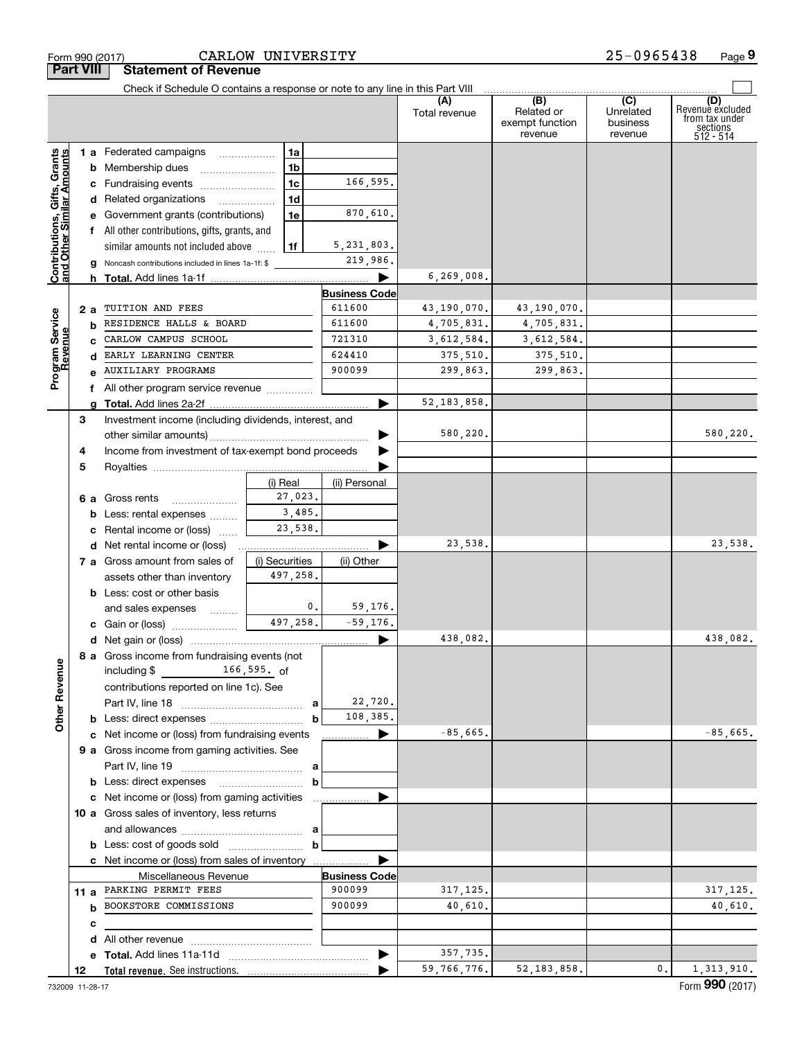|                                                           | <b>Part VIII</b> | <b>Statement of Revenue</b>                                                   |                            |                      |                      |                                                 |                                                    |                                                                      |
|-----------------------------------------------------------|------------------|-------------------------------------------------------------------------------|----------------------------|----------------------|----------------------|-------------------------------------------------|----------------------------------------------------|----------------------------------------------------------------------|
|                                                           |                  | Check if Schedule O contains a response or note to any line in this Part VIII |                            |                      |                      |                                                 |                                                    |                                                                      |
|                                                           |                  |                                                                               |                            |                      | (A)<br>Total revenue | (B)<br>Related or<br>exempt function<br>revenue | $\overline{C}$<br>Unrelated<br>business<br>revenue | (D)<br>Revenuè excluded<br>from tax under<br>sections<br>$512 - 514$ |
|                                                           |                  | 1 a Federated campaigns                                                       | 1a                         |                      |                      |                                                 |                                                    |                                                                      |
| Contributions, Gifts, Grants<br>and Other Similar Amounts | b                | Membership dues                                                               | 1 <sub>b</sub>             |                      |                      |                                                 |                                                    |                                                                      |
|                                                           |                  | c Fundraising events                                                          | 1 <sub>c</sub>             | 166,595.             |                      |                                                 |                                                    |                                                                      |
|                                                           |                  | d Related organizations                                                       | 1 <sub>d</sub>             |                      |                      |                                                 |                                                    |                                                                      |
|                                                           |                  | e Government grants (contributions)                                           | 1e                         | 870,610.             |                      |                                                 |                                                    |                                                                      |
|                                                           |                  | f All other contributions, gifts, grants, and                                 |                            |                      |                      |                                                 |                                                    |                                                                      |
|                                                           |                  | similar amounts not included above                                            | 1f                         | 5, 231, 803.         |                      |                                                 |                                                    |                                                                      |
|                                                           |                  | Noncash contributions included in lines 1a-1f: \$                             |                            | 219,986.             |                      |                                                 |                                                    |                                                                      |
|                                                           | h.               |                                                                               |                            |                      | 6, 269, 008.         |                                                 |                                                    |                                                                      |
|                                                           |                  |                                                                               |                            | <b>Business Code</b> |                      |                                                 |                                                    |                                                                      |
|                                                           | 2 a              | TUITION AND FEES                                                              |                            | 611600               | 43,190,070.          | 43,190,070.                                     |                                                    |                                                                      |
|                                                           | b                | RESIDENCE HALLS & BOARD                                                       |                            | 611600               | 4,705,831.           | 4,705,831.                                      |                                                    |                                                                      |
| Program Service<br>Revenue                                |                  | CARLOW CAMPUS SCHOOL                                                          |                            | 721310               | 3,612,584.           | 3,612,584.                                      |                                                    |                                                                      |
|                                                           | d                | EARLY LEARNING CENTER                                                         |                            | 624410               | 375,510.             | 375,510.                                        |                                                    |                                                                      |
|                                                           |                  | <b>AUXILIARY PROGRAMS</b>                                                     |                            | 900099               | 299,863.             | 299,863.                                        |                                                    |                                                                      |
|                                                           |                  | f All other program service revenue                                           |                            |                      |                      |                                                 |                                                    |                                                                      |
|                                                           | a                |                                                                               |                            |                      | 52, 183, 858.        |                                                 |                                                    |                                                                      |
|                                                           | З                | Investment income (including dividends, interest, and                         |                            |                      |                      |                                                 |                                                    |                                                                      |
|                                                           |                  |                                                                               |                            |                      | 580,220.             |                                                 |                                                    | 580,220.                                                             |
|                                                           | 4                | Income from investment of tax-exempt bond proceeds                            |                            |                      |                      |                                                 |                                                    |                                                                      |
|                                                           | 5                |                                                                               |                            |                      |                      |                                                 |                                                    |                                                                      |
|                                                           |                  |                                                                               | (i) Real                   | (ii) Personal        |                      |                                                 |                                                    |                                                                      |
|                                                           | 6а               | Gross rents                                                                   | 27,023.<br>3,485.          |                      |                      |                                                 |                                                    |                                                                      |
|                                                           | b                | Less: rental expenses                                                         | 23,538.                    |                      |                      |                                                 |                                                    |                                                                      |
|                                                           | c                | Rental income or (loss)                                                       |                            |                      | 23,538.              |                                                 |                                                    | 23,538.                                                              |
|                                                           | d                | Net rental income or (loss)                                                   | . <u>.</u> .               |                      |                      |                                                 |                                                    |                                                                      |
|                                                           |                  | 7 a Gross amount from sales of<br>assets other than inventory                 | (i) Securities<br>497,258. | (ii) Other           |                      |                                                 |                                                    |                                                                      |
|                                                           |                  |                                                                               |                            |                      |                      |                                                 |                                                    |                                                                      |
|                                                           |                  | <b>b</b> Less: cost or other basis                                            | 0.                         | 59,176.              |                      |                                                 |                                                    |                                                                      |
|                                                           |                  | and sales expenses                                                            | 497,258.                   | $-59, 176.$          |                      |                                                 |                                                    |                                                                      |
|                                                           |                  |                                                                               |                            |                      | 438,082.             |                                                 |                                                    | 438,082.                                                             |
|                                                           |                  | 8 a Gross income from fundraising events (not                                 |                            |                      |                      |                                                 |                                                    |                                                                      |
|                                                           |                  | $166,595$ . of<br>including \$                                                |                            |                      |                      |                                                 |                                                    |                                                                      |
|                                                           |                  | contributions reported on line 1c). See                                       |                            |                      |                      |                                                 |                                                    |                                                                      |
|                                                           |                  |                                                                               | a                          | 22,720.              |                      |                                                 |                                                    |                                                                      |
| <b>Other Revenue</b>                                      |                  |                                                                               | b                          | 108,385.             |                      |                                                 |                                                    |                                                                      |
|                                                           |                  | c Net income or (loss) from fundraising events                                |                            | ______________ ▶     | $-85,665$ .          |                                                 |                                                    | $-85,665$ .                                                          |
|                                                           |                  | 9 a Gross income from gaming activities. See                                  |                            |                      |                      |                                                 |                                                    |                                                                      |
|                                                           |                  |                                                                               |                            |                      |                      |                                                 |                                                    |                                                                      |
|                                                           |                  |                                                                               | b                          |                      |                      |                                                 |                                                    |                                                                      |
|                                                           |                  | c Net income or (loss) from gaming activities                                 |                            |                      |                      |                                                 |                                                    |                                                                      |
|                                                           |                  | 10 a Gross sales of inventory, less returns                                   |                            |                      |                      |                                                 |                                                    |                                                                      |
|                                                           |                  |                                                                               |                            |                      |                      |                                                 |                                                    |                                                                      |
|                                                           |                  |                                                                               | b                          |                      |                      |                                                 |                                                    |                                                                      |
|                                                           |                  | c Net income or (loss) from sales of inventory                                |                            |                      |                      |                                                 |                                                    |                                                                      |
|                                                           |                  | Miscellaneous Revenue                                                         |                            | <b>Business Code</b> |                      |                                                 |                                                    |                                                                      |
|                                                           |                  | 11 a PARKING PERMIT FEES                                                      |                            | 900099               | 317, 125.            |                                                 |                                                    | 317, 125.                                                            |
|                                                           |                  | <b>b</b> BOOKSTORE COMMISSIONS                                                |                            | 900099               | 40,610.              |                                                 |                                                    | 40,610.                                                              |
|                                                           | c                |                                                                               |                            |                      |                      |                                                 |                                                    |                                                                      |
|                                                           | d                |                                                                               |                            |                      |                      |                                                 |                                                    |                                                                      |
|                                                           |                  |                                                                               |                            |                      | 357,735.             |                                                 |                                                    |                                                                      |
|                                                           | 12               |                                                                               |                            |                      | 59,766,776.          | 52, 183, 858.                                   | 0.                                                 | 1,313,910.                                                           |

Form 990 (2017) CARLOW UNIVERSITY 2 5-0 9 6 5 4 3 8 Page

CARLOW UNIVERSITY

**9**

25-0965438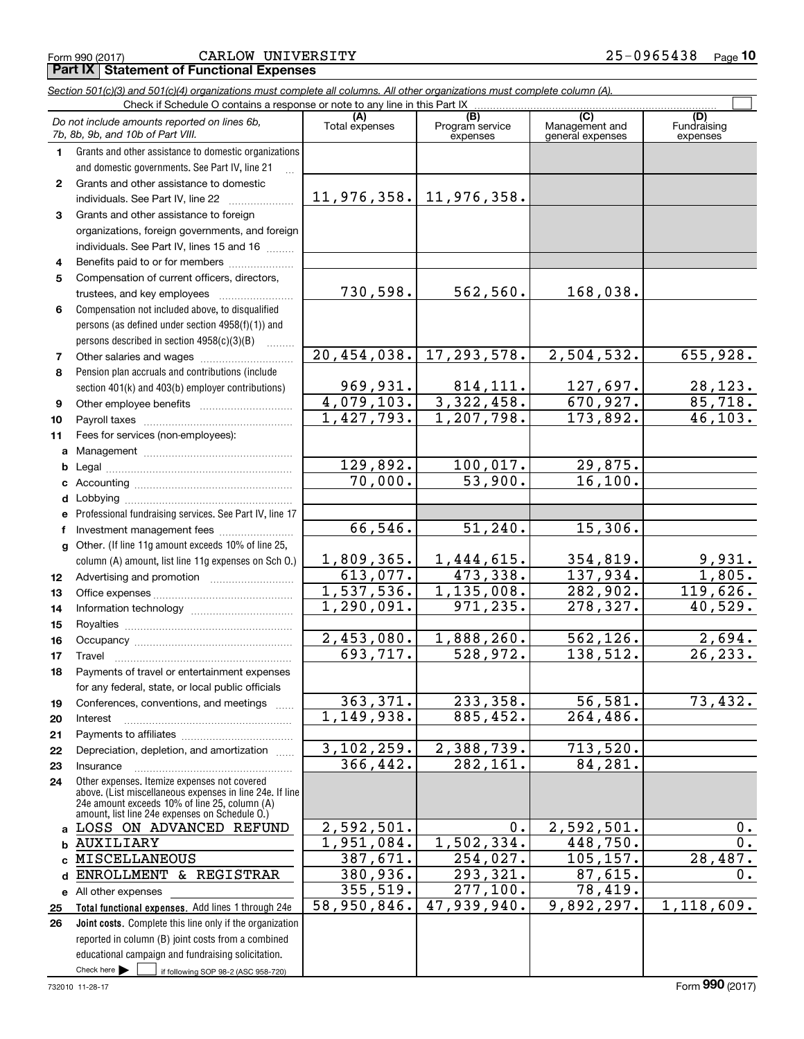Form 990 (2017) CARLOW UNIVERSITY 2 5-U9 6 5 4 3 8 Page CARLOW UNIVERSITY 25-0965438

*Section 501(c)(3) and 501(c)(4) organizations must complete all columns. All other organizations must complete column (A).*

|              | Check if Schedule O contains a response or note to any line in this Part IX                                                                                                                                 |                             |                                                 |                                           |                                |
|--------------|-------------------------------------------------------------------------------------------------------------------------------------------------------------------------------------------------------------|-----------------------------|-------------------------------------------------|-------------------------------------------|--------------------------------|
|              | Do not include amounts reported on lines 6b,<br>7b, 8b, 9b, and 10b of Part VIII.                                                                                                                           | (A)<br>Total expenses       | $\overline{(B)}$<br>Program service<br>expenses | (C)<br>Management and<br>general expenses | (D)<br>Fundraising<br>expenses |
| 1.           | Grants and other assistance to domestic organizations                                                                                                                                                       |                             |                                                 |                                           |                                |
|              | and domestic governments. See Part IV, line 21                                                                                                                                                              |                             |                                                 |                                           |                                |
| $\mathbf{2}$ | Grants and other assistance to domestic                                                                                                                                                                     |                             |                                                 |                                           |                                |
|              | individuals. See Part IV, line 22                                                                                                                                                                           | 11,976,358.                 | 11,976,358.                                     |                                           |                                |
| 3            | Grants and other assistance to foreign                                                                                                                                                                      |                             |                                                 |                                           |                                |
|              | organizations, foreign governments, and foreign                                                                                                                                                             |                             |                                                 |                                           |                                |
|              | individuals. See Part IV, lines 15 and 16                                                                                                                                                                   |                             |                                                 |                                           |                                |
| 4            | Benefits paid to or for members                                                                                                                                                                             |                             |                                                 |                                           |                                |
| 5            | Compensation of current officers, directors,                                                                                                                                                                |                             |                                                 |                                           |                                |
|              | trustees, and key employees                                                                                                                                                                                 | 730,598.                    | 562,560.                                        | 168,038.                                  |                                |
| 6            | Compensation not included above, to disqualified                                                                                                                                                            |                             |                                                 |                                           |                                |
|              | persons (as defined under section 4958(f)(1)) and                                                                                                                                                           |                             |                                                 |                                           |                                |
|              | persons described in section $4958(c)(3)(B)$                                                                                                                                                                |                             |                                                 |                                           |                                |
| 7            |                                                                                                                                                                                                             | $\overline{20, 454, 038}$ . | 17,293,578.                                     | 2,504,532.                                | $\overline{655,928}$ .         |
| 8            | Pension plan accruals and contributions (include                                                                                                                                                            |                             |                                                 |                                           |                                |
|              | section 401(k) and 403(b) employer contributions)                                                                                                                                                           | 969, 931.                   | 814, 111.                                       | 127,697.                                  | 28, 123.                       |
| 9            |                                                                                                                                                                                                             | 4,079,103.                  | 3,322,458.                                      | 670, 927.                                 | 85,718.                        |
| 10           |                                                                                                                                                                                                             | 1,427,793.                  | 1,207,798.                                      | 173,892.                                  | 46, 103.                       |
| 11           | Fees for services (non-employees):                                                                                                                                                                          |                             |                                                 |                                           |                                |
|              |                                                                                                                                                                                                             |                             |                                                 |                                           |                                |
| b            |                                                                                                                                                                                                             | 129,892.<br>70,000.         | 100,017.<br>53,900.                             | 29,875.<br>16, 100.                       |                                |
|              |                                                                                                                                                                                                             |                             |                                                 |                                           |                                |
| d            |                                                                                                                                                                                                             |                             |                                                 |                                           |                                |
| е            | Professional fundraising services. See Part IV, line 17                                                                                                                                                     | 66,546.                     | 51, 240.                                        | 15,306.                                   |                                |
| f            | Investment management fees<br>g Other. (If line 11g amount exceeds 10% of line 25,                                                                                                                          |                             |                                                 |                                           |                                |
|              | column (A) amount, list line 11g expenses on Sch 0.)                                                                                                                                                        | 1,809,365.                  | 1,444,615.                                      | 354,819.                                  | 9,931.                         |
|              |                                                                                                                                                                                                             | 613,077.                    | 473,338.                                        | 137,934.                                  | 1,805.                         |
| 12<br>13     |                                                                                                                                                                                                             | 1,537,536.                  | 1,135,008.                                      | 282,902.                                  | 119,626.                       |
| 14           |                                                                                                                                                                                                             | 1, 290, 091.                | 971,235.                                        | 278,327.                                  | 40,529.                        |
| 15           |                                                                                                                                                                                                             |                             |                                                 |                                           |                                |
| 16           |                                                                                                                                                                                                             | 2,453,080.                  | 1,888,260.                                      | 562, 126.                                 | 2,694.                         |
| 17           |                                                                                                                                                                                                             | 693,717.                    | 528,972.                                        | 138,512.                                  | 26, 233.                       |
| 18           | Payments of travel or entertainment expenses                                                                                                                                                                |                             |                                                 |                                           |                                |
|              | for any federal, state, or local public officials                                                                                                                                                           |                             |                                                 |                                           |                                |
| 19           | Conferences, conventions, and meetings                                                                                                                                                                      | 363,371.                    | 233,358.                                        | 56, 581.                                  | 73,432.                        |
| 20           | Interest                                                                                                                                                                                                    | 1,149,938.                  | 885,452.                                        | 264,486.                                  |                                |
| 21           |                                                                                                                                                                                                             |                             |                                                 |                                           |                                |
| 22           | Depreciation, depletion, and amortization                                                                                                                                                                   | 3, 102, 259.                | 2,388,739.                                      | 713,520.                                  |                                |
| 23           | Insurance                                                                                                                                                                                                   | 366,442.                    | 282,161.                                        | 84,281.                                   |                                |
| 24           | Other expenses. Itemize expenses not covered<br>above. (List miscellaneous expenses in line 24e. If line<br>24e amount exceeds 10% of line 25, column (A)<br>amount, list line 24e expenses on Schedule 0.) |                             |                                                 |                                           |                                |
|              | a LOSS ON ADVANCED REFUND                                                                                                                                                                                   | 2,592,501.                  | 0.                                              | 2,592,501.                                | 0.                             |
|              | b AUXILIARY                                                                                                                                                                                                 | 1,951,084.                  | 1,502,334.                                      | 448,750.                                  | $\overline{0}$ .               |
|              | MISCELLANEOUS                                                                                                                                                                                               | 387,671.                    | 254,027.                                        | 105, 157.                                 | 28,487.                        |
| d            | ENROLLMENT & REGISTRAR                                                                                                                                                                                      | 380,936.                    | 293,321.                                        | 87,615.                                   | 0.                             |
|              | e All other expenses                                                                                                                                                                                        | 355, 519.                   | $\overline{277,100}$ .                          | 78,419.                                   |                                |
| 25           | Total functional expenses. Add lines 1 through 24e                                                                                                                                                          | 58,950,846.                 | 47,939,940.                                     | 9,892,297.                                | 1,118,609.                     |
| 26           | Joint costs. Complete this line only if the organization                                                                                                                                                    |                             |                                                 |                                           |                                |
|              | reported in column (B) joint costs from a combined                                                                                                                                                          |                             |                                                 |                                           |                                |
|              | educational campaign and fundraising solicitation.                                                                                                                                                          |                             |                                                 |                                           |                                |
|              | Check here $\blacktriangleright$<br>if following SOP 98-2 (ASC 958-720)                                                                                                                                     |                             |                                                 |                                           |                                |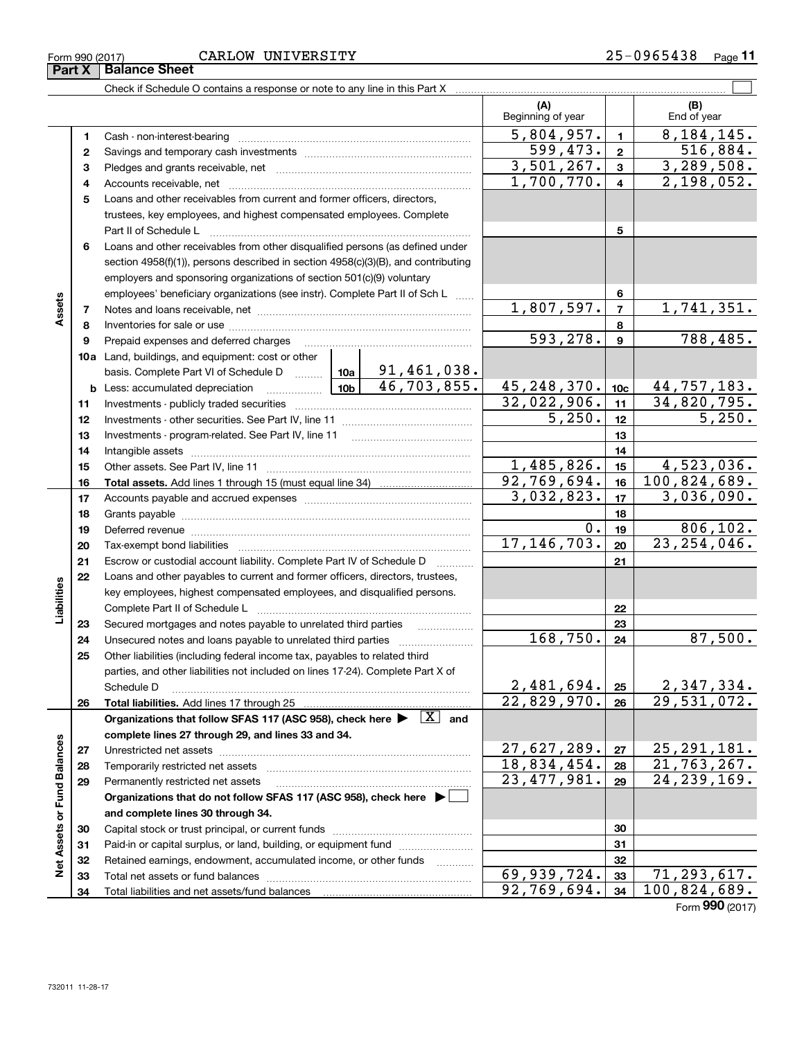|                             |          |                                                                                                          | (A)<br>Beginning of year                     |                 | (B)<br>End of year                         |
|-----------------------------|----------|----------------------------------------------------------------------------------------------------------|----------------------------------------------|-----------------|--------------------------------------------|
|                             | 1        |                                                                                                          | 5,804,957.                                   | $\mathbf{1}$    | 8, 184, 145.                               |
|                             | 2        |                                                                                                          | 599,473.                                     | $\mathbf{2}$    | 516,884.                                   |
|                             | 3        |                                                                                                          | 3,501,267.                                   | $\mathbf{3}$    | 3,289,508.                                 |
|                             | 4        |                                                                                                          | 1,700,770.                                   | $\overline{4}$  | 2,198,052.                                 |
|                             | 5        | Loans and other receivables from current and former officers, directors,                                 |                                              |                 |                                            |
|                             |          | trustees, key employees, and highest compensated employees. Complete                                     |                                              |                 |                                            |
|                             |          |                                                                                                          |                                              | 5               |                                            |
|                             | 6        | Loans and other receivables from other disqualified persons (as defined under                            |                                              |                 |                                            |
|                             |          | section 4958(f)(1)), persons described in section 4958(c)(3)(B), and contributing                        |                                              |                 |                                            |
|                             |          | employers and sponsoring organizations of section 501(c)(9) voluntary                                    |                                              |                 |                                            |
|                             |          | employees' beneficiary organizations (see instr). Complete Part II of Sch L                              |                                              | 6               |                                            |
| Assets                      | 7        |                                                                                                          | 1,807,597.                                   | $\overline{7}$  | 1,741,351.                                 |
|                             | 8        |                                                                                                          |                                              | 8               |                                            |
|                             | 9        | Prepaid expenses and deferred charges                                                                    | 593,278.                                     | 9               | 788,485.                                   |
|                             |          | 10a Land, buildings, and equipment: cost or other                                                        |                                              |                 |                                            |
|                             |          | basis. Complete Part VI of Schedule D    10a   91,461,038.                                               |                                              |                 |                                            |
|                             |          |                                                                                                          | 45, 248, 370.<br>32,022,906.                 | 10 <sub>c</sub> | 44,757,183.<br>34,820,795.                 |
|                             | 11       |                                                                                                          | 5,250.                                       | 11              | 5,250.                                     |
|                             | 12       |                                                                                                          |                                              | 12              |                                            |
|                             | 13       |                                                                                                          |                                              | 13<br>14        |                                            |
|                             | 14<br>15 |                                                                                                          | $\overline{1,485}$ , 826.                    | 15              | 4,523,036.                                 |
|                             | 16       |                                                                                                          | 92,769,694.                                  | 16              | 100,824,689.                               |
|                             | 17       |                                                                                                          | 3,032,823.                                   | 17              | 3,036,090.                                 |
|                             | 18       |                                                                                                          |                                              | 18              |                                            |
|                             | 19       |                                                                                                          | 0.                                           | 19              | 806, 102.                                  |
|                             | 20       |                                                                                                          | 17, 146, 703.                                | 20              | $\overline{23}$ , 254, 046.                |
|                             | 21       | Escrow or custodial account liability. Complete Part IV of Schedule D                                    |                                              | 21              |                                            |
|                             | 22       | Loans and other payables to current and former officers, directors, trustees,                            |                                              |                 |                                            |
| Liabilities                 |          | key employees, highest compensated employees, and disqualified persons.                                  |                                              |                 |                                            |
|                             |          |                                                                                                          |                                              | 22              |                                            |
|                             | 23       |                                                                                                          |                                              | 23              |                                            |
|                             | 24       |                                                                                                          | 168,750.                                     | 24              | 87,500.                                    |
|                             | 25       | Other liabilities (including federal income tax, payables to related third                               |                                              |                 |                                            |
|                             |          | parties, and other liabilities not included on lines 17-24). Complete Part X of                          |                                              |                 |                                            |
|                             |          | Schedule D                                                                                               | 2,481,694.                                   | 25              | 2,347,334.                                 |
|                             | 26       |                                                                                                          | $\overline{22,829,970}$ .                    | 26              | $\overline{29,531,072}$ .                  |
|                             |          | Organizations that follow SFAS 117 (ASC 958), check here $\blacktriangleright \quad \boxed{X}$ and       |                                              |                 |                                            |
|                             |          | complete lines 27 through 29, and lines 33 and 34.                                                       |                                              |                 |                                            |
|                             | 27       |                                                                                                          | 27,627,289.                                  | 27              | 25, 291, 181.<br>$\overline{21,763,267}$ . |
| Net Assets or Fund Balances | 28       |                                                                                                          | $\overline{18}$ , 834, 454.<br>23, 477, 981. | 28              | $\overline{24,239,169}$ .                  |
|                             | 29       | Permanently restricted net assets                                                                        |                                              | 29              |                                            |
|                             |          | Organizations that do not follow SFAS 117 (ASC 958), check here ▶ │<br>and complete lines 30 through 34. |                                              |                 |                                            |
|                             |          |                                                                                                          |                                              | 30              |                                            |
|                             | 30       | Paid-in or capital surplus, or land, building, or equipment fund                                         |                                              | 31              |                                            |
|                             | 31<br>32 | Retained earnings, endowment, accumulated income, or other funds                                         |                                              | 32              |                                            |
|                             | 33       | .                                                                                                        | 69,939,724.                                  | 33              | 71,293,617.                                |
|                             | 34       |                                                                                                          | 92,769,694.                                  | 34              | 100,824,689.                               |

Form (2017) **990**

| Form 990 (2017) |                               |  |
|-----------------|-------------------------------|--|
|                 | <b>Part X   Balance Sheet</b> |  |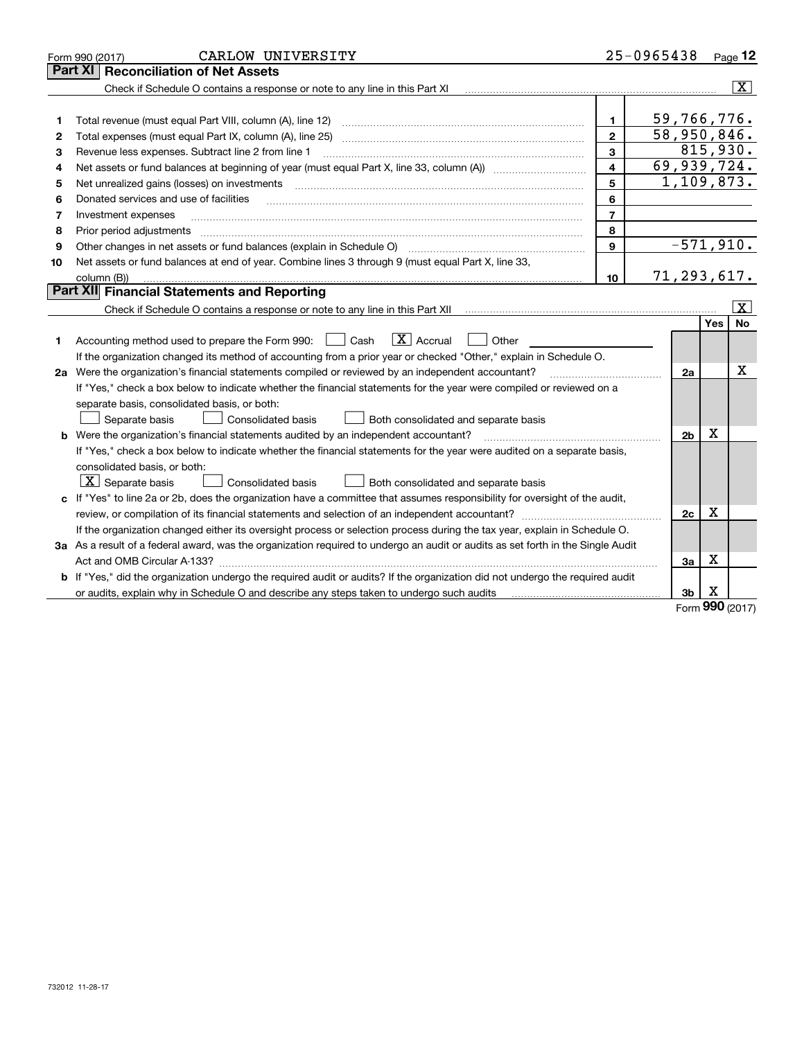|    | CARLOW UNIVERSITY<br>Form 990 (2017)                                                                                                                        |                | 25-0965438     | Page 12                 |
|----|-------------------------------------------------------------------------------------------------------------------------------------------------------------|----------------|----------------|-------------------------|
|    | <b>Reconciliation of Net Assets</b><br><b>Part XI</b>                                                                                                       |                |                |                         |
|    | Check if Schedule O contains a response or note to any line in this Part XI                                                                                 |                |                | $\overline{\mathbf{x}}$ |
|    |                                                                                                                                                             |                |                |                         |
| 1  | Total revenue (must equal Part VIII, column (A), line 12)                                                                                                   | 1.             | 59,766,776.    |                         |
| 2  | Total expenses (must equal Part IX, column (A), line 25)                                                                                                    | $\mathbf{2}$   | 58,950,846.    |                         |
| з  | Revenue less expenses. Subtract line 2 from line 1                                                                                                          | 3              |                | 815,930.                |
| 4  |                                                                                                                                                             | 4              | 69,939,724.    |                         |
| 5  | Net unrealized gains (losses) on investments                                                                                                                | 5              |                | 1,109,873.              |
| 6  | Donated services and use of facilities                                                                                                                      | 6              |                |                         |
| 7  | Investment expenses                                                                                                                                         | $\overline{7}$ |                |                         |
| 8  | Prior period adjustments                                                                                                                                    | 8              |                |                         |
| 9  | Other changes in net assets or fund balances (explain in Schedule O) [11] [12] contraction contracts in net assets or fund balances (explain in Schedule O) | 9              |                | $-571,910.$             |
| 10 | Net assets or fund balances at end of year. Combine lines 3 through 9 (must equal Part X, line 33,                                                          |                |                |                         |
|    | column (B))                                                                                                                                                 | 10             | 71, 293, 617.  |                         |
|    | Part XII Financial Statements and Reporting                                                                                                                 |                |                |                         |
|    |                                                                                                                                                             |                |                | $\overline{\mathtt{x}}$ |
|    |                                                                                                                                                             |                |                | Yes<br>No               |
| 1  | $\boxed{\mathbf{X}}$ Accrual<br>Accounting method used to prepare the Form 990: <u>June</u> Cash<br>Other                                                   |                |                |                         |
|    | If the organization changed its method of accounting from a prior year or checked "Other," explain in Schedule O.                                           |                |                |                         |
|    | 2a Were the organization's financial statements compiled or reviewed by an independent accountant?                                                          |                | 2a             | х                       |
|    | If "Yes," check a box below to indicate whether the financial statements for the year were compiled or reviewed on a                                        |                |                |                         |
|    | separate basis, consolidated basis, or both:                                                                                                                |                |                |                         |
|    | Separate basis<br>Consolidated basis<br>Both consolidated and separate basis                                                                                |                |                |                         |
|    | <b>b</b> Were the organization's financial statements audited by an independent accountant?                                                                 |                | 2 <sub>b</sub> | х                       |
|    | If "Yes," check a box below to indicate whether the financial statements for the year were audited on a separate basis,                                     |                |                |                         |
|    | consolidated basis, or both:                                                                                                                                |                |                |                         |
|    | $ \mathbf{X} $ Separate basis<br><b>Consolidated basis</b><br>Both consolidated and separate basis                                                          |                |                |                         |
|    | c If "Yes" to line 2a or 2b, does the organization have a committee that assumes responsibility for oversight of the audit,                                 |                |                |                         |
|    | review, or compilation of its financial statements and selection of an independent accountant?                                                              |                | 2c             | х                       |
|    | If the organization changed either its oversight process or selection process during the tax year, explain in Schedule O.                                   |                |                |                         |
|    | 3a As a result of a federal award, was the organization required to undergo an audit or audits as set forth in the Single Audit                             |                |                |                         |
|    |                                                                                                                                                             |                | За             | х                       |
|    | If "Yes," did the organization undergo the required audit or audits? If the organization did not undergo the required audit                                 |                |                |                         |
|    | or audits, explain why in Schedule O and describe any steps taken to undergo such audits                                                                    |                | 3b             | х<br>nnn                |

Form (2017) **990**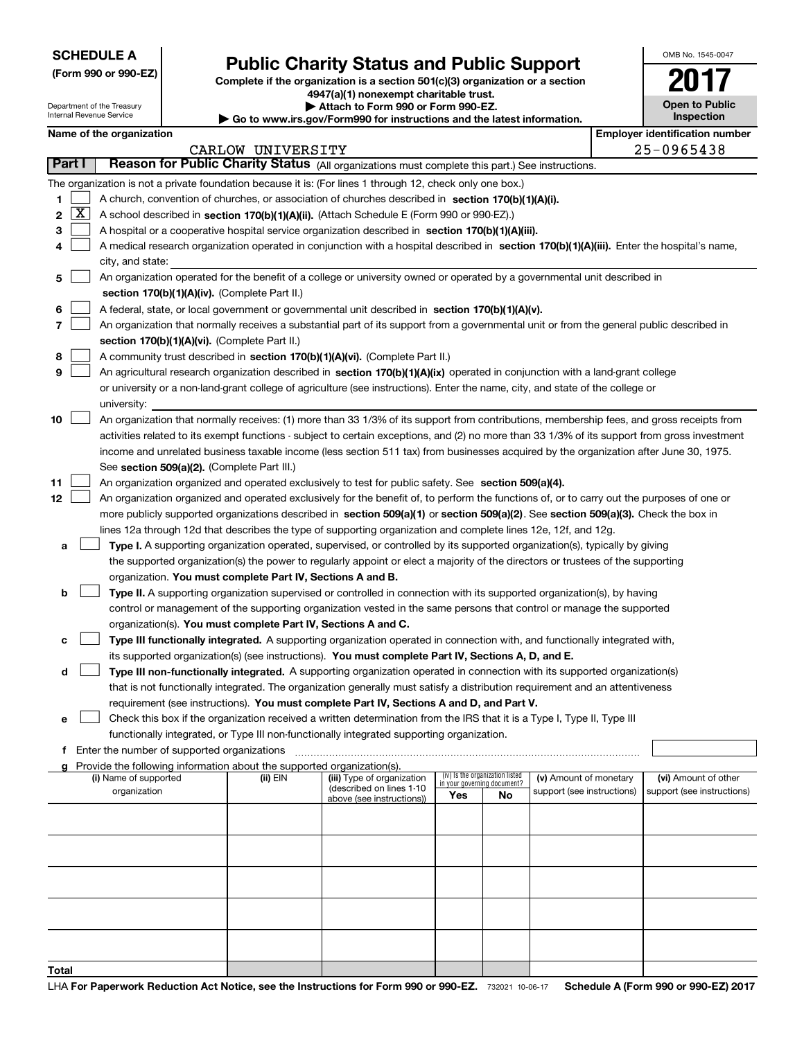Department of the Treasury Internal Revenue Service

|  |  |  | (Form 990 or 990-EZ) |
|--|--|--|----------------------|
|--|--|--|----------------------|

# **Public Charity Status and Public Support**

**Complete if the organization is a section 501(c)(3) organization or a section 4947(a)(1) nonexempt charitable trust.**

| Attach to Form 990 or Form 990-EZ. |       |  |  |  |
|------------------------------------|-------|--|--|--|
|                                    | --- - |  |  |  |

**| Go to www.irs.gov/Form990 for instructions and the latest information.**

| OMB No. 1545-0047                   |
|-------------------------------------|
|                                     |
| <b>Open to Public</b><br>Inspection |

|  | Name of the organization |
|--|--------------------------|
|--|--------------------------|

|        |                   | Name of the organization                                                                                                                      |                   |                            |                                 |    |                            | <b>Employer identification number</b> |
|--------|-------------------|-----------------------------------------------------------------------------------------------------------------------------------------------|-------------------|----------------------------|---------------------------------|----|----------------------------|---------------------------------------|
|        |                   |                                                                                                                                               | CARLOW UNIVERSITY |                            |                                 |    |                            | 25-0965438                            |
| Part I |                   | Reason for Public Charity Status (All organizations must complete this part.) See instructions.                                               |                   |                            |                                 |    |                            |                                       |
|        |                   | The organization is not a private foundation because it is: (For lines 1 through 12, check only one box.)                                     |                   |                            |                                 |    |                            |                                       |
| 1.     |                   | A church, convention of churches, or association of churches described in section 170(b)(1)(A)(i).                                            |                   |                            |                                 |    |                            |                                       |
| 2      | $\vert$ X $\vert$ | A school described in section 170(b)(1)(A)(ii). (Attach Schedule E (Form 990 or 990-EZ).)                                                     |                   |                            |                                 |    |                            |                                       |
| 3      |                   | A hospital or a cooperative hospital service organization described in section $170(b)(1)(A)(iii)$ .                                          |                   |                            |                                 |    |                            |                                       |
| 4      |                   | A medical research organization operated in conjunction with a hospital described in section 170(b)(1)(A)(iii). Enter the hospital's name,    |                   |                            |                                 |    |                            |                                       |
|        |                   | city, and state:                                                                                                                              |                   |                            |                                 |    |                            |                                       |
| 5      |                   | An organization operated for the benefit of a college or university owned or operated by a governmental unit described in                     |                   |                            |                                 |    |                            |                                       |
|        |                   | section 170(b)(1)(A)(iv). (Complete Part II.)                                                                                                 |                   |                            |                                 |    |                            |                                       |
| 6      |                   | A federal, state, or local government or governmental unit described in section 170(b)(1)(A)(v).                                              |                   |                            |                                 |    |                            |                                       |
| 7      |                   | An organization that normally receives a substantial part of its support from a governmental unit or from the general public described in     |                   |                            |                                 |    |                            |                                       |
|        |                   | section 170(b)(1)(A)(vi). (Complete Part II.)                                                                                                 |                   |                            |                                 |    |                            |                                       |
|        |                   |                                                                                                                                               |                   |                            |                                 |    |                            |                                       |
| 8      |                   | A community trust described in section 170(b)(1)(A)(vi). (Complete Part II.)                                                                  |                   |                            |                                 |    |                            |                                       |
| 9      |                   | An agricultural research organization described in section 170(b)(1)(A)(ix) operated in conjunction with a land-grant college                 |                   |                            |                                 |    |                            |                                       |
|        |                   | or university or a non-land-grant college of agriculture (see instructions). Enter the name, city, and state of the college or                |                   |                            |                                 |    |                            |                                       |
|        |                   | university:                                                                                                                                   |                   |                            |                                 |    |                            |                                       |
| 10     |                   | An organization that normally receives: (1) more than 33 1/3% of its support from contributions, membership fees, and gross receipts from     |                   |                            |                                 |    |                            |                                       |
|        |                   | activities related to its exempt functions - subject to certain exceptions, and (2) no more than 33 1/3% of its support from gross investment |                   |                            |                                 |    |                            |                                       |
|        |                   | income and unrelated business taxable income (less section 511 tax) from businesses acquired by the organization after June 30, 1975.         |                   |                            |                                 |    |                            |                                       |
|        |                   | See section 509(a)(2). (Complete Part III.)                                                                                                   |                   |                            |                                 |    |                            |                                       |
| 11     |                   | An organization organized and operated exclusively to test for public safety. See section 509(a)(4).                                          |                   |                            |                                 |    |                            |                                       |
| 12     |                   | An organization organized and operated exclusively for the benefit of, to perform the functions of, or to carry out the purposes of one or    |                   |                            |                                 |    |                            |                                       |
|        |                   | more publicly supported organizations described in section 509(a)(1) or section 509(a)(2). See section 509(a)(3). Check the box in            |                   |                            |                                 |    |                            |                                       |
|        |                   | lines 12a through 12d that describes the type of supporting organization and complete lines 12e, 12f, and 12g.                                |                   |                            |                                 |    |                            |                                       |
| а      |                   | <b>Type I.</b> A supporting organization operated, supervised, or controlled by its supported organization(s), typically by giving            |                   |                            |                                 |    |                            |                                       |
|        |                   | the supported organization(s) the power to regularly appoint or elect a majority of the directors or trustees of the supporting               |                   |                            |                                 |    |                            |                                       |
|        |                   | organization. You must complete Part IV, Sections A and B.                                                                                    |                   |                            |                                 |    |                            |                                       |
| b      |                   | Type II. A supporting organization supervised or controlled in connection with its supported organization(s), by having                       |                   |                            |                                 |    |                            |                                       |
|        |                   | control or management of the supporting organization vested in the same persons that control or manage the supported                          |                   |                            |                                 |    |                            |                                       |
|        |                   | organization(s). You must complete Part IV, Sections A and C.                                                                                 |                   |                            |                                 |    |                            |                                       |
| с      |                   | Type III functionally integrated. A supporting organization operated in connection with, and functionally integrated with,                    |                   |                            |                                 |    |                            |                                       |
|        |                   | its supported organization(s) (see instructions). You must complete Part IV, Sections A, D, and E.                                            |                   |                            |                                 |    |                            |                                       |
|        |                   | Type III non-functionally integrated. A supporting organization operated in connection with its supported organization(s)                     |                   |                            |                                 |    |                            |                                       |
| d      |                   |                                                                                                                                               |                   |                            |                                 |    |                            |                                       |
|        |                   | that is not functionally integrated. The organization generally must satisfy a distribution requirement and an attentiveness                  |                   |                            |                                 |    |                            |                                       |
|        |                   | requirement (see instructions). You must complete Part IV, Sections A and D, and Part V.                                                      |                   |                            |                                 |    |                            |                                       |
|        |                   | Check this box if the organization received a written determination from the IRS that it is a Type I, Type II, Type III                       |                   |                            |                                 |    |                            |                                       |
|        |                   | functionally integrated, or Type III non-functionally integrated supporting organization.                                                     |                   |                            |                                 |    |                            |                                       |
|        |                   | f Enter the number of supported organizations                                                                                                 |                   |                            |                                 |    |                            |                                       |
|        |                   | g Provide the following information about the supported organization(s).<br>(i) Name of supported                                             | (ii) EIN          | (iii) Type of organization | (iv) Is the organization listed |    | (v) Amount of monetary     | (vi) Amount of other                  |
|        |                   | organization                                                                                                                                  |                   | (described on lines 1-10   | in your governing document?     |    | support (see instructions) | support (see instructions)            |
|        |                   |                                                                                                                                               |                   | above (see instructions))  | Yes                             | No |                            |                                       |
|        |                   |                                                                                                                                               |                   |                            |                                 |    |                            |                                       |
|        |                   |                                                                                                                                               |                   |                            |                                 |    |                            |                                       |
|        |                   |                                                                                                                                               |                   |                            |                                 |    |                            |                                       |
|        |                   |                                                                                                                                               |                   |                            |                                 |    |                            |                                       |
|        |                   |                                                                                                                                               |                   |                            |                                 |    |                            |                                       |
|        |                   |                                                                                                                                               |                   |                            |                                 |    |                            |                                       |
|        |                   |                                                                                                                                               |                   |                            |                                 |    |                            |                                       |
|        |                   |                                                                                                                                               |                   |                            |                                 |    |                            |                                       |
|        |                   |                                                                                                                                               |                   |                            |                                 |    |                            |                                       |
|        |                   |                                                                                                                                               |                   |                            |                                 |    |                            |                                       |
| Total  |                   |                                                                                                                                               |                   |                            |                                 |    |                            |                                       |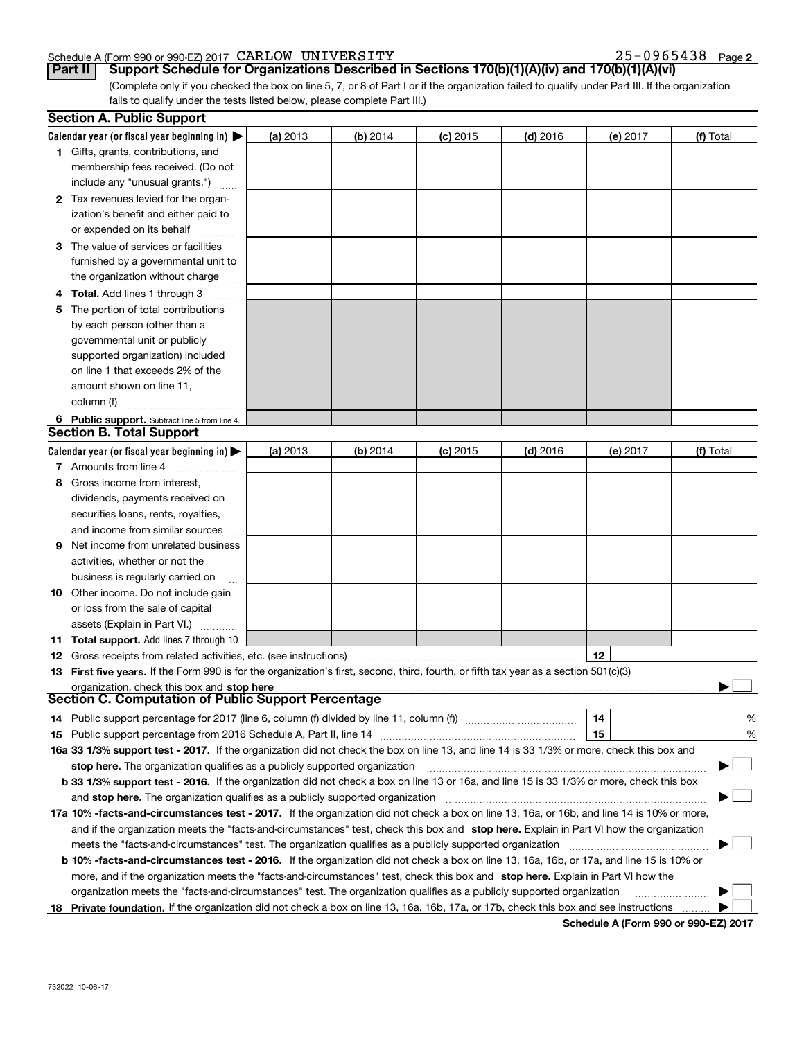|  |  |  |  | 25-0965438 Page 2 |  |
|--|--|--|--|-------------------|--|
|--|--|--|--|-------------------|--|

**Part II** | Support Schedule for Organizations Described in Sections 170(b)(1)(A)(iv) and 170(b)(1)(A)(vi)

(Complete only if you checked the box on line 5, 7, or 8 of Part I or if the organization failed to qualify under Part III. If the organization fails to qualify under the tests listed below, please complete Part III.)

|    | <b>Section A. Public Support</b>                                                                                                               |          |          |            |            |          |           |
|----|------------------------------------------------------------------------------------------------------------------------------------------------|----------|----------|------------|------------|----------|-----------|
|    | Calendar year (or fiscal year beginning in) $\blacktriangleright$                                                                              | (a) 2013 | (b) 2014 | $(c)$ 2015 | $(d)$ 2016 | (e) 2017 | (f) Total |
|    | <b>1</b> Gifts, grants, contributions, and                                                                                                     |          |          |            |            |          |           |
|    | membership fees received. (Do not                                                                                                              |          |          |            |            |          |           |
|    | include any "unusual grants.")                                                                                                                 |          |          |            |            |          |           |
|    | 2 Tax revenues levied for the organ-                                                                                                           |          |          |            |            |          |           |
|    | ization's benefit and either paid to                                                                                                           |          |          |            |            |          |           |
|    | or expended on its behalf                                                                                                                      |          |          |            |            |          |           |
|    | 3 The value of services or facilities                                                                                                          |          |          |            |            |          |           |
|    | furnished by a governmental unit to                                                                                                            |          |          |            |            |          |           |
|    | the organization without charge                                                                                                                |          |          |            |            |          |           |
|    | <b>4 Total.</b> Add lines 1 through 3                                                                                                          |          |          |            |            |          |           |
| 5. | The portion of total contributions                                                                                                             |          |          |            |            |          |           |
|    | by each person (other than a                                                                                                                   |          |          |            |            |          |           |
|    | governmental unit or publicly                                                                                                                  |          |          |            |            |          |           |
|    | supported organization) included                                                                                                               |          |          |            |            |          |           |
|    | on line 1 that exceeds 2% of the                                                                                                               |          |          |            |            |          |           |
|    | amount shown on line 11,                                                                                                                       |          |          |            |            |          |           |
|    | column (f)                                                                                                                                     |          |          |            |            |          |           |
|    | 6 Public support. Subtract line 5 from line 4.                                                                                                 |          |          |            |            |          |           |
|    | <b>Section B. Total Support</b>                                                                                                                |          |          |            |            |          |           |
|    | Calendar year (or fiscal year beginning in) $\blacktriangleright$                                                                              | (a) 2013 | (b) 2014 | $(c)$ 2015 | $(d)$ 2016 | (e) 2017 | (f) Total |
|    | 7 Amounts from line 4                                                                                                                          |          |          |            |            |          |           |
|    | 8 Gross income from interest,                                                                                                                  |          |          |            |            |          |           |
|    | dividends, payments received on                                                                                                                |          |          |            |            |          |           |
|    | securities loans, rents, royalties,                                                                                                            |          |          |            |            |          |           |
|    | and income from similar sources                                                                                                                |          |          |            |            |          |           |
| 9. | Net income from unrelated business                                                                                                             |          |          |            |            |          |           |
|    | activities, whether or not the                                                                                                                 |          |          |            |            |          |           |
|    | business is regularly carried on                                                                                                               |          |          |            |            |          |           |
|    | <b>10</b> Other income. Do not include gain                                                                                                    |          |          |            |            |          |           |
|    | or loss from the sale of capital                                                                                                               |          |          |            |            |          |           |
|    | assets (Explain in Part VI.)                                                                                                                   |          |          |            |            |          |           |
|    | <b>11 Total support.</b> Add lines 7 through 10                                                                                                |          |          |            |            |          |           |
|    | <b>12</b> Gross receipts from related activities, etc. (see instructions)                                                                      |          |          |            |            | 12       |           |
|    | 13 First five years. If the Form 990 is for the organization's first, second, third, fourth, or fifth tax year as a section 501(c)(3)          |          |          |            |            |          |           |
|    | organization, check this box and stop here                                                                                                     |          |          |            |            |          |           |
|    | Section C. Computation of Public Support Percentage                                                                                            |          |          |            |            |          |           |
|    | 14 Public support percentage for 2017 (line 6, column (f) divided by line 11, column (f) <i>mummention</i>                                     |          |          |            |            | 14       | %         |
|    |                                                                                                                                                |          |          |            |            | 15       | %         |
|    | 16a 33 1/3% support test - 2017. If the organization did not check the box on line 13, and line 14 is 33 1/3% or more, check this box and      |          |          |            |            |          |           |
|    | stop here. The organization qualifies as a publicly supported organization                                                                     |          |          |            |            |          | $\sim$    |
|    | b 33 1/3% support test - 2016. If the organization did not check a box on line 13 or 16a, and line 15 is 33 1/3% or more, check this box       |          |          |            |            |          |           |
|    | and stop here. The organization qualifies as a publicly supported organization                                                                 |          |          |            |            |          |           |
|    | 17a 10% -facts-and-circumstances test - 2017. If the organization did not check a box on line 13, 16a, or 16b, and line 14 is 10% or more,     |          |          |            |            |          |           |
|    | and if the organization meets the "facts-and-circumstances" test, check this box and stop here. Explain in Part VI how the organization        |          |          |            |            |          |           |
|    | meets the "facts-and-circumstances" test. The organization qualifies as a publicly supported organization                                      |          |          |            |            |          |           |
|    | <b>b 10% -facts-and-circumstances test - 2016.</b> If the organization did not check a box on line 13, 16a, 16b, or 17a, and line 15 is 10% or |          |          |            |            |          |           |
|    | more, and if the organization meets the "facts-and-circumstances" test, check this box and stop here. Explain in Part VI how the               |          |          |            |            |          |           |
|    | organization meets the "facts-and-circumstances" test. The organization qualifies as a publicly supported organization                         |          |          |            |            |          |           |
|    | 18 Private foundation. If the organization did not check a box on line 13, 16a, 16b, 17a, or 17b, check this box and see instructions          |          |          |            |            |          |           |

**Schedule A (Form 990 or 990-EZ) 2017**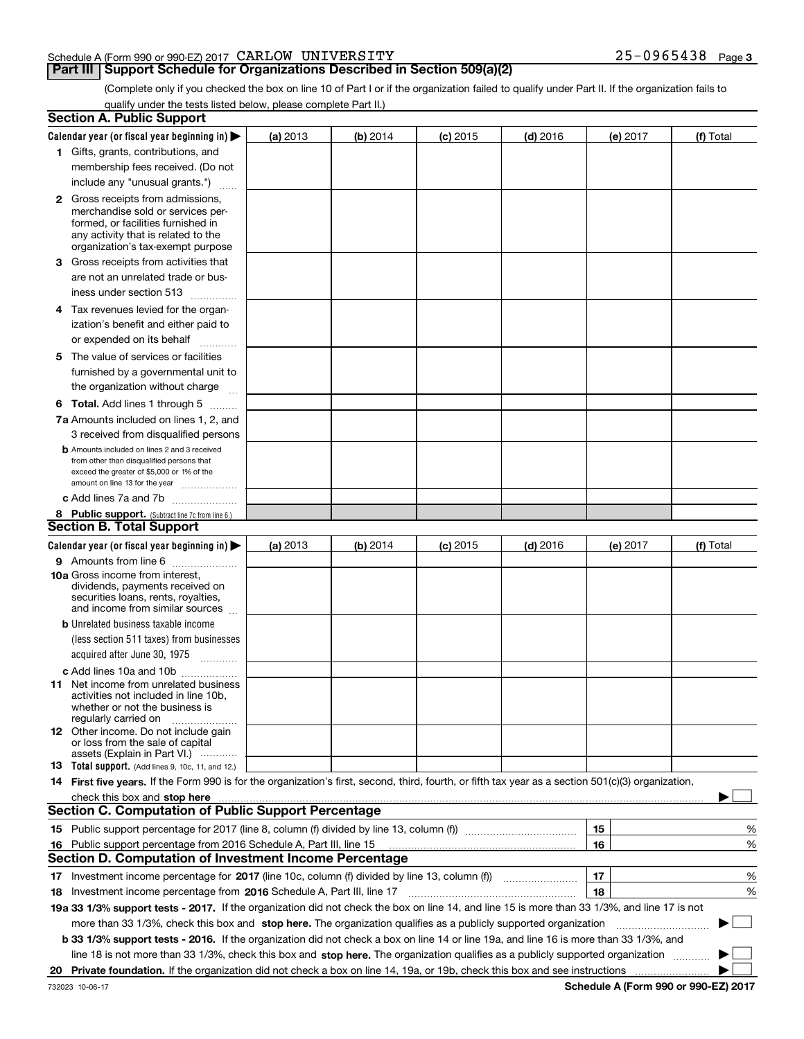### **Part III** | Support Schedule for Organizations Described in Section 509(a)(2)

**3**

(Complete only if you checked the box on line 10 of Part I or if the organization failed to qualify under Part II. If the organization fails to qualify under the tests listed below, please complete Part II.)

|    | <b>Section A. Public Support</b>                                                                                                                                                                                                                                                             |          |          |            |            |          |             |
|----|----------------------------------------------------------------------------------------------------------------------------------------------------------------------------------------------------------------------------------------------------------------------------------------------|----------|----------|------------|------------|----------|-------------|
|    | Calendar year (or fiscal year beginning in) $\blacktriangleright$                                                                                                                                                                                                                            | (a) 2013 | (b) 2014 | $(c)$ 2015 | $(d)$ 2016 | (e) 2017 | (f) Total   |
|    | 1 Gifts, grants, contributions, and                                                                                                                                                                                                                                                          |          |          |            |            |          |             |
|    | membership fees received. (Do not                                                                                                                                                                                                                                                            |          |          |            |            |          |             |
|    | include any "unusual grants.")                                                                                                                                                                                                                                                               |          |          |            |            |          |             |
|    | <b>2</b> Gross receipts from admissions,                                                                                                                                                                                                                                                     |          |          |            |            |          |             |
|    | merchandise sold or services per-                                                                                                                                                                                                                                                            |          |          |            |            |          |             |
|    | formed, or facilities furnished in                                                                                                                                                                                                                                                           |          |          |            |            |          |             |
|    | any activity that is related to the<br>organization's tax-exempt purpose                                                                                                                                                                                                                     |          |          |            |            |          |             |
|    | 3 Gross receipts from activities that                                                                                                                                                                                                                                                        |          |          |            |            |          |             |
|    | are not an unrelated trade or bus-                                                                                                                                                                                                                                                           |          |          |            |            |          |             |
|    | iness under section 513                                                                                                                                                                                                                                                                      |          |          |            |            |          |             |
|    |                                                                                                                                                                                                                                                                                              |          |          |            |            |          |             |
|    | 4 Tax revenues levied for the organ-                                                                                                                                                                                                                                                         |          |          |            |            |          |             |
|    | ization's benefit and either paid to                                                                                                                                                                                                                                                         |          |          |            |            |          |             |
|    | or expended on its behalf<br>.                                                                                                                                                                                                                                                               |          |          |            |            |          |             |
|    | 5 The value of services or facilities                                                                                                                                                                                                                                                        |          |          |            |            |          |             |
|    | furnished by a governmental unit to                                                                                                                                                                                                                                                          |          |          |            |            |          |             |
|    | the organization without charge                                                                                                                                                                                                                                                              |          |          |            |            |          |             |
|    | <b>6 Total.</b> Add lines 1 through 5                                                                                                                                                                                                                                                        |          |          |            |            |          |             |
|    | 7a Amounts included on lines 1, 2, and                                                                                                                                                                                                                                                       |          |          |            |            |          |             |
|    | 3 received from disqualified persons                                                                                                                                                                                                                                                         |          |          |            |            |          |             |
|    | <b>b</b> Amounts included on lines 2 and 3 received                                                                                                                                                                                                                                          |          |          |            |            |          |             |
|    | from other than disqualified persons that<br>exceed the greater of \$5,000 or 1% of the                                                                                                                                                                                                      |          |          |            |            |          |             |
|    | amount on line 13 for the year                                                                                                                                                                                                                                                               |          |          |            |            |          |             |
|    | c Add lines 7a and 7b                                                                                                                                                                                                                                                                        |          |          |            |            |          |             |
|    | 8 Public support. (Subtract line 7c from line 6.)                                                                                                                                                                                                                                            |          |          |            |            |          |             |
|    | <b>Section B. Total Support</b>                                                                                                                                                                                                                                                              |          |          |            |            |          |             |
|    | Calendar year (or fiscal year beginning in) $\blacktriangleright$                                                                                                                                                                                                                            | (a) 2013 | (b) 2014 | $(c)$ 2015 | $(d)$ 2016 | (e) 2017 | (f) Total   |
|    | 9 Amounts from line 6                                                                                                                                                                                                                                                                        |          |          |            |            |          |             |
|    | <b>10a</b> Gross income from interest,                                                                                                                                                                                                                                                       |          |          |            |            |          |             |
|    | dividends, payments received on<br>securities loans, rents, royalties,                                                                                                                                                                                                                       |          |          |            |            |          |             |
|    | and income from similar sources                                                                                                                                                                                                                                                              |          |          |            |            |          |             |
|    | <b>b</b> Unrelated business taxable income                                                                                                                                                                                                                                                   |          |          |            |            |          |             |
|    | (less section 511 taxes) from businesses                                                                                                                                                                                                                                                     |          |          |            |            |          |             |
|    | acquired after June 30, 1975                                                                                                                                                                                                                                                                 |          |          |            |            |          |             |
|    | c Add lines 10a and 10b                                                                                                                                                                                                                                                                      |          |          |            |            |          |             |
|    | 11 Net income from unrelated business                                                                                                                                                                                                                                                        |          |          |            |            |          |             |
|    | activities not included in line 10b,                                                                                                                                                                                                                                                         |          |          |            |            |          |             |
|    | whether or not the business is<br>regularly carried on                                                                                                                                                                                                                                       |          |          |            |            |          |             |
|    | <b>12</b> Other income. Do not include gain                                                                                                                                                                                                                                                  |          |          |            |            |          |             |
|    | or loss from the sale of capital                                                                                                                                                                                                                                                             |          |          |            |            |          |             |
|    | assets (Explain in Part VI.)                                                                                                                                                                                                                                                                 |          |          |            |            |          |             |
|    | 13 Total support. (Add lines 9, 10c, 11, and 12.)                                                                                                                                                                                                                                            |          |          |            |            |          |             |
|    | 14 First five years. If the Form 990 is for the organization's first, second, third, fourth, or fifth tax year as a section 501(c)(3) organization,                                                                                                                                          |          |          |            |            |          |             |
|    | check this box and stop here measurements and contain the state of the state of the state of the state of the state of the state of the state of the state of the state of the state of the state of the state of the state of<br><b>Section C. Computation of Public Support Percentage</b> |          |          |            |            |          |             |
|    |                                                                                                                                                                                                                                                                                              |          |          |            |            |          |             |
|    |                                                                                                                                                                                                                                                                                              |          |          |            |            | 15       | %           |
| 16 | Public support percentage from 2016 Schedule A, Part III, line 15<br><b>Section D. Computation of Investment Income Percentage</b>                                                                                                                                                           |          |          |            |            | 16       | %           |
|    |                                                                                                                                                                                                                                                                                              |          |          |            |            |          |             |
|    | 17 Investment income percentage for 2017 (line 10c, column (f) divided by line 13, column (f))                                                                                                                                                                                               |          |          |            |            | 17       | %           |
|    | 18 Investment income percentage from 2016 Schedule A, Part III, line 17                                                                                                                                                                                                                      |          |          |            |            | 18       | %           |
|    | 19a 33 1/3% support tests - 2017. If the organization did not check the box on line 14, and line 15 is more than 33 1/3%, and line 17 is not                                                                                                                                                 |          |          |            |            |          |             |
|    | more than 33 1/3%, check this box and stop here. The organization qualifies as a publicly supported organization                                                                                                                                                                             |          |          |            |            |          | $\sim$<br>▶ |
|    | b 33 1/3% support tests - 2016. If the organization did not check a box on line 14 or line 19a, and line 16 is more than 33 1/3%, and                                                                                                                                                        |          |          |            |            |          |             |
|    | line 18 is not more than 33 1/3%, check this box and stop here. The organization qualifies as a publicly supported organization                                                                                                                                                              |          |          |            |            |          |             |
| 20 |                                                                                                                                                                                                                                                                                              |          |          |            |            |          |             |

**Schedule A (Form 990 or 990-EZ) 2017**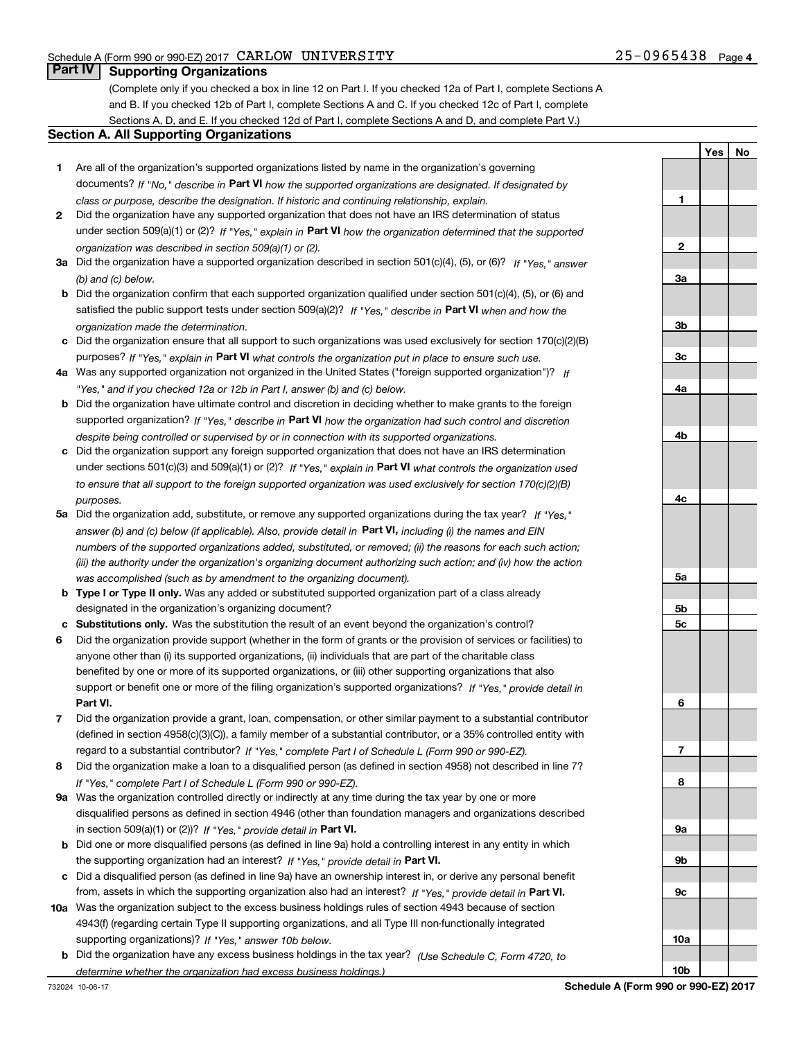**1**

**2**

**3a**

**3b**

**3c**

**4a**

**4b**

**4c**

**5a**

**5b5c**

**6**

**7**

**8**

**9a**

**9b**

**9c**

**10a**

**10b**

**YesNo**

### **Part IV Supporting Organizations**

(Complete only if you checked a box in line 12 on Part I. If you checked 12a of Part I, complete Sections A and B. If you checked 12b of Part I, complete Sections A and C. If you checked 12c of Part I, complete Sections A, D, and E. If you checked 12d of Part I, complete Sections A and D, and complete Part V.)

### **Section A. All Supporting Organizations**

- **1** Are all of the organization's supported organizations listed by name in the organization's governing documents? If "No," describe in **Part VI** how the supported organizations are designated. If designated by *class or purpose, describe the designation. If historic and continuing relationship, explain.*
- **2** Did the organization have any supported organization that does not have an IRS determination of status under section 509(a)(1) or (2)? If "Yes," explain in Part VI how the organization determined that the supported *organization was described in section 509(a)(1) or (2).*
- **3a** Did the organization have a supported organization described in section 501(c)(4), (5), or (6)? If "Yes," answer *(b) and (c) below.*
- **b** Did the organization confirm that each supported organization qualified under section 501(c)(4), (5), or (6) and satisfied the public support tests under section 509(a)(2)? If "Yes," describe in **Part VI** when and how the *organization made the determination.*
- **c**Did the organization ensure that all support to such organizations was used exclusively for section 170(c)(2)(B) purposes? If "Yes," explain in **Part VI** what controls the organization put in place to ensure such use.
- **4a***If* Was any supported organization not organized in the United States ("foreign supported organization")? *"Yes," and if you checked 12a or 12b in Part I, answer (b) and (c) below.*
- **b** Did the organization have ultimate control and discretion in deciding whether to make grants to the foreign supported organization? If "Yes," describe in **Part VI** how the organization had such control and discretion *despite being controlled or supervised by or in connection with its supported organizations.*
- **c** Did the organization support any foreign supported organization that does not have an IRS determination under sections 501(c)(3) and 509(a)(1) or (2)? If "Yes," explain in **Part VI** what controls the organization used *to ensure that all support to the foreign supported organization was used exclusively for section 170(c)(2)(B) purposes.*
- **5a***If "Yes,"* Did the organization add, substitute, or remove any supported organizations during the tax year? answer (b) and (c) below (if applicable). Also, provide detail in **Part VI,** including (i) the names and EIN *numbers of the supported organizations added, substituted, or removed; (ii) the reasons for each such action; (iii) the authority under the organization's organizing document authorizing such action; and (iv) how the action was accomplished (such as by amendment to the organizing document).*
- **b** Type I or Type II only. Was any added or substituted supported organization part of a class already designated in the organization's organizing document?
- **cSubstitutions only.**  Was the substitution the result of an event beyond the organization's control?
- **6** Did the organization provide support (whether in the form of grants or the provision of services or facilities) to **Part VI.** *If "Yes," provide detail in* support or benefit one or more of the filing organization's supported organizations? anyone other than (i) its supported organizations, (ii) individuals that are part of the charitable class benefited by one or more of its supported organizations, or (iii) other supporting organizations that also
- **7**Did the organization provide a grant, loan, compensation, or other similar payment to a substantial contributor *If "Yes," complete Part I of Schedule L (Form 990 or 990-EZ).* regard to a substantial contributor? (defined in section 4958(c)(3)(C)), a family member of a substantial contributor, or a 35% controlled entity with
- **8** Did the organization make a loan to a disqualified person (as defined in section 4958) not described in line 7? *If "Yes," complete Part I of Schedule L (Form 990 or 990-EZ).*
- **9a** Was the organization controlled directly or indirectly at any time during the tax year by one or more in section 509(a)(1) or (2))? If "Yes," *provide detail in* <code>Part VI.</code> disqualified persons as defined in section 4946 (other than foundation managers and organizations described
- **b** Did one or more disqualified persons (as defined in line 9a) hold a controlling interest in any entity in which the supporting organization had an interest? If "Yes," provide detail in P**art VI**.
- **c**Did a disqualified person (as defined in line 9a) have an ownership interest in, or derive any personal benefit from, assets in which the supporting organization also had an interest? If "Yes," provide detail in P**art VI.**
- **10a** Was the organization subject to the excess business holdings rules of section 4943 because of section supporting organizations)? If "Yes," answer 10b below. 4943(f) (regarding certain Type II supporting organizations, and all Type III non-functionally integrated
- **b** Did the organization have any excess business holdings in the tax year? (Use Schedule C, Form 4720, to *determine whether the organization had excess business holdings.)*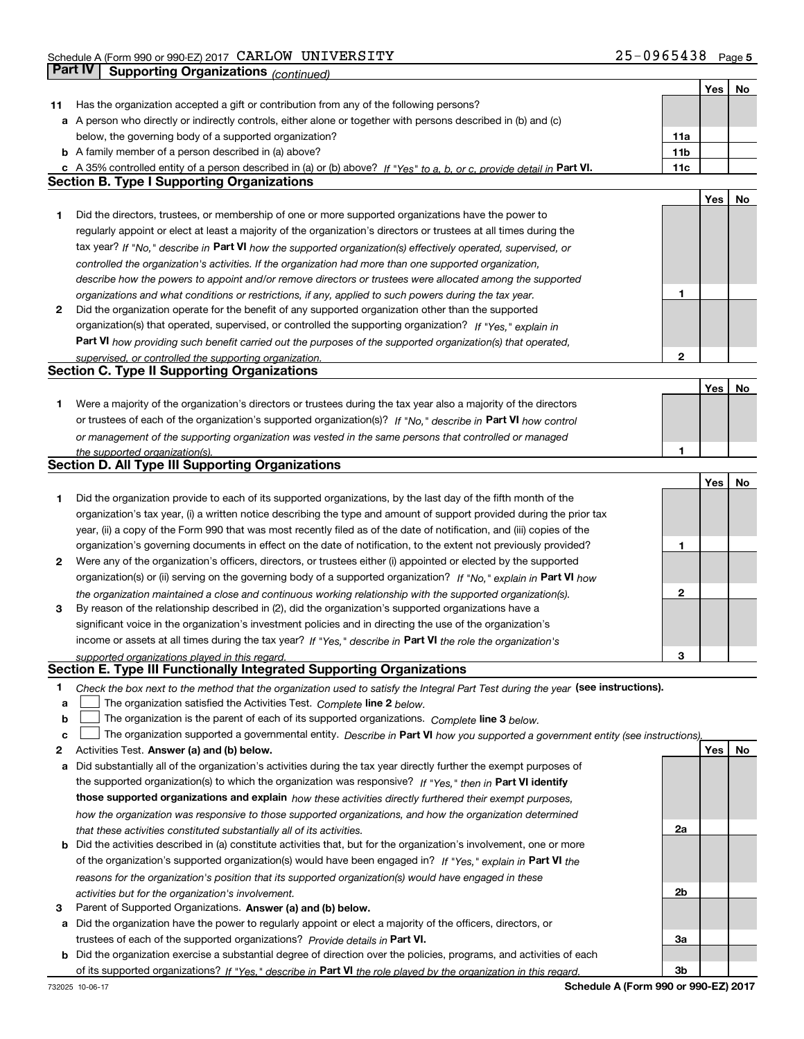|    |                                                                                                                                   |                 | Yes | <b>No</b> |
|----|-----------------------------------------------------------------------------------------------------------------------------------|-----------------|-----|-----------|
|    | 11 Has the organization accepted a gift or contribution from any of the following persons?                                        |                 |     |           |
|    | a A person who directly or indirectly controls, either alone or together with persons described in (b) and (c)                    |                 |     |           |
|    | below, the governing body of a supported organization?                                                                            | 11a             |     |           |
|    | <b>b</b> A family member of a person described in (a) above?                                                                      | 11 <sub>b</sub> |     |           |
|    | c A 35% controlled entity of a person described in (a) or (b) above? If "Yes" to a, b, or c, provide detail in Part VI.           | 11c             |     |           |
|    | <b>Section B. Type I Supporting Organizations</b>                                                                                 |                 |     |           |
|    |                                                                                                                                   |                 | Yes | No        |
| 1  | Did the directors, trustees, or membership of one or more supported organizations have the power to                               |                 |     |           |
|    | regularly appoint or elect at least a majority of the organization's directors or trustees at all times during the                |                 |     |           |
|    | tax year? If "No," describe in Part VI how the supported organization(s) effectively operated, supervised, or                     |                 |     |           |
|    |                                                                                                                                   |                 |     |           |
|    | controlled the organization's activities. If the organization had more than one supported organization,                           |                 |     |           |
|    | describe how the powers to appoint and/or remove directors or trustees were allocated among the supported                         | 1               |     |           |
|    | organizations and what conditions or restrictions, if any, applied to such powers during the tax year.                            |                 |     |           |
| 2  | Did the organization operate for the benefit of any supported organization other than the supported                               |                 |     |           |
|    | organization(s) that operated, supervised, or controlled the supporting organization? If "Yes," explain in                        |                 |     |           |
|    | Part VI how providing such benefit carried out the purposes of the supported organization(s) that operated,                       |                 |     |           |
|    | supervised, or controlled the supporting organization.                                                                            | $\mathbf{2}$    |     |           |
|    | <b>Section C. Type II Supporting Organizations</b>                                                                                |                 |     |           |
|    |                                                                                                                                   |                 | Yes | No        |
| 1. | Were a majority of the organization's directors or trustees during the tax year also a majority of the directors                  |                 |     |           |
|    | or trustees of each of the organization's supported organization(s)? If "No," describe in Part VI how control                     |                 |     |           |
|    | or management of the supporting organization was vested in the same persons that controlled or managed                            |                 |     |           |
|    | the supported organization(s).                                                                                                    | 1               |     |           |
|    | Section D. All Type III Supporting Organizations                                                                                  |                 |     |           |
|    |                                                                                                                                   |                 | Yes | No        |
| 1  | Did the organization provide to each of its supported organizations, by the last day of the fifth month of the                    |                 |     |           |
|    | organization's tax year, (i) a written notice describing the type and amount of support provided during the prior tax             |                 |     |           |
|    | year, (ii) a copy of the Form 990 that was most recently filed as of the date of notification, and (iii) copies of the            |                 |     |           |
|    | organization's governing documents in effect on the date of notification, to the extent not previously provided?                  | 1               |     |           |
| 2  | Were any of the organization's officers, directors, or trustees either (i) appointed or elected by the supported                  |                 |     |           |
|    | organization(s) or (ii) serving on the governing body of a supported organization? If "No," explain in Part VI how                |                 |     |           |
|    | the organization maintained a close and continuous working relationship with the supported organization(s).                       | 2               |     |           |
| 3  | By reason of the relationship described in (2), did the organization's supported organizations have a                             |                 |     |           |
|    | significant voice in the organization's investment policies and in directing the use of the organization's                        |                 |     |           |
|    | income or assets at all times during the tax year? If "Yes," describe in Part VI the role the organization's                      |                 |     |           |
|    |                                                                                                                                   | з               |     |           |
|    | supported organizations played in this regard.<br>Section E. Type III Functionally Integrated Supporting Organizations            |                 |     |           |
|    |                                                                                                                                   |                 |     |           |
| 1  | Check the box next to the method that the organization used to satisfy the Integral Part Test during the year (see instructions). |                 |     |           |
| a  | The organization satisfied the Activities Test. Complete line 2 below.                                                            |                 |     |           |
| b  | The organization is the parent of each of its supported organizations. Complete line 3 below.                                     |                 |     |           |
| c  | The organization supported a governmental entity. Describe in Part VI how you supported a government entity (see instructions),   |                 |     |           |
| 2  | Activities Test. Answer (a) and (b) below.                                                                                        |                 | Yes | No        |
| a  | Did substantially all of the organization's activities during the tax year directly further the exempt purposes of                |                 |     |           |
|    | the supported organization(s) to which the organization was responsive? If "Yes," then in Part VI identify                        |                 |     |           |
|    | those supported organizations and explain how these activities directly furthered their exempt purposes,                          |                 |     |           |
|    | how the organization was responsive to those supported organizations, and how the organization determined                         |                 |     |           |
|    | that these activities constituted substantially all of its activities.                                                            | 2a              |     |           |
|    | <b>b</b> Did the activities described in (a) constitute activities that, but for the organization's involvement, one or more      |                 |     |           |
|    | of the organization's supported organization(s) would have been engaged in? If "Yes," explain in Part VI the                      |                 |     |           |
|    | reasons for the organization's position that its supported organization(s) would have engaged in these                            |                 |     |           |
|    | activities but for the organization's involvement.                                                                                | 2b              |     |           |
| з  | Parent of Supported Organizations. Answer (a) and (b) below.                                                                      |                 |     |           |
|    | a Did the organization have the power to regularly appoint or elect a majority of the officers, directors, or                     |                 |     |           |
|    | trustees of each of the supported organizations? Provide details in Part VI.                                                      | За              |     |           |
|    | <b>b</b> Did the organization exercise a substantial degree of direction over the policies, programs, and activities of each      |                 |     |           |
|    | of its supported organizations? If "Yes," describe in Part VI the role played by the organization in this regard.                 | Зb              |     |           |
|    |                                                                                                                                   |                 |     |           |

**Schedule A (Form 990 or 990-EZ) 2017**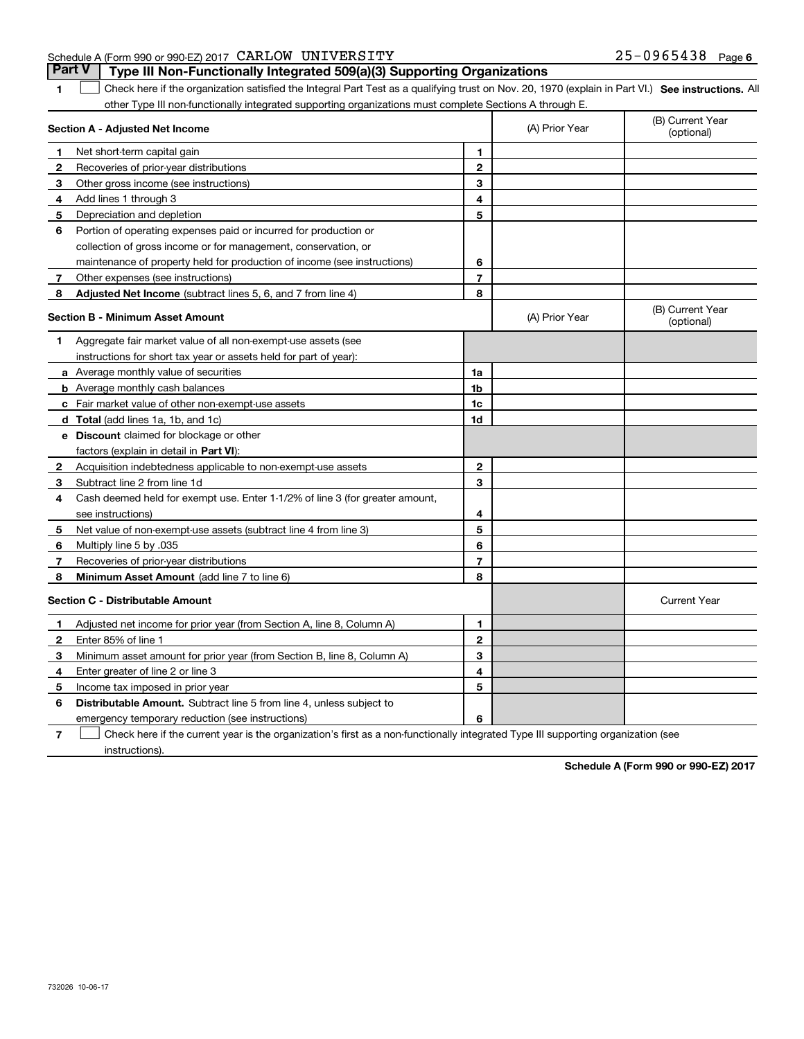**1**

**SEP 10. See instructions.** All antegral Part Test as a qualifying trust on Nov. 20, 1970 (explain in Part VI.) See instructions. All other Type III non-functionally integrated supporting organizations must complete Sections A through E. ×.

| 1<br>Net short-term capital gain<br>1<br>$\mathbf{2}$<br>$\mathbf{2}$<br>Recoveries of prior-year distributions<br>3<br>3<br>Other gross income (see instructions)<br>4<br>4<br>Add lines 1 through 3 |                                |
|-------------------------------------------------------------------------------------------------------------------------------------------------------------------------------------------------------|--------------------------------|
|                                                                                                                                                                                                       |                                |
|                                                                                                                                                                                                       |                                |
|                                                                                                                                                                                                       |                                |
|                                                                                                                                                                                                       |                                |
| 5<br>5<br>Depreciation and depletion                                                                                                                                                                  |                                |
| Portion of operating expenses paid or incurred for production or<br>6                                                                                                                                 |                                |
| collection of gross income or for management, conservation, or                                                                                                                                        |                                |
| maintenance of property held for production of income (see instructions)<br>6                                                                                                                         |                                |
| $\overline{7}$<br>Other expenses (see instructions)<br>7                                                                                                                                              |                                |
| 8<br><b>Adjusted Net Income</b> (subtract lines 5, 6, and 7 from line 4)<br>8                                                                                                                         |                                |
| Section B - Minimum Asset Amount<br>(A) Prior Year                                                                                                                                                    | (B) Current Year<br>(optional) |
| Aggregate fair market value of all non-exempt-use assets (see<br>1                                                                                                                                    |                                |
| instructions for short tax year or assets held for part of year):                                                                                                                                     |                                |
| 1a<br><b>a</b> Average monthly value of securities                                                                                                                                                    |                                |
| 1b<br><b>b</b> Average monthly cash balances                                                                                                                                                          |                                |
| 1c<br>c Fair market value of other non-exempt-use assets                                                                                                                                              |                                |
| 1d<br><b>d</b> Total (add lines 1a, 1b, and 1c)                                                                                                                                                       |                                |
| e Discount claimed for blockage or other                                                                                                                                                              |                                |
| factors (explain in detail in <b>Part VI</b> ):                                                                                                                                                       |                                |
| $\mathbf{2}$<br>$\mathbf{2}$<br>Acquisition indebtedness applicable to non-exempt-use assets                                                                                                          |                                |
| 3<br>3<br>Subtract line 2 from line 1d                                                                                                                                                                |                                |
| Cash deemed held for exempt use. Enter 1-1/2% of line 3 (for greater amount,<br>4                                                                                                                     |                                |
| 4<br>see instructions)                                                                                                                                                                                |                                |
| 5<br>5<br>Net value of non-exempt-use assets (subtract line 4 from line 3)                                                                                                                            |                                |
| 6<br>6<br>Multiply line 5 by .035                                                                                                                                                                     |                                |
| $\overline{7}$<br>7<br>Recoveries of prior-year distributions                                                                                                                                         |                                |
| 8<br>Minimum Asset Amount (add line 7 to line 6)<br>8                                                                                                                                                 |                                |
| <b>Section C - Distributable Amount</b>                                                                                                                                                               | <b>Current Year</b>            |
| Adjusted net income for prior year (from Section A, line 8, Column A)<br>1<br>1                                                                                                                       |                                |
| $\mathbf{2}$<br>$\mathbf{2}$<br>Enter 85% of line 1                                                                                                                                                   |                                |
| 3<br>3<br>Minimum asset amount for prior year (from Section B, line 8, Column A)                                                                                                                      |                                |
| 4<br>4<br>Enter greater of line 2 or line 3                                                                                                                                                           |                                |
| 5<br>5<br>Income tax imposed in prior year                                                                                                                                                            |                                |
| 6<br><b>Distributable Amount.</b> Subtract line 5 from line 4, unless subject to                                                                                                                      |                                |
| 6<br>emergency temporary reduction (see instructions)                                                                                                                                                 |                                |

**7**Check here if the current year is the organization's first as a non-functionally integrated Type III supporting organization (see instructions).

**Schedule A (Form 990 or 990-EZ) 2017**

**Part V Type III Non-Functionally Integrated 509(a)(3) Supporting Organizations**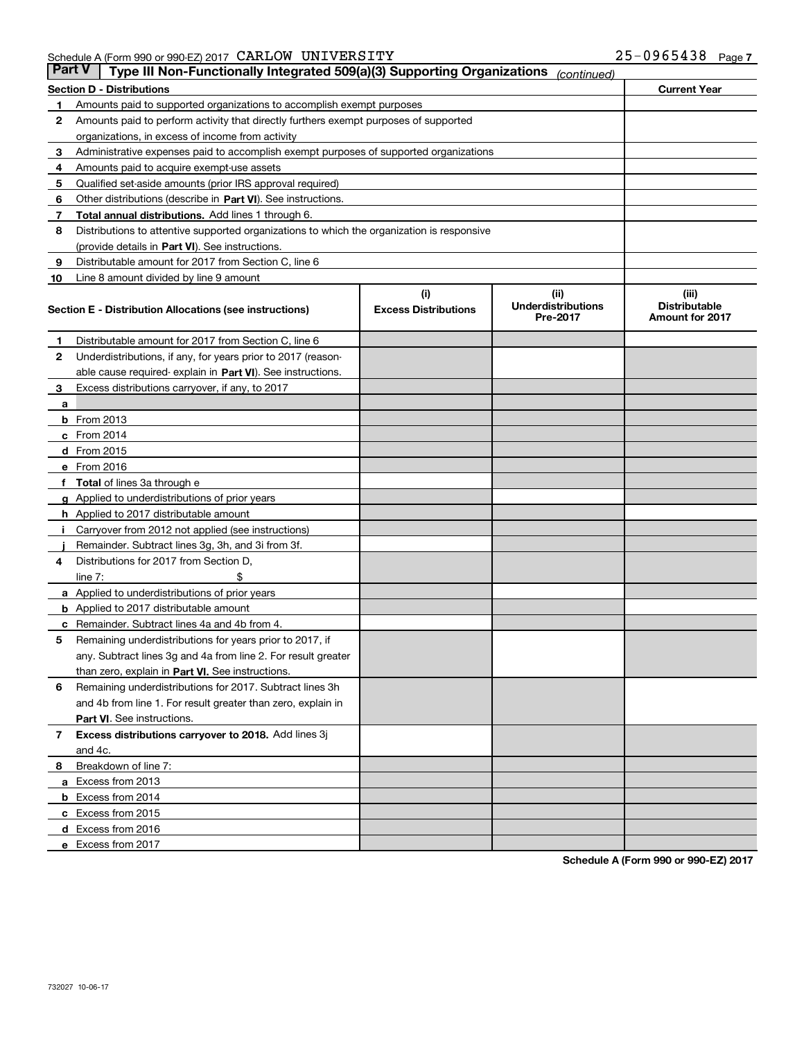| Part V | Type III Non-Functionally Integrated 509(a)(3) Supporting Organizations                    |                                    | (continued)                                    |                                                         |
|--------|--------------------------------------------------------------------------------------------|------------------------------------|------------------------------------------------|---------------------------------------------------------|
|        | <b>Section D - Distributions</b>                                                           |                                    |                                                | <b>Current Year</b>                                     |
|        | Amounts paid to supported organizations to accomplish exempt purposes                      |                                    |                                                |                                                         |
| 2      | Amounts paid to perform activity that directly furthers exempt purposes of supported       |                                    |                                                |                                                         |
|        | organizations, in excess of income from activity                                           |                                    |                                                |                                                         |
| 3      | Administrative expenses paid to accomplish exempt purposes of supported organizations      |                                    |                                                |                                                         |
| 4      | Amounts paid to acquire exempt-use assets                                                  |                                    |                                                |                                                         |
| 5      | Qualified set-aside amounts (prior IRS approval required)                                  |                                    |                                                |                                                         |
| 6      | Other distributions (describe in Part VI). See instructions.                               |                                    |                                                |                                                         |
| 7      | Total annual distributions. Add lines 1 through 6.                                         |                                    |                                                |                                                         |
| 8      | Distributions to attentive supported organizations to which the organization is responsive |                                    |                                                |                                                         |
|        | (provide details in Part VI). See instructions.                                            |                                    |                                                |                                                         |
| 9      | Distributable amount for 2017 from Section C, line 6                                       |                                    |                                                |                                                         |
| 10     | Line 8 amount divided by line 9 amount                                                     |                                    |                                                |                                                         |
|        | Section E - Distribution Allocations (see instructions)                                    | (i)<br><b>Excess Distributions</b> | (iii)<br><b>Underdistributions</b><br>Pre-2017 | (iii)<br><b>Distributable</b><br><b>Amount for 2017</b> |
| 1      | Distributable amount for 2017 from Section C, line 6                                       |                                    |                                                |                                                         |
| 2      | Underdistributions, if any, for years prior to 2017 (reason-                               |                                    |                                                |                                                         |
|        | able cause required- explain in Part VI). See instructions.                                |                                    |                                                |                                                         |
| 3      | Excess distributions carryover, if any, to 2017                                            |                                    |                                                |                                                         |
| а      |                                                                                            |                                    |                                                |                                                         |
|        | <b>b</b> From 2013                                                                         |                                    |                                                |                                                         |
|        | $c$ From 2014                                                                              |                                    |                                                |                                                         |
|        | <b>d</b> From 2015                                                                         |                                    |                                                |                                                         |
|        | e From 2016                                                                                |                                    |                                                |                                                         |
|        | <b>Total</b> of lines 3a through e                                                         |                                    |                                                |                                                         |
|        | <b>g</b> Applied to underdistributions of prior years                                      |                                    |                                                |                                                         |
|        | <b>h</b> Applied to 2017 distributable amount                                              |                                    |                                                |                                                         |
|        | Carryover from 2012 not applied (see instructions)                                         |                                    |                                                |                                                         |
|        | Remainder. Subtract lines 3g, 3h, and 3i from 3f.                                          |                                    |                                                |                                                         |
| 4      | Distributions for 2017 from Section D,                                                     |                                    |                                                |                                                         |
|        | line $7:$                                                                                  |                                    |                                                |                                                         |
|        | <b>a</b> Applied to underdistributions of prior years                                      |                                    |                                                |                                                         |
|        | <b>b</b> Applied to 2017 distributable amount                                              |                                    |                                                |                                                         |
|        | Remainder. Subtract lines 4a and 4b from 4.                                                |                                    |                                                |                                                         |
| 5      | Remaining underdistributions for years prior to 2017, if                                   |                                    |                                                |                                                         |
|        | any. Subtract lines 3g and 4a from line 2. For result greater                              |                                    |                                                |                                                         |
|        | than zero, explain in Part VI. See instructions.                                           |                                    |                                                |                                                         |
| 6      | Remaining underdistributions for 2017. Subtract lines 3h                                   |                                    |                                                |                                                         |
|        | and 4b from line 1. For result greater than zero, explain in                               |                                    |                                                |                                                         |
|        | Part VI. See instructions.                                                                 |                                    |                                                |                                                         |
| 7      | Excess distributions carryover to 2018. Add lines 3j                                       |                                    |                                                |                                                         |
|        | and 4c.                                                                                    |                                    |                                                |                                                         |
| 8      | Breakdown of line 7:                                                                       |                                    |                                                |                                                         |
|        | a Excess from 2013                                                                         |                                    |                                                |                                                         |
|        | <b>b</b> Excess from 2014                                                                  |                                    |                                                |                                                         |
|        | c Excess from 2015                                                                         |                                    |                                                |                                                         |
|        | d Excess from 2016                                                                         |                                    |                                                |                                                         |
|        | e Excess from 2017                                                                         |                                    |                                                |                                                         |

**Schedule A (Form 990 or 990-EZ) 2017**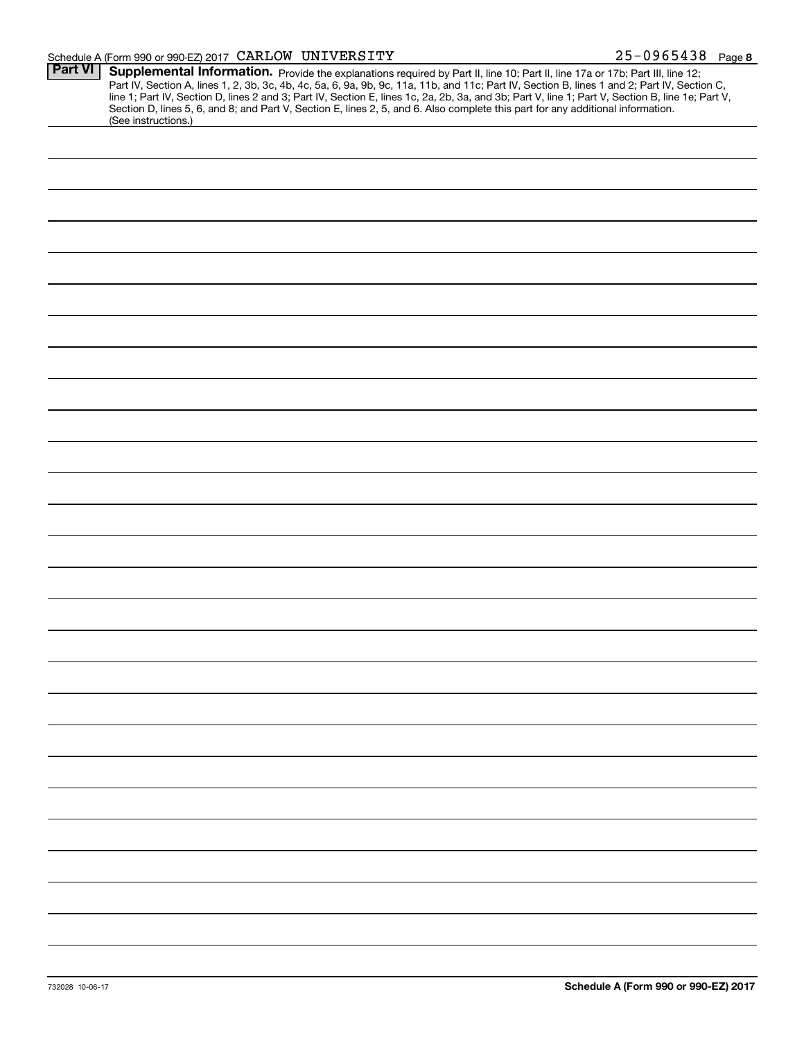|                | Scribute A (Form 550 or 550-EZ) ZOTT CITILISON OIN IN DIRECT I<br>as oscientageo                                                                 |
|----------------|--------------------------------------------------------------------------------------------------------------------------------------------------|
| <b>Part VI</b> | Supplemental Information. Provide the explanations required by Part II, line 10; Part II, line 17a or 17b; Part III, line 12;                    |
|                |                                                                                                                                                  |
|                | Part IV, Section A, lines 1, 2, 3b, 3c, 4b, 4c, 5a, 6, 9a, 9b, 9c, 11a, 11b, and 11c; Part IV, Section B, lines 1 and 2; Part IV, Section C,     |
|                | line 1; Part IV, Section D, lines 2 and 3; Part IV, Section E, lines 1c, 2a, 2b, 3a, and 3b; Part V, line 1; Part V, Section B, line 1e; Part V, |
|                | Section D, lines 5, 6, and 8; and Part V, Section E, lines 2, 5, and 6. Also complete this part for any additional information.                  |
|                |                                                                                                                                                  |
|                | (See instructions.)                                                                                                                              |
|                |                                                                                                                                                  |
|                |                                                                                                                                                  |
|                |                                                                                                                                                  |
|                |                                                                                                                                                  |
|                |                                                                                                                                                  |
|                |                                                                                                                                                  |
|                |                                                                                                                                                  |
|                |                                                                                                                                                  |
|                |                                                                                                                                                  |
|                |                                                                                                                                                  |
|                |                                                                                                                                                  |
|                |                                                                                                                                                  |
|                |                                                                                                                                                  |
|                |                                                                                                                                                  |
|                |                                                                                                                                                  |
|                |                                                                                                                                                  |
|                |                                                                                                                                                  |
|                |                                                                                                                                                  |
|                |                                                                                                                                                  |
|                |                                                                                                                                                  |
|                |                                                                                                                                                  |
|                |                                                                                                                                                  |
|                |                                                                                                                                                  |
|                |                                                                                                                                                  |
|                |                                                                                                                                                  |
|                |                                                                                                                                                  |
|                |                                                                                                                                                  |
|                |                                                                                                                                                  |
|                |                                                                                                                                                  |
|                |                                                                                                                                                  |
|                |                                                                                                                                                  |
|                |                                                                                                                                                  |
|                |                                                                                                                                                  |
|                |                                                                                                                                                  |
|                |                                                                                                                                                  |
|                |                                                                                                                                                  |
|                |                                                                                                                                                  |
|                |                                                                                                                                                  |
|                |                                                                                                                                                  |
|                |                                                                                                                                                  |
|                |                                                                                                                                                  |
|                |                                                                                                                                                  |
|                |                                                                                                                                                  |
|                |                                                                                                                                                  |
|                |                                                                                                                                                  |
|                |                                                                                                                                                  |
|                |                                                                                                                                                  |
|                |                                                                                                                                                  |
|                |                                                                                                                                                  |
|                |                                                                                                                                                  |
|                |                                                                                                                                                  |
|                |                                                                                                                                                  |
|                |                                                                                                                                                  |
|                |                                                                                                                                                  |
|                |                                                                                                                                                  |
|                |                                                                                                                                                  |
|                |                                                                                                                                                  |
|                |                                                                                                                                                  |
|                |                                                                                                                                                  |
|                |                                                                                                                                                  |
|                |                                                                                                                                                  |
|                |                                                                                                                                                  |
|                |                                                                                                                                                  |
|                |                                                                                                                                                  |
|                |                                                                                                                                                  |
|                |                                                                                                                                                  |
|                |                                                                                                                                                  |
|                |                                                                                                                                                  |
|                |                                                                                                                                                  |
|                |                                                                                                                                                  |
|                |                                                                                                                                                  |
|                |                                                                                                                                                  |
|                |                                                                                                                                                  |
|                |                                                                                                                                                  |
|                |                                                                                                                                                  |
|                |                                                                                                                                                  |
|                |                                                                                                                                                  |
|                |                                                                                                                                                  |
|                |                                                                                                                                                  |
|                |                                                                                                                                                  |
|                |                                                                                                                                                  |
|                |                                                                                                                                                  |
|                |                                                                                                                                                  |
|                |                                                                                                                                                  |
|                |                                                                                                                                                  |
|                |                                                                                                                                                  |
|                |                                                                                                                                                  |
|                |                                                                                                                                                  |
|                |                                                                                                                                                  |
|                |                                                                                                                                                  |
|                |                                                                                                                                                  |
|                |                                                                                                                                                  |
|                |                                                                                                                                                  |
|                |                                                                                                                                                  |
|                |                                                                                                                                                  |
|                |                                                                                                                                                  |
|                |                                                                                                                                                  |
|                |                                                                                                                                                  |
|                |                                                                                                                                                  |
|                |                                                                                                                                                  |
|                |                                                                                                                                                  |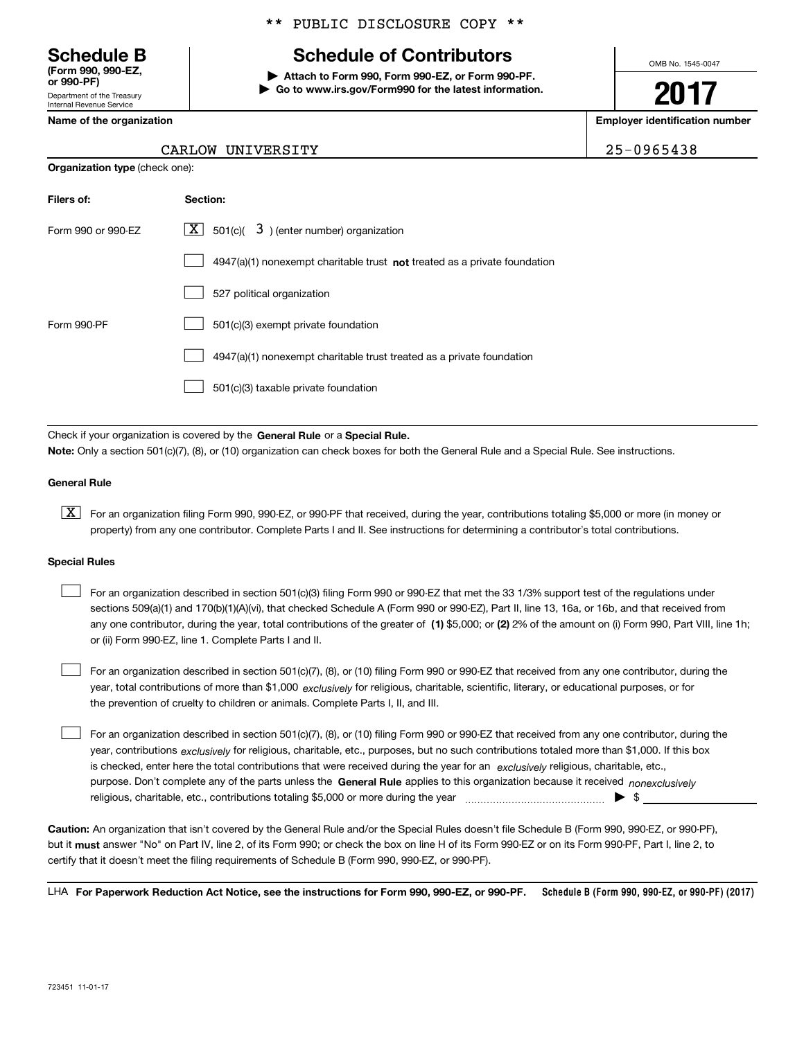Department of the Treasury Internal Revenue Service **(Form 990, 990-EZ, or 990-PF)**

### \*\* PUBLIC DISCLOSURE COPY \*\*

# **Schedule B Schedule of Contributors**

**| Attach to Form 990, Form 990-EZ, or Form 990-PF.**

**| Go to www.irs.gov/Form990 for the latest information.**

OMB No. 1545-0047

**2017**

**Name of the organization Employer identification number**

| CARLOW UNIVERSITY | 25-0965438 |
|-------------------|------------|
|                   |            |

| <b>Organization type (check one):</b> |                                                                                    |  |  |  |
|---------------------------------------|------------------------------------------------------------------------------------|--|--|--|
| Filers of:                            | Section:                                                                           |  |  |  |
| Form 990 or 990-EZ                    | $ \mathbf{X} $ 501(c)( 3) (enter number) organization                              |  |  |  |
|                                       | $4947(a)(1)$ nonexempt charitable trust <b>not</b> treated as a private foundation |  |  |  |
|                                       | 527 political organization                                                         |  |  |  |
| Form 990-PF                           | 501(c)(3) exempt private foundation                                                |  |  |  |
|                                       | 4947(a)(1) nonexempt charitable trust treated as a private foundation              |  |  |  |
|                                       | 501(c)(3) taxable private foundation                                               |  |  |  |
|                                       |                                                                                    |  |  |  |

Check if your organization is covered by the **General Rule** or a **Special Rule. Note:**  Only a section 501(c)(7), (8), or (10) organization can check boxes for both the General Rule and a Special Rule. See instructions.

### **General Rule**

 $\boxed{\textbf{X}}$  For an organization filing Form 990, 990-EZ, or 990-PF that received, during the year, contributions totaling \$5,000 or more (in money or property) from any one contributor. Complete Parts I and II. See instructions for determining a contributor's total contributions.

### **Special Rules**

 $\mathcal{L}^{\text{max}}$ 

| For an organization described in section 501(c)(3) filing Form 990 or 990-EZ that met the 33 1/3% support test of the regulations under               |
|-------------------------------------------------------------------------------------------------------------------------------------------------------|
| sections 509(a)(1) and 170(b)(1)(A)(vi), that checked Schedule A (Form 990 or 990-EZ), Part II, line 13, 16a, or 16b, and that received from          |
| any one contributor, during the year, total contributions of the greater of (1) \$5,000; or (2) 2% of the amount on (i) Form 990, Part VIII, line 1h; |
| or (ii) Form 990-EZ, line 1. Complete Parts I and II.                                                                                                 |

year, total contributions of more than \$1,000 *exclusively* for religious, charitable, scientific, literary, or educational purposes, or for For an organization described in section 501(c)(7), (8), or (10) filing Form 990 or 990-EZ that received from any one contributor, during the the prevention of cruelty to children or animals. Complete Parts I, II, and III.

purpose. Don't complete any of the parts unless the **General Rule** applies to this organization because it received *nonexclusively* year, contributions <sub>exclusively</sub> for religious, charitable, etc., purposes, but no such contributions totaled more than \$1,000. If this box is checked, enter here the total contributions that were received during the year for an *exclusively* religious, charitable, etc., For an organization described in section 501(c)(7), (8), or (10) filing Form 990 or 990-EZ that received from any one contributor, during the religious, charitable, etc., contributions totaling \$5,000 or more during the year  $\ldots$  $\ldots$  $\ldots$  $\ldots$  $\ldots$  $\ldots$ 

**Caution:**  An organization that isn't covered by the General Rule and/or the Special Rules doesn't file Schedule B (Form 990, 990-EZ, or 990-PF),  **must** but it answer "No" on Part IV, line 2, of its Form 990; or check the box on line H of its Form 990-EZ or on its Form 990-PF, Part I, line 2, to certify that it doesn't meet the filing requirements of Schedule B (Form 990, 990-EZ, or 990-PF).

**Schedule B (Form 990, 990-EZ, or 990-PF) (2017) For Paperwork Reduction Act Notice, see the instructions for Form 990, 990-EZ, or 990-PF.** LHA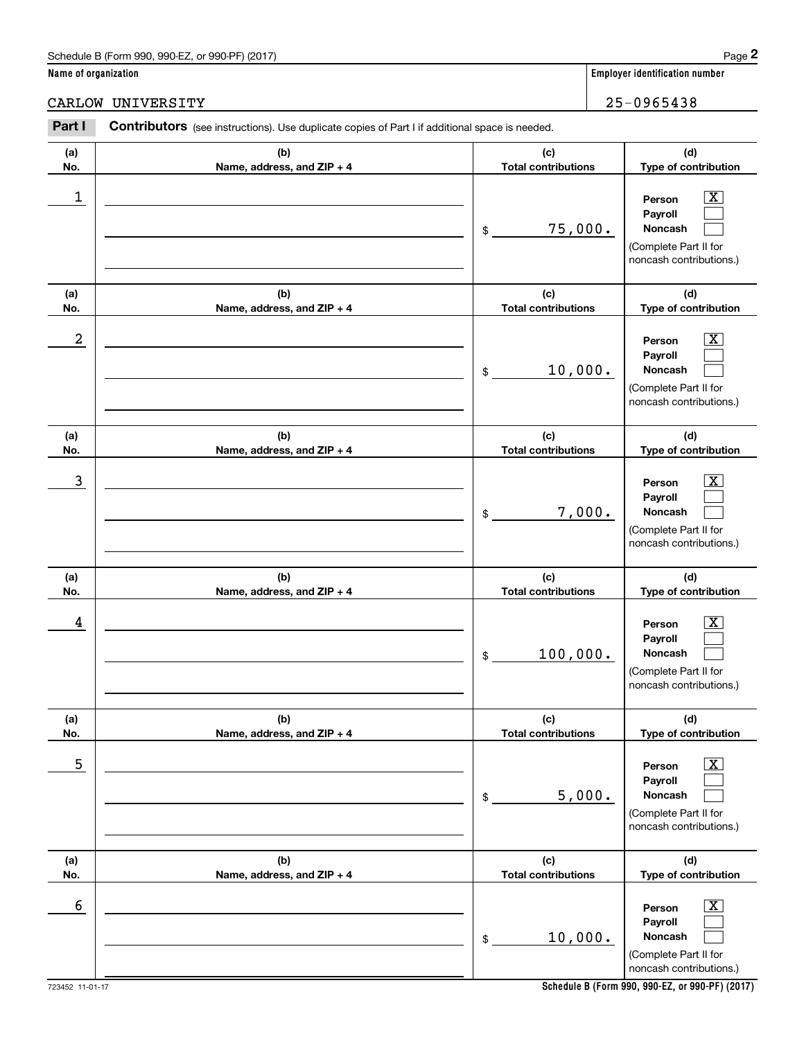|  | Name of organization |
|--|----------------------|
|--|----------------------|

|                      | Schedule B (Form 990, 990-EZ, or 990-PF) (2017)                                                       |                                   | Page 2                                                                                                              |
|----------------------|-------------------------------------------------------------------------------------------------------|-----------------------------------|---------------------------------------------------------------------------------------------------------------------|
| Name of organization |                                                                                                       |                                   | Employer identification number                                                                                      |
|                      | CARLOW UNIVERSITY                                                                                     |                                   | 25-0965438                                                                                                          |
| Part I               | <b>Contributors</b> (see instructions). Use duplicate copies of Part I if additional space is needed. |                                   |                                                                                                                     |
| (a)<br>No.           | (b)<br>Name, address, and ZIP + 4                                                                     | (c)<br><b>Total contributions</b> | (d)<br>Type of contribution                                                                                         |
| 1                    |                                                                                                       | 75,000.<br>\$                     | $\overline{\mathbf{X}}$<br>Person<br>Payroll<br>Noncash<br>(Complete Part II for<br>noncash contributions.)         |
| (a)<br>No.           | (b)<br>Name, address, and ZIP + 4                                                                     | (c)<br><b>Total contributions</b> | (d)<br>Type of contribution                                                                                         |
| 2                    |                                                                                                       | 10,000.<br>\$                     | $\overline{\mathbf{X}}$<br>Person<br>Payroll<br>Noncash<br>(Complete Part II for<br>noncash contributions.)         |
| (a)<br>No.           | (b)<br>Name, address, and ZIP + 4                                                                     | (c)<br><b>Total contributions</b> | (d)<br>Type of contribution                                                                                         |
| 3                    |                                                                                                       | \$                                | X<br>Person<br>Payroll<br>7,000.<br>Noncash<br>(Complete Part II for<br>noncash contributions.)                     |
| (a)<br>No.           | (b)<br>Name, address, and ZIP + 4                                                                     | (c)<br><b>Total contributions</b> | (d)<br>Type of contribution                                                                                         |
| 4                    |                                                                                                       | 100,000.<br>\$                    | $\overline{\mathbf{X}}$<br>Person<br>Payroll<br>Noncash<br>(Complete Part II for<br>noncash contributions.)         |
| (a)<br>No.           | (b)<br>Name, address, and ZIP + 4                                                                     | (c)<br><b>Total contributions</b> | (d)<br>Type of contribution                                                                                         |
| 5                    |                                                                                                       | \$                                | $\overline{\text{X}}$<br>Person<br>Payroll<br>5,000.<br>Noncash<br>(Complete Part II for<br>noncash contributions.) |
| (a)<br>No.           | (b)<br>Name, address, and ZIP + 4                                                                     | (c)<br><b>Total contributions</b> | (d)<br>Type of contribution                                                                                         |
| 6                    |                                                                                                       | 10,000.<br>\$                     | $\overline{\text{X}}$<br>Person<br>Payroll<br>Noncash<br>(Complete Part II for<br>noncash contributions.)           |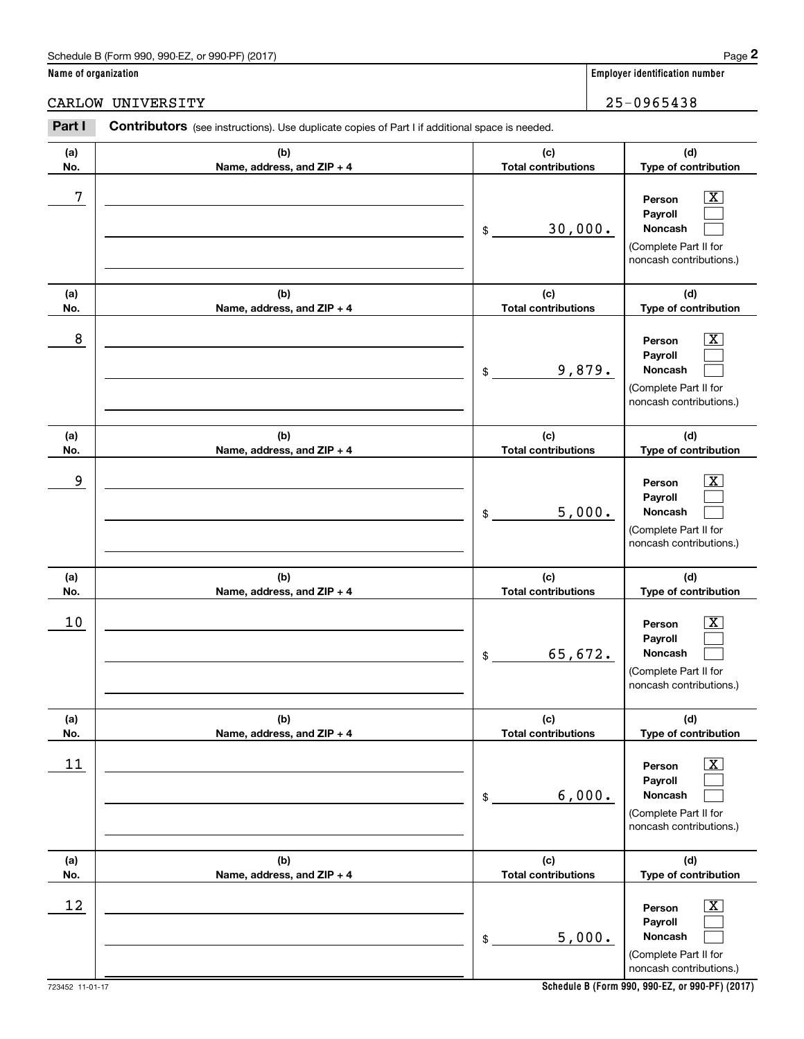### **Name of organization Employer identification number**

| 25-0965438 |  |  |  |  |
|------------|--|--|--|--|
|------------|--|--|--|--|

|                      | Schedule B (Form 990, 990-EZ, or 990-PF) (2017)                                                |                                   |        | Page 2                                                                                                      |
|----------------------|------------------------------------------------------------------------------------------------|-----------------------------------|--------|-------------------------------------------------------------------------------------------------------------|
| Name of organization |                                                                                                |                                   |        | <b>Employer identification number</b>                                                                       |
|                      | CARLOW UNIVERSITY                                                                              |                                   |        | 25-0965438                                                                                                  |
| Part I               | Contributors (see instructions). Use duplicate copies of Part I if additional space is needed. |                                   |        |                                                                                                             |
| (a)<br>No.           | (b)<br>Name, address, and ZIP + 4                                                              | (c)<br><b>Total contributions</b> |        | (d)<br>Type of contribution                                                                                 |
| 7                    |                                                                                                | 30,000.<br>\$                     |        | $\mathbf{X}$<br>Person<br>Payroll<br>Noncash<br>(Complete Part II for<br>noncash contributions.)            |
| (a)<br>No.           | (b)<br>Name, address, and ZIP + 4                                                              | (c)<br><b>Total contributions</b> |        | (d)<br>Type of contribution                                                                                 |
| 8                    |                                                                                                | \$                                | 9,879. | $\overline{\mathbf{X}}$<br>Person<br>Payroll<br>Noncash<br>(Complete Part II for<br>noncash contributions.) |
| (a)<br>No.           | (b)<br>Name, address, and ZIP + 4                                                              | (c)<br><b>Total contributions</b> |        | (d)<br>Type of contribution                                                                                 |
| 9                    |                                                                                                | \$                                | 5,000. | $\overline{\mathbf{X}}$<br>Person<br>Payroll<br>Noncash<br>(Complete Part II for<br>noncash contributions.) |
| (a)<br>No.           | (b)<br>Name, address, and ZIP + 4                                                              | (c)<br><b>Total contributions</b> |        | (d)<br>Type of contribution                                                                                 |
| 10                   |                                                                                                | 65,672.<br>\$                     |        | $\mathbf{X}$<br>Person<br>Payroll<br>Noncash<br>(Complete Part II for<br>noncash contributions.)            |
| (a)<br>No.           | (b)<br>Name, address, and ZIP + 4                                                              | (c)<br><b>Total contributions</b> |        | (d)<br>Type of contribution                                                                                 |
| 11                   |                                                                                                | \$                                | 6,000. | $\boxed{\text{X}}$<br>Person<br>Payroll<br>Noncash<br>(Complete Part II for<br>noncash contributions.)      |
| (a)<br>No.           | (b)<br>Name, address, and ZIP + 4                                                              | (c)<br><b>Total contributions</b> |        | (d)<br>Type of contribution                                                                                 |
| 12                   |                                                                                                | \$                                | 5,000. | $\boxed{\text{X}}$<br>Person<br>Payroll<br>Noncash<br>(Complete Part II for<br>noncash contributions.)      |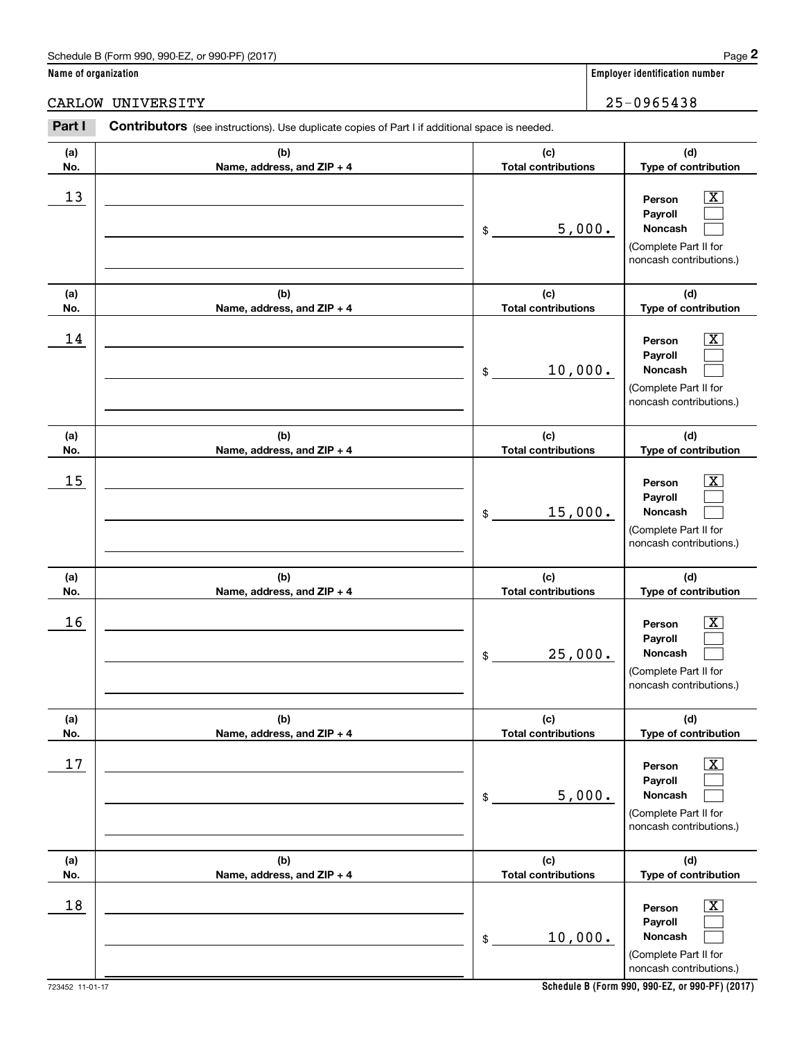|                      | Schedule B (Form 990, 990-EZ, or 990-PF) (2017)                                                |                                   |        | Page 2                                                                                                    |
|----------------------|------------------------------------------------------------------------------------------------|-----------------------------------|--------|-----------------------------------------------------------------------------------------------------------|
| Name of organization |                                                                                                |                                   |        | Employer identification number                                                                            |
|                      | CARLOW UNIVERSITY                                                                              |                                   |        | 25-0965438                                                                                                |
| Part I               | Contributors (see instructions). Use duplicate copies of Part I if additional space is needed. |                                   |        |                                                                                                           |
| (a)<br>No.           | (b)<br>Name, address, and ZIP + 4                                                              | (c)<br><b>Total contributions</b> |        | (d)<br>Type of contribution                                                                               |
| 13                   |                                                                                                | \$                                | 5,000. | $\overline{\text{X}}$<br>Person<br>Payroll<br>Noncash<br>(Complete Part II for<br>noncash contributions.) |
| (a)<br>No.           | (b)<br>Name, address, and ZIP + 4                                                              | (c)<br><b>Total contributions</b> |        | (d)<br>Type of contribution                                                                               |
| 14                   |                                                                                                | 10,000.<br>\$                     |        | $\overline{\text{X}}$<br>Person<br>Payroll<br>Noncash<br>(Complete Part II for<br>noncash contributions.) |
| (a)<br>No.           | (b)<br>Name, address, and ZIP + 4                                                              | (c)<br><b>Total contributions</b> |        | (d)<br>Type of contribution                                                                               |
| 15                   |                                                                                                | 15,000.<br>\$                     |        | X<br>Person<br>Payroll<br>Noncash<br>(Complete Part II for<br>noncash contributions.)                     |
| (a)<br>No.           | (b)<br>Name, address, and ZIP + 4                                                              | (c)<br><b>Total contributions</b> |        | (d)<br>Type of contribution                                                                               |
| 16                   |                                                                                                | 25,000.<br>\$                     |        | $\overline{\text{X}}$<br>Person<br>Payroll<br>Noncash<br>(Complete Part II for<br>noncash contributions.) |
| (a)<br>No.           | (b)<br>Name, address, and ZIP + 4                                                              | (c)<br><b>Total contributions</b> |        | (d)<br>Type of contribution                                                                               |
| 17                   |                                                                                                | \$                                | 5,000. | $\overline{\text{X}}$<br>Person<br>Payroll<br>Noncash<br>(Complete Part II for<br>noncash contributions.) |
| (a)<br>No.           | (b)<br>Name, address, and ZIP + 4                                                              | (c)<br><b>Total contributions</b> |        | (d)<br>Type of contribution                                                                               |
| 18                   |                                                                                                | 10,000.<br>\$                     |        | $\overline{\text{X}}$<br>Person<br>Payroll<br>Noncash<br>(Complete Part II for<br>noncash contributions.) |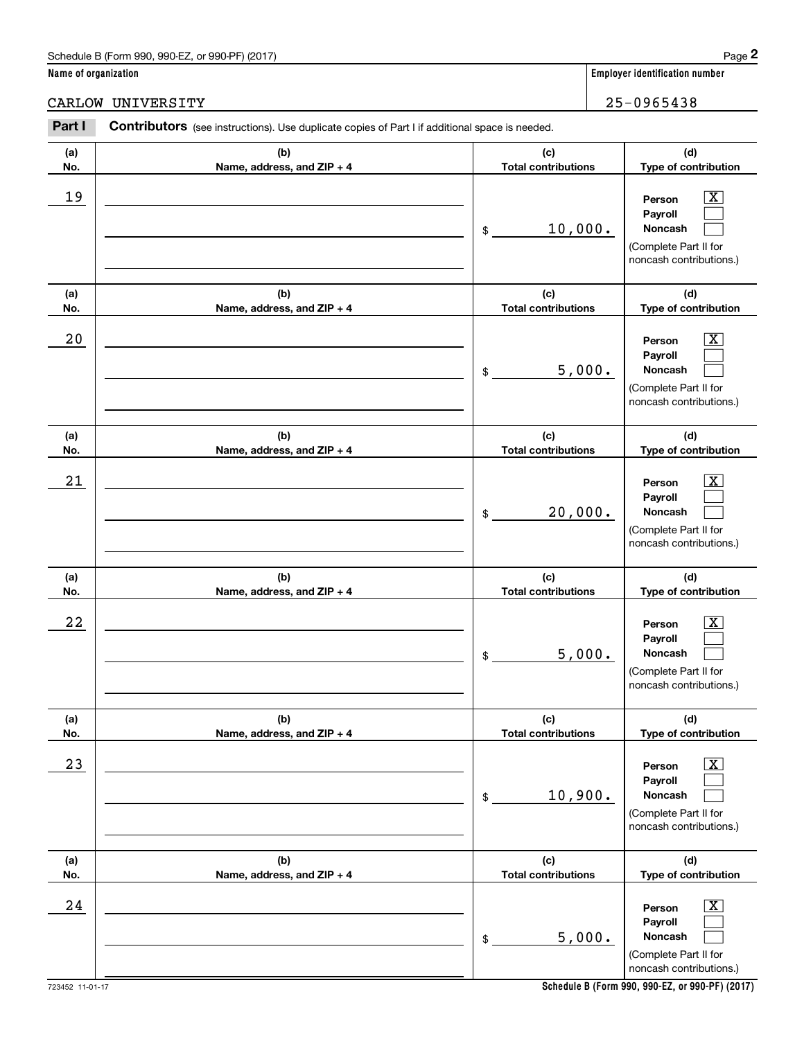### **Name of organization Employer identification number**

|                      | Schedule B (Form 990, 990-EZ, or 990-PF) (2017)                                                       |                                   | Page 2                                                                                                                                      |
|----------------------|-------------------------------------------------------------------------------------------------------|-----------------------------------|---------------------------------------------------------------------------------------------------------------------------------------------|
| Name of organization |                                                                                                       |                                   | <b>Employer identification number</b>                                                                                                       |
| CARLOW               | UNIVERSITY                                                                                            |                                   | 25-0965438                                                                                                                                  |
| Part I               | <b>Contributors</b> (see instructions). Use duplicate copies of Part I if additional space is needed. |                                   |                                                                                                                                             |
| (a)<br>No.           | (b)<br>Name, address, and ZIP + 4                                                                     | (c)<br><b>Total contributions</b> | (d)<br>Type of contribution                                                                                                                 |
| 19                   |                                                                                                       | \$                                | $\overline{\mathbf{X}}$<br>Person<br>Payroll<br>10,000.<br>Noncash<br>(Complete Part II for<br>noncash contributions.)                      |
| (a)                  | (b)                                                                                                   | (c)                               | (d)                                                                                                                                         |
| No.<br>20            | Name, address, and ZIP + 4                                                                            | <b>Total contributions</b><br>\$  | Type of contribution<br>$\overline{\text{X}}$<br>Person<br>Payroll<br>5,000.<br>Noncash<br>(Complete Part II for<br>noncash contributions.) |
| (a)<br>No.           | (b)<br>Name, address, and ZIP + 4                                                                     | (c)<br><b>Total contributions</b> | (d)<br>Type of contribution                                                                                                                 |
| 21                   |                                                                                                       | \$                                | $\overline{\text{X}}$<br>Person<br>Payroll<br>20,000.<br>Noncash<br>(Complete Part II for<br>noncash contributions.)                        |
| (a)<br>No.           | (b)<br>Name, address, and ZIP + 4                                                                     | (c)<br><b>Total contributions</b> | (d)<br>Type of contribution                                                                                                                 |
| 22                   |                                                                                                       | \$                                | $\mathbf{X}$<br>Person<br>Payroll<br>5,000.<br>Noncash<br>(Complete Part II for<br>noncash contributions.)                                  |
| (a)<br>No.           | (b)<br>Name, address, and ZIP + 4                                                                     | (c)<br><b>Total contributions</b> | (d)<br>Type of contribution                                                                                                                 |
| 23                   |                                                                                                       | \$                                | $\boxed{\text{X}}$<br>Person<br>Payroll<br>10,900.<br><b>Noncash</b><br>(Complete Part II for<br>noncash contributions.)                    |
| (a)<br>No.           | (b)<br>Name, address, and ZIP + 4                                                                     | (c)<br><b>Total contributions</b> | (d)<br>Type of contribution                                                                                                                 |
| 24                   |                                                                                                       | \$                                | $\boxed{\text{X}}$<br>Person<br>Payroll<br>5,000.<br>Noncash<br>(Complete Part II for<br>noncash contributions.)                            |

**Schedule B (Form 990, 990-EZ, or 990-PF) (2017)**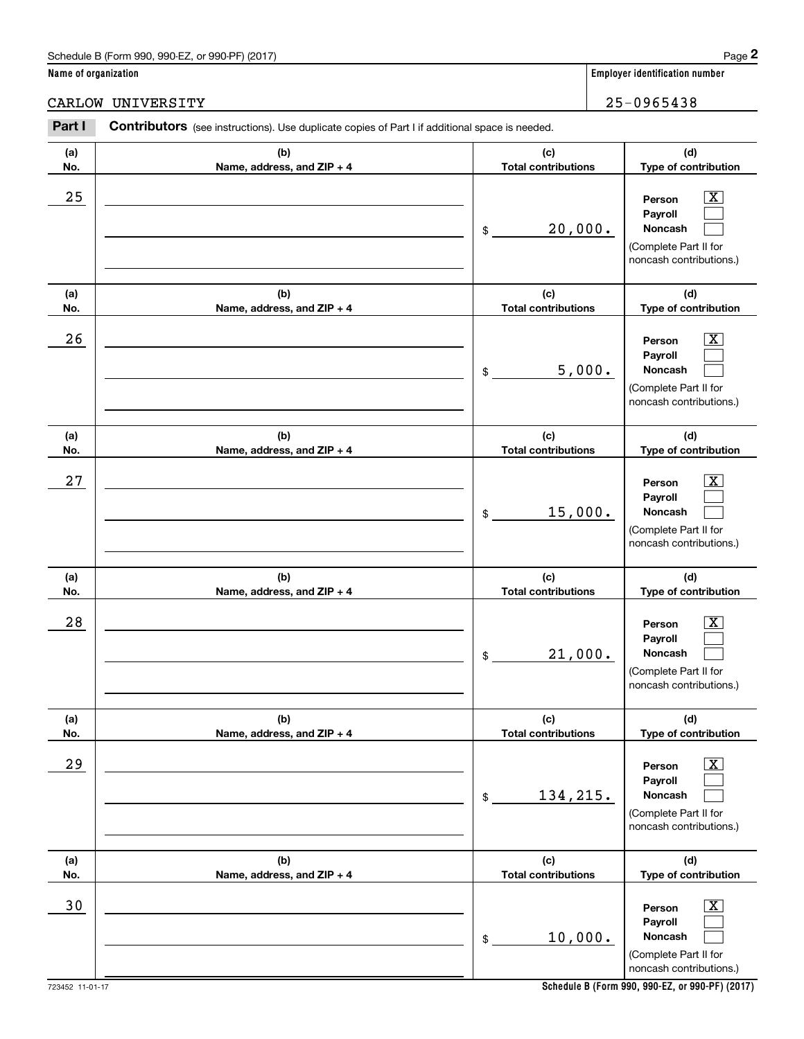### CARLOW UNIVERSITY 25-0965438

|                      | Schedule B (Form 990, 990-EZ, or 990-PF) (2017)                                                |                                   | Page 2                                                                                                              |
|----------------------|------------------------------------------------------------------------------------------------|-----------------------------------|---------------------------------------------------------------------------------------------------------------------|
| Name of organization |                                                                                                |                                   | Employer identification number                                                                                      |
|                      | CARLOW UNIVERSITY                                                                              |                                   | 25-0965438                                                                                                          |
| Part I               | Contributors (see instructions). Use duplicate copies of Part I if additional space is needed. |                                   |                                                                                                                     |
| (a)<br>No.           | (b)<br>Name, address, and ZIP + 4                                                              | (c)<br><b>Total contributions</b> | (d)<br>Type of contribution                                                                                         |
| 25                   |                                                                                                | 20,000.<br>\$                     | $\overline{\text{X}}$<br>Person<br>Payroll<br>Noncash<br>(Complete Part II for<br>noncash contributions.)           |
| (a)<br>No.           | (b)<br>Name, address, and ZIP + 4                                                              | (c)<br><b>Total contributions</b> | (d)<br>Type of contribution                                                                                         |
| 26                   |                                                                                                | \$                                | $\overline{\text{X}}$<br>Person<br>Payroll<br>5,000.<br>Noncash<br>(Complete Part II for<br>noncash contributions.) |
| (a)<br>No.           | (b)<br>Name, address, and ZIP + 4                                                              | (c)<br><b>Total contributions</b> | (d)<br>Type of contribution                                                                                         |
| 27                   |                                                                                                | 15,000.<br>\$                     | X<br>Person<br>Payroll<br>Noncash<br>(Complete Part II for<br>noncash contributions.)                               |
| (a)<br>No.           | (b)<br>Name, address, and ZIP + 4                                                              | (c)<br><b>Total contributions</b> | (d)<br>Type of contribution                                                                                         |
| 28                   |                                                                                                | 21,000.<br>\$                     | $\overline{\text{X}}$<br>Person<br>Payroll<br><b>Noncash</b><br>(Complete Part II for<br>noncash contributions.)    |
| (a)<br>No.           | (b)<br>Name, address, and ZIP + 4                                                              | (c)<br><b>Total contributions</b> | (d)<br>Type of contribution                                                                                         |
| 29                   |                                                                                                | 134,215.<br>\$                    | $\overline{\text{X}}$<br>Person<br>Payroll<br>Noncash<br>(Complete Part II for<br>noncash contributions.)           |
| (a)<br>No.           | (b)<br>Name, address, and ZIP + 4                                                              | (c)<br><b>Total contributions</b> | (d)<br>Type of contribution                                                                                         |
| 30                   |                                                                                                | 10,000.<br>\$                     | $\overline{\text{X}}$<br>Person<br>Payroll<br>Noncash<br>(Complete Part II for<br>noncash contributions.)           |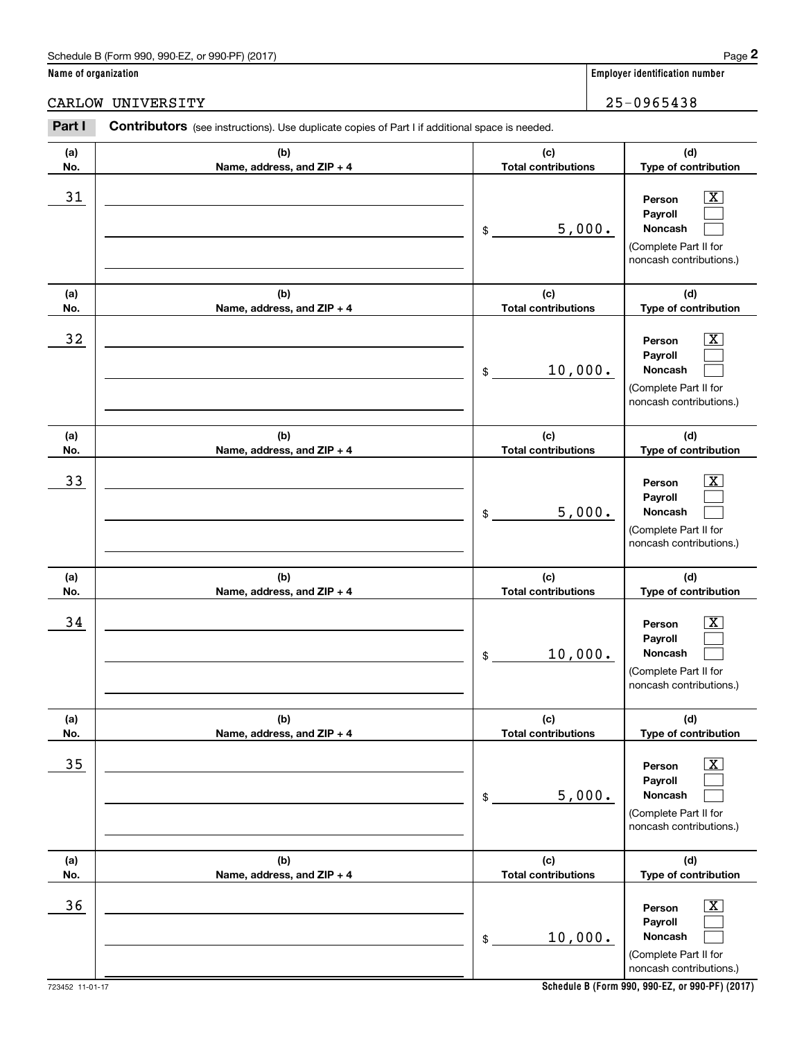|                      | Schedule B (Form 990, 990-EZ, or 990-PF) (2017)                                                |                                   |        | Page 2                                                                                                           |
|----------------------|------------------------------------------------------------------------------------------------|-----------------------------------|--------|------------------------------------------------------------------------------------------------------------------|
| Name of organization |                                                                                                |                                   |        | Employer identification number                                                                                   |
|                      | CARLOW UNIVERSITY                                                                              |                                   |        | 25-0965438                                                                                                       |
| Part I               | Contributors (see instructions). Use duplicate copies of Part I if additional space is needed. |                                   |        |                                                                                                                  |
| (a)<br>No.           | (b)<br>Name, address, and ZIP + 4                                                              | (c)<br><b>Total contributions</b> |        | (d)<br>Type of contribution                                                                                      |
| 31                   |                                                                                                | \$                                | 5,000. | $\overline{\text{X}}$<br>Person<br>Payroll<br>Noncash<br>(Complete Part II for<br>noncash contributions.)        |
| (a)<br>No.           | (b)<br>Name, address, and ZIP + 4                                                              | (c)<br><b>Total contributions</b> |        | (d)<br>Type of contribution                                                                                      |
| 32                   |                                                                                                | 10,000.<br>\$                     |        | $\overline{\text{X}}$<br>Person<br>Payroll<br>Noncash<br>(Complete Part II for<br>noncash contributions.)        |
| (a)<br>No.           | (b)<br>Name, address, and ZIP + 4                                                              | (c)<br><b>Total contributions</b> |        | (d)<br>Type of contribution                                                                                      |
| 33                   |                                                                                                | \$                                | 5,000. | X<br>Person<br>Payroll<br>Noncash<br>(Complete Part II for<br>noncash contributions.)                            |
| (a)<br>No.           | (b)<br>Name, address, and ZIP + 4                                                              | (c)<br><b>Total contributions</b> |        | (d)<br>Type of contribution                                                                                      |
| 34                   |                                                                                                | 10,000.<br>\$                     |        | $\overline{\text{X}}$<br>Person<br>Payroll<br><b>Noncash</b><br>(Complete Part II for<br>noncash contributions.) |
| (a)<br>No.           | (b)<br>Name, address, and ZIP + 4                                                              | (c)<br><b>Total contributions</b> |        | (d)<br>Type of contribution                                                                                      |
| 35                   |                                                                                                | \$                                | 5,000. | $\overline{\text{X}}$<br>Person<br>Payroll<br>Noncash<br>(Complete Part II for<br>noncash contributions.)        |
| (a)<br>No.           | (b)<br>Name, address, and ZIP + 4                                                              | (c)<br><b>Total contributions</b> |        | (d)<br>Type of contribution                                                                                      |
| 36                   |                                                                                                | 10,000.<br>\$                     |        | $\overline{\text{X}}$<br>Person<br>Payroll<br>Noncash<br>(Complete Part II for<br>noncash contributions.)        |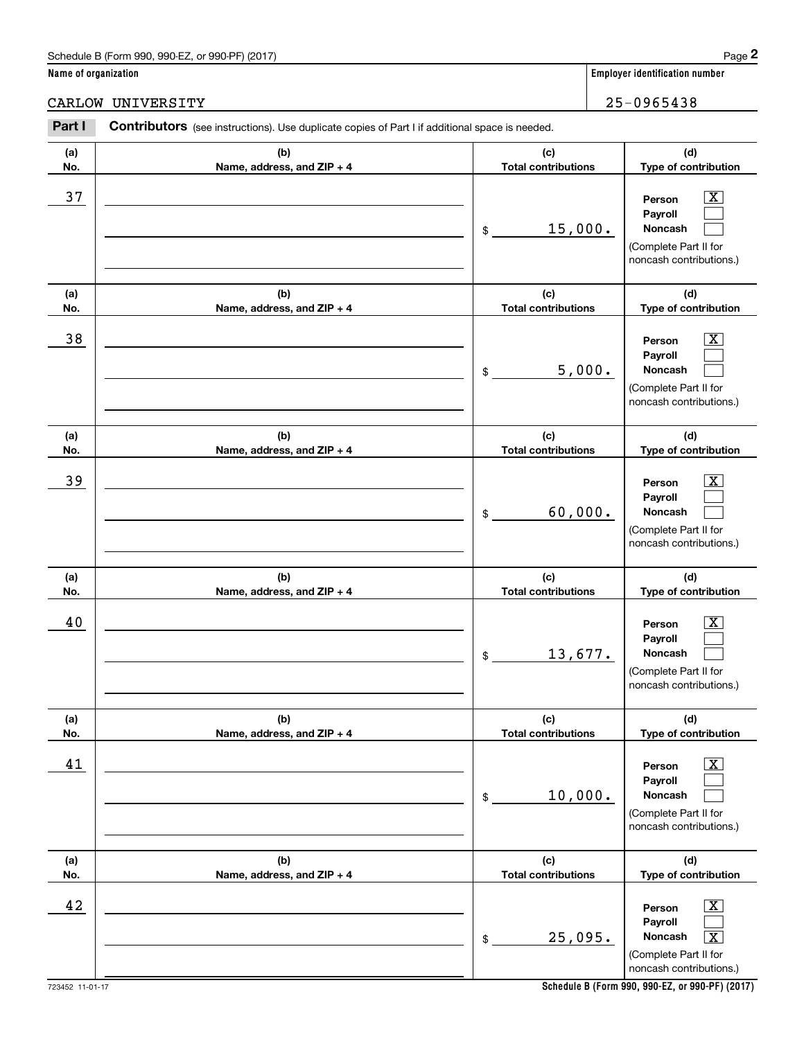|  |  | 15-0965438 |  |  |  |
|--|--|------------|--|--|--|
|--|--|------------|--|--|--|

|                      | Schedule B (Form 990, 990-EZ, or 990-PF) (2017)                                                |                                   |         | Page 2                                                                                                                            |
|----------------------|------------------------------------------------------------------------------------------------|-----------------------------------|---------|-----------------------------------------------------------------------------------------------------------------------------------|
| Name of organization |                                                                                                |                                   |         | <b>Employer identification number</b>                                                                                             |
|                      | CARLOW UNIVERSITY                                                                              |                                   |         | 25-0965438                                                                                                                        |
| Part I               | Contributors (see instructions). Use duplicate copies of Part I if additional space is needed. |                                   |         |                                                                                                                                   |
| (a)<br>No.           | (b)<br>Name, address, and ZIP + 4                                                              | (c)<br><b>Total contributions</b> |         | (d)<br>Type of contribution                                                                                                       |
| 37                   |                                                                                                | \$                                | 15,000. | $\mathbf{X}$<br>Person<br>Payroll<br>Noncash<br>(Complete Part II for<br>noncash contributions.)                                  |
| (a)<br>No.           | (b)<br>Name, address, and ZIP + 4                                                              | (c)<br><b>Total contributions</b> |         | (d)<br>Type of contribution                                                                                                       |
| 38                   |                                                                                                | \$                                | 5,000.  | $\overline{\mathbf{X}}$<br>Person<br>Payroll<br>Noncash<br>(Complete Part II for<br>noncash contributions.)                       |
| (a)<br>No.           | (b)<br>Name, address, and ZIP + 4                                                              | (c)<br><b>Total contributions</b> |         | (d)<br>Type of contribution                                                                                                       |
| 39                   |                                                                                                | \$                                | 60,000. | $\overline{\mathbf{X}}$<br>Person<br>Payroll<br>Noncash<br>(Complete Part II for<br>noncash contributions.)                       |
| (a)<br>No.           | (b)<br>Name, address, and ZIP + 4                                                              | (c)<br><b>Total contributions</b> |         | (d)<br>Type of contribution                                                                                                       |
| 40                   |                                                                                                | \$                                | 13,677. | $\mathbf{X}$<br>Person<br>Payroll<br>Noncash<br>(Complete Part II for<br>noncash contributions.)                                  |
| (a)<br>No.           | (b)<br>Name, address, and ZIP + 4                                                              | (c)<br><b>Total contributions</b> |         | (d)<br>Type of contribution                                                                                                       |
| 41                   |                                                                                                | \$                                | 10,000. | $\boxed{\text{X}}$<br>Person<br>Payroll<br>Noncash<br>(Complete Part II for<br>noncash contributions.)                            |
| (a)<br>No.           | (b)<br>Name, address, and ZIP + 4                                                              | (c)<br><b>Total contributions</b> |         | (d)<br>Type of contribution                                                                                                       |
| 42                   |                                                                                                | \$                                | 25,095. | $\boxed{\text{X}}$<br>Person<br>Payroll<br>$\overline{\mathbf{X}}$<br>Noncash<br>(Complete Part II for<br>noncash contributions.) |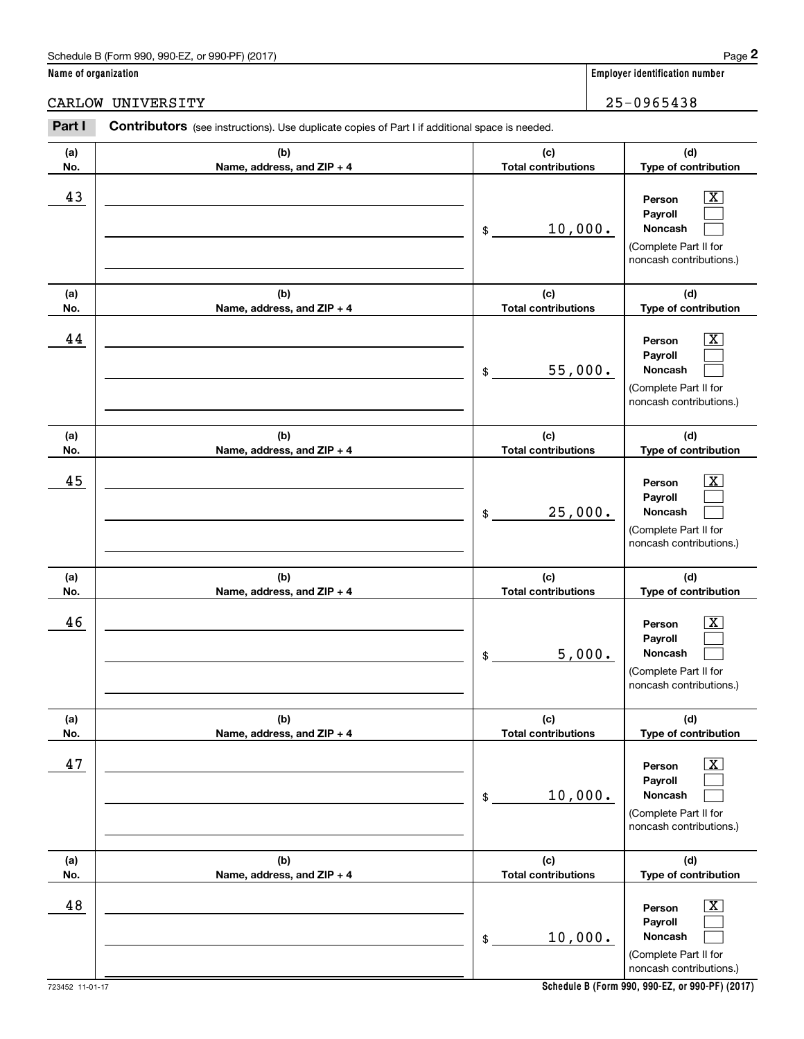|                      | Schedule B (Form 990, 990-EZ, or 990-PF) (2017)                                                       |                                       | Page 2                                                                                                                                         |  |
|----------------------|-------------------------------------------------------------------------------------------------------|---------------------------------------|------------------------------------------------------------------------------------------------------------------------------------------------|--|
| Name of organization |                                                                                                       | <b>Employer identification number</b> |                                                                                                                                                |  |
| CARLOW               | UNIVERSITY                                                                                            |                                       | 25-0965438                                                                                                                                     |  |
| Part I               | <b>Contributors</b> (see instructions). Use duplicate copies of Part I if additional space is needed. |                                       |                                                                                                                                                |  |
| (a)<br>No.           | (b)<br>Name, address, and ZIP + 4                                                                     | (c)<br><b>Total contributions</b>     | (d)<br>Type of contribution                                                                                                                    |  |
| 43                   |                                                                                                       | \$                                    | $\overline{\mathbf{X}}$<br>Person<br>Payroll<br>10,000.<br>Noncash<br>(Complete Part II for<br>noncash contributions.)                         |  |
| (a)                  | (b)                                                                                                   | (c)                                   | (d)                                                                                                                                            |  |
| No.<br>44            | Name, address, and ZIP + 4                                                                            | <b>Total contributions</b><br>\$      | Type of contribution<br>$\overline{\mathbf{X}}$<br>Person<br>Payroll<br>55,000.<br>Noncash<br>(Complete Part II for<br>noncash contributions.) |  |
| (a)<br>No.           | (b)<br>Name, address, and ZIP + 4                                                                     | (c)<br><b>Total contributions</b>     | (d)<br>Type of contribution                                                                                                                    |  |
| 45                   |                                                                                                       | \$                                    | $\overline{\mathbf{X}}$<br>Person<br>Payroll<br>25,000.<br>Noncash<br>(Complete Part II for<br>noncash contributions.)                         |  |
| (a)<br>No.           | (b)<br>Name, address, and ZIP + 4                                                                     | (c)<br><b>Total contributions</b>     | (d)<br>Type of contribution                                                                                                                    |  |
| 46                   |                                                                                                       | \$                                    | $\mathbf{X}$<br>Person<br>Payroll<br>5,000.<br>Noncash<br>(Complete Part II for<br>noncash contributions.)                                     |  |
| (a)<br>No.           | (b)<br>Name, address, and ZIP + 4                                                                     | (c)<br><b>Total contributions</b>     | (d)<br>Type of contribution                                                                                                                    |  |
| 47                   |                                                                                                       | \$                                    | $\boxed{\text{X}}$<br>Person<br>Payroll<br>10,000.<br>Noncash<br>(Complete Part II for<br>noncash contributions.)                              |  |
| (a)<br>No.           | (b)<br>Name, address, and ZIP + 4                                                                     | (c)<br><b>Total contributions</b>     | (d)<br>Type of contribution                                                                                                                    |  |
| 48                   |                                                                                                       | \$                                    | $\boxed{\text{X}}$<br>Person<br>Payroll<br>10,000.<br>Noncash<br>(Complete Part II for<br>noncash contributions.)                              |  |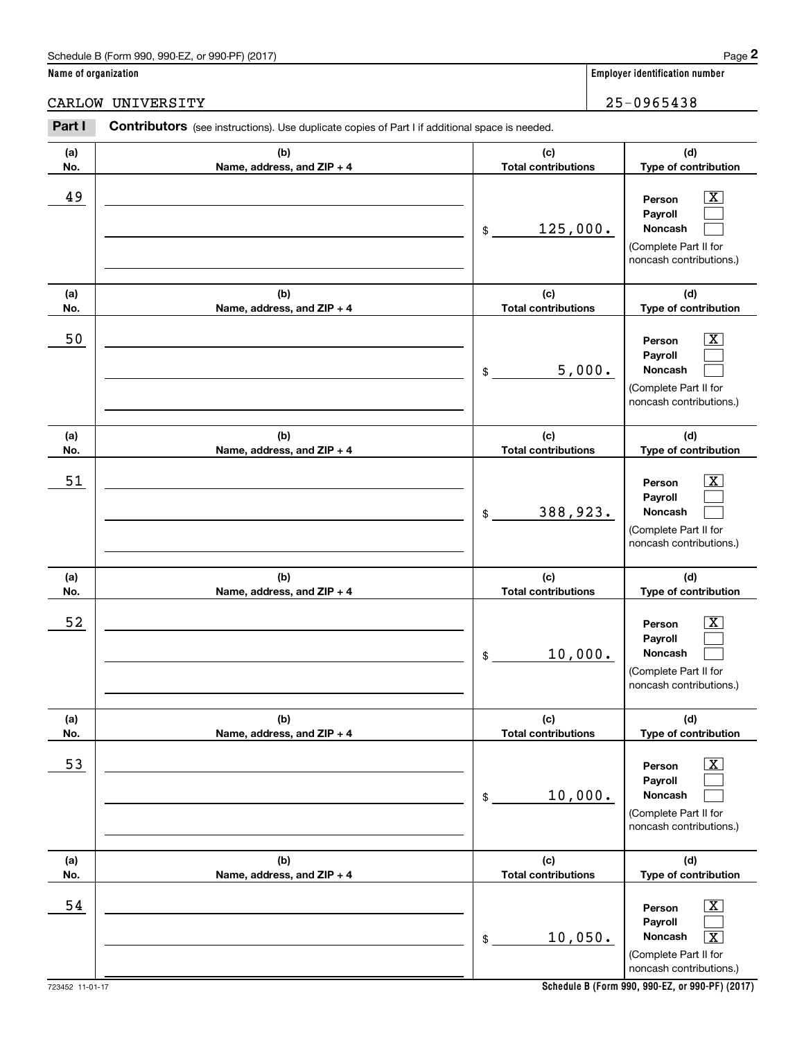|                      | Schedule B (Form 990, 990-EZ, or 990-PF) (2017)                                                |                                   |        | Page 2                                                                                                                               |  |  |
|----------------------|------------------------------------------------------------------------------------------------|-----------------------------------|--------|--------------------------------------------------------------------------------------------------------------------------------------|--|--|
| Name of organization |                                                                                                |                                   |        | Employer identification number                                                                                                       |  |  |
|                      | CARLOW UNIVERSITY                                                                              |                                   |        | 25-0965438                                                                                                                           |  |  |
| Part I               | Contributors (see instructions). Use duplicate copies of Part I if additional space is needed. |                                   |        |                                                                                                                                      |  |  |
| (a)<br>No.           | (b)<br>Name, address, and ZIP + 4                                                              | (c)<br><b>Total contributions</b> |        | (d)<br>Type of contribution                                                                                                          |  |  |
| 49                   |                                                                                                | 125,000.<br>\$                    |        | $\overline{\text{X}}$<br>Person<br>Payroll<br>Noncash<br>(Complete Part II for<br>noncash contributions.)                            |  |  |
| (a)<br>No.           | (b)<br>Name, address, and ZIP + 4                                                              | (c)<br><b>Total contributions</b> |        | (d)<br>Type of contribution                                                                                                          |  |  |
| 50                   |                                                                                                | \$                                | 5,000. | $\overline{\text{X}}$<br>Person<br>Payroll<br>Noncash<br>(Complete Part II for<br>noncash contributions.)                            |  |  |
| (a)<br>No.           | (b)<br>Name, address, and ZIP + 4                                                              | (c)<br><b>Total contributions</b> |        | (d)<br>Type of contribution                                                                                                          |  |  |
| 51                   |                                                                                                | 388,923.<br>\$                    |        | X<br>Person<br>Payroll<br>Noncash<br>(Complete Part II for<br>noncash contributions.)                                                |  |  |
| (a)<br>No.           | (b)<br>Name, address, and ZIP + 4                                                              | (c)<br><b>Total contributions</b> |        | (d)<br>Type of contribution                                                                                                          |  |  |
| 52                   |                                                                                                | 10,000.<br>\$                     |        | $\overline{\text{X}}$<br>Person<br>Payroll<br><b>Noncash</b><br>(Complete Part II for<br>noncash contributions.)                     |  |  |
| (a)<br>No.           | (b)<br>Name, address, and ZIP + 4                                                              | (c)<br><b>Total contributions</b> |        | (d)<br>Type of contribution                                                                                                          |  |  |
| 53                   |                                                                                                | 10,000.<br>\$                     |        | $\overline{\text{X}}$<br>Person<br>Payroll<br>Noncash<br>(Complete Part II for<br>noncash contributions.)                            |  |  |
| (a)<br>No.           | (b)<br>Name, address, and ZIP + 4                                                              | (c)<br><b>Total contributions</b> |        | (d)<br>Type of contribution                                                                                                          |  |  |
| 54                   |                                                                                                | 10,050.<br>\$                     |        | $\overline{\mathbf{X}}$<br>Person<br>Payroll<br>Noncash<br>$\overline{\text{X}}$<br>(Complete Part II for<br>noncash contributions.) |  |  |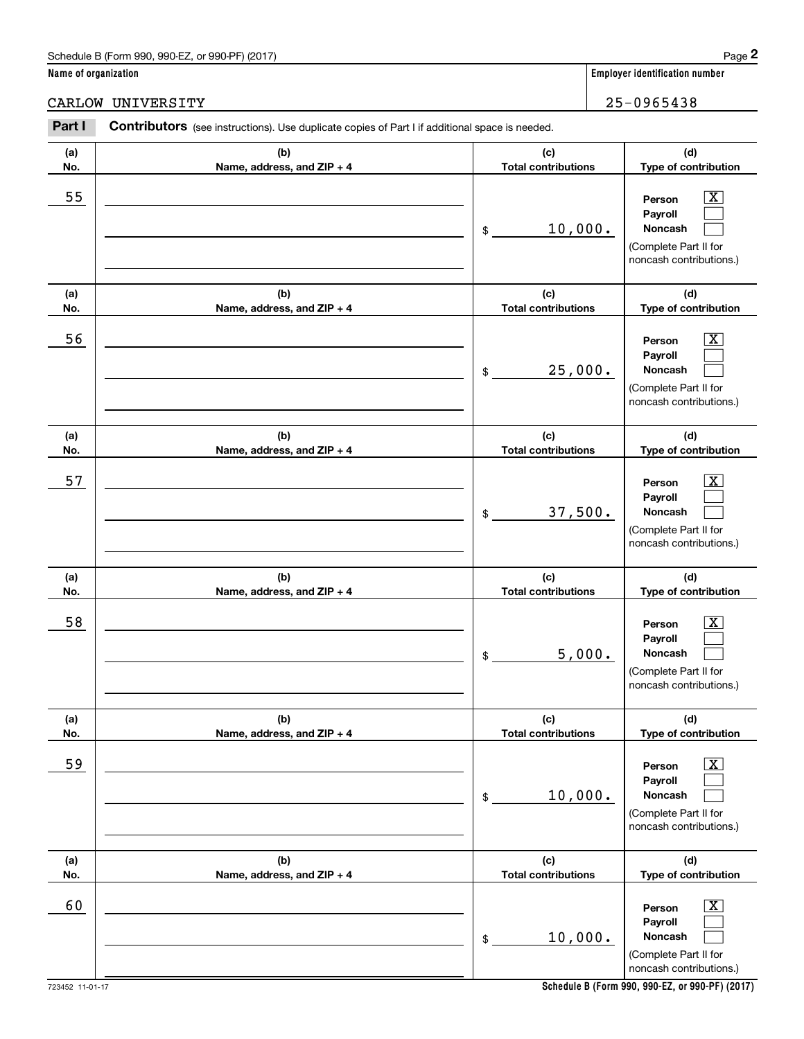|                      | Schedule B (Form 990, 990-EZ, or 990-PF) (2017)                                                       |                                   |         | Page 2                                                                                                                              |
|----------------------|-------------------------------------------------------------------------------------------------------|-----------------------------------|---------|-------------------------------------------------------------------------------------------------------------------------------------|
| Name of organization |                                                                                                       |                                   |         | <b>Employer identification number</b>                                                                                               |
|                      | CARLOW UNIVERSITY                                                                                     |                                   |         | 25-0965438                                                                                                                          |
| Part I               | <b>Contributors</b> (see instructions). Use duplicate copies of Part I if additional space is needed. |                                   |         |                                                                                                                                     |
| (a)<br>No.           | (b)<br>Name, address, and ZIP + 4                                                                     | (c)<br><b>Total contributions</b> |         | (d)<br>Type of contribution                                                                                                         |
| 55                   |                                                                                                       | \$                                | 10,000. | $\overline{\mathbf{X}}$<br>Person<br>Payroll<br>Noncash<br>(Complete Part II for<br>noncash contributions.)                         |
| (a)                  | (b)                                                                                                   | (c)                               |         | (d)                                                                                                                                 |
| No.<br>56            | Name, address, and ZIP + 4                                                                            | <b>Total contributions</b><br>\$  | 25,000. | Type of contribution<br>$\overline{\mathbf{X}}$<br>Person<br>Payroll<br>Noncash<br>(Complete Part II for<br>noncash contributions.) |
| (a)<br>No.           | (b)<br>Name, address, and ZIP + 4                                                                     | (c)<br><b>Total contributions</b> |         | (d)<br>Type of contribution                                                                                                         |
| 57                   |                                                                                                       | \$                                | 37,500. | $\overline{\mathbf{X}}$<br>Person<br>Payroll<br>Noncash<br>(Complete Part II for<br>noncash contributions.)                         |
| (a)<br>No.           | (b)<br>Name, address, and ZIP + 4                                                                     | (c)<br><b>Total contributions</b> |         | (d)<br>Type of contribution                                                                                                         |
| 58                   |                                                                                                       | \$                                | 5,000.  | $\mathbf{X}$<br>Person<br>Payroll<br>Noncash<br>(Complete Part II for<br>noncash contributions.)                                    |
| (a)<br>No.           | (b)<br>Name, address, and ZIP + 4                                                                     | (c)<br><b>Total contributions</b> |         | (d)<br>Type of contribution                                                                                                         |
| 59                   |                                                                                                       | \$                                | 10,000. | $\boxed{\text{X}}$<br>Person<br>Payroll<br>Noncash<br>(Complete Part II for<br>noncash contributions.)                              |
| (a)<br>No.           | (b)<br>Name, address, and ZIP + 4                                                                     | (c)<br><b>Total contributions</b> |         | (d)<br>Type of contribution                                                                                                         |
| 60                   |                                                                                                       | \$                                | 10,000. | $\boxed{\text{X}}$<br>Person<br>Payroll<br>Noncash<br>(Complete Part II for<br>noncash contributions.)                              |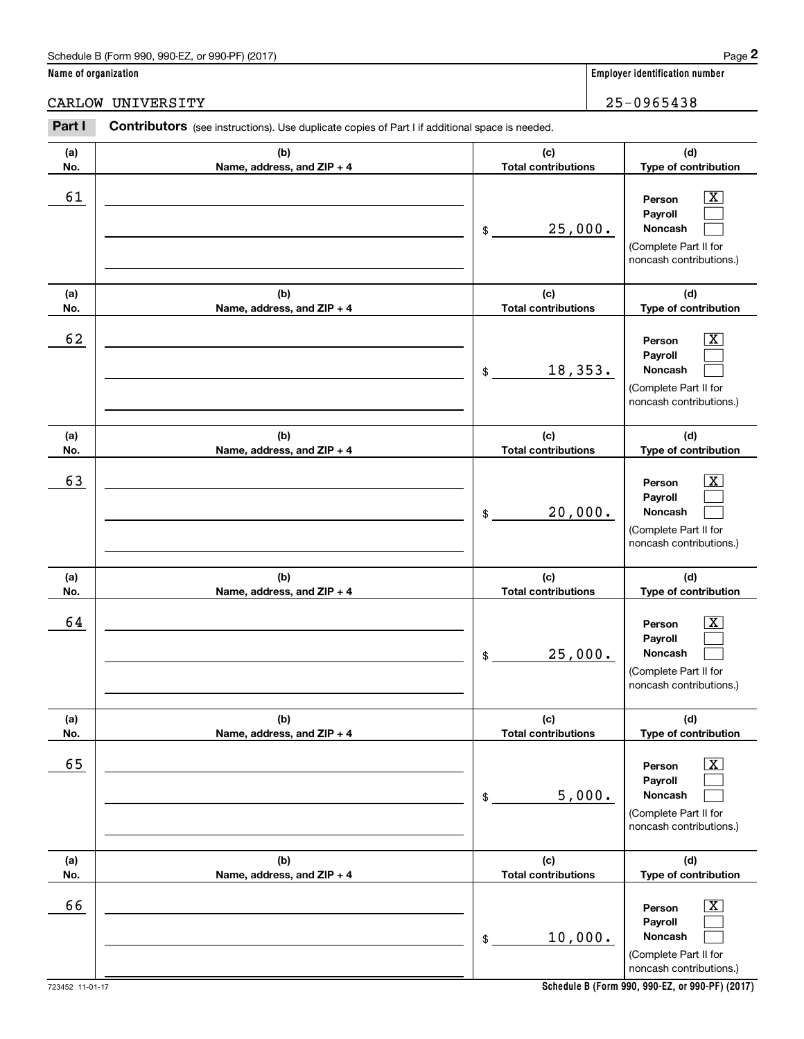|  |  | 15-0965438 |  |  |  |
|--|--|------------|--|--|--|
|--|--|------------|--|--|--|

|                      | Schedule B (Form 990, 990-EZ, or 990-PF) (2017)                                                |                                   |         | Page 2                                                                                                      |
|----------------------|------------------------------------------------------------------------------------------------|-----------------------------------|---------|-------------------------------------------------------------------------------------------------------------|
| Name of organization |                                                                                                |                                   |         | <b>Employer identification number</b>                                                                       |
|                      | CARLOW UNIVERSITY                                                                              |                                   |         | 25-0965438                                                                                                  |
| Part I               | Contributors (see instructions). Use duplicate copies of Part I if additional space is needed. |                                   |         |                                                                                                             |
| (a)<br>No.           | (b)<br>Name, address, and ZIP + 4                                                              | (c)<br><b>Total contributions</b> |         | (d)<br>Type of contribution                                                                                 |
| 61                   |                                                                                                | \$                                | 25,000. | $\mathbf{X}$<br>Person<br>Payroll<br>Noncash<br>(Complete Part II for<br>noncash contributions.)            |
| (a)<br>No.           | (b)<br>Name, address, and ZIP + 4                                                              | (c)<br><b>Total contributions</b> |         | (d)<br>Type of contribution                                                                                 |
| 62                   |                                                                                                | \$                                | 18,353. | $\overline{\mathbf{X}}$<br>Person<br>Payroll<br>Noncash<br>(Complete Part II for<br>noncash contributions.) |
| (a)<br>No.           | (b)<br>Name, address, and ZIP + 4                                                              | (c)<br><b>Total contributions</b> |         | (d)<br>Type of contribution                                                                                 |
| 63                   |                                                                                                | 20,000.<br>\$                     |         | $\overline{\mathbf{X}}$<br>Person<br>Payroll<br>Noncash<br>(Complete Part II for<br>noncash contributions.) |
| (a)<br>No.           | (b)<br>Name, address, and ZIP + 4                                                              | (c)<br><b>Total contributions</b> |         | (d)<br>Type of contribution                                                                                 |
| 64                   |                                                                                                | 25,000.<br>\$                     |         | $\mathbf{X}$<br>Person<br>Payroll<br>Noncash<br>(Complete Part II for<br>noncash contributions.)            |
| (a)<br>No.           | (b)<br>Name, address, and ZIP + 4                                                              | (c)<br><b>Total contributions</b> |         | (d)<br>Type of contribution                                                                                 |
| 65                   |                                                                                                | \$                                | 5,000.  | $\boxed{\text{X}}$<br>Person<br>Payroll<br>Noncash<br>(Complete Part II for<br>noncash contributions.)      |
| (a)<br>No.           | (b)<br>Name, address, and ZIP + 4                                                              | (c)<br><b>Total contributions</b> |         | (d)<br>Type of contribution                                                                                 |
| 66                   |                                                                                                | 10,000.<br>\$                     |         | $\boxed{\text{X}}$<br>Person<br>Payroll<br>Noncash<br>(Complete Part II for<br>noncash contributions.)      |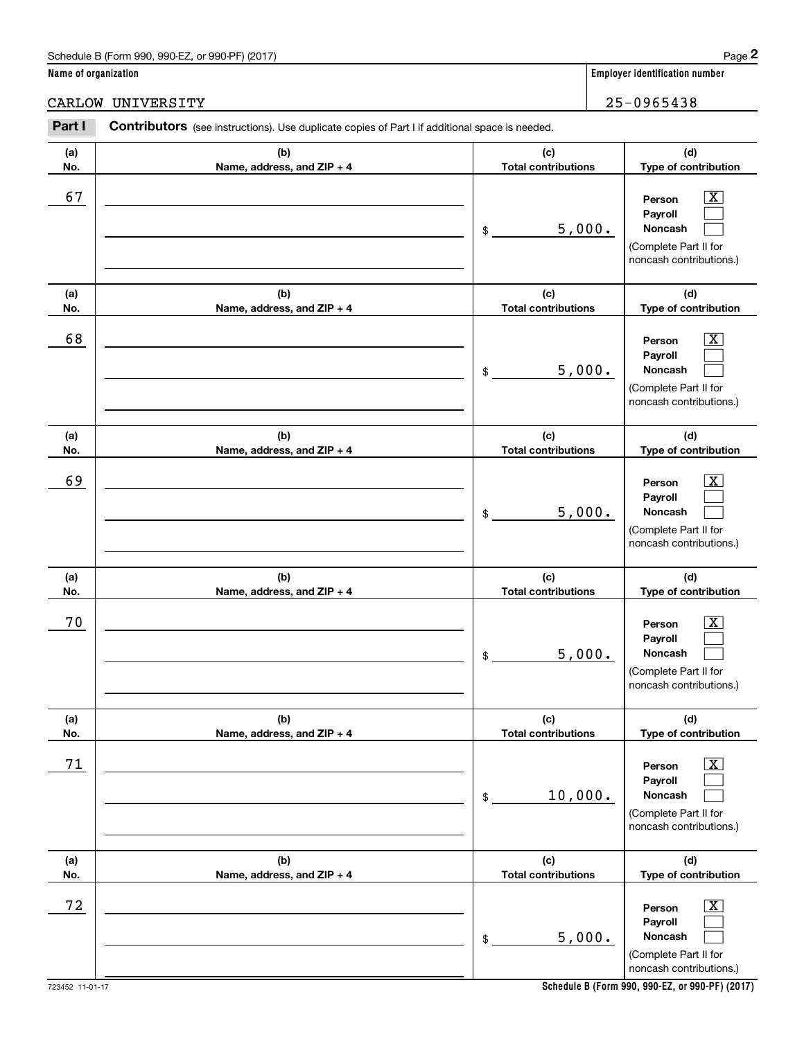|                      | Schedule B (Form 990, 990-EZ, or 990-PF) (2017)                                                       |                                   |            | Page 2                                                                                                      |
|----------------------|-------------------------------------------------------------------------------------------------------|-----------------------------------|------------|-------------------------------------------------------------------------------------------------------------|
| Name of organization |                                                                                                       | Employer identification number    |            |                                                                                                             |
|                      | CARLOW UNIVERSITY                                                                                     |                                   | 25-0965438 |                                                                                                             |
| Part I               | <b>Contributors</b> (see instructions). Use duplicate copies of Part I if additional space is needed. |                                   |            |                                                                                                             |
| (a)<br>No.           | (b)<br>Name, address, and ZIP + 4                                                                     | (c)<br><b>Total contributions</b> |            | (d)<br>Type of contribution                                                                                 |
| 67                   |                                                                                                       | \$                                | 5,000.     | $\overline{\mathbf{X}}$<br>Person<br>Payroll<br>Noncash<br>(Complete Part II for<br>noncash contributions.) |
| (a)<br>No.           | (b)<br>Name, address, and ZIP + 4                                                                     | (c)<br><b>Total contributions</b> |            | (d)<br>Type of contribution                                                                                 |
| 68                   |                                                                                                       | \$                                | 5,000.     | $\overline{\mathbf{X}}$<br>Person<br>Payroll<br>Noncash<br>(Complete Part II for<br>noncash contributions.) |
| (a)<br>No.           | (b)<br>Name, address, and ZIP + 4                                                                     | (c)<br><b>Total contributions</b> |            | (d)<br>Type of contribution                                                                                 |
| 69                   |                                                                                                       | \$                                | 5,000.     | $\overline{\mathbf{X}}$<br>Person<br>Payroll<br>Noncash<br>(Complete Part II for<br>noncash contributions.) |
| (a)<br>No.           | (b)<br>Name, address, and ZIP + 4                                                                     | (c)<br><b>Total contributions</b> |            | (d)<br>Type of contribution                                                                                 |
| 70                   |                                                                                                       | \$                                | 5,000.     | $\mathbf{X}$<br>Person<br>Payroll<br>Noncash<br>(Complete Part II for<br>noncash contributions.)            |
| (a)<br>No.           | (b)<br>Name, address, and ZIP + 4                                                                     | (c)<br><b>Total contributions</b> |            | (d)<br>Type of contribution                                                                                 |
| 71                   |                                                                                                       | 10,000.<br>\$                     |            | $\overline{\mathbf{X}}$<br>Person<br>Payroll<br>Noncash<br>(Complete Part II for<br>noncash contributions.) |
| (a)<br>No.           | (b)<br>Name, address, and ZIP + 4                                                                     | (c)<br><b>Total contributions</b> |            | (d)<br>Type of contribution                                                                                 |
| 72                   |                                                                                                       | \$                                | 5,000.     | $\overline{\mathbf{X}}$<br>Person<br>Payroll<br>Noncash<br>(Complete Part II for<br>noncash contributions.) |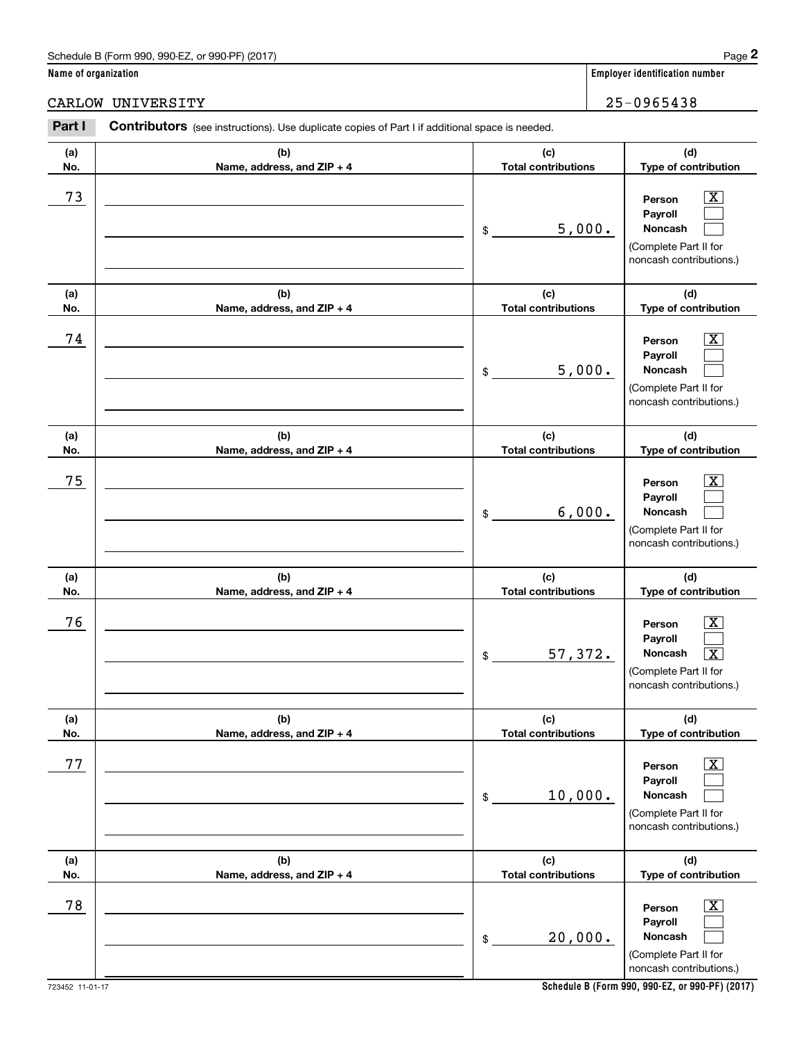|                      | Schedule B (Form 990, 990-EZ, or 990-PF) (2017)                                                       |                                   |        | Page 2                                                                                                                 |
|----------------------|-------------------------------------------------------------------------------------------------------|-----------------------------------|--------|------------------------------------------------------------------------------------------------------------------------|
| Name of organization |                                                                                                       |                                   |        | <b>Employer identification number</b>                                                                                  |
| CARLOW UNIVERSITY    |                                                                                                       |                                   |        | 25-0965438                                                                                                             |
| Part I               | <b>Contributors</b> (see instructions). Use duplicate copies of Part I if additional space is needed. |                                   |        |                                                                                                                        |
| (a)<br>No.           | (b)<br>Name, address, and ZIP + 4                                                                     | (c)<br><b>Total contributions</b> |        | (d)<br>Type of contribution                                                                                            |
| 73                   |                                                                                                       | \$                                | 5,000. | $\overline{\mathbf{X}}$<br>Person<br>Payroll<br>Noncash<br>(Complete Part II for<br>noncash contributions.)            |
| (a)<br>No.           | (b)<br>Name, address, and ZIP + 4                                                                     | (c)<br><b>Total contributions</b> |        | (d)<br>Type of contribution                                                                                            |
| 74                   |                                                                                                       | \$                                | 5,000. | X<br>Person<br>Payroll<br>Noncash<br>(Complete Part II for<br>noncash contributions.)                                  |
| (a)<br>No.           | (b)<br>Name, address, and ZIP + 4                                                                     | (c)<br><b>Total contributions</b> |        | (d)<br>Type of contribution                                                                                            |
| 75                   |                                                                                                       | \$                                | 6,000. | X<br>Person<br>Payroll<br>Noncash<br>(Complete Part II for<br>noncash contributions.)                                  |
| (a)<br>No.           | (b)<br>Name, address, and ZIP + 4                                                                     | (c)<br><b>Total contributions</b> |        | (d)<br>Type of contribution                                                                                            |
| 76                   |                                                                                                       | 57,372.<br>\$                     |        | $\mathbf{X}$<br>Person<br>Payroll<br>Noncash<br>$\boxed{\text{X}}$<br>(Complete Part II for<br>noncash contributions.) |
| (a)<br>No.           | (b)<br>Name, address, and ZIP + 4                                                                     | (c)<br><b>Total contributions</b> |        | (d)<br>Type of contribution                                                                                            |
| 77                   |                                                                                                       | 10,000.<br>\$                     |        | $\overline{\mathbf{X}}$<br>Person<br>Payroll<br>Noncash<br>(Complete Part II for<br>noncash contributions.)            |
| (a)<br>No.           | (b)<br>Name, address, and ZIP + 4                                                                     | (c)<br><b>Total contributions</b> |        | (d)<br>Type of contribution                                                                                            |
| 78                   |                                                                                                       | 20,000.<br>\$                     |        | $\boxed{\text{X}}$<br>Person<br>Payroll<br>Noncash<br>(Complete Part II for<br>noncash contributions.)                 |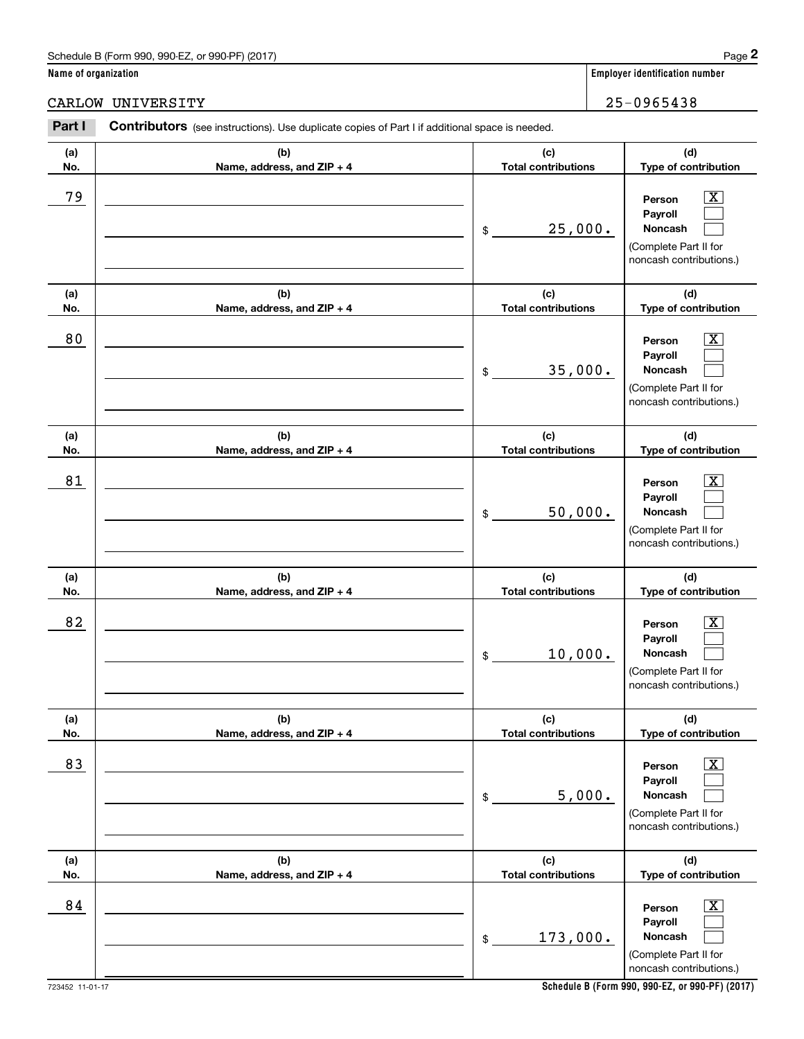|                      | Schedule B (Form 990, 990-EZ, or 990-PF) (2017)                                                       |                                   | Page 2                                                                                                                 |
|----------------------|-------------------------------------------------------------------------------------------------------|-----------------------------------|------------------------------------------------------------------------------------------------------------------------|
| Name of organization |                                                                                                       | Employer identification number    |                                                                                                                        |
| CARLOW UNIVERSITY    |                                                                                                       |                                   | 25-0965438                                                                                                             |
| Part I               | <b>Contributors</b> (see instructions). Use duplicate copies of Part I if additional space is needed. |                                   |                                                                                                                        |
| (a)<br>No.           | (b)<br>Name, address, and ZIP + 4                                                                     | (c)<br><b>Total contributions</b> | (d)<br>Type of contribution                                                                                            |
| 79                   |                                                                                                       | \$                                | $\overline{\mathbf{X}}$<br>Person<br>Payroll<br>25,000.<br>Noncash<br>(Complete Part II for<br>noncash contributions.) |
| (a)<br>No.           | (b)<br>Name, address, and ZIP + 4                                                                     | (c)<br><b>Total contributions</b> | (d)<br>Type of contribution                                                                                            |
| 80                   |                                                                                                       | \$                                | $\overline{\mathbf{X}}$<br>Person<br>Payroll<br>35,000.<br>Noncash<br>(Complete Part II for<br>noncash contributions.) |
| (a)<br>No.           | (b)<br>Name, address, and ZIP + 4                                                                     | (c)<br><b>Total contributions</b> | (d)<br>Type of contribution                                                                                            |
| 81                   |                                                                                                       | \$                                | $\overline{\mathbf{X}}$<br>Person<br>Payroll<br>50,000.<br>Noncash<br>(Complete Part II for<br>noncash contributions.) |
| (a)<br>No.           | (b)<br>Name, address, and ZIP + 4                                                                     | (c)<br><b>Total contributions</b> | (d)<br>Type of contribution                                                                                            |
| 82                   |                                                                                                       | 10,000.<br>\$                     | $\mathbf{X}$<br>Person<br>Payroll<br>Noncash<br>(Complete Part II for<br>noncash contributions.)                       |
| (a)<br>No.           | (b)<br>Name, address, and ZIP + 4                                                                     | (c)<br><b>Total contributions</b> | (d)<br>Type of contribution                                                                                            |
| 83                   |                                                                                                       | \$                                | $\overline{\text{X}}$<br>Person<br>Payroll<br>5,000.<br>Noncash<br>(Complete Part II for<br>noncash contributions.)    |
| (a)<br>No.           | (b)<br>Name, address, and ZIP + 4                                                                     | (c)<br><b>Total contributions</b> | (d)<br>Type of contribution                                                                                            |
| 84                   |                                                                                                       | 173,000.<br>\$                    | $\overline{\text{X}}$<br>Person<br>Payroll<br>Noncash<br>(Complete Part II for<br>noncash contributions.)              |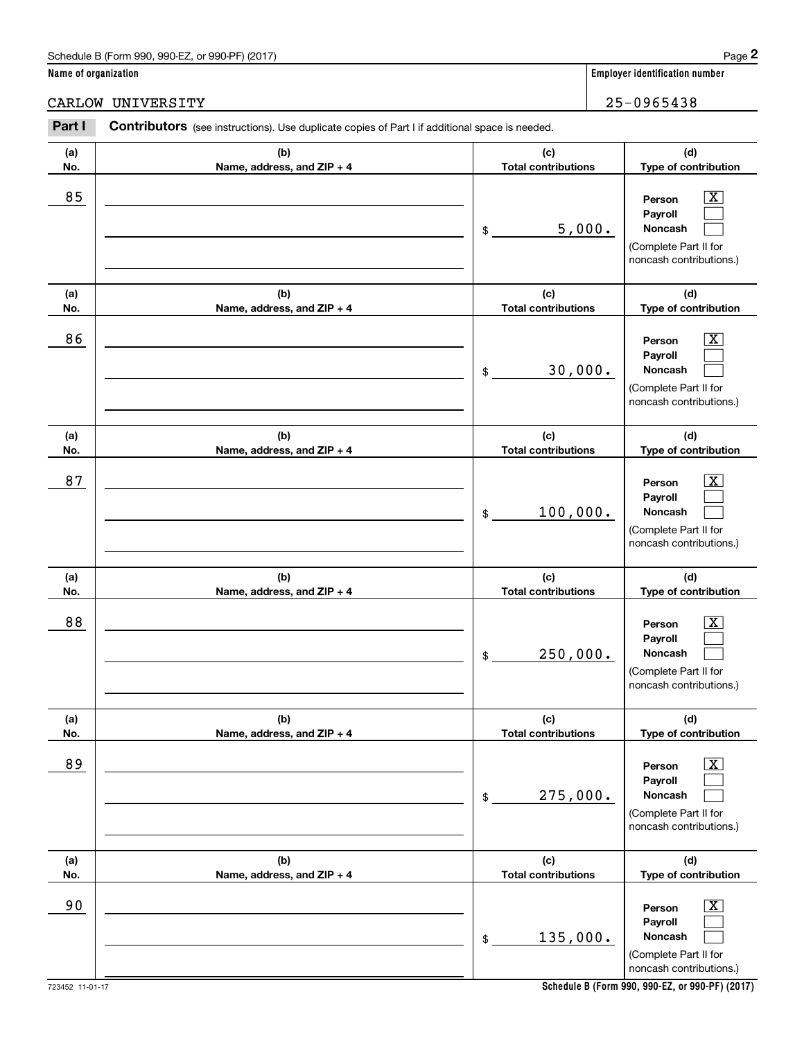|                      | Schedule B (Form 990, 990-EZ, or 990-PF) (2017)                                                |                                             | Page 2                                                                                                                            |
|----------------------|------------------------------------------------------------------------------------------------|---------------------------------------------|-----------------------------------------------------------------------------------------------------------------------------------|
| Name of organization |                                                                                                |                                             | Employer identification number                                                                                                    |
|                      | CARLOW UNIVERSITY                                                                              |                                             | 25-0965438                                                                                                                        |
| Part I               | Contributors (see instructions). Use duplicate copies of Part I if additional space is needed. |                                             |                                                                                                                                   |
| (a)<br>No.           | (b)<br>Name, address, and ZIP + 4                                                              | (c)<br><b>Total contributions</b>           | (d)<br>Type of contribution                                                                                                       |
| 85                   |                                                                                                | \$                                          | $\overline{\text{X}}$<br>Person<br>Payroll<br>5,000.<br>Noncash<br>(Complete Part II for<br>noncash contributions.)               |
| (a)                  | (b)                                                                                            | (c)                                         | (d)                                                                                                                               |
| No.<br>86            | Name, address, and ZIP + 4                                                                     | <b>Total contributions</b><br>30,000.<br>\$ | Type of contribution<br>$\overline{\text{X}}$<br>Person<br>Payroll<br>Noncash<br>(Complete Part II for<br>noncash contributions.) |
| (a)<br>No.           | (b)<br>Name, address, and ZIP + 4                                                              | (c)<br><b>Total contributions</b>           | (d)<br>Type of contribution                                                                                                       |
| 87                   |                                                                                                | 100,000.<br>\$                              | X<br>Person<br>Payroll<br>Noncash<br>(Complete Part II for<br>noncash contributions.)                                             |
| (a)<br>No.           | (b)<br>Name, address, and ZIP + 4                                                              | (c)<br><b>Total contributions</b>           | (d)<br>Type of contribution                                                                                                       |
| 88                   |                                                                                                | 250,000.<br>\$                              | $\overline{\text{X}}$<br>Person<br>Payroll<br>Noncash<br>(Complete Part II for<br>noncash contributions.)                         |
| (a)<br>No.           | (b)<br>Name, address, and ZIP + 4                                                              | (c)<br><b>Total contributions</b>           | (d)<br>Type of contribution                                                                                                       |
| 89                   |                                                                                                | 275,000.<br>\$                              | $\overline{\text{X}}$<br>Person<br>Payroll<br>Noncash<br>(Complete Part II for<br>noncash contributions.)                         |
| (a)<br>No.           | (b)<br>Name, address, and ZIP + 4                                                              | (c)<br><b>Total contributions</b>           | (d)<br>Type of contribution                                                                                                       |
| 90                   |                                                                                                | 135,000.<br>\$                              | $\overline{\text{X}}$<br>Person<br>Payroll<br>Noncash<br>(Complete Part II for<br>noncash contributions.)                         |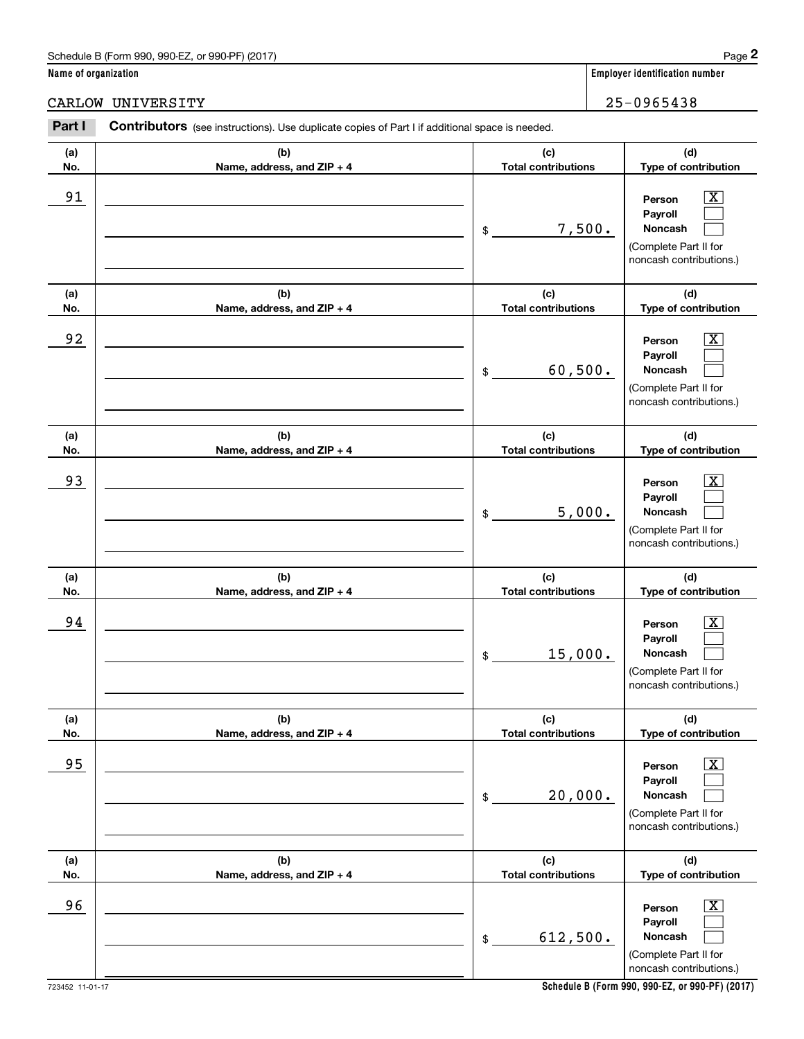|                      | Schedule B (Form 990, 990-EZ, or 990-PF) (2017)                                                       |                                   |         | Page 2                                                                                                      |  |  |
|----------------------|-------------------------------------------------------------------------------------------------------|-----------------------------------|---------|-------------------------------------------------------------------------------------------------------------|--|--|
| Name of organization |                                                                                                       |                                   |         | Employer identification number                                                                              |  |  |
|                      | CARLOW UNIVERSITY                                                                                     |                                   |         | 25-0965438                                                                                                  |  |  |
| Part I               | <b>Contributors</b> (see instructions). Use duplicate copies of Part I if additional space is needed. |                                   |         |                                                                                                             |  |  |
| (a)<br>No.           | (b)<br>Name, address, and ZIP + 4                                                                     | (c)<br><b>Total contributions</b> |         | (d)<br>Type of contribution                                                                                 |  |  |
| 91                   |                                                                                                       | \$                                | 7,500.  | $\overline{\mathbf{X}}$<br>Person<br>Payroll<br>Noncash<br>(Complete Part II for<br>noncash contributions.) |  |  |
| (a)<br>No.           | (b)<br>Name, address, and ZIP + 4                                                                     | (c)<br><b>Total contributions</b> |         | (d)<br>Type of contribution                                                                                 |  |  |
| 92                   | \$                                                                                                    |                                   | 60,500. | $\overline{\mathbf{X}}$<br>Person<br>Payroll<br>Noncash<br>(Complete Part II for<br>noncash contributions.) |  |  |
| (a)<br>No.           | (b)<br>Name, address, and ZIP + 4                                                                     | (c)<br><b>Total contributions</b> |         | (d)<br>Type of contribution                                                                                 |  |  |
| 93                   |                                                                                                       | \$                                | 5,000.  | $\overline{\mathbf{X}}$<br>Person<br>Payroll<br>Noncash<br>(Complete Part II for<br>noncash contributions.) |  |  |
| (a)<br>No.           | (b)<br>Name, address, and ZIP + 4                                                                     | (c)<br><b>Total contributions</b> |         | (d)<br>Type of contribution                                                                                 |  |  |
| 94                   |                                                                                                       | 15,000.<br>\$                     |         | $\mathbf{X}$<br>Person<br>Payroll<br>Noncash<br>(Complete Part II for<br>noncash contributions.)            |  |  |
| (a)<br>No.           | (b)<br>Name, address, and ZIP + 4                                                                     | (c)<br><b>Total contributions</b> |         | (d)<br>Type of contribution                                                                                 |  |  |
| 95                   |                                                                                                       | 20,000.<br>\$                     |         | $\overline{\text{X}}$<br>Person<br>Payroll<br>Noncash<br>(Complete Part II for<br>noncash contributions.)   |  |  |
| (a)<br>No.           | (b)<br>Name, address, and ZIP + 4                                                                     | (c)<br><b>Total contributions</b> |         | (d)<br>Type of contribution                                                                                 |  |  |
| 96                   |                                                                                                       | 612,500.<br>\$                    |         | $\overline{\text{X}}$<br>Person<br>Payroll<br>Noncash<br>(Complete Part II for<br>noncash contributions.)   |  |  |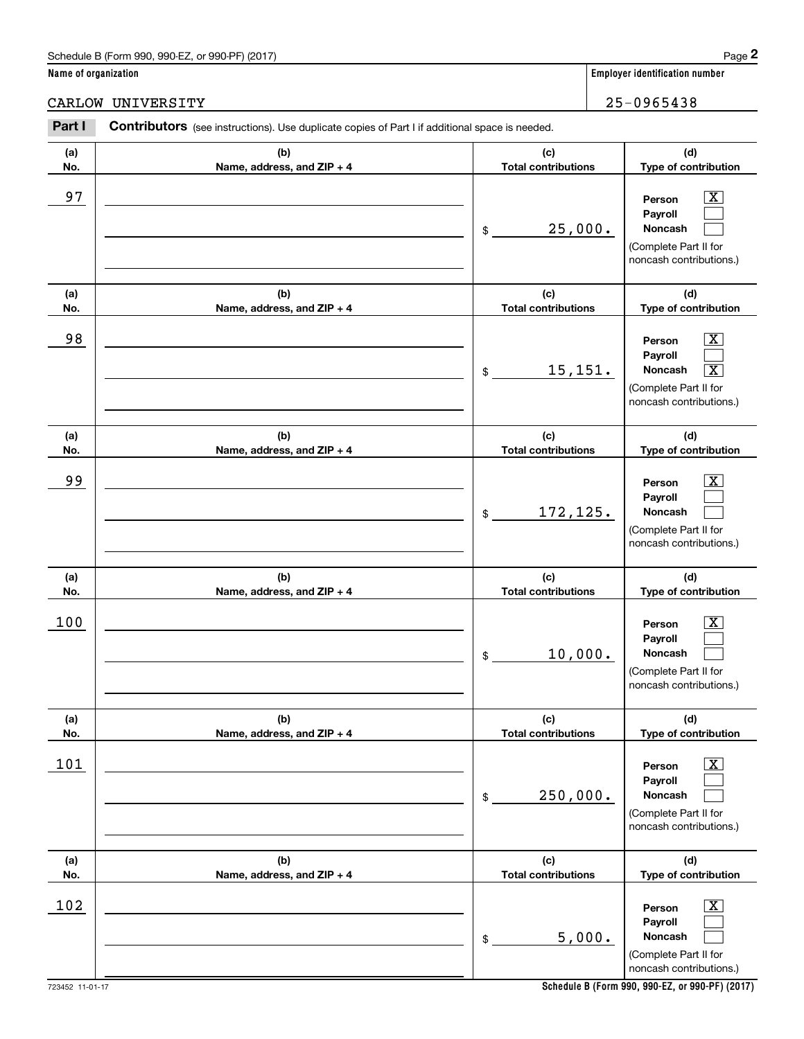|                      | Schedule B (Form 990, 990-EZ, or 990-PF) (2017)                                                |                                   |         | Page 2                                                                                                                    |
|----------------------|------------------------------------------------------------------------------------------------|-----------------------------------|---------|---------------------------------------------------------------------------------------------------------------------------|
| Name of organization |                                                                                                |                                   |         | <b>Employer identification number</b>                                                                                     |
| CARLOW               | UNIVERSITY                                                                                     |                                   |         | 25-0965438                                                                                                                |
| Part I               | Contributors (see instructions). Use duplicate copies of Part I if additional space is needed. |                                   |         |                                                                                                                           |
| (a)<br>No.           | (b)<br>Name, address, and ZIP + 4                                                              | (c)<br><b>Total contributions</b> |         | (d)<br>Type of contribution                                                                                               |
| 97                   |                                                                                                | \$                                | 25,000. | $\overline{\text{X}}$<br>Person<br>Payroll<br>Noncash<br>(Complete Part II for<br>noncash contributions.)                 |
| (a)<br>No.           | (b)<br>Name, address, and ZIP + 4                                                              | (c)<br><b>Total contributions</b> |         | (d)<br>Type of contribution                                                                                               |
| 98                   |                                                                                                | \$                                | 15,151. | $\mathbf{X}$<br>Person<br>Payroll<br>$\overline{\text{X}}$<br>Noncash<br>(Complete Part II for<br>noncash contributions.) |
| (a)<br>No.           | (b)<br>Name, address, and ZIP + 4                                                              | (c)<br><b>Total contributions</b> |         | (d)<br>Type of contribution                                                                                               |
| 99                   |                                                                                                | 172,125.<br>\$                    |         | $\overline{\text{X}}$<br>Person<br>Payroll<br>Noncash<br>(Complete Part II for<br>noncash contributions.)                 |
| (a)<br>No.           | (b)<br>Name, address, and ZIP + 4                                                              | (c)<br><b>Total contributions</b> |         | (d)<br>Type of contribution                                                                                               |
| 100                  |                                                                                                | 10,000.<br>\$                     |         | $\mathbf{X}$<br>Person<br>Payroll<br><b>Noncash</b><br>(Complete Part II for<br>noncash contributions.)                   |
| (a)<br>No.           | (b)<br>Name, address, and ZIP + 4                                                              | (c)<br><b>Total contributions</b> |         | (d)<br>Type of contribution                                                                                               |
| 101                  |                                                                                                | 250,000.<br>\$                    |         | $\overline{\mathbf{X}}$<br>Person<br>Payroll<br>Noncash<br>(Complete Part II for<br>noncash contributions.)               |
| (a)<br>No.           | (b)<br>Name, address, and ZIP + 4                                                              | (c)<br><b>Total contributions</b> |         | (d)<br>Type of contribution                                                                                               |
| 102                  |                                                                                                | \$                                | 5,000.  | $\overline{\mathbf{X}}$<br>Person<br>Payroll<br>Noncash<br>(Complete Part II for<br>noncash contributions.)               |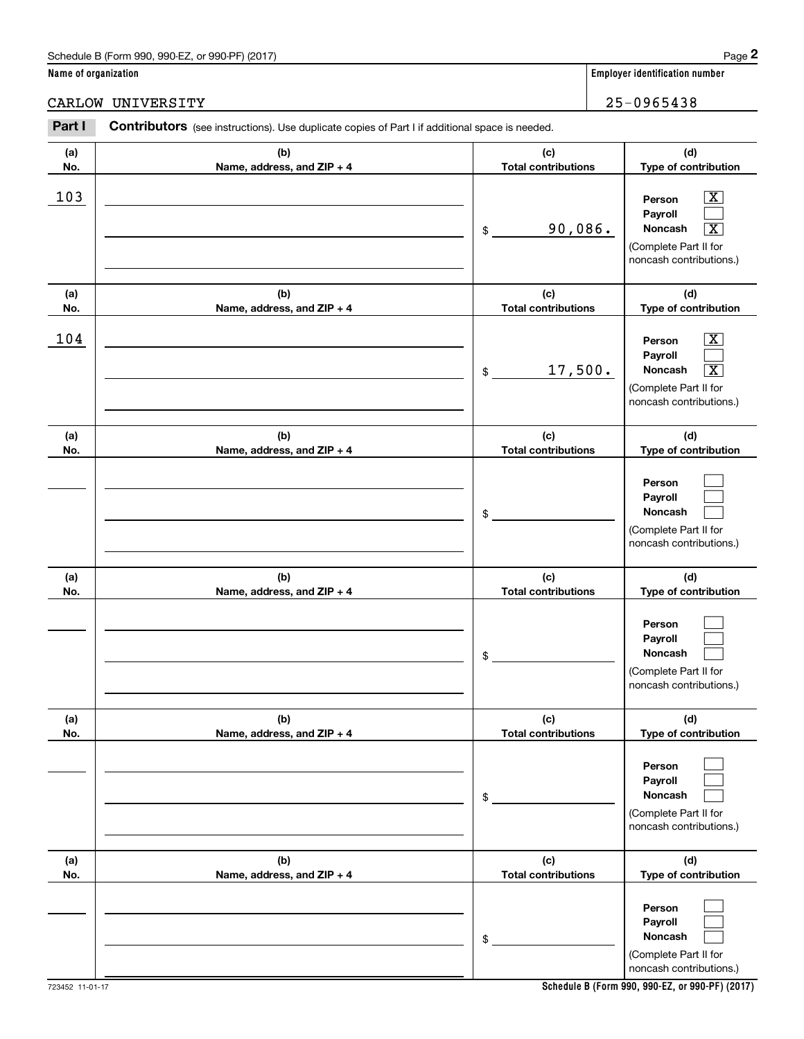### **Name of organization Employer identification number**

|                      | Schedule B (Form 990, 990-EZ, or 990-PF) (2017)                                                |                                   | Page 2                                                                                                                             |
|----------------------|------------------------------------------------------------------------------------------------|-----------------------------------|------------------------------------------------------------------------------------------------------------------------------------|
| Name of organization |                                                                                                |                                   | <b>Employer identification number</b>                                                                                              |
|                      | CARLOW UNIVERSITY                                                                              |                                   | 25-0965438                                                                                                                         |
| Part I               | Contributors (see instructions). Use duplicate copies of Part I if additional space is needed. |                                   |                                                                                                                                    |
| (a)<br>No.           | (b)<br>Name, address, and ZIP + 4                                                              | (c)<br><b>Total contributions</b> | (d)<br>Type of contribution                                                                                                        |
| 103                  |                                                                                                | 90,086.<br>\$                     | $\overline{\text{X}}$<br>Person<br>Payroll<br>$\overline{\text{X}}$<br>Noncash<br>(Complete Part II for<br>noncash contributions.) |
| (a)<br>No.           | (b)<br>Name, address, and ZIP + 4                                                              | (c)<br><b>Total contributions</b> | (d)<br>Type of contribution                                                                                                        |
| 104                  |                                                                                                | 17,500.<br>\$                     | $\mathbf{X}$<br>Person<br>Payroll<br>Noncash<br>$\overline{\text{X}}$<br>(Complete Part II for<br>noncash contributions.)          |
| (a)<br>No.           | (b)<br>Name, address, and ZIP + 4                                                              | (c)<br><b>Total contributions</b> | (d)<br>Type of contribution                                                                                                        |
|                      |                                                                                                | \$                                | Person<br>Payroll<br>Noncash<br>(Complete Part II for<br>noncash contributions.)                                                   |
| (a)<br>No.           | (b)<br>Name, address, and ZIP + 4                                                              | (c)<br><b>Total contributions</b> | (d)<br>Type of contribution                                                                                                        |
|                      |                                                                                                | \$                                | Person<br>Payroll<br>Noncash<br>(Complete Part II for<br>noncash contributions.)                                                   |
| (a)<br>No.           | (b)<br>Name, address, and ZIP + 4                                                              | (c)<br><b>Total contributions</b> | (d)<br>Type of contribution                                                                                                        |
|                      |                                                                                                | \$                                | Person<br>Payroll<br>Noncash<br>(Complete Part II for<br>noncash contributions.)                                                   |
| (a)<br>No.           | (b)<br>Name, address, and ZIP + 4                                                              | (c)<br><b>Total contributions</b> | (d)<br>Type of contribution                                                                                                        |
|                      |                                                                                                | \$                                | Person<br>Payroll<br>Noncash<br>(Complete Part II for<br>noncash contributions.)                                                   |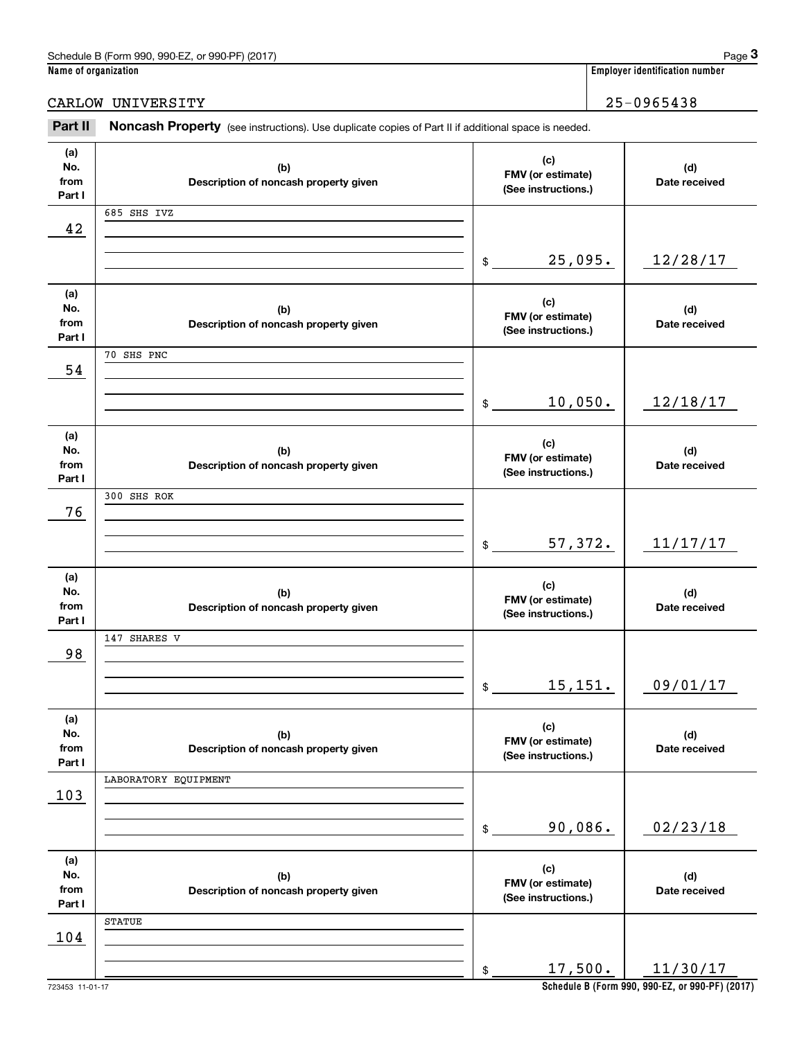|                              | Schedule B (Form 990, 990-EZ, or 990-PF) (2017)                                                     |                                                 | Page 3                         |
|------------------------------|-----------------------------------------------------------------------------------------------------|-------------------------------------------------|--------------------------------|
| Name of organization         |                                                                                                     |                                                 | Employer identification number |
|                              | CARLOW UNIVERSITY                                                                                   |                                                 | 25-0965438                     |
| Part II                      | Noncash Property (see instructions). Use duplicate copies of Part II if additional space is needed. |                                                 |                                |
| (a)<br>No.<br>from<br>Part I | (b)<br>Description of noncash property given                                                        | (c)<br>FMV (or estimate)<br>(See instructions.) | (d)<br>Date received           |
| 42                           | 685 SHS IVZ                                                                                         |                                                 |                                |
|                              |                                                                                                     | 25,095.<br>\$                                   | 12/28/17                       |
| (a)<br>No.<br>from<br>Part I | (b)<br>Description of noncash property given                                                        | (c)<br>FMV (or estimate)<br>(See instructions.) | (d)<br>Date received           |
| 54                           | 70 SHS PNC                                                                                          |                                                 |                                |
|                              |                                                                                                     | 10,050.<br>\$                                   | 12/18/17                       |
| (a)<br>No.<br>from<br>Part I | (b)<br>Description of noncash property given                                                        | (c)<br>FMV (or estimate)<br>(See instructions.) | (d)<br>Date received           |
| 76                           | 300 SHS ROK                                                                                         |                                                 |                                |
|                              |                                                                                                     | 57,372.<br>\$                                   | 11/17/17                       |
| (a)<br>No.<br>from<br>Part I | (b)<br>Description of noncash property given                                                        | (c)<br>FMV (or estimate)<br>(See instructions.) | (d)<br>Date received           |
| 98                           | 147 SHARES V                                                                                        |                                                 |                                |
|                              |                                                                                                     | 15, 151.<br>\$                                  | 09/01/17                       |
| (a)<br>No.<br>from<br>Part I | (b)<br>Description of noncash property given                                                        | (c)<br>FMV (or estimate)<br>(See instructions.) | (d)<br>Date received           |
| 103                          | LABORATORY EQUIPMENT                                                                                |                                                 |                                |
|                              |                                                                                                     | 90,086.<br>\$                                   | 02/23/18                       |
| (a)<br>No.<br>from<br>Part I | (b)<br>Description of noncash property given                                                        | (c)<br>FMV (or estimate)<br>(See instructions.) | (d)<br>Date received           |
| 104                          | <b>STATUE</b>                                                                                       |                                                 |                                |
|                              |                                                                                                     | <u>17,500.</u><br>\$                            | 11/30/17                       |

723453 11-01-17

**Schedule B (Form 990, 990-EZ, or 990-PF) (2017)**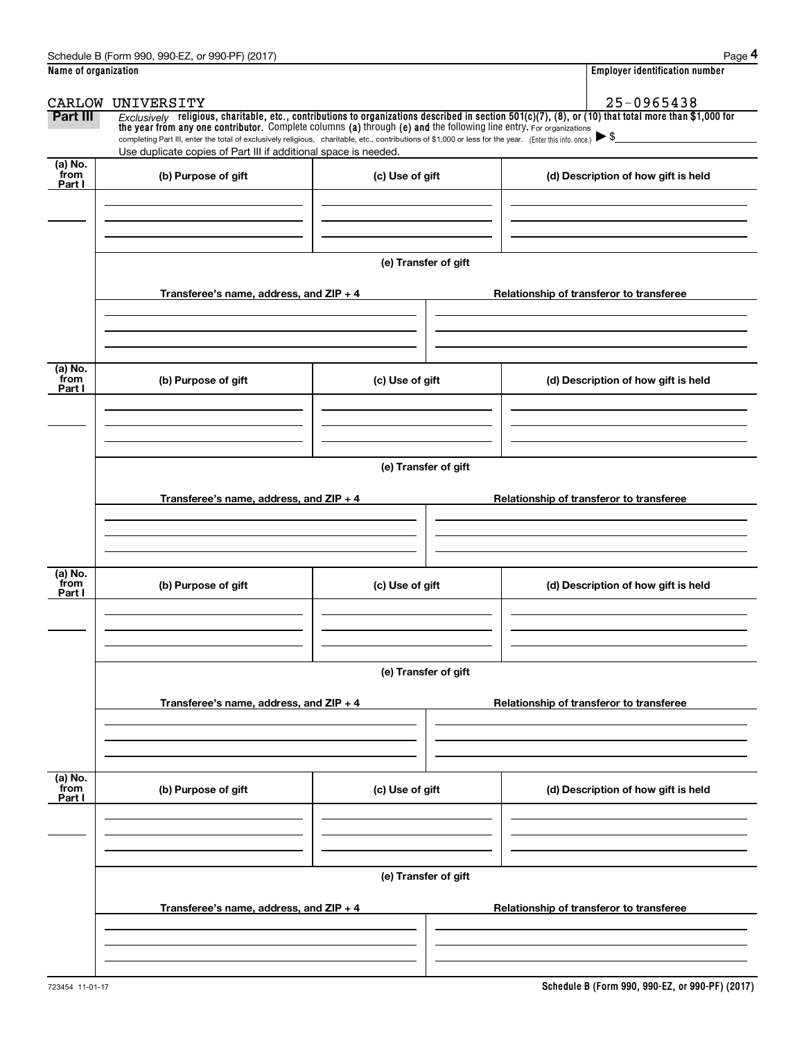|                      | Schedule B (Form 990, 990-EZ, or 990-PF) (2017)                                                                                                                                                                             |                      | Page 4                                                                                                                                                   |  |  |
|----------------------|-----------------------------------------------------------------------------------------------------------------------------------------------------------------------------------------------------------------------------|----------------------|----------------------------------------------------------------------------------------------------------------------------------------------------------|--|--|
| Name of organization |                                                                                                                                                                                                                             |                      | <b>Employer identification number</b>                                                                                                                    |  |  |
|                      | CARLOW UNIVERSITY                                                                                                                                                                                                           |                      | 25-0965438                                                                                                                                               |  |  |
| Part III             | the year from any one contributor. Complete columns (a) through (e) and the following line entry. For organizations                                                                                                         |                      | Exclusively religious, charitable, etc., contributions to organizations described in section $501(c)(7)$ , (8), or (10) that total more than \$1,000 for |  |  |
|                      | completing Part III, enter the total of exclusively religious, charitable, etc., contributions of \$1,000 or less for the year. (Enter this info. once.)<br>Use duplicate copies of Part III if additional space is needed. |                      |                                                                                                                                                          |  |  |
| (a) No.<br>from      | (b) Purpose of gift                                                                                                                                                                                                         |                      |                                                                                                                                                          |  |  |
| Part I               |                                                                                                                                                                                                                             | (c) Use of gift      | (d) Description of how gift is held                                                                                                                      |  |  |
|                      |                                                                                                                                                                                                                             |                      |                                                                                                                                                          |  |  |
|                      |                                                                                                                                                                                                                             |                      |                                                                                                                                                          |  |  |
|                      |                                                                                                                                                                                                                             |                      |                                                                                                                                                          |  |  |
|                      |                                                                                                                                                                                                                             | (e) Transfer of gift |                                                                                                                                                          |  |  |
|                      | Transferee's name, address, and $ZIP + 4$                                                                                                                                                                                   |                      | Relationship of transferor to transferee                                                                                                                 |  |  |
|                      |                                                                                                                                                                                                                             |                      |                                                                                                                                                          |  |  |
|                      |                                                                                                                                                                                                                             |                      |                                                                                                                                                          |  |  |
| (a) No.              |                                                                                                                                                                                                                             |                      |                                                                                                                                                          |  |  |
| from<br>Part I       | (b) Purpose of gift                                                                                                                                                                                                         | (c) Use of gift      | (d) Description of how gift is held                                                                                                                      |  |  |
|                      |                                                                                                                                                                                                                             |                      |                                                                                                                                                          |  |  |
|                      |                                                                                                                                                                                                                             |                      |                                                                                                                                                          |  |  |
|                      |                                                                                                                                                                                                                             |                      |                                                                                                                                                          |  |  |
|                      |                                                                                                                                                                                                                             | (e) Transfer of gift |                                                                                                                                                          |  |  |
|                      | Transferee's name, address, and $ZIP + 4$                                                                                                                                                                                   |                      | Relationship of transferor to transferee                                                                                                                 |  |  |
|                      |                                                                                                                                                                                                                             |                      |                                                                                                                                                          |  |  |
|                      |                                                                                                                                                                                                                             |                      |                                                                                                                                                          |  |  |
|                      |                                                                                                                                                                                                                             |                      |                                                                                                                                                          |  |  |
| (a) No.<br>from      | (b) Purpose of gift                                                                                                                                                                                                         | (c) Use of gift      | (d) Description of how gift is held                                                                                                                      |  |  |
| Part I               |                                                                                                                                                                                                                             |                      |                                                                                                                                                          |  |  |
|                      |                                                                                                                                                                                                                             |                      |                                                                                                                                                          |  |  |
|                      |                                                                                                                                                                                                                             |                      |                                                                                                                                                          |  |  |
|                      |                                                                                                                                                                                                                             | (e) Transfer of gift |                                                                                                                                                          |  |  |
|                      |                                                                                                                                                                                                                             |                      |                                                                                                                                                          |  |  |
|                      | Transferee's name, address, and ZIP + 4                                                                                                                                                                                     |                      | Relationship of transferor to transferee                                                                                                                 |  |  |
|                      |                                                                                                                                                                                                                             |                      |                                                                                                                                                          |  |  |
|                      |                                                                                                                                                                                                                             |                      |                                                                                                                                                          |  |  |
| (a) No.<br>from      |                                                                                                                                                                                                                             |                      |                                                                                                                                                          |  |  |
| Part I               | (b) Purpose of gift                                                                                                                                                                                                         | (c) Use of gift      | (d) Description of how gift is held                                                                                                                      |  |  |
|                      |                                                                                                                                                                                                                             |                      |                                                                                                                                                          |  |  |
|                      |                                                                                                                                                                                                                             |                      |                                                                                                                                                          |  |  |
|                      |                                                                                                                                                                                                                             |                      |                                                                                                                                                          |  |  |
|                      |                                                                                                                                                                                                                             | (e) Transfer of gift |                                                                                                                                                          |  |  |
|                      | Transferee's name, address, and $ZIP + 4$                                                                                                                                                                                   |                      | Relationship of transferor to transferee                                                                                                                 |  |  |
|                      |                                                                                                                                                                                                                             |                      |                                                                                                                                                          |  |  |
|                      |                                                                                                                                                                                                                             |                      |                                                                                                                                                          |  |  |
|                      |                                                                                                                                                                                                                             |                      |                                                                                                                                                          |  |  |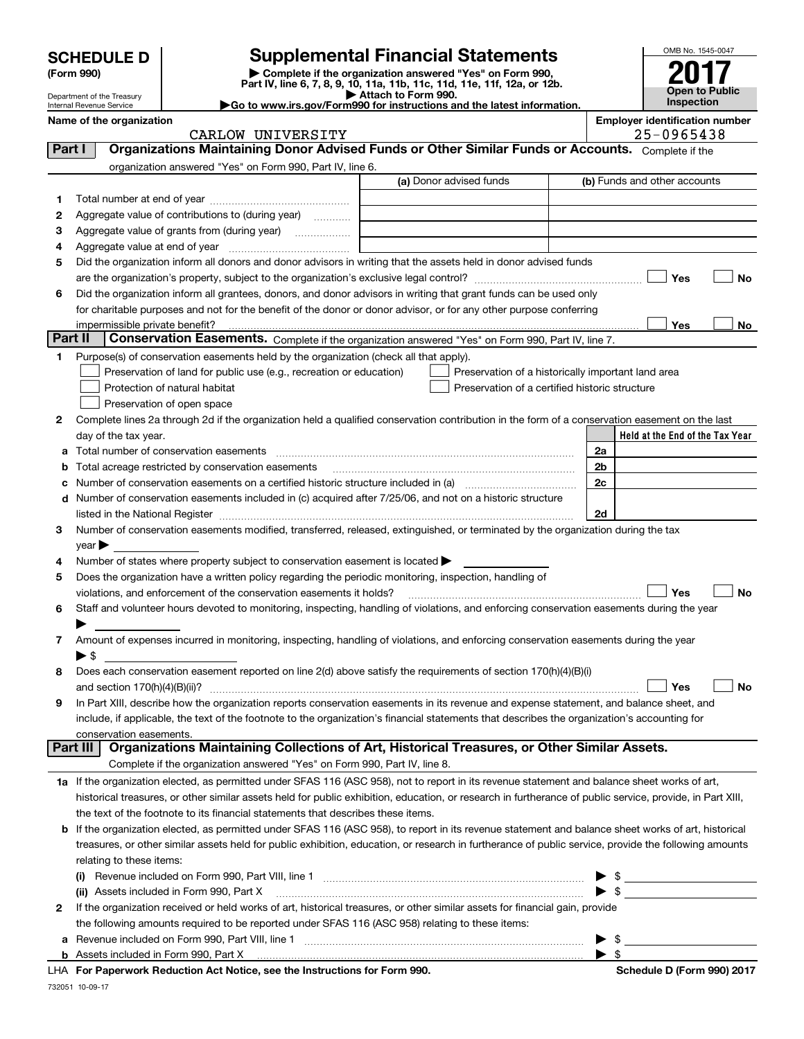| <b>SCHEDULE D</b><br>(Form 990)                        |                                                                                                                                                                                            | <b>Supplemental Financial Statements</b><br>Complete if the organization answered "Yes" on Form 990,                                                                      |                | OMB No. 1545-0047                     |                |
|--------------------------------------------------------|--------------------------------------------------------------------------------------------------------------------------------------------------------------------------------------------|---------------------------------------------------------------------------------------------------------------------------------------------------------------------------|----------------|---------------------------------------|----------------|
| Department of the Treasury<br>Internal Revenue Service |                                                                                                                                                                                            | Part IV, line 6, 7, 8, 9, 10, 11a, 11b, 11c, 11d, 11e, 11f, 12a, or 12b.<br>Attach to Form 990.<br>Go to www.irs.gov/Form990 for instructions and the latest information. |                | Inspection                            | Open to Public |
| Name of the organization                               |                                                                                                                                                                                            |                                                                                                                                                                           |                | <b>Employer identification number</b> |                |
|                                                        | CARLOW UNIVERSITY                                                                                                                                                                          |                                                                                                                                                                           |                | 25-0965438                            |                |
| Part I                                                 | Organizations Maintaining Donor Advised Funds or Other Similar Funds or Accounts. Complete if the                                                                                          |                                                                                                                                                                           |                |                                       |                |
|                                                        | organization answered "Yes" on Form 990, Part IV, line 6.                                                                                                                                  |                                                                                                                                                                           |                |                                       |                |
|                                                        |                                                                                                                                                                                            | (a) Donor advised funds                                                                                                                                                   |                | (b) Funds and other accounts          |                |
| 1                                                      |                                                                                                                                                                                            |                                                                                                                                                                           |                |                                       |                |
| $\mathbf{2}$                                           | Aggregate value of contributions to (during year)                                                                                                                                          |                                                                                                                                                                           |                |                                       |                |
| 3                                                      |                                                                                                                                                                                            |                                                                                                                                                                           |                |                                       |                |
| 4                                                      |                                                                                                                                                                                            |                                                                                                                                                                           |                |                                       |                |
| 5                                                      | Did the organization inform all donors and donor advisors in writing that the assets held in donor advised funds                                                                           |                                                                                                                                                                           |                |                                       |                |
|                                                        |                                                                                                                                                                                            |                                                                                                                                                                           |                | Yes                                   | No             |
| 6                                                      | Did the organization inform all grantees, donors, and donor advisors in writing that grant funds can be used only                                                                          |                                                                                                                                                                           |                |                                       |                |
|                                                        | for charitable purposes and not for the benefit of the donor or donor advisor, or for any other purpose conferring                                                                         |                                                                                                                                                                           |                |                                       |                |
| impermissible private benefit?                         |                                                                                                                                                                                            |                                                                                                                                                                           |                | Yes                                   | <b>No</b>      |
|                                                        |                                                                                                                                                                                            |                                                                                                                                                                           |                |                                       |                |
|                                                        |                                                                                                                                                                                            |                                                                                                                                                                           |                |                                       |                |
| Part II<br>1                                           | Conservation Easements. Complete if the organization answered "Yes" on Form 990, Part IV, line 7.<br>Purpose(s) of conservation easements held by the organization (check all that apply). |                                                                                                                                                                           |                |                                       |                |
|                                                        | Preservation of land for public use (e.g., recreation or education)                                                                                                                        | Preservation of a historically important land area                                                                                                                        |                |                                       |                |
|                                                        | Protection of natural habitat                                                                                                                                                              | Preservation of a certified historic structure                                                                                                                            |                |                                       |                |
|                                                        | Preservation of open space                                                                                                                                                                 |                                                                                                                                                                           |                |                                       |                |
| $\mathbf{2}$                                           | Complete lines 2a through 2d if the organization held a qualified conservation contribution in the form of a conservation easement on the last                                             |                                                                                                                                                                           |                |                                       |                |
|                                                        |                                                                                                                                                                                            |                                                                                                                                                                           |                |                                       |                |
| day of the tax year.<br>a                              |                                                                                                                                                                                            |                                                                                                                                                                           |                | Held at the End of the Tax Year       |                |
|                                                        |                                                                                                                                                                                            |                                                                                                                                                                           | 2a             |                                       |                |
| b                                                      | Total acreage restricted by conservation easements                                                                                                                                         |                                                                                                                                                                           | 2 <sub>b</sub> |                                       |                |
| с                                                      | Number of conservation easements on a certified historic structure included in (a) manufacture included in (a)                                                                             |                                                                                                                                                                           | 2c             |                                       |                |
| d                                                      | Number of conservation easements included in (c) acquired after 7/25/06, and not on a historic structure                                                                                   |                                                                                                                                                                           |                |                                       |                |
|                                                        |                                                                                                                                                                                            |                                                                                                                                                                           | 2d             |                                       |                |
| 3                                                      | Number of conservation easements modified, transferred, released, extinguished, or terminated by the organization during the tax                                                           |                                                                                                                                                                           |                |                                       |                |
| $\mathsf{year}$                                        |                                                                                                                                                                                            |                                                                                                                                                                           |                |                                       |                |
|                                                        | Number of states where property subject to conservation easement is located >                                                                                                              |                                                                                                                                                                           |                |                                       |                |
|                                                        | Does the organization have a written policy regarding the periodic monitoring, inspection, handling of                                                                                     |                                                                                                                                                                           |                |                                       |                |
|                                                        | violations, and enforcement of the conservation easements it holds?                                                                                                                        |                                                                                                                                                                           |                | Yes                                   | <b>No</b>      |
|                                                        | Staff and volunteer hours devoted to monitoring, inspecting, handling of violations, and enforcing conservation easements during the year                                                  |                                                                                                                                                                           |                |                                       |                |
|                                                        |                                                                                                                                                                                            |                                                                                                                                                                           |                |                                       |                |
| 4<br>5<br>6<br>7<br>$\blacktriangleright$ \$           | Amount of expenses incurred in monitoring, inspecting, handling of violations, and enforcing conservation easements during the year                                                        |                                                                                                                                                                           |                |                                       |                |

| 9 In Part XIII, describe how the organization reports conservation easements in its revenue and expense statement, and balance sheet, and    |
|----------------------------------------------------------------------------------------------------------------------------------------------|
| include, if applicable, the text of the footnote to the organization's financial statements that describes the organization's accounting for |
| conservation easements.                                                                                                                      |

## Complete if the organization answered "Yes" on Form 990, Part IV, line 8. **Part III Organizations Maintaining Collections of Art, Historical Treasures, or Other Similar Assets.**

| 1a If the organization elected, as permitted under SFAS 116 (ASC 958), not to report in its revenue statement and balance sheet works of art,             |
|-----------------------------------------------------------------------------------------------------------------------------------------------------------|
| historical treasures, or other similar assets held for public exhibition, education, or research in furtherance of public service, provide, in Part XIII, |
| the text of the footnote to its financial statements that describes these items.                                                                          |

| <b>b</b> If the organization elected, as permitted under SFAS 116 (ASC 958), to report in its revenue statement and balance sheet works of art, historical |
|------------------------------------------------------------------------------------------------------------------------------------------------------------|
| treasures, or other similar assets held for public exhibition, education, or research in furtherance of public service, provide the following amounts      |
| relating to these items:                                                                                                                                   |

|   | LHA For Paperwork Reduction Act Notice, see the Instructions for Form 990.                                                           |  | Schedule D (Form 990) 2017 |  |  |  |
|---|--------------------------------------------------------------------------------------------------------------------------------------|--|----------------------------|--|--|--|
|   |                                                                                                                                      |  |                            |  |  |  |
|   | <b>a</b> Revenue included on Form 990, Part VIII, line 1                                                                             |  |                            |  |  |  |
|   | the following amounts required to be reported under SFAS 116 (ASC 958) relating to these items:                                      |  |                            |  |  |  |
| 2 | If the organization received or held works of art, historical treasures, or other similar assets for financial gain, provide         |  |                            |  |  |  |
|   | (ii) Assets included in Form 990, Part X [11] [12] Assets included in Form 990, Part X [12] [12] Assets included in Form 990, Part X |  |                            |  |  |  |
|   | Revenue included on Form 990, Part VIII, line 1<br>(i)                                                                               |  |                            |  |  |  |

732051 10-09-17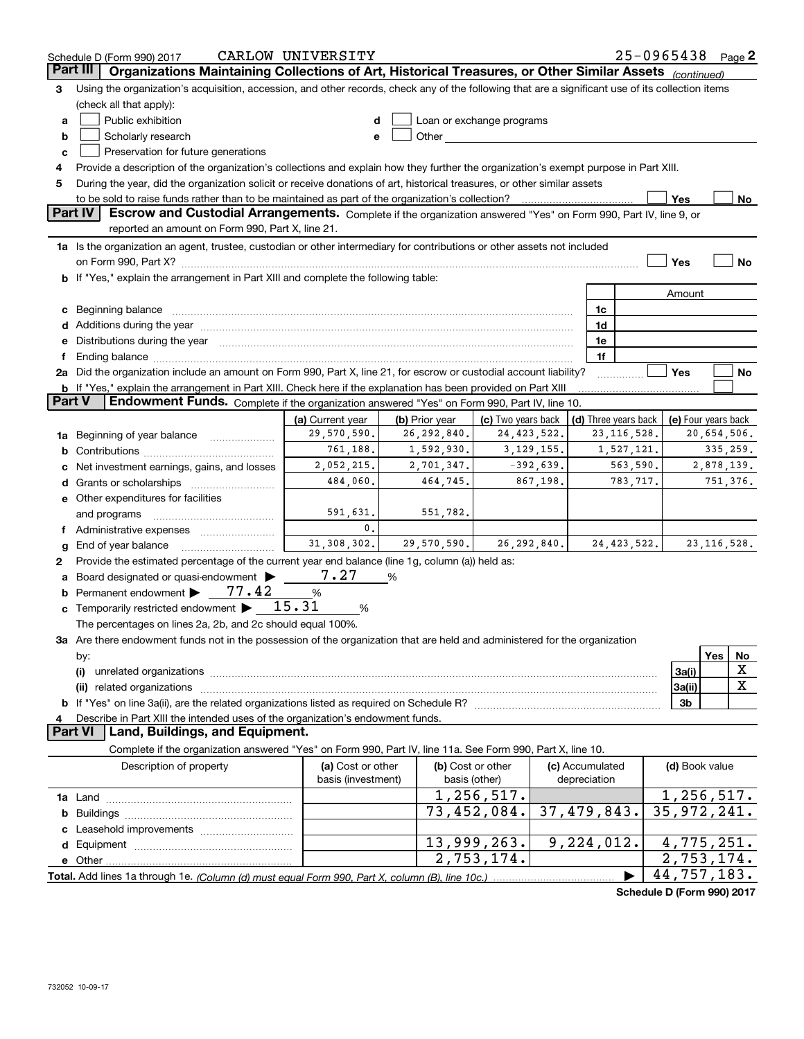|                                          | Schedule D (Form 990) 2017                                                                                                                                                     | CARLOW UNIVERSITY  |                |                           |             |                      |               | 25-0965438                 |     | Page <sub>2</sub> |
|------------------------------------------|--------------------------------------------------------------------------------------------------------------------------------------------------------------------------------|--------------------|----------------|---------------------------|-------------|----------------------|---------------|----------------------------|-----|-------------------|
|                                          | Part III<br>Organizations Maintaining Collections of Art, Historical Treasures, or Other Similar Assets (continued)                                                            |                    |                |                           |             |                      |               |                            |     |                   |
| З                                        | Using the organization's acquisition, accession, and other records, check any of the following that are a significant use of its collection items                              |                    |                |                           |             |                      |               |                            |     |                   |
|                                          | (check all that apply):                                                                                                                                                        |                    |                |                           |             |                      |               |                            |     |                   |
| a                                        | Public exhibition                                                                                                                                                              | d                  |                | Loan or exchange programs |             |                      |               |                            |     |                   |
| b                                        | Scholarly research                                                                                                                                                             | е                  | Other          |                           |             |                      |               |                            |     |                   |
| Preservation for future generations<br>c |                                                                                                                                                                                |                    |                |                           |             |                      |               |                            |     |                   |
| 4                                        | Provide a description of the organization's collections and explain how they further the organization's exempt purpose in Part XIII.                                           |                    |                |                           |             |                      |               |                            |     |                   |
| 5                                        | During the year, did the organization solicit or receive donations of art, historical treasures, or other similar assets                                                       |                    |                |                           |             |                      |               |                            |     |                   |
|                                          | Yes<br>No                                                                                                                                                                      |                    |                |                           |             |                      |               |                            |     |                   |
|                                          | Part IV<br>Escrow and Custodial Arrangements. Complete if the organization answered "Yes" on Form 990, Part IV, line 9, or<br>reported an amount on Form 990, Part X, line 21. |                    |                |                           |             |                      |               |                            |     |                   |
|                                          | 1a Is the organization an agent, trustee, custodian or other intermediary for contributions or other assets not included                                                       |                    |                |                           |             |                      |               |                            |     |                   |
|                                          |                                                                                                                                                                                |                    |                |                           |             |                      |               | Yes                        |     | No                |
|                                          | b If "Yes," explain the arrangement in Part XIII and complete the following table:                                                                                             |                    |                |                           |             |                      |               |                            |     |                   |
|                                          |                                                                                                                                                                                |                    |                |                           |             |                      |               | Amount                     |     |                   |
|                                          | c Beginning balance                                                                                                                                                            |                    |                |                           |             | 1c                   |               |                            |     |                   |
|                                          |                                                                                                                                                                                |                    |                |                           |             | 1d                   |               |                            |     |                   |
| е                                        | Distributions during the year manufactured and an intervention of the year manufactured and the year                                                                           |                    |                |                           |             | 1e                   |               |                            |     |                   |
|                                          | Ending balance <i>www.communicality.communicality.communicality.communicality.communicality.communicality.communicality.com</i>                                                |                    |                |                           |             | 1f                   |               |                            |     |                   |
|                                          | 2a Did the organization include an amount on Form 990, Part X, line 21, for escrow or custodial account liability?                                                             |                    |                |                           |             |                      |               | Yes                        |     | No                |
|                                          | <b>b</b> If "Yes," explain the arrangement in Part XIII. Check here if the explanation has been provided on Part XIII                                                          |                    |                |                           |             |                      |               |                            |     |                   |
| <b>Part V</b>                            | Endowment Funds. Complete if the organization answered "Yes" on Form 990, Part IV, line 10.                                                                                    |                    |                |                           |             |                      |               |                            |     |                   |
|                                          |                                                                                                                                                                                | (a) Current year   | (b) Prior year | (c) Two years back        |             | (d) Three years back |               | (e) Four years back        |     |                   |
|                                          | 1a Beginning of year balance                                                                                                                                                   | 29,570,590.        | 26, 292, 840.  | 24, 423, 522.             |             |                      | 23, 116, 528. |                            |     | 20,654,506.       |
| b                                        |                                                                                                                                                                                | 761,188.           | 1,592,930.     |                           | 3,129,155.  |                      | 1,527,121.    |                            |     | 335,259.          |
|                                          | Net investment earnings, gains, and losses                                                                                                                                     | 2,052,215.         | 2,701,347.     |                           | $-392,639.$ |                      | 563,590.      |                            |     | 2,878,139.        |
| d                                        |                                                                                                                                                                                | 484,060.           | 464,745.       |                           | 867,198.    |                      | 783,717.      |                            |     | 751,376.          |
|                                          | e Other expenditures for facilities                                                                                                                                            |                    |                |                           |             |                      |               |                            |     |                   |
|                                          | and programs                                                                                                                                                                   | 591,631.           | 551,782.       |                           |             |                      |               |                            |     |                   |
| Ť.                                       |                                                                                                                                                                                | 0.                 |                |                           |             |                      |               |                            |     |                   |
|                                          | End of year balance                                                                                                                                                            | 31, 308, 302.      | 29,570,590.    | 26,292,840.               |             |                      | 24, 423, 522. |                            |     | 23, 116, 528.     |
| 2                                        | Provide the estimated percentage of the current year end balance (line 1g, column (a)) held as:                                                                                |                    |                |                           |             |                      |               |                            |     |                   |
| a                                        | Board designated or quasi-endowment                                                                                                                                            | 7.27               | %              |                           |             |                      |               |                            |     |                   |
|                                          | <b>b</b> Permanent endowment $\blacktriangleright$ $\ldots$ 77.42                                                                                                              | $\%$               |                |                           |             |                      |               |                            |     |                   |
|                                          | Temporarily restricted endowment $\blacktriangleright$ 15.31                                                                                                                   | %                  |                |                           |             |                      |               |                            |     |                   |
|                                          | The percentages on lines 2a, 2b, and 2c should equal 100%.                                                                                                                     |                    |                |                           |             |                      |               |                            |     |                   |
|                                          | 3a Are there endowment funds not in the possession of the organization that are held and administered for the organization                                                     |                    |                |                           |             |                      |               |                            |     |                   |
|                                          | by:                                                                                                                                                                            |                    |                |                           |             |                      |               |                            | Yes | No                |
|                                          | (i)                                                                                                                                                                            |                    |                |                           |             |                      |               | 3a(i)                      |     | X<br>$\mathbf X$  |
|                                          | (ii)                                                                                                                                                                           |                    |                |                           |             |                      |               | 3a(ii)                     |     |                   |
|                                          |                                                                                                                                                                                |                    |                |                           |             |                      |               | 3 <sub>b</sub>             |     |                   |
| 4                                        | Describe in Part XIII the intended uses of the organization's endowment funds.<br>Land, Buildings, and Equipment.<br><b>Part VI</b>                                            |                    |                |                           |             |                      |               |                            |     |                   |
|                                          | Complete if the organization answered "Yes" on Form 990, Part IV, line 11a. See Form 990, Part X, line 10.                                                                     |                    |                |                           |             |                      |               |                            |     |                   |
|                                          | Description of property                                                                                                                                                        | (a) Cost or other  |                | (b) Cost or other         |             | (c) Accumulated      |               | (d) Book value             |     |                   |
|                                          |                                                                                                                                                                                | basis (investment) |                | basis (other)             |             | depreciation         |               |                            |     |                   |
|                                          |                                                                                                                                                                                |                    |                | 1, 256, 517.              |             |                      |               | 1, 256, 517.               |     |                   |
|                                          |                                                                                                                                                                                |                    |                | $\overline{73,452,084}$ . |             | 37,479,843.          |               | 35,972,241.                |     |                   |
|                                          |                                                                                                                                                                                |                    |                |                           |             |                      |               |                            |     |                   |
|                                          |                                                                                                                                                                                |                    |                | 13,999,263.               |             | 9,224,012.           |               | 4,775,251.                 |     |                   |
|                                          |                                                                                                                                                                                |                    |                | 2,753,174.                |             |                      |               | $\overline{2,753}, 174.$   |     |                   |
|                                          |                                                                                                                                                                                |                    |                |                           |             |                      |               | 44,757,183.                |     |                   |
|                                          |                                                                                                                                                                                |                    |                |                           |             |                      |               | Cahadule D (Faum 000) 0047 |     |                   |

**Schedule D (Form 990) 2017**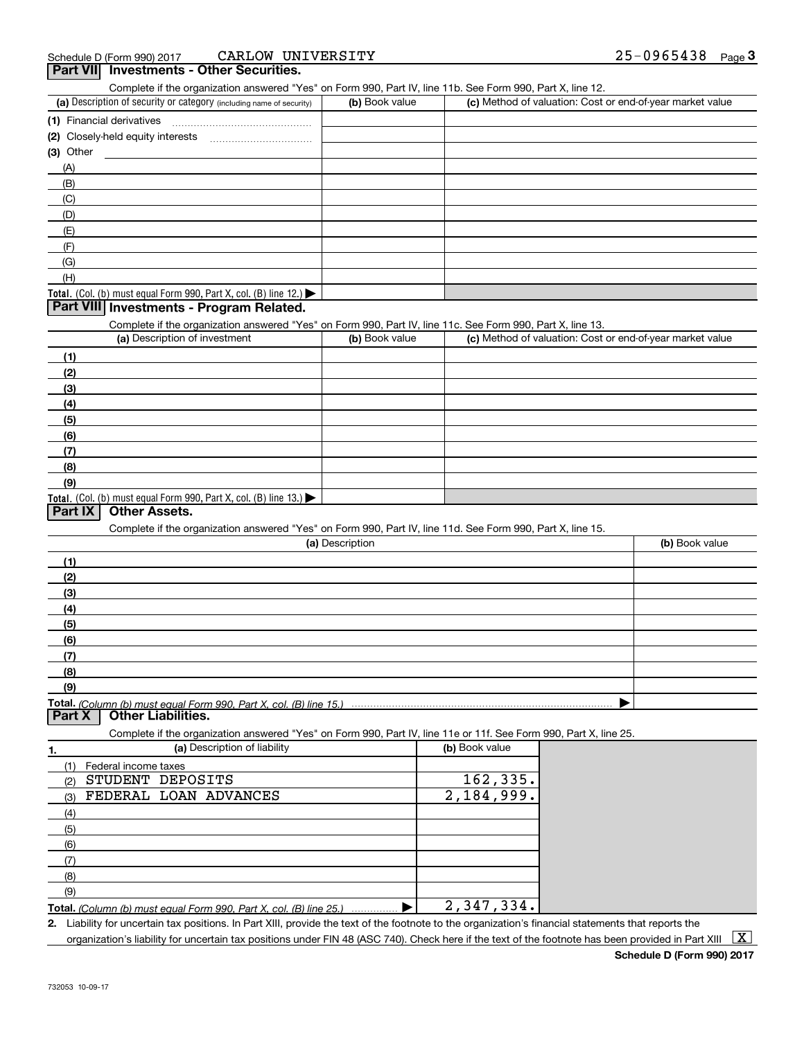|            | CARLOW UNIVERSITY<br>Schedule D (Form 990) 2017                                                                                             |                 |                | 25-0965438                                                | $Page$ <sup>3</sup> |
|------------|---------------------------------------------------------------------------------------------------------------------------------------------|-----------------|----------------|-----------------------------------------------------------|---------------------|
|            | Part VII Investments - Other Securities.                                                                                                    |                 |                |                                                           |                     |
|            | Complete if the organization answered "Yes" on Form 990, Part IV, line 11b. See Form 990, Part X, line 12.                                  |                 |                |                                                           |                     |
|            | (a) Description of security or category (including name of security)                                                                        | (b) Book value  |                | (c) Method of valuation: Cost or end-of-year market value |                     |
|            |                                                                                                                                             |                 |                |                                                           |                     |
|            | (2) Closely-held equity interests                                                                                                           |                 |                |                                                           |                     |
| (3) Other  |                                                                                                                                             |                 |                |                                                           |                     |
| (A)        |                                                                                                                                             |                 |                |                                                           |                     |
| (B)        |                                                                                                                                             |                 |                |                                                           |                     |
| (C)        |                                                                                                                                             |                 |                |                                                           |                     |
| (D)        |                                                                                                                                             |                 |                |                                                           |                     |
| (E)        |                                                                                                                                             |                 |                |                                                           |                     |
| (F)        |                                                                                                                                             |                 |                |                                                           |                     |
| (G)        |                                                                                                                                             |                 |                |                                                           |                     |
| (H)        |                                                                                                                                             |                 |                |                                                           |                     |
|            | Total. (Col. (b) must equal Form 990, Part X, col. (B) line 12.) $\blacktriangleright$<br>Part VIII Investments - Program Related.          |                 |                |                                                           |                     |
|            |                                                                                                                                             |                 |                |                                                           |                     |
|            | Complete if the organization answered "Yes" on Form 990, Part IV, line 11c. See Form 990, Part X, line 13.<br>(a) Description of investment | (b) Book value  |                | (c) Method of valuation: Cost or end-of-year market value |                     |
|            |                                                                                                                                             |                 |                |                                                           |                     |
| (1)        |                                                                                                                                             |                 |                |                                                           |                     |
| (2)        |                                                                                                                                             |                 |                |                                                           |                     |
| (3)        |                                                                                                                                             |                 |                |                                                           |                     |
| (4)        |                                                                                                                                             |                 |                |                                                           |                     |
| (5)        |                                                                                                                                             |                 |                |                                                           |                     |
| (6)<br>(7) |                                                                                                                                             |                 |                |                                                           |                     |
| (8)        |                                                                                                                                             |                 |                |                                                           |                     |
| (9)        |                                                                                                                                             |                 |                |                                                           |                     |
|            | Total. (Col. (b) must equal Form 990, Part X, col. (B) line 13.)                                                                            |                 |                |                                                           |                     |
| Part IX    | <b>Other Assets.</b>                                                                                                                        |                 |                |                                                           |                     |
|            | Complete if the organization answered "Yes" on Form 990, Part IV, line 11d. See Form 990, Part X, line 15.                                  |                 |                |                                                           |                     |
|            |                                                                                                                                             | (a) Description |                | (b) Book value                                            |                     |
| (1)        |                                                                                                                                             |                 |                |                                                           |                     |
| (2)        |                                                                                                                                             |                 |                |                                                           |                     |
| (3)        |                                                                                                                                             |                 |                |                                                           |                     |
| (4)        |                                                                                                                                             |                 |                |                                                           |                     |
| (5)        |                                                                                                                                             |                 |                |                                                           |                     |
| (6)        |                                                                                                                                             |                 |                |                                                           |                     |
| (7)        |                                                                                                                                             |                 |                |                                                           |                     |
| (8)        |                                                                                                                                             |                 |                |                                                           |                     |
| (9)        |                                                                                                                                             |                 |                |                                                           |                     |
|            | Total. (Column (b) must equal Form 990, Part X, col. (B) line 15.)                                                                          |                 |                |                                                           |                     |
| Part X     | <b>Other Liabilities.</b>                                                                                                                   |                 |                |                                                           |                     |
|            | Complete if the organization answered "Yes" on Form 990, Part IV, line 11e or 11f. See Form 990, Part X, line 25.                           |                 |                |                                                           |                     |
| 1.         | (a) Description of liability                                                                                                                |                 | (b) Book value |                                                           |                     |
| (1)        | Federal income taxes                                                                                                                        |                 |                |                                                           |                     |
| (2)        | STUDENT DEPOSITS                                                                                                                            |                 | 162, 335.      |                                                           |                     |
| (3)        | FEDERAL LOAN ADVANCES                                                                                                                       |                 | 2,184,999.     |                                                           |                     |
| (4)        |                                                                                                                                             |                 |                |                                                           |                     |
| (5)        |                                                                                                                                             |                 |                |                                                           |                     |
| (6)        |                                                                                                                                             |                 |                |                                                           |                     |
| (7)        |                                                                                                                                             |                 |                |                                                           |                     |
| (8)        |                                                                                                                                             |                 |                |                                                           |                     |
| (9)        |                                                                                                                                             |                 |                |                                                           |                     |
|            | Total. (Column (b) must equal Form 990, Part X, col. (B) line 25.)                                                                          | ▶               | 2,347,334.     |                                                           |                     |

**2.** Liability for uncertain tax positions. In Part XIII, provide the text of the footnote to the organization's financial statements that reports the organization's liability for uncertain tax positions under FIN 48 (ASC 740). Check here if the text of the footnote has been provided in Part XIII  $~\boxed{\rm X}$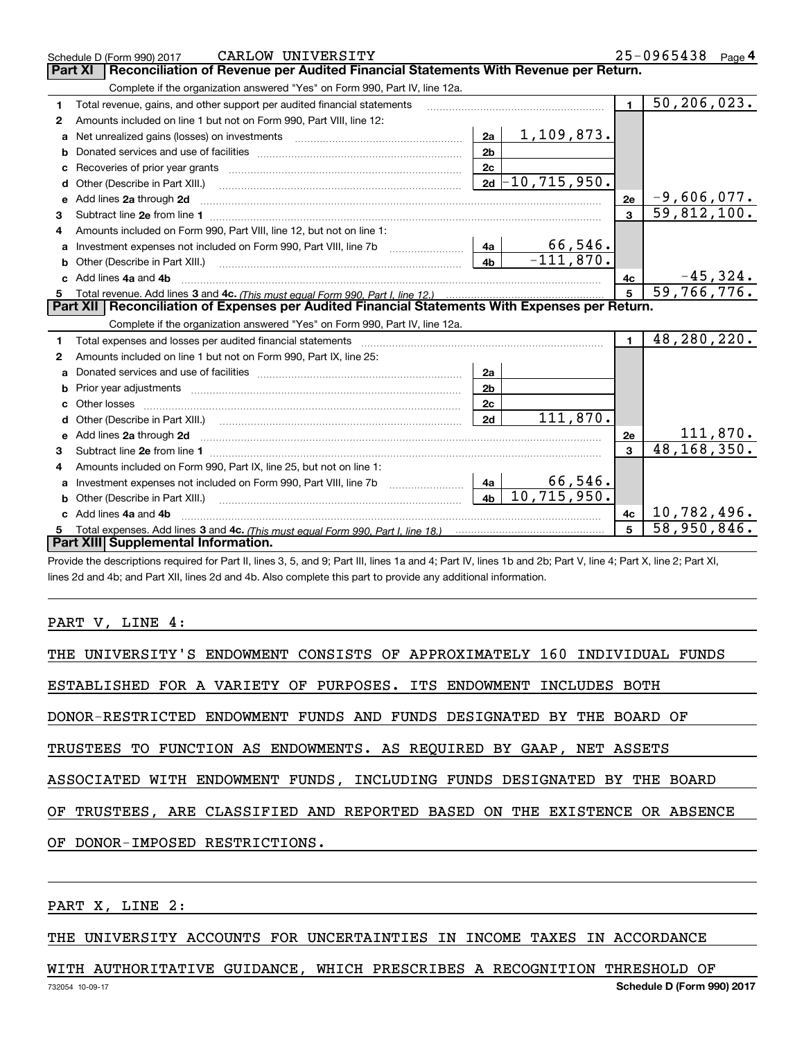|   | CARLOW UNIVERSITY<br>Schedule D (Form 990) 2017                                                                                                                                                                                     |                |                  |                         | 25-0965438 Page 4           |
|---|-------------------------------------------------------------------------------------------------------------------------------------------------------------------------------------------------------------------------------------|----------------|------------------|-------------------------|-----------------------------|
|   | Reconciliation of Revenue per Audited Financial Statements With Revenue per Return.<br><b>Part XI</b>                                                                                                                               |                |                  |                         |                             |
|   | Complete if the organization answered "Yes" on Form 990, Part IV, line 12a.                                                                                                                                                         |                |                  |                         |                             |
| 1 | Total revenue, gains, and other support per audited financial statements                                                                                                                                                            |                |                  | $\blacksquare$          | $\overline{50}$ , 206, 023. |
| 2 | Amounts included on line 1 but not on Form 990, Part VIII, line 12:                                                                                                                                                                 |                |                  |                         |                             |
| a |                                                                                                                                                                                                                                     | 2a             | 1,109,873.       |                         |                             |
| b |                                                                                                                                                                                                                                     | 2 <sub>b</sub> |                  |                         |                             |
| c |                                                                                                                                                                                                                                     | 2c             |                  |                         |                             |
| d | Other (Describe in Part XIII.)                                                                                                                                                                                                      | 2d             | $-10, 715, 950.$ |                         |                             |
| е | Add lines 2a through 2d                                                                                                                                                                                                             |                |                  | 2e                      | $-9,606,077.$               |
| 3 |                                                                                                                                                                                                                                     |                |                  | $\overline{\mathbf{3}}$ | 59,812,100.                 |
|   | Amounts included on Form 990, Part VIII, line 12, but not on line 1:                                                                                                                                                                |                |                  |                         |                             |
| a |                                                                                                                                                                                                                                     | 4a             | 66,546.          |                         |                             |
| b | Other (Describe in Part XIII.)                                                                                                                                                                                                      | 4 <sub>b</sub> | $-111,870.$      |                         |                             |
|   | Add lines 4a and 4b                                                                                                                                                                                                                 |                |                  | 4c                      | $-45,324.$                  |
| 5 |                                                                                                                                                                                                                                     |                |                  |                         | 59,766,776.                 |
|   | Part XII   Reconciliation of Expenses per Audited Financial Statements With Expenses per Return.                                                                                                                                    |                |                  |                         |                             |
|   | Complete if the organization answered "Yes" on Form 990, Part IV, line 12a.                                                                                                                                                         |                |                  |                         |                             |
| 1 |                                                                                                                                                                                                                                     |                |                  | $\blacksquare$          | 48,280,220.                 |
| 2 | Amounts included on line 1 but not on Form 990, Part IX, line 25:                                                                                                                                                                   |                |                  |                         |                             |
| a |                                                                                                                                                                                                                                     | 2a             |                  |                         |                             |
| b |                                                                                                                                                                                                                                     | 2 <sub>b</sub> |                  |                         |                             |
|   |                                                                                                                                                                                                                                     | 2c             |                  |                         |                             |
|   |                                                                                                                                                                                                                                     | 2d             | 111,870.         |                         |                             |
| e | Add lines 2a through 2d <b>contained a contained a contained a contained a</b> contained a contained a contained a contained a contained a contained a contained a contained a contained a contained a contained a contained a cont |                |                  | 2e                      | 111,870.                    |
| 3 |                                                                                                                                                                                                                                     |                |                  | $\overline{\mathbf{3}}$ | 48, 168, 350.               |
| 4 | Amounts included on Form 990, Part IX, line 25, but not on line 1:                                                                                                                                                                  |                |                  |                         |                             |
| a |                                                                                                                                                                                                                                     | 4a             | 66,546.          |                         |                             |
| b |                                                                                                                                                                                                                                     | 4 <sub>b</sub> | 10, 715, 950.    |                         |                             |
|   | Add lines 4a and 4b                                                                                                                                                                                                                 |                |                  | 4c                      | 10,782,496.                 |
|   |                                                                                                                                                                                                                                     |                |                  |                         | 58, 950, 846.               |
|   | Part XIII Supplemental Information.                                                                                                                                                                                                 |                |                  |                         |                             |

Provide the descriptions required for Part II, lines 3, 5, and 9; Part III, lines 1a and 4; Part IV, lines 1b and 2b; Part V, line 4; Part X, line 2; Part XI, lines 2d and 4b; and Part XII, lines 2d and 4b. Also complete this part to provide any additional information.

PART V, LINE 4:

| THE UNIVERSITY'S ENDOWMENT CONSISTS OF APPROXIMATELY 160 INDIVIDUAL FUNDS  |
|----------------------------------------------------------------------------|
| ESTABLISHED FOR A VARIETY OF PURPOSES. ITS ENDOWMENT INCLUDES BOTH         |
| DONOR-RESTRICTED ENDOWMENT FUNDS AND FUNDS DESIGNATED BY THE BOARD OF      |
| TRUSTEES TO FUNCTION AS ENDOWMENTS. AS REOUIRED BY GAAP, NET ASSETS        |
| ASSOCIATED WITH ENDOWMENT FUNDS, INCLUDING FUNDS DESIGNATED BY THE BOARD   |
| OF TRUSTEES, ARE CLASSIFIED AND REPORTED BASED ON THE EXISTENCE OR ABSENCE |
| OF DONOR-IMPOSED RESTRICTIONS.                                             |
|                                                                            |

PART X, LINE 2:

THE UNIVERSITY ACCOUNTS FOR UNCERTAINTIES IN INCOME TAXES IN ACCORDANCE

### WITH AUTHORITATIVE GUIDANCE, WHICH PRESCRIBES A RECOGNITION THRESHOLD OF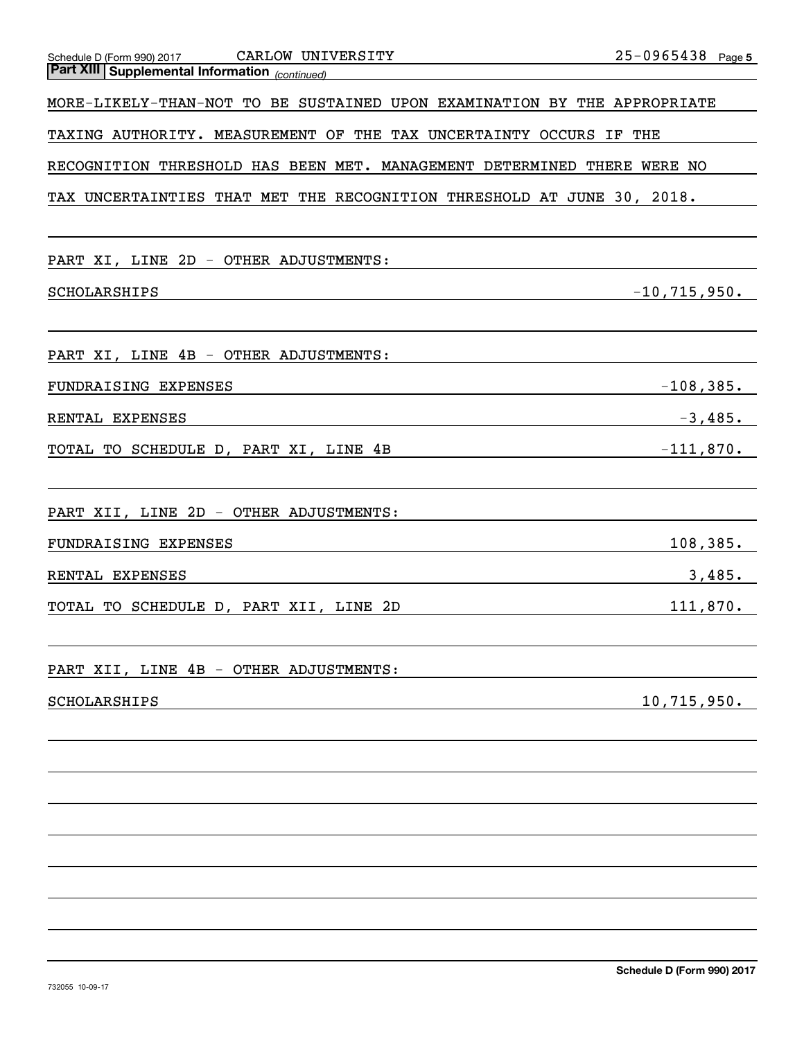| Schedule D (Form 990) 2017 CARLOW UNIVERSITY<br><b>Part XIII   Supplemental Information</b> (continued) | $25 - 0965438$ Page 5 |
|---------------------------------------------------------------------------------------------------------|-----------------------|
|                                                                                                         |                       |
| MORE-LIKELY-THAN-NOT TO BE SUSTAINED UPON EXAMINATION BY THE APPROPRIATE                                |                       |
| TAXING AUTHORITY. MEASUREMENT OF THE TAX UNCERTAINTY OCCURS IF THE                                      |                       |
| RECOGNITION THRESHOLD HAS BEEN MET. MANAGEMENT DETERMINED THERE WERE NO                                 |                       |
| TAX UNCERTAINTIES THAT MET THE RECOGNITION THRESHOLD AT JUNE 30, 2018.                                  |                       |
|                                                                                                         |                       |
| PART XI, LINE 2D - OTHER ADJUSTMENTS:                                                                   |                       |
| SCHOLARSHIPS                                                                                            | $-10, 715, 950.$      |
|                                                                                                         |                       |
| PART XI, LINE 4B - OTHER ADJUSTMENTS:                                                                   |                       |
| FUNDRAISING EXPENSES                                                                                    | $-108,385.$           |
| RENTAL EXPENSES                                                                                         | $-3,485.$             |
| TOTAL TO SCHEDULE D, PART XI, LINE 4B                                                                   | $-111,870.$           |
|                                                                                                         |                       |
| PART XII, LINE 2D - OTHER ADJUSTMENTS:                                                                  |                       |
| FUNDRAISING EXPENSES                                                                                    | 108,385.              |
| RENTAL EXPENSES                                                                                         | 3,485.                |
| TOTAL TO SCHEDULE D, PART XII, LINE 2D                                                                  | 111,870.              |
|                                                                                                         |                       |
| PART XII, LINE 4B - OTHER ADJUSTMENTS:                                                                  |                       |
| SCHOLARSHIPS                                                                                            | 10, 715, 950.         |
|                                                                                                         |                       |
|                                                                                                         |                       |
|                                                                                                         |                       |
|                                                                                                         |                       |
|                                                                                                         |                       |
|                                                                                                         |                       |
|                                                                                                         |                       |
|                                                                                                         |                       |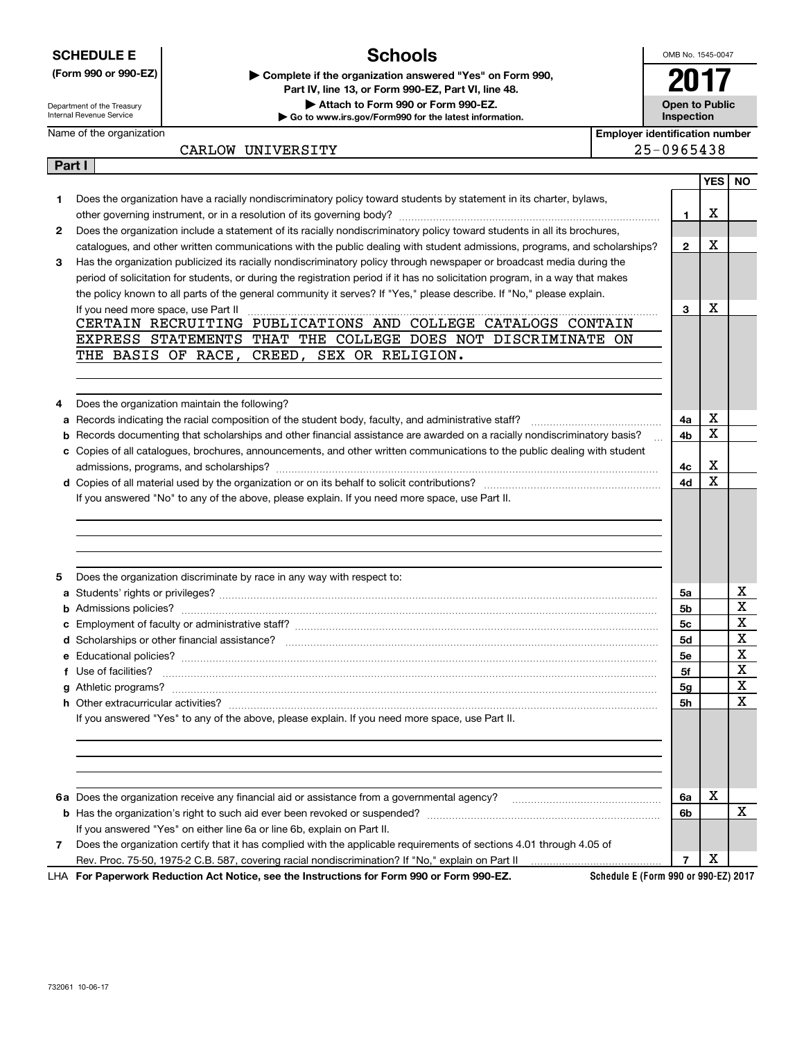**SCHEDULE E**

Department of the Treasury Internal Revenue Service

**Part I**

**(Form 990 or 990-EZ) | Complete if the organization answered "Yes" on Form 990,** 

## **Schools**

OMB No. 1545-0047 **2017**

**Open to Public**

**Part IV, line 13, or Form 990-EZ, Part VI, line 48. | Attach to Form 990 or Form 990-EZ.**

**| Go to www.irs.gov/Form990 for the latest information.**

**InspectionEmployer identification number**

Name of the organization

| CARLOW UNIVERSITY | 25-0965438 |  |  |  |
|-------------------|------------|--|--|--|
|-------------------|------------|--|--|--|

| 25-0965438 |  |  |  |  |  |
|------------|--|--|--|--|--|
|            |  |  |  |  |  |

|   |                                                                                                                               |                | <b>YES</b> | <b>NO</b>   |
|---|-------------------------------------------------------------------------------------------------------------------------------|----------------|------------|-------------|
| 1 | Does the organization have a racially nondiscriminatory policy toward students by statement in its charter, bylaws,           |                |            |             |
|   |                                                                                                                               | 1              | x          |             |
| 2 | Does the organization include a statement of its racially nondiscriminatory policy toward students in all its brochures,      |                |            |             |
|   | catalogues, and other written communications with the public dealing with student admissions, programs, and scholarships?     | $\mathbf{2}$   | x          |             |
| 3 | Has the organization publicized its racially nondiscriminatory policy through newspaper or broadcast media during the         |                |            |             |
|   | period of solicitation for students, or during the registration period if it has no solicitation program, in a way that makes |                |            |             |
|   | the policy known to all parts of the general community it serves? If "Yes," please describe. If "No," please explain.         |                |            |             |
|   | If you need more space, use Part II                                                                                           | 3              | x          |             |
|   | CERTAIN RECRUITING PUBLICATIONS AND COLLEGE CATALOGS CONTAIN                                                                  |                |            |             |
|   | EXPRESS STATEMENTS THAT THE COLLEGE DOES NOT DISCRIMINATE ON                                                                  |                |            |             |
|   | THE BASIS OF RACE,<br>CREED, SEX OR RELIGION.                                                                                 |                |            |             |
|   |                                                                                                                               |                |            |             |
| 4 | Does the organization maintain the following?                                                                                 |                |            |             |
| а | Records indicating the racial composition of the student body, faculty, and administrative staff?                             | 4a             | х          |             |
| b | Records documenting that scholarships and other financial assistance are awarded on a racially nondiscriminatory basis?       | 4b             | X          |             |
|   | c Copies of all catalogues, brochures, announcements, and other written communications to the public dealing with student     |                |            |             |
|   |                                                                                                                               | 4с             | х          |             |
|   |                                                                                                                               | 4d             | X          |             |
|   |                                                                                                                               |                |            |             |
|   | If you answered "No" to any of the above, please explain. If you need more space, use Part II.                                |                |            |             |
| 5 | Does the organization discriminate by race in any way with respect to:                                                        |                |            |             |
|   |                                                                                                                               | 5a             |            | х           |
| b |                                                                                                                               | 5b             |            | $\mathbf X$ |
|   |                                                                                                                               | 5с             |            | X           |
|   |                                                                                                                               | 5d             |            | $\mathbf X$ |
|   |                                                                                                                               | 5e             |            | X           |
|   | f Use of facilities?                                                                                                          | 5f             |            | $\mathbf X$ |
|   |                                                                                                                               | 5 <sub>g</sub> |            | $\mathbf X$ |
|   |                                                                                                                               | <b>5h</b>      |            | X           |
|   | If you answered "Yes" to any of the above, please explain. If you need more space, use Part II.                               |                |            |             |
|   |                                                                                                                               |                |            |             |
|   |                                                                                                                               |                |            |             |
|   | 6a Does the organization receive any financial aid or assistance from a governmental agency?                                  | 6a             | х          |             |
|   |                                                                                                                               | 6b             |            | X           |
|   | If you answered "Yes" on either line 6a or line 6b, explain on Part II.                                                       |                |            |             |
| 7 | Does the organization certify that it has complied with the applicable requirements of sections 4.01 through 4.05 of          | $\overline{7}$ | х          |             |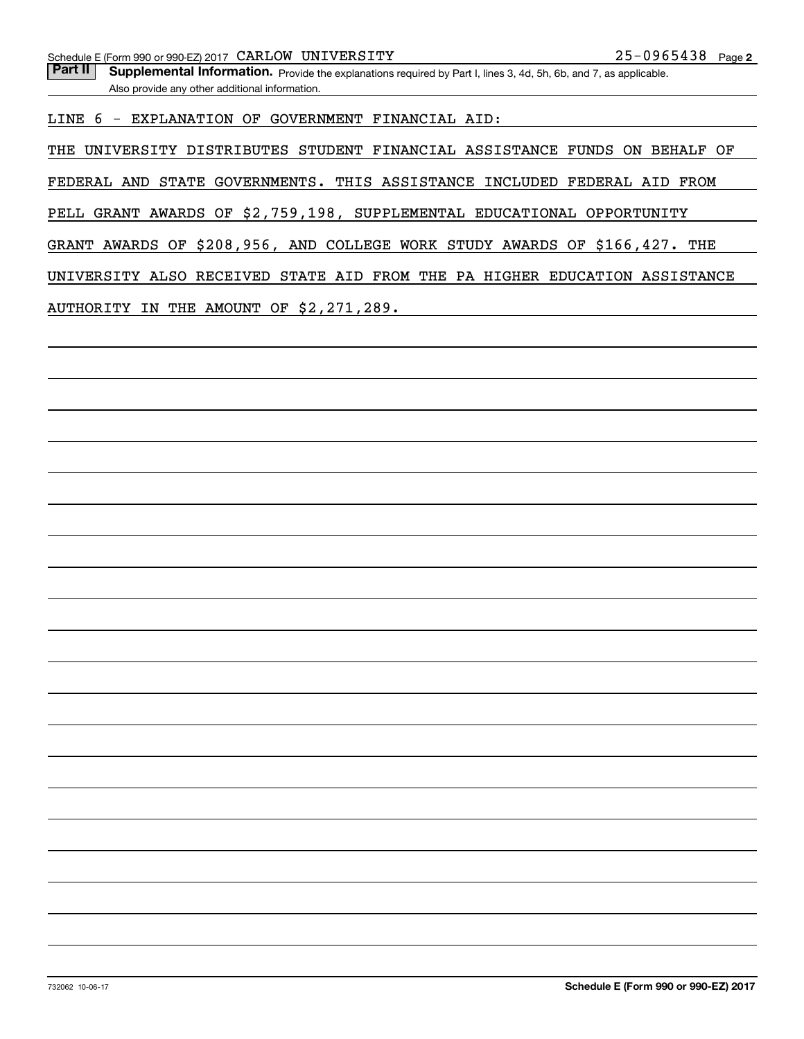LINE 6 - EXPLANATION OF GOVERNMENT FINANCIAL AID:

THE UNIVERSITY DISTRIBUTES STUDENT FINANCIAL ASSISTANCE FUNDS ON BEHALF OF

FEDERAL AND STATE GOVERNMENTS. THIS ASSISTANCE INCLUDED FEDERAL AID FROM

PELL GRANT AWARDS OF \$2,759,198, SUPPLEMENTAL EDUCATIONAL OPPORTUNITY

GRANT AWARDS OF \$208,956, AND COLLEGE WORK STUDY AWARDS OF \$166,427. THE

UNIVERSITY ALSO RECEIVED STATE AID FROM THE PA HIGHER EDUCATION ASSISTANCE

AUTHORITY IN THE AMOUNT OF \$2,271,289.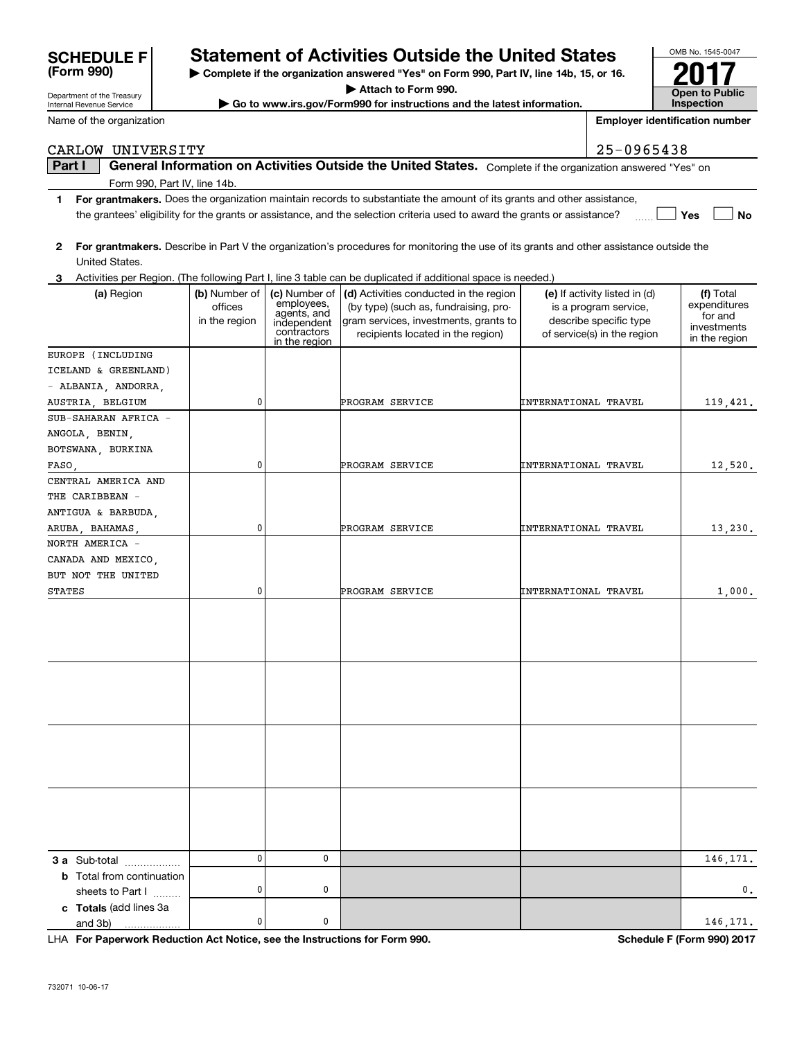## **SCHEDULE F Statement of Activities Outside the United States**

**| Complete if the organization answered "Yes" on Form 990, Part IV, line 14b, 15, or 16.**

**| Attach to Form 990.**

**| Go to www.irs.gov/Form990 for instructions and the latest information.**

| 2                                                            |                                           |                                                                                           | For grantmakers. Describe in Part V the organization's procedures for monitoring the use of its grants and other assistance outside the                       |                                                                                                                 |                                                                      |
|--------------------------------------------------------------|-------------------------------------------|-------------------------------------------------------------------------------------------|---------------------------------------------------------------------------------------------------------------------------------------------------------------|-----------------------------------------------------------------------------------------------------------------|----------------------------------------------------------------------|
| United States.                                               |                                           |                                                                                           |                                                                                                                                                               |                                                                                                                 |                                                                      |
|                                                              |                                           |                                                                                           | 3 Activities per Region. (The following Part I, line 3 table can be duplicated if additional space is needed.)                                                |                                                                                                                 |                                                                      |
| (a) Region                                                   | (b) Number of<br>offices<br>in the region | (c) Number of<br>employees,<br>agents, and<br>independent<br>contractors<br>in the region | (d) Activities conducted in the region<br>(by type) (such as, fundraising, pro-<br>gram services, investments, grants to<br>recipients located in the region) | (e) If activity listed in (d)<br>is a program service,<br>describe specific type<br>of service(s) in the region | (f) Total<br>expenditures<br>for and<br>investments<br>in the region |
| EUROPE (INCLUDING                                            |                                           |                                                                                           |                                                                                                                                                               |                                                                                                                 |                                                                      |
| ICELAND & GREENLAND)                                         |                                           |                                                                                           |                                                                                                                                                               |                                                                                                                 |                                                                      |
| - ALBANIA, ANDORRA,                                          |                                           |                                                                                           |                                                                                                                                                               |                                                                                                                 |                                                                      |
| AUSTRIA, BELGIUM                                             | 0                                         |                                                                                           | PROGRAM SERVICE                                                                                                                                               | INTERNATIONAL TRAVEL                                                                                            | 119,421.                                                             |
| SUB-SAHARAN AFRICA -                                         |                                           |                                                                                           |                                                                                                                                                               |                                                                                                                 |                                                                      |
| ANGOLA, BENIN,                                               |                                           |                                                                                           |                                                                                                                                                               |                                                                                                                 |                                                                      |
| BOTSWANA, BURKINA                                            |                                           |                                                                                           |                                                                                                                                                               |                                                                                                                 |                                                                      |
| FASO,                                                        | 0                                         |                                                                                           | PROGRAM SERVICE                                                                                                                                               | INTERNATIONAL TRAVEL                                                                                            | 12,520.                                                              |
| CENTRAL AMERICA AND<br>THE CARIBBEAN -<br>ANTIGUA & BARBUDA, |                                           |                                                                                           |                                                                                                                                                               |                                                                                                                 |                                                                      |
| ARUBA, BAHAMAS,                                              | 0                                         |                                                                                           | PROGRAM SERVICE                                                                                                                                               | <b>INTERNATIONAL TRAVEL</b>                                                                                     | 13,230.                                                              |
| NORTH AMERICA -                                              |                                           |                                                                                           |                                                                                                                                                               |                                                                                                                 |                                                                      |
| CANADA AND MEXICO,                                           |                                           |                                                                                           |                                                                                                                                                               |                                                                                                                 |                                                                      |
| BUT NOT THE UNITED                                           |                                           |                                                                                           |                                                                                                                                                               |                                                                                                                 |                                                                      |
| STATES                                                       | 0                                         |                                                                                           | PROGRAM SERVICE                                                                                                                                               | INTERNATIONAL TRAVEL                                                                                            | 1,000.                                                               |
|                                                              |                                           |                                                                                           |                                                                                                                                                               |                                                                                                                 |                                                                      |
| 3 a Sub-total                                                | 0                                         | 0                                                                                         |                                                                                                                                                               |                                                                                                                 | 146,171.                                                             |
| <b>b</b> Total from continuation<br>sheets to Part I         | 0                                         | 0                                                                                         |                                                                                                                                                               |                                                                                                                 | $\mathbf{0}$ .                                                       |
| c Totals (add lines 3a<br>and 3b)                            | 0                                         | 0                                                                                         |                                                                                                                                                               |                                                                                                                 | 146,171.                                                             |

Name of the organization

Form 990, Part IV, line 14b.

Department of the Treasury Internal Revenue Service

**(Form 990)**

**2**

**Part I**  $\parallel$  General Information on Activities Outside the United States. Complete if the organization answered "Yes" on

CARLOW UNIVERSITY 25-0965438

**1For grantmakers.**  Does the organization maintain records to substantiate the amount of its grants and other assistance,

the grantees' eligibility for the grants or assistance, and the selection criteria used to award the grants or assistance?



**Employer identification number**

**Yes**

**No**

LHA For Paperwork Reduction Act Notice, see the Instructions for Form 990. Schedule F (Form 990) 2017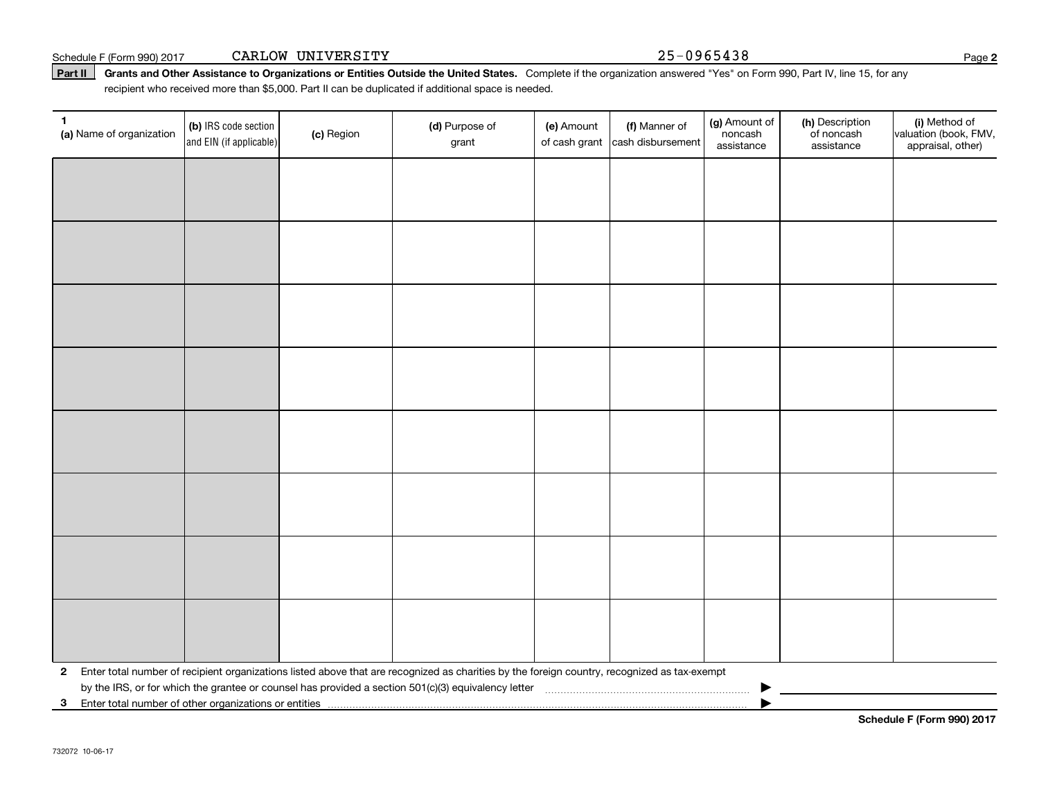Schedule F (Form 990) 2017 **CARLOW UNIVERSITY 25-0965438** Page

Part II | Grants and Other Assistance to Organizations or Entities Outside the United States. Complete if the organization answered "Yes" on Form 990, Part IV, line 15, for any recipient who received more than \$5,000. Part II can be duplicated if additional space is needed.

| 1<br>(a) Name of organization | (b) IRS code section<br>and EIN (if applicable)         | (c) Region | (d) Purpose of<br>grant                                                                                                                      | (e) Amount<br>of cash grant | (f) Manner of<br>cash disbursement | (g) Amount of<br>noncash<br>assistance | (h) Description<br>of noncash<br>assistance | (i) Method of<br>valuation (book, FMV,<br>appraisal, other) |  |  |
|-------------------------------|---------------------------------------------------------|------------|----------------------------------------------------------------------------------------------------------------------------------------------|-----------------------------|------------------------------------|----------------------------------------|---------------------------------------------|-------------------------------------------------------------|--|--|
|                               |                                                         |            |                                                                                                                                              |                             |                                    |                                        |                                             |                                                             |  |  |
|                               |                                                         |            |                                                                                                                                              |                             |                                    |                                        |                                             |                                                             |  |  |
|                               |                                                         |            |                                                                                                                                              |                             |                                    |                                        |                                             |                                                             |  |  |
|                               |                                                         |            |                                                                                                                                              |                             |                                    |                                        |                                             |                                                             |  |  |
|                               |                                                         |            |                                                                                                                                              |                             |                                    |                                        |                                             |                                                             |  |  |
|                               |                                                         |            |                                                                                                                                              |                             |                                    |                                        |                                             |                                                             |  |  |
|                               |                                                         |            |                                                                                                                                              |                             |                                    |                                        |                                             |                                                             |  |  |
|                               |                                                         |            |                                                                                                                                              |                             |                                    |                                        |                                             |                                                             |  |  |
|                               |                                                         |            |                                                                                                                                              |                             |                                    |                                        |                                             |                                                             |  |  |
|                               |                                                         |            |                                                                                                                                              |                             |                                    |                                        |                                             |                                                             |  |  |
|                               |                                                         |            |                                                                                                                                              |                             |                                    |                                        |                                             |                                                             |  |  |
|                               |                                                         |            |                                                                                                                                              |                             |                                    |                                        |                                             |                                                             |  |  |
|                               |                                                         |            |                                                                                                                                              |                             |                                    |                                        |                                             |                                                             |  |  |
|                               |                                                         |            |                                                                                                                                              |                             |                                    |                                        |                                             |                                                             |  |  |
|                               |                                                         |            |                                                                                                                                              |                             |                                    |                                        |                                             |                                                             |  |  |
|                               |                                                         |            |                                                                                                                                              |                             |                                    |                                        |                                             |                                                             |  |  |
| $\mathbf{2}$                  |                                                         |            | Enter total number of recipient organizations listed above that are recognized as charities by the foreign country, recognized as tax-exempt |                             |                                    |                                        |                                             |                                                             |  |  |
|                               | 3 Enter total number of other organizations or entities |            |                                                                                                                                              |                             |                                    |                                        |                                             |                                                             |  |  |

**Schedule F (Form 990) 2017**

**2**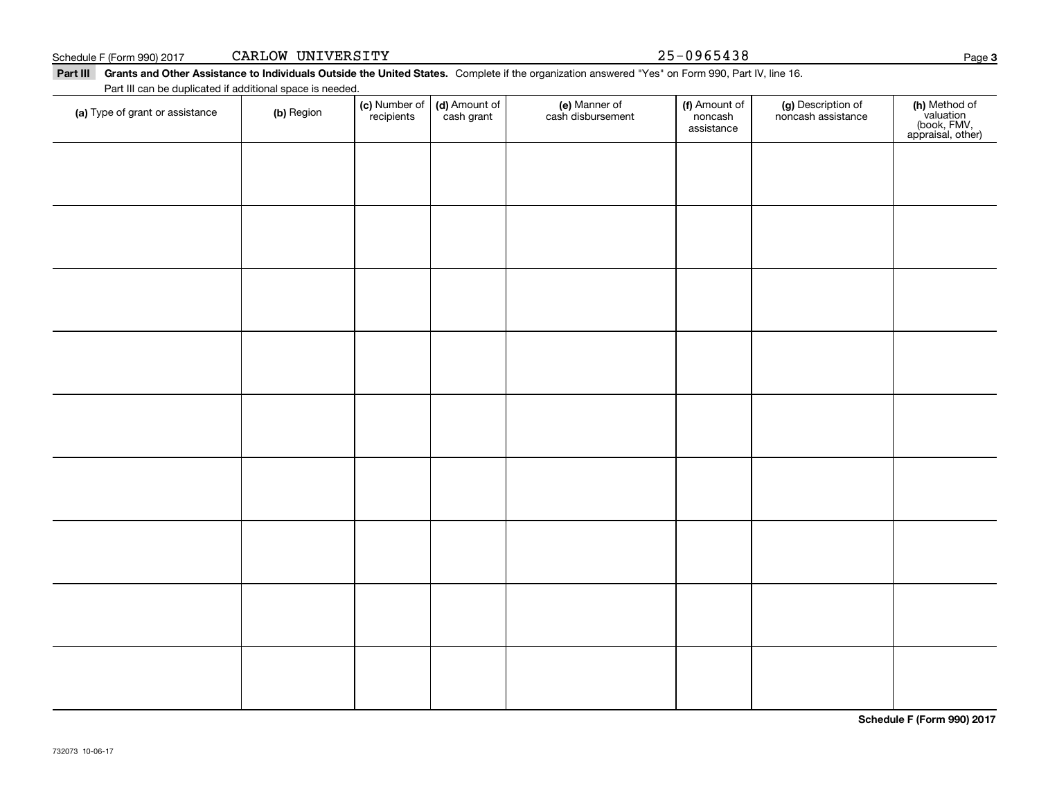| Schedule F (Form 990) 2017      | CARLOW UNIVERSITY                                         |                             |                             |                                                                                                                                                  | 25-0965438                             |                                          | Page                                                           |
|---------------------------------|-----------------------------------------------------------|-----------------------------|-----------------------------|--------------------------------------------------------------------------------------------------------------------------------------------------|----------------------------------------|------------------------------------------|----------------------------------------------------------------|
| Part III                        | Part III can be duplicated if additional space is needed. |                             |                             | Grants and Other Assistance to Individuals Outside the United States. Complete if the organization answered "Yes" on Form 990, Part IV, line 16. |                                        |                                          |                                                                |
| (a) Type of grant or assistance | (b) Region                                                | (c) Number of<br>recipients | (d) Amount of<br>cash grant | (e) Manner of<br>cash disbursement                                                                                                               | (f) Amount of<br>noncash<br>assistance | (g) Description of<br>noncash assistance | (h) Method of<br>valuation<br>(book, FMV,<br>appraisal, other) |
|                                 |                                                           |                             |                             |                                                                                                                                                  |                                        |                                          |                                                                |
|                                 |                                                           |                             |                             |                                                                                                                                                  |                                        |                                          |                                                                |
|                                 |                                                           |                             |                             |                                                                                                                                                  |                                        |                                          |                                                                |
|                                 |                                                           |                             |                             |                                                                                                                                                  |                                        |                                          |                                                                |

**3**

**Schedule F (Form 990) 2017**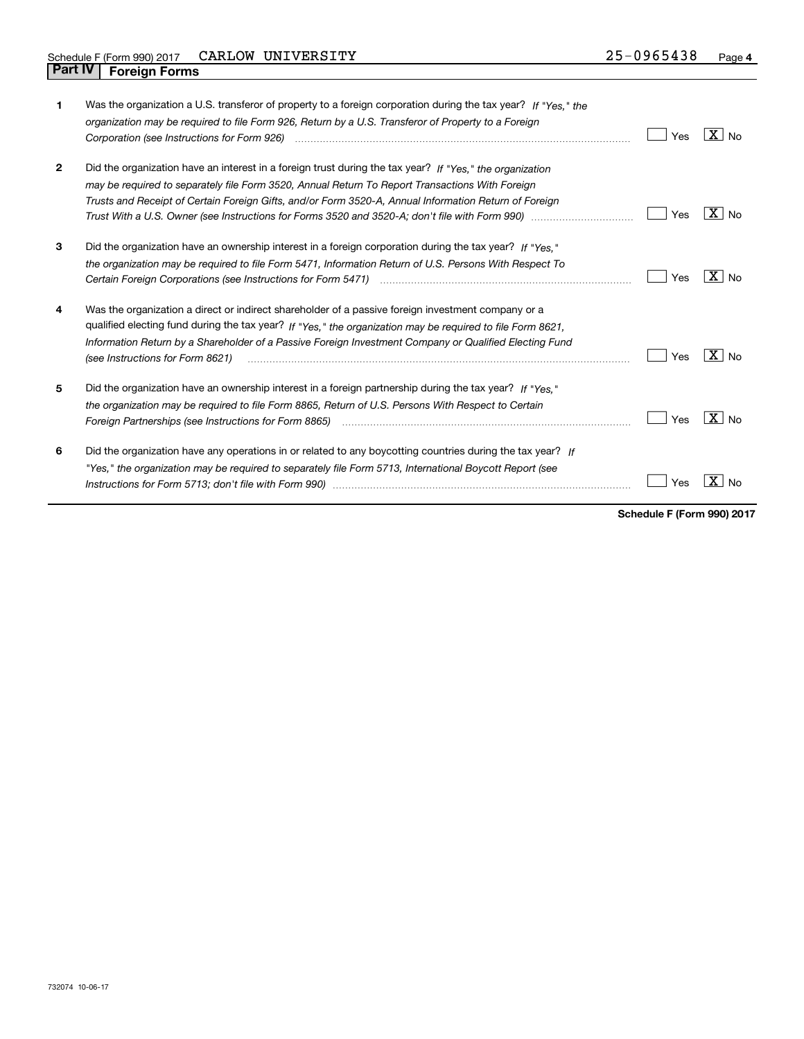| 1            | Was the organization a U.S. transferor of property to a foreign corporation during the tax year? If "Yes," the<br>organization may be required to file Form 926, Return by a U.S. Transferor of Property to a Foreign                                                                                                                                                                                                                  | Yes | $X \mid N_{0}$      |
|--------------|----------------------------------------------------------------------------------------------------------------------------------------------------------------------------------------------------------------------------------------------------------------------------------------------------------------------------------------------------------------------------------------------------------------------------------------|-----|---------------------|
| $\mathbf{2}$ | Did the organization have an interest in a foreign trust during the tax year? If "Yes." the organization<br>may be required to separately file Form 3520, Annual Return To Report Transactions With Foreign<br>Trusts and Receipt of Certain Foreign Gifts, and/or Form 3520-A, Annual Information Return of Foreign<br>Trust With a U.S. Owner (see Instructions for Forms 3520 and 3520-A; don't file with Form 990) manu-manu-manu- | Yes | $X \mid N_{\Omega}$ |
| 3            | Did the organization have an ownership interest in a foreign corporation during the tax year? If "Yes."<br>the organization may be required to file Form 5471, Information Return of U.S. Persons With Respect To                                                                                                                                                                                                                      | Yes | $X \mid N_0$        |
| 4            | Was the organization a direct or indirect shareholder of a passive foreign investment company or a<br>qualified electing fund during the tax year? If "Yes," the organization may be required to file Form 8621,<br>Information Return by a Shareholder of a Passive Foreign Investment Company or Qualified Electing Fund<br>(see Instructions for Form 8621)                                                                         | Yes | $X \mid N_{\Omega}$ |
| 5            | Did the organization have an ownership interest in a foreign partnership during the tax year? If "Yes."<br>the organization may be required to file Form 8865, Return of U.S. Persons With Respect to Certain<br>Foreign Partnerships (see Instructions for Form 8865)                                                                                                                                                                 | Yes | $X \mid N_{\Omega}$ |
| 6            | Did the organization have any operations in or related to any boycotting countries during the tax year? If<br>"Yes," the organization may be required to separately file Form 5713, International Boycott Report (see                                                                                                                                                                                                                  | Yes | X.<br>No            |

**Schedule F (Form 990) 2017**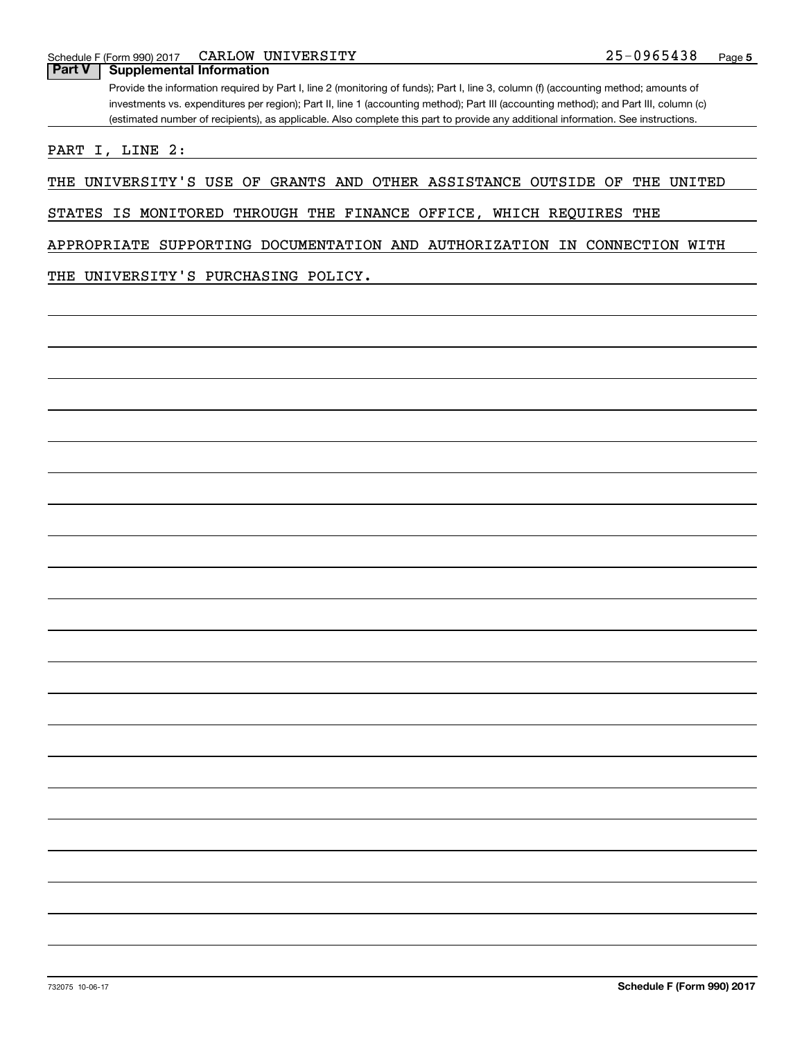## **Part V Supplemental Information**

Provide the information required by Part I, line 2 (monitoring of funds); Part I, line 3, column (f) (accounting method; amounts of investments vs. expenditures per region); Part II, line 1 (accounting method); Part III (accounting method); and Part III, column (c) (estimated number of recipients), as applicable. Also complete this part to provide any additional information. See instructions.

PART I, LINE 2:

#### THE UNIVERSITY'S USE OF GRANTS AND OTHER ASSISTANCE OUTSIDE OF THE UNITED

#### STATES IS MONITORED THROUGH THE FINANCE OFFICE, WHICH REQUIRES THE

#### APPROPRIATE SUPPORTING DOCUMENTATION AND AUTHORIZATION IN CONNECTION WITH

#### THE UNIVERSITY'S PURCHASING POLICY.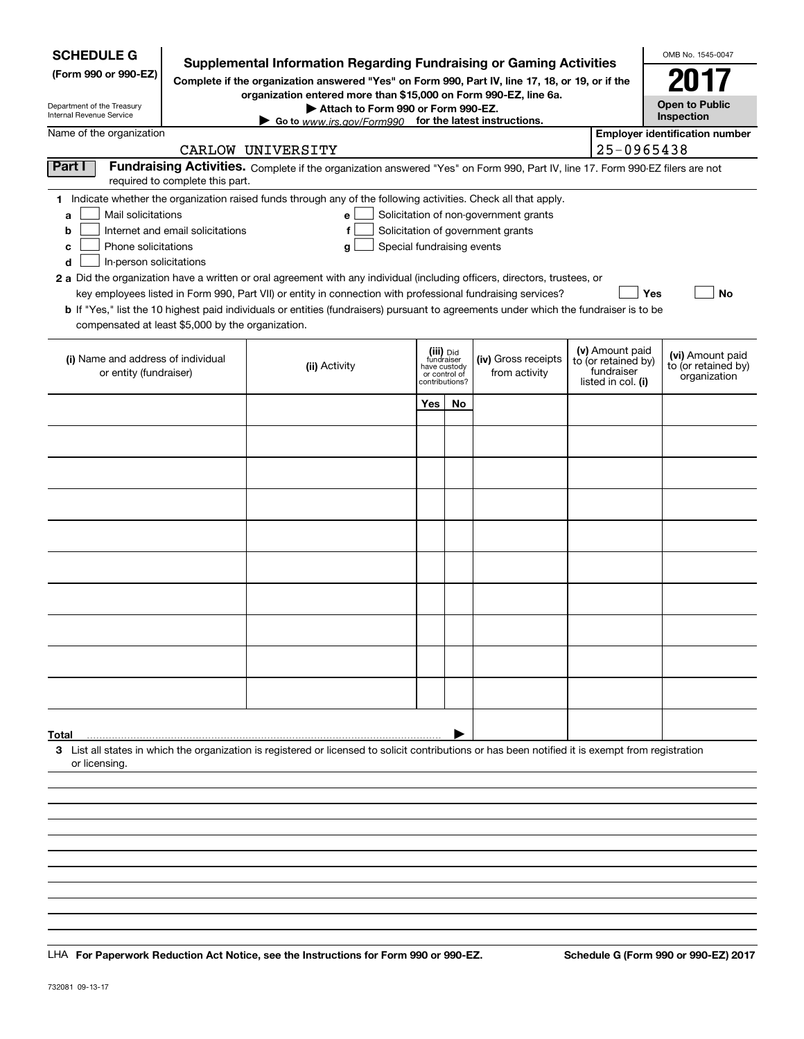| <b>SCHEDULE G</b>                                                                                                                                        |                                                        | Supplemental Information Regarding Fundraising or Gaming Activities                                                                                                                                                                                         |                                       |    |                     |  |                                        | OMB No. 1545-0047                   |  |  |  |
|----------------------------------------------------------------------------------------------------------------------------------------------------------|--------------------------------------------------------|-------------------------------------------------------------------------------------------------------------------------------------------------------------------------------------------------------------------------------------------------------------|---------------------------------------|----|---------------------|--|----------------------------------------|-------------------------------------|--|--|--|
| (Form 990 or 990-EZ)                                                                                                                                     |                                                        | Complete if the organization answered "Yes" on Form 990, Part IV, line 17, 18, or 19, or if the                                                                                                                                                             |                                       |    |                     |  |                                        | 2017                                |  |  |  |
| Department of the Treasury                                                                                                                               |                                                        | organization entered more than \$15,000 on Form 990-EZ, line 6a.                                                                                                                                                                                            |                                       |    |                     |  |                                        | <b>Open to Public</b>               |  |  |  |
| Internal Revenue Service                                                                                                                                 |                                                        | Attach to Form 990 or Form 990-EZ.<br>Go to www.irs.gov/Form990 for the latest instructions.                                                                                                                                                                |                                       |    |                     |  |                                        | Inspection                          |  |  |  |
| Name of the organization                                                                                                                                 |                                                        |                                                                                                                                                                                                                                                             | <b>Employer identification number</b> |    |                     |  |                                        |                                     |  |  |  |
|                                                                                                                                                          |                                                        | CARLOW UNIVERSITY                                                                                                                                                                                                                                           |                                       |    |                     |  | 25-0965438                             |                                     |  |  |  |
| Part I                                                                                                                                                   | required to complete this part.                        | Fundraising Activities. Complete if the organization answered "Yes" on Form 990, Part IV, line 17. Form 990-EZ filers are not                                                                                                                               |                                       |    |                     |  |                                        |                                     |  |  |  |
|                                                                                                                                                          |                                                        | 1 Indicate whether the organization raised funds through any of the following activities. Check all that apply.                                                                                                                                             |                                       |    |                     |  |                                        |                                     |  |  |  |
| Mail solicitations<br>Solicitation of non-government grants<br>e<br>a<br>Solicitation of government grants<br>Internet and email solicitations<br>f<br>b |                                                        |                                                                                                                                                                                                                                                             |                                       |    |                     |  |                                        |                                     |  |  |  |
| c                                                                                                                                                        | Phone solicitations<br>Special fundraising events<br>g |                                                                                                                                                                                                                                                             |                                       |    |                     |  |                                        |                                     |  |  |  |
| d<br>In-person solicitations                                                                                                                             |                                                        |                                                                                                                                                                                                                                                             |                                       |    |                     |  |                                        |                                     |  |  |  |
|                                                                                                                                                          |                                                        | 2 a Did the organization have a written or oral agreement with any individual (including officers, directors, trustees, or                                                                                                                                  |                                       |    |                     |  |                                        |                                     |  |  |  |
|                                                                                                                                                          |                                                        | key employees listed in Form 990, Part VII) or entity in connection with professional fundraising services?<br><b>b</b> If "Yes," list the 10 highest paid individuals or entities (fundraisers) pursuant to agreements under which the fundraiser is to be |                                       |    |                     |  | Yes                                    | No                                  |  |  |  |
| compensated at least \$5,000 by the organization.                                                                                                        |                                                        |                                                                                                                                                                                                                                                             |                                       |    |                     |  |                                        |                                     |  |  |  |
| (i) Name and address of individual                                                                                                                       |                                                        |                                                                                                                                                                                                                                                             | (iii) Did<br>fundraiser               |    | (iv) Gross receipts |  | (v) Amount paid<br>to (or retained by) | (vi) Amount paid                    |  |  |  |
| or entity (fundraiser)                                                                                                                                   |                                                        | (ii) Activity                                                                                                                                                                                                                                               | have custody<br>or control of         |    | from activity       |  | fundraiser                             | to (or retained by)<br>organization |  |  |  |
|                                                                                                                                                          |                                                        |                                                                                                                                                                                                                                                             | contributions?                        |    |                     |  | listed in col. (i)                     |                                     |  |  |  |
|                                                                                                                                                          |                                                        |                                                                                                                                                                                                                                                             | Yes                                   | No |                     |  |                                        |                                     |  |  |  |
|                                                                                                                                                          |                                                        |                                                                                                                                                                                                                                                             |                                       |    |                     |  |                                        |                                     |  |  |  |
|                                                                                                                                                          |                                                        |                                                                                                                                                                                                                                                             |                                       |    |                     |  |                                        |                                     |  |  |  |
|                                                                                                                                                          |                                                        |                                                                                                                                                                                                                                                             |                                       |    |                     |  |                                        |                                     |  |  |  |
|                                                                                                                                                          |                                                        |                                                                                                                                                                                                                                                             |                                       |    |                     |  |                                        |                                     |  |  |  |
|                                                                                                                                                          |                                                        |                                                                                                                                                                                                                                                             |                                       |    |                     |  |                                        |                                     |  |  |  |
|                                                                                                                                                          |                                                        |                                                                                                                                                                                                                                                             |                                       |    |                     |  |                                        |                                     |  |  |  |
|                                                                                                                                                          |                                                        |                                                                                                                                                                                                                                                             |                                       |    |                     |  |                                        |                                     |  |  |  |
|                                                                                                                                                          |                                                        |                                                                                                                                                                                                                                                             |                                       |    |                     |  |                                        |                                     |  |  |  |
|                                                                                                                                                          |                                                        |                                                                                                                                                                                                                                                             |                                       |    |                     |  |                                        |                                     |  |  |  |
|                                                                                                                                                          |                                                        |                                                                                                                                                                                                                                                             |                                       |    |                     |  |                                        |                                     |  |  |  |
|                                                                                                                                                          |                                                        |                                                                                                                                                                                                                                                             |                                       |    |                     |  |                                        |                                     |  |  |  |
| Total                                                                                                                                                    |                                                        | 3 List all states in which the organization is registered or licensed to solicit contributions or has been notified it is exempt from registration                                                                                                          |                                       |    |                     |  |                                        |                                     |  |  |  |
| or licensing.                                                                                                                                            |                                                        |                                                                                                                                                                                                                                                             |                                       |    |                     |  |                                        |                                     |  |  |  |
|                                                                                                                                                          |                                                        |                                                                                                                                                                                                                                                             |                                       |    |                     |  |                                        |                                     |  |  |  |
|                                                                                                                                                          |                                                        |                                                                                                                                                                                                                                                             |                                       |    |                     |  |                                        |                                     |  |  |  |
|                                                                                                                                                          |                                                        |                                                                                                                                                                                                                                                             |                                       |    |                     |  |                                        |                                     |  |  |  |
|                                                                                                                                                          |                                                        |                                                                                                                                                                                                                                                             |                                       |    |                     |  |                                        |                                     |  |  |  |
|                                                                                                                                                          |                                                        |                                                                                                                                                                                                                                                             |                                       |    |                     |  |                                        |                                     |  |  |  |
|                                                                                                                                                          |                                                        |                                                                                                                                                                                                                                                             |                                       |    |                     |  |                                        |                                     |  |  |  |

LHA For Paperwork Reduction Act Notice, see the Instructions for Form 990 or 990-EZ. Schedule G (Form 990 or 990-EZ) 2017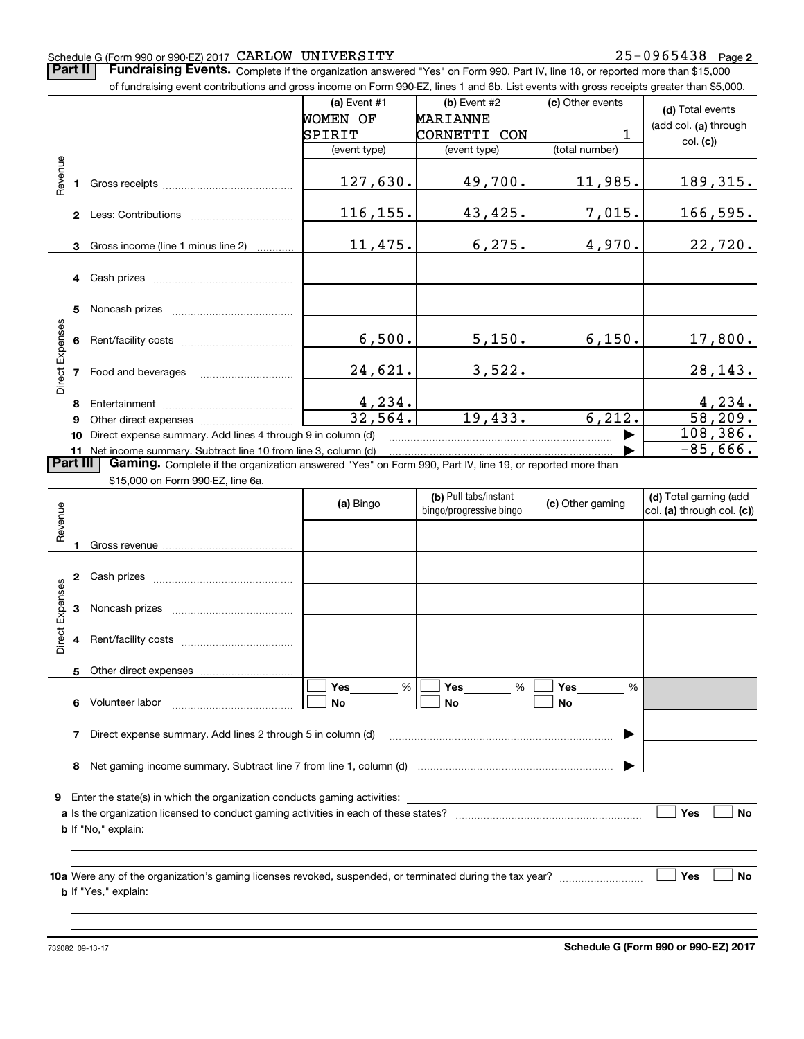#### Schedule G (Form 990 or 990-EZ) 2017 Page CARLOW UNIVERSITY 25-0965438

**Part II** | Fundraising Events. Complete if the organization answered "Yes" on Form 990, Part IV, line 18, or reported more than \$15,000

|                 |    | of fundraising event contributions and gross income on Form 990-EZ, lines 1 and 6b. List events with gross receipts greater than \$5,000. |                        |                         |                  |                            |
|-----------------|----|-------------------------------------------------------------------------------------------------------------------------------------------|------------------------|-------------------------|------------------|----------------------------|
|                 |    |                                                                                                                                           | (a) Event #1           | (b) Event #2            | (c) Other events | (d) Total events           |
|                 |    |                                                                                                                                           | WOMEN OF               | <b>MARIANNE</b>         |                  | (add col. (a) through      |
|                 |    |                                                                                                                                           | SPIRIT                 | CORNETTI CON            | $\mathbf{1}$     | col. (c)                   |
|                 |    |                                                                                                                                           | (event type)           | (event type)            | (total number)   |                            |
|                 |    |                                                                                                                                           |                        |                         |                  |                            |
| Revenue         | 1. |                                                                                                                                           | 127,630.               | 49,700.                 | 11,985.          | 189,315.                   |
|                 |    |                                                                                                                                           |                        |                         |                  |                            |
|                 |    |                                                                                                                                           | 116, 155.              | 43, 425.                | 7,015.           | 166,595.                   |
|                 |    |                                                                                                                                           |                        |                         |                  |                            |
|                 | 3  | Gross income (line 1 minus line 2)                                                                                                        | 11,475.                | 6, 275.                 | 4,970.           | 22,720.                    |
|                 |    |                                                                                                                                           |                        |                         |                  |                            |
|                 |    |                                                                                                                                           |                        |                         |                  |                            |
|                 |    |                                                                                                                                           |                        |                         |                  |                            |
|                 | 5  |                                                                                                                                           |                        |                         |                  |                            |
|                 |    |                                                                                                                                           |                        |                         |                  |                            |
| Direct Expenses | 6  |                                                                                                                                           | 6,500.                 | 5,150.                  | 6,150.           | 17,800.                    |
|                 |    |                                                                                                                                           |                        |                         |                  |                            |
|                 | 7  | Food and beverages                                                                                                                        | 24,621.                | 3,522.                  |                  | 28,143.                    |
|                 |    |                                                                                                                                           |                        |                         |                  |                            |
|                 | 8  |                                                                                                                                           |                        |                         |                  |                            |
|                 | 9  |                                                                                                                                           | $\frac{4,234}{32,564}$ | 19,433.                 | 6, 212.          | $\frac{4,234}{58,209}$ .   |
|                 |    | 10 Direct expense summary. Add lines 4 through 9 in column (d)                                                                            |                        |                         |                  | 108, 386.                  |
|                 |    | 11 Net income summary. Subtract line 10 from line 3, column (d)                                                                           |                        |                         |                  | $-85,666.$                 |
| <b>Part III</b> |    | Gaming. Complete if the organization answered "Yes" on Form 990, Part IV, line 19, or reported more than                                  |                        |                         |                  |                            |
|                 |    | \$15,000 on Form 990-EZ, line 6a.                                                                                                         |                        |                         |                  |                            |
|                 |    |                                                                                                                                           |                        | (b) Pull tabs/instant   |                  | (d) Total gaming (add      |
|                 |    |                                                                                                                                           | (a) Bingo              | bingo/progressive bingo | (c) Other gaming | col. (a) through col. (c)) |
| Revenue         |    |                                                                                                                                           |                        |                         |                  |                            |
|                 |    |                                                                                                                                           |                        |                         |                  |                            |
|                 |    |                                                                                                                                           |                        |                         |                  |                            |
|                 |    |                                                                                                                                           |                        |                         |                  |                            |
|                 |    |                                                                                                                                           |                        |                         |                  |                            |
| Direct Expenses | 3  |                                                                                                                                           |                        |                         |                  |                            |
|                 |    |                                                                                                                                           |                        |                         |                  |                            |
|                 |    |                                                                                                                                           |                        |                         |                  |                            |
|                 |    |                                                                                                                                           |                        |                         |                  |                            |

**a** Is the organization licensed to conduct gaming activities in each of these states? \_\_\_\_\_\_\_\_\_\_\_\_\_\_\_\_\_\_\_\_\_\_\_\_\_\_\_\_\_\_\_ **b**If "No," explain:

**6** Volunteer labor

Other direct expenses

**7**Direct expense summary. Add lines 2 through 5 in column (d)

Volunteer labor \_\_\_\_\_\_\_\_\_\_\_\_\_\_\_\_\_\_\_\_\_\_\_\_\_\_\_\_\_

**9**Enter the state(s) in which the organization conducts gaming activities:

**8**Net gaming income summary. Subtract line 7 from line 1, column (d)

**10a** Were any of the organization's gaming licenses revoked, suspended, or terminated during the tax year? \_\_\_\_\_\_\_\_\_\_\_\_\_\_\_\_\_ **b** If "Yes," explain:

**Yes**

 $\mathcal{L}^{\text{max}}$ 

 $\mathcal{L}^{\text{max}}$ 

**No**

**Yes Yes**

% %

~~~~~~~~~~~~~~~~~~~~~~~~ |

**No No**

%

 $\boxed{\Box}$  Yes \_\_\_\_\_\_\_ %  $\boxed{\Box}$  Yes \_\_\_\_\_\_\_ %  $\boxed{\Box}$ 

**5**

**Yes**

…… ▶

**Yes**

**No**

**No**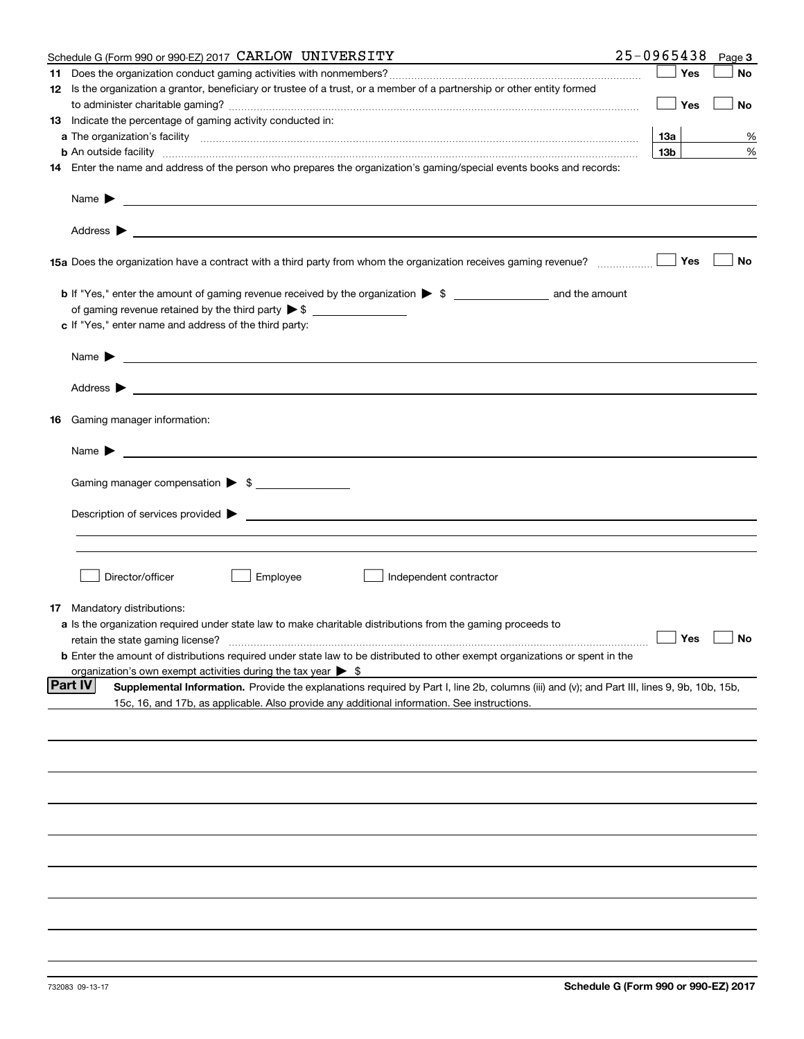| Schedule G (Form 990 or 990-EZ) 2017 CARLOW UNIVERSITY                                                                                                                                                                                                             | 25-0965438      |     | Page 3               |
|--------------------------------------------------------------------------------------------------------------------------------------------------------------------------------------------------------------------------------------------------------------------|-----------------|-----|----------------------|
|                                                                                                                                                                                                                                                                    |                 | Yes | No                   |
| 12 Is the organization a grantor, beneficiary or trustee of a trust, or a member of a partnership or other entity formed                                                                                                                                           |                 |     |                      |
|                                                                                                                                                                                                                                                                    |                 | Yes | No                   |
|                                                                                                                                                                                                                                                                    |                 |     |                      |
| <b>13</b> Indicate the percentage of gaming activity conducted in:                                                                                                                                                                                                 |                 |     |                      |
|                                                                                                                                                                                                                                                                    | 13а             |     | %                    |
| <b>b</b> An outside facility <b>contained and the contract of the contract of the contract of the contract of the contract of the contract of the contract of the contract of the contract of the contract of the contract of the con</b>                          | 13 <sub>b</sub> |     | %                    |
| 14 Enter the name and address of the person who prepares the organization's gaming/special events books and records:                                                                                                                                               |                 |     |                      |
| Name $\blacktriangleright$<br><u> 1989 - John Harry Harry Harry Harry Harry Harry Harry Harry Harry Harry Harry Harry Harry Harry Harry Harry H</u>                                                                                                                |                 |     |                      |
|                                                                                                                                                                                                                                                                    |                 |     |                      |
|                                                                                                                                                                                                                                                                    |                 | Yes | No                   |
| b If "Yes," enter the amount of gaming revenue received by the organization > \$ ___________________ and the amount                                                                                                                                                |                 |     |                      |
| of gaming revenue retained by the third party $\triangleright$ \$ $\_\_\_\_\_\_\_\_\_\_\_\_\_\_\_\_\_\_\_\_\_\_\_\_\_\_$                                                                                                                                           |                 |     |                      |
| c If "Yes," enter name and address of the third party:                                                                                                                                                                                                             |                 |     |                      |
|                                                                                                                                                                                                                                                                    |                 |     |                      |
| Name $\blacktriangleright$<br><u>state and the state of the state of the state of the state of the state of the state of the state of the state of the state of the state of the state of the state of the state of the state of the state of the state of the</u> |                 |     |                      |
|                                                                                                                                                                                                                                                                    |                 |     |                      |
| <b>16</b> Gaming manager information:                                                                                                                                                                                                                              |                 |     |                      |
| Name $\blacktriangleright$<br><u> 1990 - John Barn Barn, amerikan ba</u> rnetar (h. 1980)                                                                                                                                                                          |                 |     |                      |
|                                                                                                                                                                                                                                                                    |                 |     |                      |
| Gaming manager compensation > \$                                                                                                                                                                                                                                   |                 |     |                      |
|                                                                                                                                                                                                                                                                    |                 |     |                      |
|                                                                                                                                                                                                                                                                    |                 |     |                      |
| Director/officer<br>Employee<br>Independent contractor                                                                                                                                                                                                             |                 |     |                      |
| <b>17</b> Mandatory distributions:                                                                                                                                                                                                                                 |                 |     |                      |
| <b>a</b> Is the organization required under state law to make charitable distributions from the gaming proceeds to                                                                                                                                                 |                 |     | $\Box$ Yes $\Box$ No |
| <b>b</b> Enter the amount of distributions required under state law to be distributed to other exempt organizations or spent in the                                                                                                                                |                 |     |                      |
| organization's own exempt activities during the tax year $\triangleright$ \$                                                                                                                                                                                       |                 |     |                      |
| <b>Part IV</b><br>Supplemental Information. Provide the explanations required by Part I, line 2b, columns (iii) and (v); and Part III, lines 9, 9b, 10b, 15b,                                                                                                      |                 |     |                      |
| 15c, 16, and 17b, as applicable. Also provide any additional information. See instructions.                                                                                                                                                                        |                 |     |                      |
|                                                                                                                                                                                                                                                                    |                 |     |                      |
|                                                                                                                                                                                                                                                                    |                 |     |                      |
|                                                                                                                                                                                                                                                                    |                 |     |                      |
|                                                                                                                                                                                                                                                                    |                 |     |                      |
|                                                                                                                                                                                                                                                                    |                 |     |                      |
|                                                                                                                                                                                                                                                                    |                 |     |                      |
|                                                                                                                                                                                                                                                                    |                 |     |                      |
|                                                                                                                                                                                                                                                                    |                 |     |                      |
|                                                                                                                                                                                                                                                                    |                 |     |                      |
|                                                                                                                                                                                                                                                                    |                 |     |                      |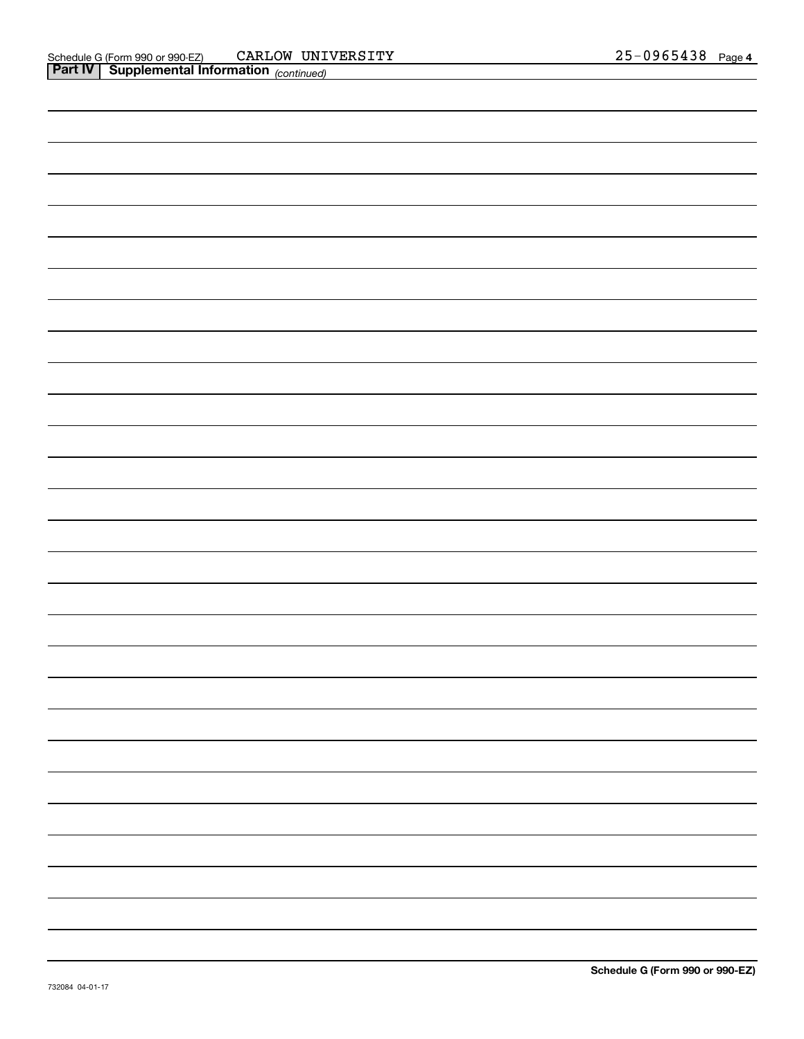| <b>Part IV   Supplemental Information</b> (continued) |  |
|-------------------------------------------------------|--|
|                                                       |  |
|                                                       |  |
|                                                       |  |
|                                                       |  |
|                                                       |  |
|                                                       |  |
|                                                       |  |
|                                                       |  |
|                                                       |  |
|                                                       |  |
|                                                       |  |
|                                                       |  |
|                                                       |  |
|                                                       |  |
|                                                       |  |
|                                                       |  |
|                                                       |  |
|                                                       |  |
|                                                       |  |
|                                                       |  |
|                                                       |  |
|                                                       |  |
|                                                       |  |
|                                                       |  |
|                                                       |  |
|                                                       |  |
|                                                       |  |
|                                                       |  |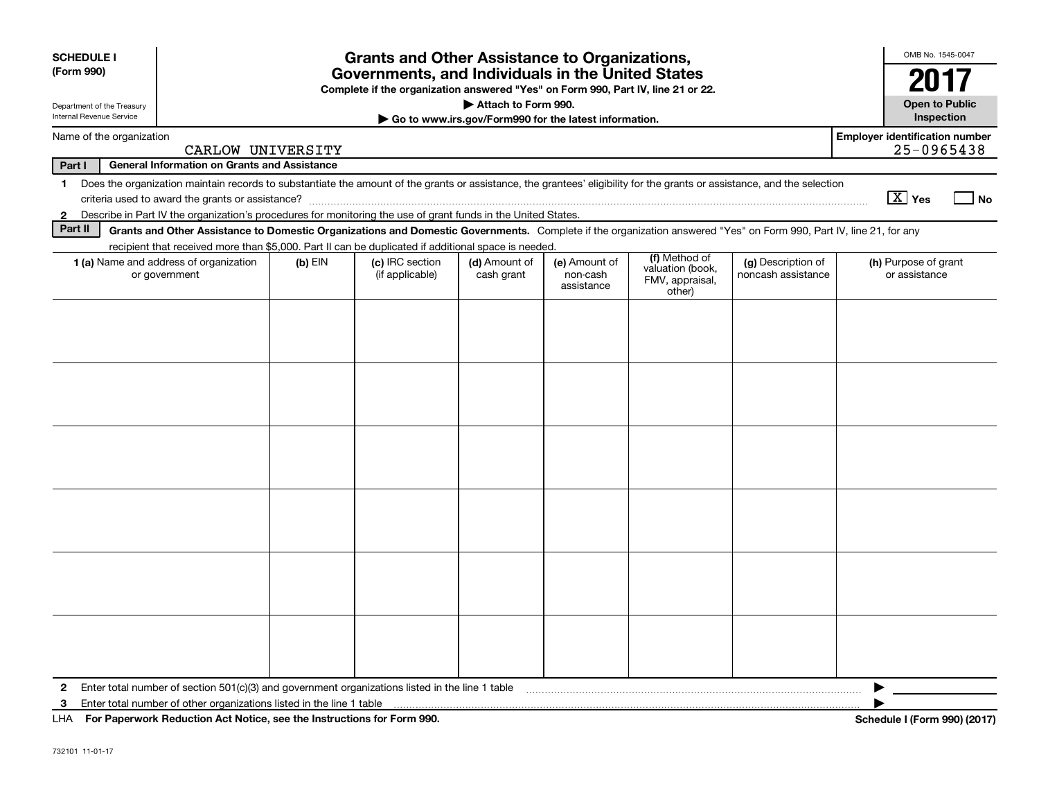| <b>SCHEDULE I</b><br>(Form 990) |                                                                                                                                                                                                                                                                           |           | <b>Grants and Other Assistance to Organizations,</b>                                                                                  |                                                       |                                         |                                                                |                                          | OMB No. 1545-0047                                   |
|---------------------------------|---------------------------------------------------------------------------------------------------------------------------------------------------------------------------------------------------------------------------------------------------------------------------|-----------|---------------------------------------------------------------------------------------------------------------------------------------|-------------------------------------------------------|-----------------------------------------|----------------------------------------------------------------|------------------------------------------|-----------------------------------------------------|
|                                 |                                                                                                                                                                                                                                                                           |           | Governments, and Individuals in the United States<br>Complete if the organization answered "Yes" on Form 990, Part IV, line 21 or 22. |                                                       |                                         |                                                                |                                          | 2017                                                |
| Department of the Treasury      |                                                                                                                                                                                                                                                                           |           |                                                                                                                                       | Attach to Form 990.                                   |                                         |                                                                |                                          | <b>Open to Public</b>                               |
| Internal Revenue Service        |                                                                                                                                                                                                                                                                           |           |                                                                                                                                       | Go to www.irs.gov/Form990 for the latest information. |                                         |                                                                |                                          | Inspection                                          |
| Name of the organization        | CARLOW UNIVERSITY                                                                                                                                                                                                                                                         |           |                                                                                                                                       |                                                       |                                         |                                                                |                                          | <b>Employer identification number</b><br>25-0965438 |
| Part I                          | <b>General Information on Grants and Assistance</b>                                                                                                                                                                                                                       |           |                                                                                                                                       |                                                       |                                         |                                                                |                                          |                                                     |
|                                 | 1 Does the organization maintain records to substantiate the amount of the grants or assistance, the grantees' eligibility for the grants or assistance, and the selection                                                                                                |           |                                                                                                                                       |                                                       |                                         |                                                                |                                          | $\boxed{\text{X}}$ Yes<br>∐ No                      |
| $\mathbf{2}$<br>Part II         | Describe in Part IV the organization's procedures for monitoring the use of grant funds in the United States.                                                                                                                                                             |           |                                                                                                                                       |                                                       |                                         |                                                                |                                          |                                                     |
|                                 | Grants and Other Assistance to Domestic Organizations and Domestic Governments. Complete if the organization answered "Yes" on Form 990, Part IV, line 21, for any<br>recipient that received more than \$5,000. Part II can be duplicated if additional space is needed. |           |                                                                                                                                       |                                                       |                                         |                                                                |                                          |                                                     |
|                                 | 1 (a) Name and address of organization<br>or government                                                                                                                                                                                                                   | $(b)$ EIN | (c) IRC section<br>(if applicable)                                                                                                    | (d) Amount of<br>cash grant                           | (e) Amount of<br>non-cash<br>assistance | (f) Method of<br>valuation (book,<br>FMV, appraisal,<br>other) | (g) Description of<br>noncash assistance | (h) Purpose of grant<br>or assistance               |
|                                 |                                                                                                                                                                                                                                                                           |           |                                                                                                                                       |                                                       |                                         |                                                                |                                          |                                                     |
| $\mathbf{2}$                    | Enter total number of section 501(c)(3) and government organizations listed in the line 1 table                                                                                                                                                                           |           |                                                                                                                                       |                                                       |                                         |                                                                |                                          |                                                     |
| 3                               | Enter total number of other organizations listed in the line 1 table<br>LHA For Paperwork Reduction Act Notice, see the Instructions for Form 990.                                                                                                                        |           |                                                                                                                                       |                                                       |                                         |                                                                |                                          | Schedule I (Form 990) (2017)                        |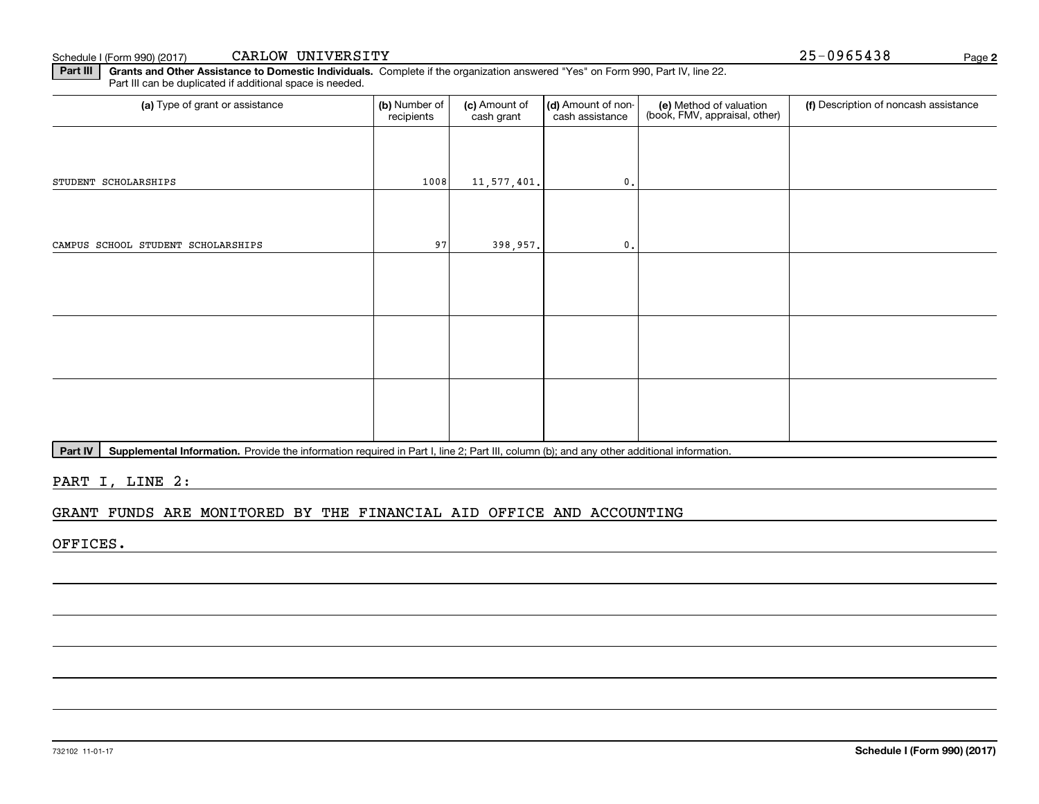Schedule I (Form 990) (2017) Page CARLOW UNIVERSITY 25-0965438

**2**

**Part III** | Grants and Other Assistance to Domestic Individuals. Complete if the organization answered "Yes" on Form 990, Part IV, line 22. Part III can be duplicated if additional space is needed.

| (b) Number of<br>recipients | (c) Amount of<br>cash grant | cash assistance | (e) Method of valuation<br>(book, FMV, appraisal, other) | (f) Description of noncash assistance |
|-----------------------------|-----------------------------|-----------------|----------------------------------------------------------|---------------------------------------|
|                             |                             |                 |                                                          |                                       |
|                             | 11, 577, 401.               | $\mathbf{0}$ .  |                                                          |                                       |
|                             |                             |                 |                                                          |                                       |
| 97                          |                             | $\,0$ .         |                                                          |                                       |
|                             |                             |                 |                                                          |                                       |
|                             |                             |                 |                                                          |                                       |
|                             |                             |                 |                                                          |                                       |
|                             |                             |                 |                                                          |                                       |
|                             |                             |                 |                                                          |                                       |
|                             |                             |                 |                                                          |                                       |
|                             |                             | 1008            | 398,957.                                                 | (d) Amount of non-                    |

Part IV | Supplemental Information. Provide the information required in Part I, line 2; Part III, column (b); and any other additional information.

PART I, LINE 2:

### GRANT FUNDS ARE MONITORED BY THE FINANCIAL AID OFFICE AND ACCOUNTING

OFFICES.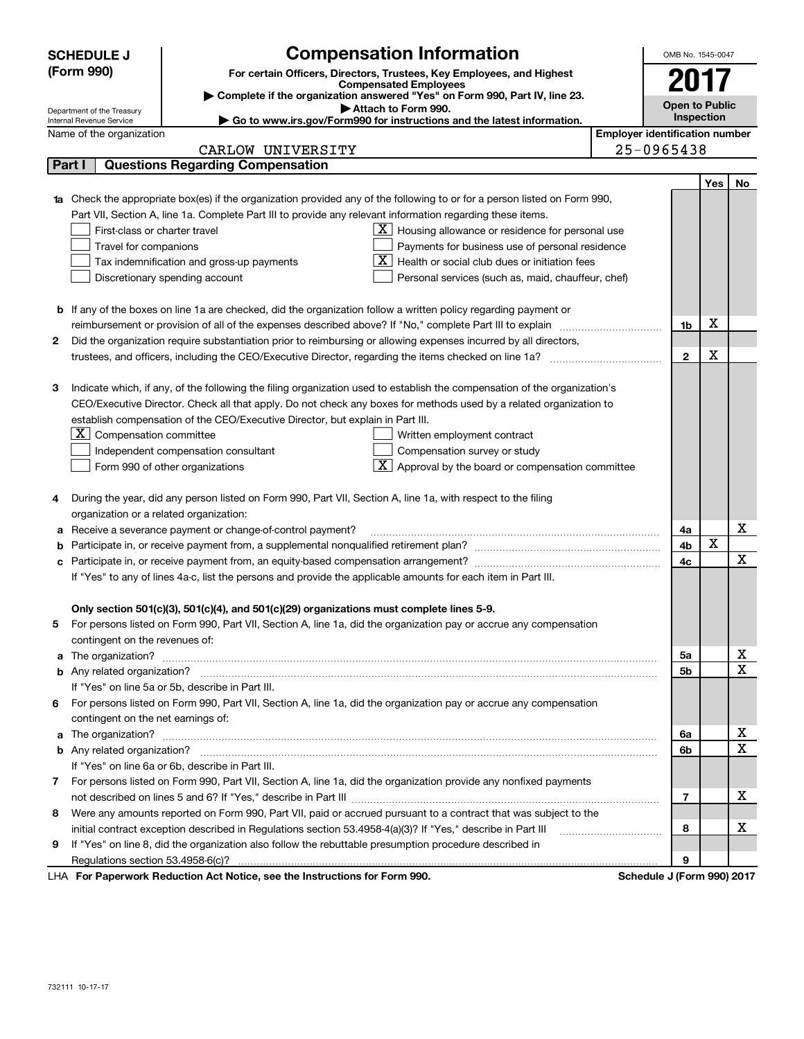|        | <b>SCHEDULE J</b>                                                                                                |                                                                                                                           | <b>Compensation Information</b>                                        |                                       | OMB No. 1545-0047          |     |    |
|--------|------------------------------------------------------------------------------------------------------------------|---------------------------------------------------------------------------------------------------------------------------|------------------------------------------------------------------------|---------------------------------------|----------------------------|-----|----|
|        | (Form 990)                                                                                                       |                                                                                                                           | For certain Officers, Directors, Trustees, Key Employees, and Highest  |                                       |                            |     |    |
|        |                                                                                                                  |                                                                                                                           | <b>Compensated Employees</b>                                           |                                       | 2017                       |     |    |
|        | Department of the Treasury                                                                                       | Complete if the organization answered "Yes" on Form 990, Part IV, line 23.<br>Attach to Form 990.                         |                                                                        |                                       | <b>Open to Public</b>      |     |    |
|        | Internal Revenue Service                                                                                         |                                                                                                                           | Go to www.irs.gov/Form990 for instructions and the latest information. |                                       | Inspection                 |     |    |
|        | Name of the organization                                                                                         |                                                                                                                           |                                                                        | <b>Employer identification number</b> |                            |     |    |
|        |                                                                                                                  | CARLOW UNIVERSITY                                                                                                         |                                                                        |                                       | 25-0965438                 |     |    |
| Part I |                                                                                                                  | <b>Questions Regarding Compensation</b>                                                                                   |                                                                        |                                       |                            |     |    |
|        |                                                                                                                  |                                                                                                                           |                                                                        |                                       |                            | Yes | No |
| 1a     |                                                                                                                  | Check the appropriate box(es) if the organization provided any of the following to or for a person listed on Form 990,    |                                                                        |                                       |                            |     |    |
|        |                                                                                                                  | Part VII, Section A, line 1a. Complete Part III to provide any relevant information regarding these items.                |                                                                        |                                       |                            |     |    |
|        | First-class or charter travel                                                                                    |                                                                                                                           | $ \mathbf{X} $ Housing allowance or residence for personal use         |                                       |                            |     |    |
|        | Travel for companions                                                                                            |                                                                                                                           | Payments for business use of personal residence                        |                                       |                            |     |    |
|        |                                                                                                                  | Tax indemnification and gross-up payments                                                                                 | $X$ Health or social club dues or initiation fees                      |                                       |                            |     |    |
|        |                                                                                                                  | Discretionary spending account                                                                                            | Personal services (such as, maid, chauffeur, chef)                     |                                       |                            |     |    |
|        |                                                                                                                  |                                                                                                                           |                                                                        |                                       |                            |     |    |
| b      |                                                                                                                  | If any of the boxes on line 1a are checked, did the organization follow a written policy regarding payment or             |                                                                        |                                       |                            |     |    |
|        |                                                                                                                  |                                                                                                                           |                                                                        |                                       | 1b                         | х   |    |
| 2      |                                                                                                                  | Did the organization require substantiation prior to reimbursing or allowing expenses incurred by all directors,          |                                                                        |                                       |                            |     |    |
|        |                                                                                                                  |                                                                                                                           |                                                                        |                                       | $\mathbf{2}$               | х   |    |
|        |                                                                                                                  |                                                                                                                           |                                                                        |                                       |                            |     |    |
| з      |                                                                                                                  | Indicate which, if any, of the following the filing organization used to establish the compensation of the organization's |                                                                        |                                       |                            |     |    |
|        |                                                                                                                  | CEO/Executive Director. Check all that apply. Do not check any boxes for methods used by a related organization to        |                                                                        |                                       |                            |     |    |
|        |                                                                                                                  | establish compensation of the CEO/Executive Director, but explain in Part III.                                            |                                                                        |                                       |                            |     |    |
|        | $X$ Compensation committee                                                                                       |                                                                                                                           | Written employment contract                                            |                                       |                            |     |    |
|        |                                                                                                                  | Independent compensation consultant                                                                                       | Compensation survey or study                                           |                                       |                            |     |    |
|        |                                                                                                                  | Form 990 of other organizations                                                                                           | $\lfloor x \rfloor$ Approval by the board or compensation committee    |                                       |                            |     |    |
|        |                                                                                                                  |                                                                                                                           |                                                                        |                                       |                            |     |    |
| 4      |                                                                                                                  | During the year, did any person listed on Form 990, Part VII, Section A, line 1a, with respect to the filing              |                                                                        |                                       |                            |     |    |
|        | organization or a related organization:                                                                          |                                                                                                                           |                                                                        |                                       |                            |     | х  |
| а<br>b |                                                                                                                  | Receive a severance payment or change-of-control payment?                                                                 |                                                                        |                                       | 4a<br>4b                   | X   |    |
| c      |                                                                                                                  |                                                                                                                           |                                                                        |                                       | 4c                         |     | х  |
|        |                                                                                                                  | If "Yes" to any of lines 4a-c, list the persons and provide the applicable amounts for each item in Part III.             |                                                                        |                                       |                            |     |    |
|        |                                                                                                                  |                                                                                                                           |                                                                        |                                       |                            |     |    |
|        |                                                                                                                  | Only section 501(c)(3), 501(c)(4), and 501(c)(29) organizations must complete lines 5-9.                                  |                                                                        |                                       |                            |     |    |
|        |                                                                                                                  | For persons listed on Form 990, Part VII, Section A, line 1a, did the organization pay or accrue any compensation         |                                                                        |                                       |                            |     |    |
|        | contingent on the revenues of:                                                                                   |                                                                                                                           |                                                                        |                                       |                            |     |    |
|        | a The organization?                                                                                              |                                                                                                                           |                                                                        |                                       | 5а                         |     | X  |
|        | <b>b</b> Any related organization?                                                                               |                                                                                                                           |                                                                        |                                       | 5b                         |     | X  |
|        |                                                                                                                  | If "Yes" on line 5a or 5b, describe in Part III.                                                                          |                                                                        |                                       |                            |     |    |
| 6      |                                                                                                                  | For persons listed on Form 990, Part VII, Section A, line 1a, did the organization pay or accrue any compensation         |                                                                        |                                       |                            |     |    |
|        | contingent on the net earnings of:                                                                               |                                                                                                                           |                                                                        |                                       |                            |     |    |
| a      | The organization?                                                                                                |                                                                                                                           |                                                                        |                                       | 6a                         |     | х  |
|        | <b>b</b> Any related organization?                                                                               |                                                                                                                           |                                                                        |                                       | 6b                         |     | X  |
|        |                                                                                                                  | If "Yes" on line 6a or 6b, describe in Part III.                                                                          |                                                                        |                                       |                            |     |    |
|        |                                                                                                                  | 7 For persons listed on Form 990, Part VII, Section A, line 1a, did the organization provide any nonfixed payments        |                                                                        |                                       |                            |     |    |
|        |                                                                                                                  |                                                                                                                           |                                                                        |                                       | 7                          |     | х  |
| 8      | Were any amounts reported on Form 990, Part VII, paid or accrued pursuant to a contract that was subject to the  |                                                                                                                           |                                                                        |                                       |                            |     |    |
|        | initial contract exception described in Regulations section 53.4958-4(a)(3)? If "Yes," describe in Part III<br>8 |                                                                                                                           |                                                                        |                                       |                            |     |    |
| 9      |                                                                                                                  | If "Yes" on line 8, did the organization also follow the rebuttable presumption procedure described in                    |                                                                        |                                       |                            |     |    |
|        |                                                                                                                  |                                                                                                                           |                                                                        |                                       | 9                          |     |    |
|        |                                                                                                                  | <b>Department Beduction Act Notice, and the Instructions for Ferm 000</b>                                                 |                                                                        |                                       | Cohodulo I (Form 000) 2017 |     |    |

LHA For Paperwork Reduction Act Notice, see the Instructions for Form 990. Schedule J (Form 990) 2017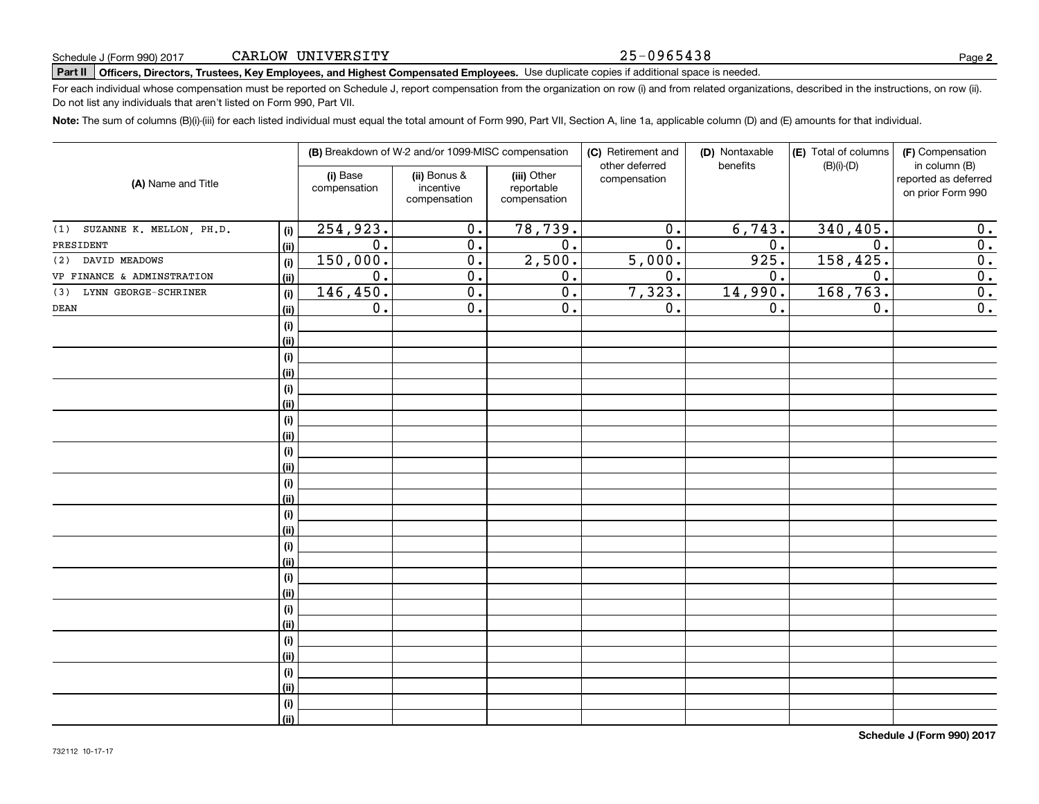#### 25-0965438

# **Part II Officers, Directors, Trustees, Key Employees, and Highest Compensated Employees.**  Schedule J (Form 990) 2017 Page Use duplicate copies if additional space is needed.

For each individual whose compensation must be reported on Schedule J, report compensation from the organization on row (i) and from related organizations, described in the instructions, on row (ii). Do not list any individuals that aren't listed on Form 990, Part VII.

**Note:**  The sum of columns (B)(i)-(iii) for each listed individual must equal the total amount of Form 990, Part VII, Section A, line 1a, applicable column (D) and (E) amounts for that individual.

|                              |      |                          | (B) Breakdown of W-2 and/or 1099-MISC compensation |                                           | (C) Retirement and<br>other deferred | (D) Nontaxable<br>benefits | (E) Total of columns<br>$(B)(i)-(D)$ | (F) Compensation<br>in column (B)         |
|------------------------------|------|--------------------------|----------------------------------------------------|-------------------------------------------|--------------------------------------|----------------------------|--------------------------------------|-------------------------------------------|
| (A) Name and Title           |      | (i) Base<br>compensation | (ii) Bonus &<br>incentive<br>compensation          | (iii) Other<br>reportable<br>compensation | compensation                         |                            |                                      | reported as deferred<br>on prior Form 990 |
| (1) SUZANNE K. MELLON, PH.D. | (i)  | 254,923.                 | 0.                                                 | 78, 739.                                  | $\overline{0}$ .                     | 6,743.                     | 340,405.                             | 0.                                        |
| PRESIDENT                    | (ii) | 0.                       | $\overline{0}$ .                                   | $\overline{0}$ .                          | $\overline{0}$ .                     | 0.                         | $\mathbf 0$ .                        | $\overline{0}$ .                          |
| DAVID MEADOWS<br>(2)         | (i)  | 150,000.                 | $\overline{0}$ .                                   | 2,500.                                    | 5,000.                               | 925.                       | 158, 425.                            | $\overline{\mathbf{0}}$ .                 |
| VP FINANCE & ADMINSTRATION   | (ii) | $\overline{0}$ .         | $\overline{0}$ .                                   | 0.                                        | $\overline{0}$ .                     | 0.                         | $\mathbf 0$ .                        | $\overline{\mathbf{0}}$ .                 |
| LYNN GEORGE-SCHRINER<br>(3)  | (i)  | 146,450.                 | $\overline{0}$ .                                   | $\overline{0}$ .                          | 7,323.                               | 14,990.                    | 168, 763.                            | $\overline{\mathbf{0}}$ .                 |
| DEAN                         | (ii) | 0.                       | $\overline{0}$ .                                   | $\overline{0}$ .                          | $\overline{0}$ .                     | 0.                         | $\overline{0}$ .                     | $\overline{0}$ .                          |
|                              | (i)  |                          |                                                    |                                           |                                      |                            |                                      |                                           |
|                              | (ii) |                          |                                                    |                                           |                                      |                            |                                      |                                           |
|                              | (i)  |                          |                                                    |                                           |                                      |                            |                                      |                                           |
|                              | (ii) |                          |                                                    |                                           |                                      |                            |                                      |                                           |
|                              | (i)  |                          |                                                    |                                           |                                      |                            |                                      |                                           |
|                              | (ii) |                          |                                                    |                                           |                                      |                            |                                      |                                           |
|                              | (i)  |                          |                                                    |                                           |                                      |                            |                                      |                                           |
|                              | (ii) |                          |                                                    |                                           |                                      |                            |                                      |                                           |
|                              | (i)  |                          |                                                    |                                           |                                      |                            |                                      |                                           |
|                              | (ii) |                          |                                                    |                                           |                                      |                            |                                      |                                           |
|                              | (i)  |                          |                                                    |                                           |                                      |                            |                                      |                                           |
|                              | (ii) |                          |                                                    |                                           |                                      |                            |                                      |                                           |
|                              | (i)  |                          |                                                    |                                           |                                      |                            |                                      |                                           |
|                              | (ii) |                          |                                                    |                                           |                                      |                            |                                      |                                           |
|                              | (i)  |                          |                                                    |                                           |                                      |                            |                                      |                                           |
|                              | (ii) |                          |                                                    |                                           |                                      |                            |                                      |                                           |
|                              | (i)  |                          |                                                    |                                           |                                      |                            |                                      |                                           |
|                              | (ii) |                          |                                                    |                                           |                                      |                            |                                      |                                           |
|                              | (i)  |                          |                                                    |                                           |                                      |                            |                                      |                                           |
|                              | (ii) |                          |                                                    |                                           |                                      |                            |                                      |                                           |
|                              | (i)  |                          |                                                    |                                           |                                      |                            |                                      |                                           |
|                              | (ii) |                          |                                                    |                                           |                                      |                            |                                      |                                           |
|                              | (i)  |                          |                                                    |                                           |                                      |                            |                                      |                                           |
|                              | (ii) |                          |                                                    |                                           |                                      |                            |                                      |                                           |
|                              | (i)  |                          |                                                    |                                           |                                      |                            |                                      |                                           |
|                              | (ii) |                          |                                                    |                                           |                                      |                            |                                      |                                           |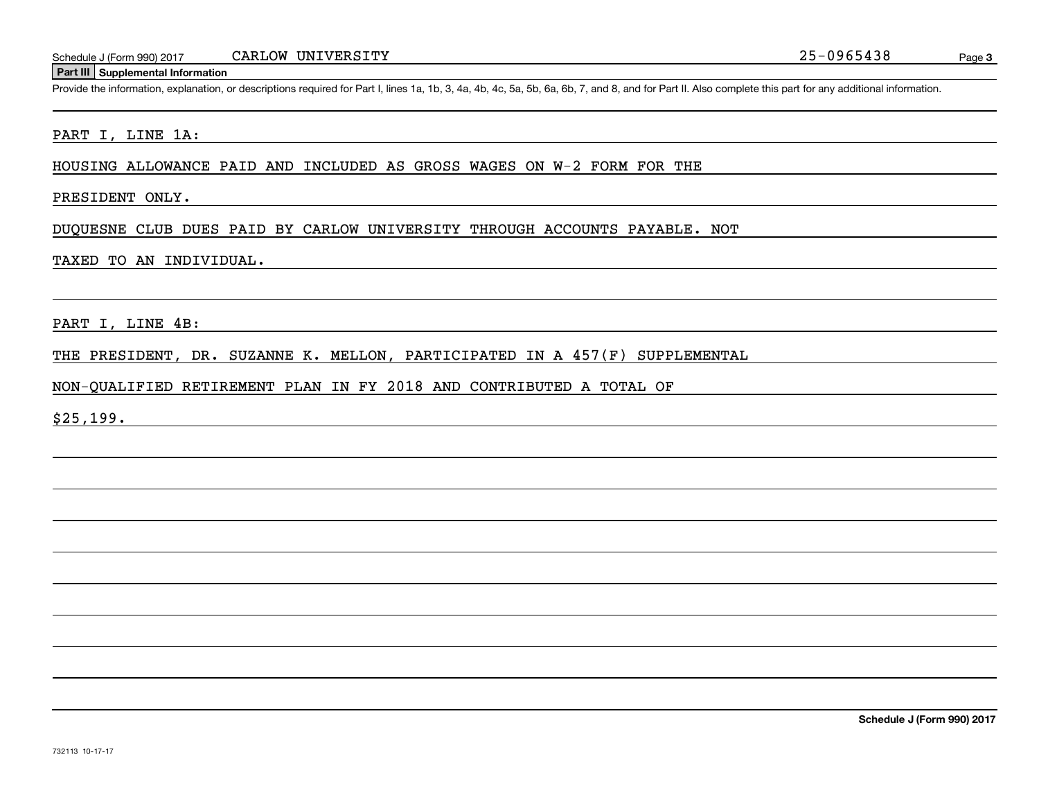#### **Part III Supplemental Information**

Schedule J (Form 990) 2017 CARLOW UNIVERSITY<br>Part III Supplemental Information<br>Provide the information, explanation, or descriptions required for Part I, lines 1a, 1b, 3, 4a, 4b, 4c, 5a, 5b, 6a, 6b, 7, and 8, and for Part

#### PART I, LINE 1A:

HOUSING ALLOWANCE PAID AND INCLUDED AS GROSS WAGES ON W-2 FORM FOR THE

#### PRESIDENT ONLY.

DUQUESNE CLUB DUES PAID BY CARLOW UNIVERSITY THROUGH ACCOUNTS PAYABLE. NOT

#### TAXED TO AN INDIVIDUAL.

PART I, LINE 4B:

THE PRESIDENT, DR. SUZANNE K. MELLON, PARTICIPATED IN A 457(F) SUPPLEMENTAL

NON-QUALIFIED RETIREMENT PLAN IN FY 2018 AND CONTRIBUTED A TOTAL OF

 $$25,199.$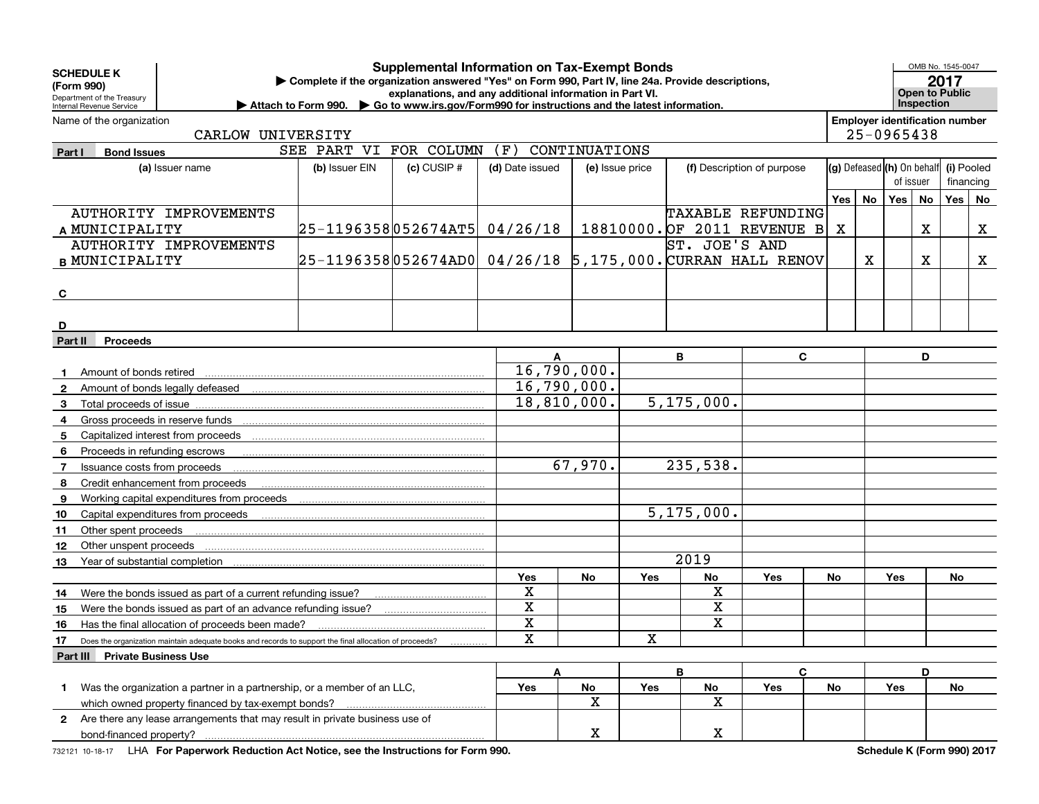| <b>Supplemental Information on Tax-Exempt Bonds</b><br><b>SCHEDULE K</b><br>Complete if the organization answered "Yes" on Form 990, Part IV, line 24a. Provide descriptions,<br>(Form 990)<br>explanations, and any additional information in Part VI.<br>Department of the Treasury<br>Internal Revenue Service<br>Attach to Form 990. $\triangleright$ Go to www.irs.gov/Form990 for instructions and the latest information. |                                                                                                        |                                                                |                 |                 |               |                 |               |                             |             |           |                                                     | OMB No. 1545-0047<br>2017<br><b>Open to Public</b><br>Inspection |            |           |
|----------------------------------------------------------------------------------------------------------------------------------------------------------------------------------------------------------------------------------------------------------------------------------------------------------------------------------------------------------------------------------------------------------------------------------|--------------------------------------------------------------------------------------------------------|----------------------------------------------------------------|-----------------|-----------------|---------------|-----------------|---------------|-----------------------------|-------------|-----------|-----------------------------------------------------|------------------------------------------------------------------|------------|-----------|
|                                                                                                                                                                                                                                                                                                                                                                                                                                  | Name of the organization<br>CARLOW UNIVERSITY                                                          |                                                                |                 |                 |               |                 |               |                             |             |           | <b>Employer identification number</b><br>25-0965438 |                                                                  |            |           |
| Part I                                                                                                                                                                                                                                                                                                                                                                                                                           | <b>Bond Issues</b>                                                                                     | SEE PART VI                                                    | FOR COLUMN      | (F)             | CONTINUATIONS |                 |               |                             |             |           |                                                     |                                                                  |            |           |
|                                                                                                                                                                                                                                                                                                                                                                                                                                  | (a) Issuer name                                                                                        | (b) Issuer EIN                                                 | $(c)$ CUSIP $#$ | (d) Date issued |               | (e) Issue price |               | (f) Description of purpose  |             |           | (g) Defeased (h) On behalf<br>of issuer             |                                                                  | (i) Pooled | financing |
|                                                                                                                                                                                                                                                                                                                                                                                                                                  |                                                                                                        |                                                                |                 |                 |               |                 |               |                             | Yes         | <b>No</b> | Yes                                                 | No                                                               | Yes No     |           |
|                                                                                                                                                                                                                                                                                                                                                                                                                                  | <b>AUTHORITY IMPROVEMENTS</b>                                                                          |                                                                |                 |                 |               |                 |               | <b>TAXABLE REFUNDING</b>    |             |           |                                                     |                                                                  |            |           |
|                                                                                                                                                                                                                                                                                                                                                                                                                                  | A MUNICIPALITY                                                                                         | 25-1196358052674AT5 04/26/18                                   |                 |                 |               |                 |               | 18810000. OF 2011 REVENUE B | $\mathbf x$ |           |                                                     | $\mathbf X$                                                      |            | X         |
|                                                                                                                                                                                                                                                                                                                                                                                                                                  | AUTHORITY IMPROVEMENTS                                                                                 |                                                                |                 |                 |               |                 | ST. JOE'S AND |                             |             |           |                                                     |                                                                  |            |           |
|                                                                                                                                                                                                                                                                                                                                                                                                                                  | <b>B MUNICIPALITY</b>                                                                                  | $25-1196358 052674AD0 04/26/18 5,175,000.\n$ CURRAN HALL RENOV |                 |                 |               |                 |               |                             |             | X         |                                                     | Х                                                                |            | x         |
|                                                                                                                                                                                                                                                                                                                                                                                                                                  |                                                                                                        |                                                                |                 |                 |               |                 |               |                             |             |           |                                                     |                                                                  |            |           |
| C                                                                                                                                                                                                                                                                                                                                                                                                                                |                                                                                                        |                                                                |                 |                 |               |                 |               |                             |             |           |                                                     |                                                                  |            |           |
|                                                                                                                                                                                                                                                                                                                                                                                                                                  |                                                                                                        |                                                                |                 |                 |               |                 |               |                             |             |           |                                                     |                                                                  |            |           |
| D                                                                                                                                                                                                                                                                                                                                                                                                                                |                                                                                                        |                                                                |                 |                 |               |                 |               |                             |             |           |                                                     |                                                                  |            |           |
| Part II                                                                                                                                                                                                                                                                                                                                                                                                                          | <b>Proceeds</b>                                                                                        |                                                                |                 |                 |               |                 |               |                             |             |           |                                                     |                                                                  |            |           |
|                                                                                                                                                                                                                                                                                                                                                                                                                                  |                                                                                                        |                                                                |                 | A               |               |                 | B             | C                           |             |           |                                                     | D                                                                |            |           |
| $\mathbf 1$                                                                                                                                                                                                                                                                                                                                                                                                                      | Amount of bonds retired                                                                                |                                                                |                 |                 | 16,790,000.   |                 |               |                             |             |           |                                                     |                                                                  |            |           |
| $\mathbf{2}$                                                                                                                                                                                                                                                                                                                                                                                                                     |                                                                                                        |                                                                |                 |                 | 16,790,000.   |                 |               |                             |             |           |                                                     |                                                                  |            |           |
|                                                                                                                                                                                                                                                                                                                                                                                                                                  | 3 Total proceeds of issue                                                                              |                                                                |                 |                 | 18,810,000.   |                 | 5, 175, 000.  |                             |             |           |                                                     |                                                                  |            |           |
| 4                                                                                                                                                                                                                                                                                                                                                                                                                                | Gross proceeds in reserve funds                                                                        |                                                                |                 |                 |               |                 |               |                             |             |           |                                                     |                                                                  |            |           |
| 5                                                                                                                                                                                                                                                                                                                                                                                                                                | Capitalized interest from proceeds                                                                     |                                                                |                 |                 |               |                 |               |                             |             |           |                                                     |                                                                  |            |           |
| 6                                                                                                                                                                                                                                                                                                                                                                                                                                | Proceeds in refunding escrows                                                                          |                                                                |                 |                 |               |                 |               |                             |             |           |                                                     |                                                                  |            |           |
| $\overline{7}$                                                                                                                                                                                                                                                                                                                                                                                                                   | Issuance costs from proceeds                                                                           |                                                                |                 |                 | 67,970.       |                 | 235,538.      |                             |             |           |                                                     |                                                                  |            |           |
| 8                                                                                                                                                                                                                                                                                                                                                                                                                                | Credit enhancement from proceeds                                                                       |                                                                |                 |                 |               |                 |               |                             |             |           |                                                     |                                                                  |            |           |
| 9                                                                                                                                                                                                                                                                                                                                                                                                                                | Working capital expenditures from proceeds                                                             |                                                                |                 |                 |               |                 |               |                             |             |           |                                                     |                                                                  |            |           |
| 10                                                                                                                                                                                                                                                                                                                                                                                                                               | Capital expenditures from proceeds                                                                     |                                                                |                 |                 |               |                 | 5, 175, 000.  |                             |             |           |                                                     |                                                                  |            |           |
| 11                                                                                                                                                                                                                                                                                                                                                                                                                               | Other spent proceeds                                                                                   |                                                                |                 |                 |               |                 |               |                             |             |           |                                                     |                                                                  |            |           |
| 12                                                                                                                                                                                                                                                                                                                                                                                                                               | Other unspent proceeds                                                                                 |                                                                |                 |                 |               |                 |               |                             |             |           |                                                     |                                                                  |            |           |
| 13                                                                                                                                                                                                                                                                                                                                                                                                                               | Year of substantial completion                                                                         |                                                                |                 |                 |               |                 | 2019          |                             |             |           |                                                     |                                                                  |            |           |
|                                                                                                                                                                                                                                                                                                                                                                                                                                  |                                                                                                        |                                                                |                 | Yes             | No            | Yes             | No            | Yes                         | No          |           | Yes                                                 |                                                                  | No         |           |
| 14                                                                                                                                                                                                                                                                                                                                                                                                                               | Were the bonds issued as part of a current refunding issue?                                            |                                                                |                 | $\mathbf X$     |               |                 | $\mathbf X$   |                             |             |           |                                                     |                                                                  |            |           |
| 15                                                                                                                                                                                                                                                                                                                                                                                                                               | Were the bonds issued as part of an advance refunding issue?                                           |                                                                |                 | $\mathbf X$     |               |                 | X             |                             |             |           |                                                     |                                                                  |            |           |
| 16                                                                                                                                                                                                                                                                                                                                                                                                                               | Has the final allocation of proceeds been made?                                                        |                                                                |                 | $\mathbf X$     |               |                 | $\mathbf X$   |                             |             |           |                                                     |                                                                  |            |           |
| 17                                                                                                                                                                                                                                                                                                                                                                                                                               | Does the organization maintain adequate books and records to support the final allocation of proceeds? |                                                                |                 | X               |               | X               |               |                             |             |           |                                                     |                                                                  |            |           |
|                                                                                                                                                                                                                                                                                                                                                                                                                                  | <b>Part III Private Business Use</b>                                                                   |                                                                |                 |                 |               |                 |               |                             |             |           |                                                     |                                                                  |            |           |
|                                                                                                                                                                                                                                                                                                                                                                                                                                  |                                                                                                        |                                                                |                 | A               |               |                 | B             | C                           |             |           |                                                     | D                                                                |            |           |
|                                                                                                                                                                                                                                                                                                                                                                                                                                  | 1 Was the organization a partner in a partnership, or a member of an LLC,                              |                                                                |                 | <b>Yes</b>      | No<br>X       | Yes             | No<br>х       | Yes                         | No          |           | Yes                                                 |                                                                  | <b>No</b>  |           |
|                                                                                                                                                                                                                                                                                                                                                                                                                                  | which owned property financed by tax-exempt bonds?                                                     |                                                                |                 |                 |               |                 |               |                             |             |           |                                                     |                                                                  |            |           |
| $\mathbf{2}$                                                                                                                                                                                                                                                                                                                                                                                                                     | Are there any lease arrangements that may result in private business use of                            |                                                                |                 |                 | X             |                 | Х             |                             |             |           |                                                     |                                                                  |            |           |
|                                                                                                                                                                                                                                                                                                                                                                                                                                  | bond-financed property?                                                                                |                                                                |                 |                 |               |                 |               |                             |             |           |                                                     |                                                                  |            |           |

732121 10-18-17 LHA For Paperwork Reduction Act Notice, see the Instructions for Form 990. **Schedule K (Form 990) 2017**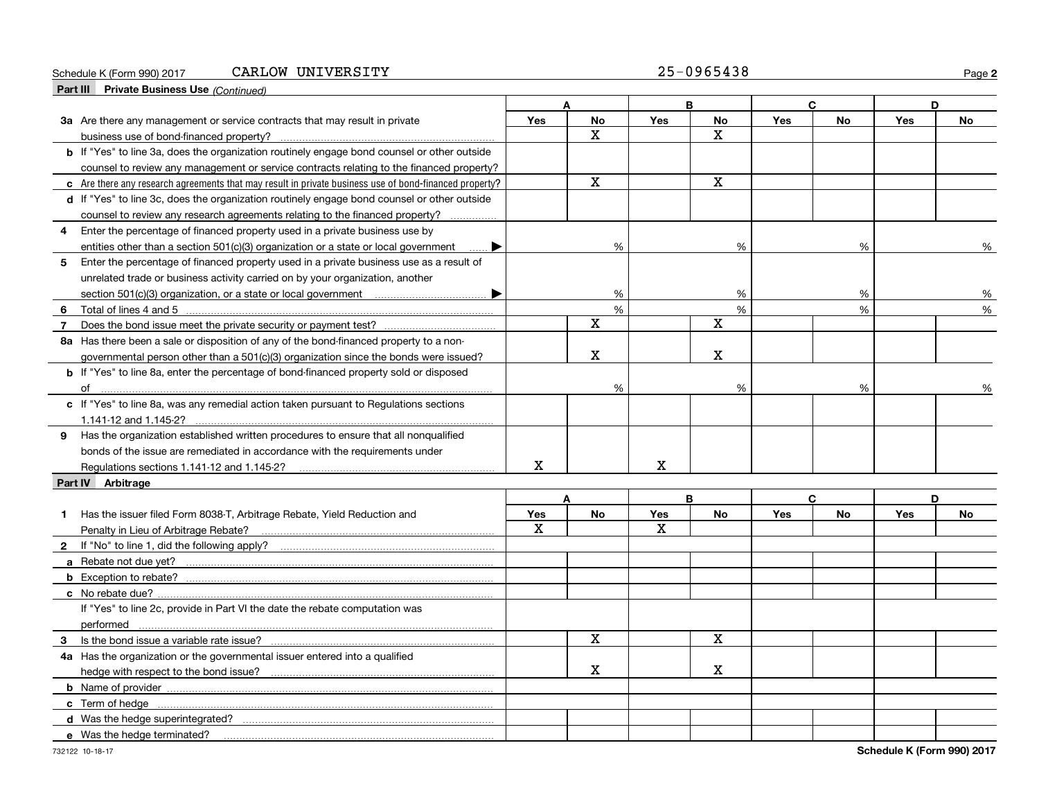#### Schedule K (Form 990) 2017 **CARLOW UNIVERSITY 25-0965438** Page

**2**

|                   | <b>Part III</b> Private Business Use (Continued)                                                                                                      |            |              |            |                         |            |             |     |    |
|-------------------|-------------------------------------------------------------------------------------------------------------------------------------------------------|------------|--------------|------------|-------------------------|------------|-------------|-----|----|
|                   |                                                                                                                                                       |            | A            |            | $\mathbf{B}$            |            | C           |     | D  |
|                   | 3a Are there any management or service contracts that may result in private                                                                           | Yes        | <b>No</b>    | <b>Yes</b> | <b>No</b>               | <b>Yes</b> | No          | Yes | No |
|                   | business use of bond-financed property?                                                                                                               |            | $\mathbf{x}$ |            | $\overline{\mathbf{x}}$ |            |             |     |    |
|                   | <b>b</b> If "Yes" to line 3a, does the organization routinely engage bond counsel or other outside                                                    |            |              |            |                         |            |             |     |    |
|                   | counsel to review any management or service contracts relating to the financed property?                                                              |            |              |            |                         |            |             |     |    |
|                   | c Are there any research agreements that may result in private business use of bond-financed property?                                                |            | $\mathbf X$  |            | $\mathbf X$             |            |             |     |    |
|                   | d If "Yes" to line 3c, does the organization routinely engage bond counsel or other outside                                                           |            |              |            |                         |            |             |     |    |
|                   | counsel to review any research agreements relating to the financed property?                                                                          |            |              |            |                         |            |             |     |    |
| 4                 | Enter the percentage of financed property used in a private business use by                                                                           |            |              |            |                         |            |             |     |    |
|                   | entities other than a section 501(c)(3) organization or a state or local government                                                                   |            | %            |            | %                       |            | %           |     | %  |
| 5                 | Enter the percentage of financed property used in a private business use as a result of                                                               |            |              |            |                         |            |             |     |    |
|                   | unrelated trade or business activity carried on by your organization, another                                                                         |            |              |            |                         |            |             |     |    |
|                   | section 501(c)(3) organization, or a state or local government material subsets of the section 501(c)(3) organization, or a state or local government |            | %            |            | %                       |            | %           |     | %  |
| 6                 |                                                                                                                                                       |            | %            |            | %                       |            | %           |     | %  |
| $\overline{7}$    |                                                                                                                                                       |            | $\mathbf X$  |            | $\mathbf X$             |            |             |     |    |
|                   | 8a Has there been a sale or disposition of any of the bond-financed property to a non-                                                                |            |              |            |                         |            |             |     |    |
|                   | governmental person other than a $501(c)(3)$ organization since the bonds were issued?                                                                |            | $\mathbf{x}$ |            | $\mathbf x$             |            |             |     |    |
|                   | <b>b</b> If "Yes" to line 8a, enter the percentage of bond-financed property sold or disposed                                                         |            |              |            |                         |            |             |     |    |
|                   |                                                                                                                                                       |            | %            |            | %                       |            | %           |     |    |
|                   | c If "Yes" to line 8a, was any remedial action taken pursuant to Regulations sections                                                                 |            |              |            |                         |            |             |     |    |
|                   | 1.141-12 and 1.145-2?                                                                                                                                 |            |              |            |                         |            |             |     |    |
|                   | 9 Has the organization established written procedures to ensure that all nonqualified                                                                 |            |              |            |                         |            |             |     |    |
|                   | bonds of the issue are remediated in accordance with the requirements under                                                                           |            |              |            |                         |            |             |     |    |
|                   | Regulations sections 1.141-12 and 1.145-2?                                                                                                            | x          |              | Χ          |                         |            |             |     |    |
| Part IV Arbitrage |                                                                                                                                                       |            |              |            |                         |            |             |     |    |
|                   |                                                                                                                                                       |            | A            |            | $\mathbf{B}$            |            | $\mathbf C$ |     | D  |
| $\mathbf 1$       | Has the issuer filed Form 8038-T, Arbitrage Rebate, Yield Reduction and                                                                               | <b>Yes</b> | <b>No</b>    | <b>Yes</b> | <b>No</b>               | <b>Yes</b> | <b>No</b>   | Yes | No |
|                   |                                                                                                                                                       | X          |              | X          |                         |            |             |     |    |
|                   |                                                                                                                                                       |            |              |            |                         |            |             |     |    |
|                   |                                                                                                                                                       |            |              |            |                         |            |             |     |    |
|                   |                                                                                                                                                       |            |              |            |                         |            |             |     |    |
|                   |                                                                                                                                                       |            |              |            |                         |            |             |     |    |
|                   | If "Yes" to line 2c, provide in Part VI the date the rebate computation was                                                                           |            |              |            |                         |            |             |     |    |
|                   |                                                                                                                                                       |            |              |            |                         |            |             |     |    |
|                   |                                                                                                                                                       |            | X            |            | X                       |            |             |     |    |
|                   | 4a Has the organization or the governmental issuer entered into a qualified                                                                           |            |              |            |                         |            |             |     |    |
|                   |                                                                                                                                                       |            | X            |            | X                       |            |             |     |    |
|                   |                                                                                                                                                       |            |              |            |                         |            |             |     |    |
|                   |                                                                                                                                                       |            |              |            |                         |            |             |     |    |
|                   |                                                                                                                                                       |            |              |            |                         |            |             |     |    |
|                   | e Was the hedge terminated?                                                                                                                           |            |              |            |                         |            |             |     |    |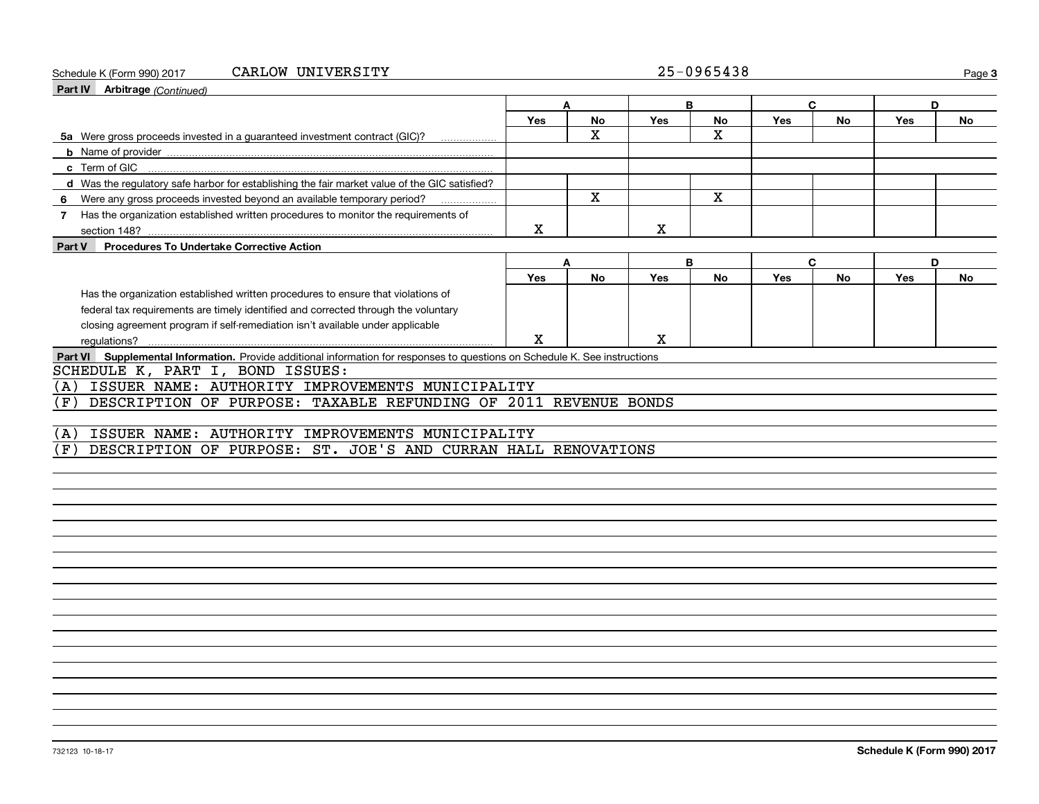#### Schedule K (Form 990) 2017 **CARLOW UNIVERSITY 25-0965438** Page

|  | 15-0965438 |  |  |  |  |  |  |  |  |
|--|------------|--|--|--|--|--|--|--|--|
|--|------------|--|--|--|--|--|--|--|--|

**3**

| <b>Part IV</b> Arbitrage (Continued)                                                                                        |                  |                         |             |                         |                         |              |            |           |
|-----------------------------------------------------------------------------------------------------------------------------|------------------|-------------------------|-------------|-------------------------|-------------------------|--------------|------------|-----------|
|                                                                                                                             |                  | A                       |             | B                       |                         | $\mathbf{C}$ | D          |           |
|                                                                                                                             | <b>Yes</b><br>No |                         | <b>Yes</b>  | No                      | <b>Yes</b><br><b>No</b> |              | <b>Yes</b> | No        |
| 5a Were gross proceeds invested in a guaranteed investment contract (GIC)?                                                  |                  | $\mathbf{x}$            |             | $\overline{\mathbf{x}}$ |                         |              |            |           |
|                                                                                                                             |                  |                         |             |                         |                         |              |            |           |
|                                                                                                                             |                  |                         |             |                         |                         |              |            |           |
| d Was the regulatory safe harbor for establishing the fair market value of the GIC satisfied?                               |                  |                         |             |                         |                         |              |            |           |
| 6 Were any gross proceeds invested beyond an available temporary period?                                                    |                  | $\overline{\mathbf{x}}$ |             | $\mathbf X$             |                         |              |            |           |
| Has the organization established written procedures to monitor the requirements of<br>$\mathbf{7}$                          |                  |                         |             |                         |                         |              |            |           |
|                                                                                                                             | X                |                         | $\mathbf X$ |                         |                         |              |            |           |
| <b>Procedures To Undertake Corrective Action</b><br>Part V                                                                  |                  |                         |             |                         |                         |              |            |           |
|                                                                                                                             | A                |                         |             | B                       |                         | $\mathbf{C}$ | D          |           |
|                                                                                                                             | Yes              | <b>No</b>               | Yes         | <b>No</b>               | Yes                     | No           | Yes        | <b>No</b> |
| Has the organization established written procedures to ensure that violations of                                            |                  |                         |             |                         |                         |              |            |           |
| federal tax requirements are timely identified and corrected through the voluntary                                          |                  |                         |             |                         |                         |              |            |           |
| closing agreement program if self-remediation isn't available under applicable                                              |                  |                         |             |                         |                         |              |            |           |
| requlations?                                                                                                                | X                |                         | x           |                         |                         |              |            |           |
| Part VI Supplemental Information. Provide additional information for responses to questions on Schedule K. See instructions |                  |                         |             |                         |                         |              |            |           |
| SCHEDULE K, PART I, BOND ISSUES:                                                                                            |                  |                         |             |                         |                         |              |            |           |
| ISSUER NAME: AUTHORITY IMPROVEMENTS MUNICIPALITY<br>(A)                                                                     |                  |                         |             |                         |                         |              |            |           |
| DESCRIPTION OF PURPOSE: TAXABLE REFUNDING OF 2011 REVENUE BONDS<br>(F)                                                      |                  |                         |             |                         |                         |              |            |           |
|                                                                                                                             |                  |                         |             |                         |                         |              |            |           |
| (A) ISSUER NAME: AUTHORITY IMPROVEMENTS MUNICIPALITY                                                                        |                  |                         |             |                         |                         |              |            |           |
| DESCRIPTION OF PURPOSE: ST. JOE'S AND CURRAN HALL RENOVATIONS<br>(F)                                                        |                  |                         |             |                         |                         |              |            |           |
|                                                                                                                             |                  |                         |             |                         |                         |              |            |           |
|                                                                                                                             |                  |                         |             |                         |                         |              |            |           |
|                                                                                                                             |                  |                         |             |                         |                         |              |            |           |
|                                                                                                                             |                  |                         |             |                         |                         |              |            |           |
|                                                                                                                             |                  |                         |             |                         |                         |              |            |           |
|                                                                                                                             |                  |                         |             |                         |                         |              |            |           |
|                                                                                                                             |                  |                         |             |                         |                         |              |            |           |
|                                                                                                                             |                  |                         |             |                         |                         |              |            |           |
|                                                                                                                             |                  |                         |             |                         |                         |              |            |           |
|                                                                                                                             |                  |                         |             |                         |                         |              |            |           |
|                                                                                                                             |                  |                         |             |                         |                         |              |            |           |
|                                                                                                                             |                  |                         |             |                         |                         |              |            |           |
|                                                                                                                             |                  |                         |             |                         |                         |              |            |           |
|                                                                                                                             |                  |                         |             |                         |                         |              |            |           |
|                                                                                                                             |                  |                         |             |                         |                         |              |            |           |
|                                                                                                                             |                  |                         |             |                         |                         |              |            |           |
|                                                                                                                             |                  |                         |             |                         |                         |              |            |           |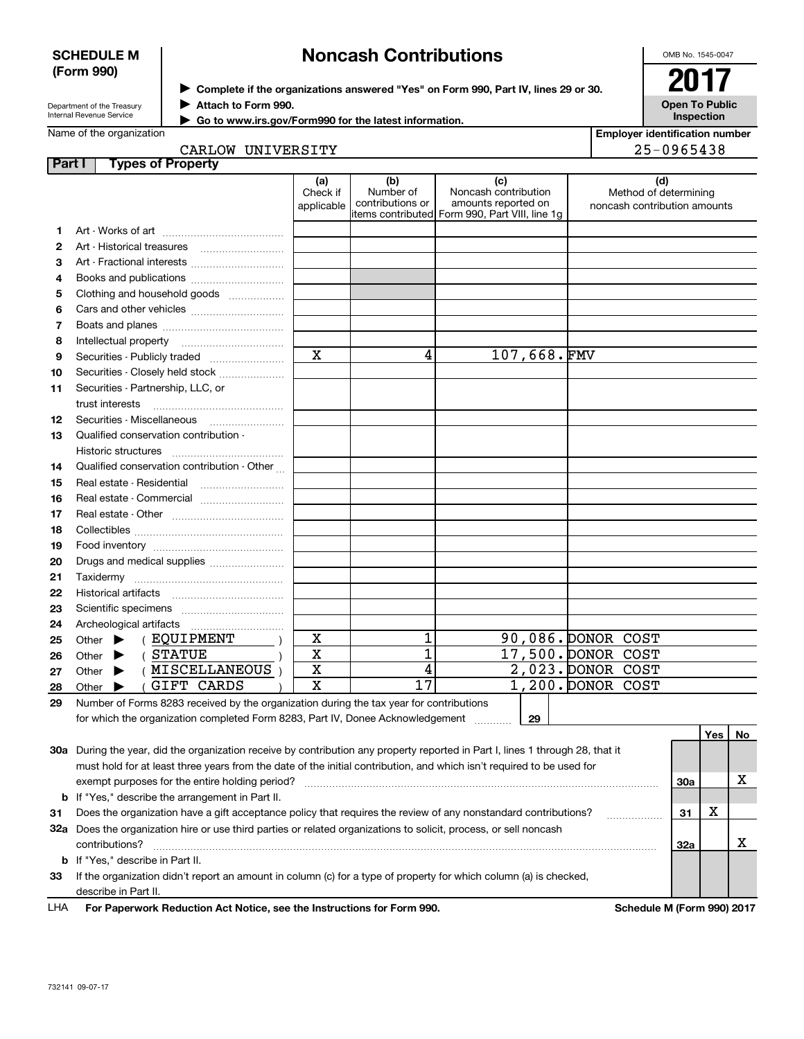# **Noncash Contributions**

OMB No. 1545-0047

Department of the Treasury Internal Revenue Service

**Attach to Form 990.** J

 $\blacktriangleright$  Complete if the organizations answered "Yes" on Form 990, Part IV, lines 29 or 30.  $\vert$   $\vert$   $\rm{2017}$ **Open To Public Inspection**

**Employer identification number**

| Name of the organization |  |
|--------------------------|--|
|--------------------------|--|

 **Go to www.irs.gov/Form990 for the latest information.** J

|              | CARLOW UNIVERSITY                                                                                                              |                               |                                      |                                                                                                      |  |                                                              | 25-0965438 |     |    |  |
|--------------|--------------------------------------------------------------------------------------------------------------------------------|-------------------------------|--------------------------------------|------------------------------------------------------------------------------------------------------|--|--------------------------------------------------------------|------------|-----|----|--|
| Part I       | <b>Types of Property</b>                                                                                                       |                               |                                      |                                                                                                      |  |                                                              |            |     |    |  |
|              |                                                                                                                                | (a)<br>Check if<br>applicable | (b)<br>Number of<br>contributions or | (c)<br>Noncash contribution<br>amounts reported on<br>items contributed Form 990, Part VIII, line 1g |  | (d)<br>Method of determining<br>noncash contribution amounts |            |     |    |  |
| 1            |                                                                                                                                |                               |                                      |                                                                                                      |  |                                                              |            |     |    |  |
| $\mathbf{2}$ |                                                                                                                                |                               |                                      |                                                                                                      |  |                                                              |            |     |    |  |
| 3            | Art - Fractional interests                                                                                                     |                               |                                      |                                                                                                      |  |                                                              |            |     |    |  |
| 4            | Books and publications                                                                                                         |                               |                                      |                                                                                                      |  |                                                              |            |     |    |  |
| 5            | Clothing and household goods                                                                                                   |                               |                                      |                                                                                                      |  |                                                              |            |     |    |  |
| 6            |                                                                                                                                |                               |                                      |                                                                                                      |  |                                                              |            |     |    |  |
| 7            |                                                                                                                                |                               |                                      |                                                                                                      |  |                                                              |            |     |    |  |
| 8            | Intellectual property                                                                                                          |                               |                                      |                                                                                                      |  |                                                              |            |     |    |  |
| 9            | Securities - Publicly traded                                                                                                   | $\mathbf X$                   | 4                                    | 107,668.FMV                                                                                          |  |                                                              |            |     |    |  |
| 10           |                                                                                                                                |                               |                                      |                                                                                                      |  |                                                              |            |     |    |  |
| 11           | Securities - Partnership, LLC, or<br>trust interests                                                                           |                               |                                      |                                                                                                      |  |                                                              |            |     |    |  |
| 12           |                                                                                                                                |                               |                                      |                                                                                                      |  |                                                              |            |     |    |  |
| 13           | Qualified conservation contribution -                                                                                          |                               |                                      |                                                                                                      |  |                                                              |            |     |    |  |
|              | Historic structures                                                                                                            |                               |                                      |                                                                                                      |  |                                                              |            |     |    |  |
| 14           | Qualified conservation contribution - Other                                                                                    |                               |                                      |                                                                                                      |  |                                                              |            |     |    |  |
| 15           | Real estate - Residential                                                                                                      |                               |                                      |                                                                                                      |  |                                                              |            |     |    |  |
| 16           | Real estate - Commercial                                                                                                       |                               |                                      |                                                                                                      |  |                                                              |            |     |    |  |
| 17           |                                                                                                                                |                               |                                      |                                                                                                      |  |                                                              |            |     |    |  |
| 18           |                                                                                                                                |                               |                                      |                                                                                                      |  |                                                              |            |     |    |  |
| 19           |                                                                                                                                |                               |                                      |                                                                                                      |  |                                                              |            |     |    |  |
| 20           | Drugs and medical supplies                                                                                                     |                               |                                      |                                                                                                      |  |                                                              |            |     |    |  |
| 21           |                                                                                                                                |                               |                                      |                                                                                                      |  |                                                              |            |     |    |  |
| 22           |                                                                                                                                |                               |                                      |                                                                                                      |  |                                                              |            |     |    |  |
| 23           |                                                                                                                                |                               |                                      |                                                                                                      |  |                                                              |            |     |    |  |
| 24           |                                                                                                                                |                               |                                      |                                                                                                      |  |                                                              |            |     |    |  |
| 25           | ( EQUIPMENT<br>Other $\blacktriangleright$                                                                                     | х                             | 1                                    | 90,086. DONOR COST                                                                                   |  |                                                              |            |     |    |  |
| 26           | (STATUE<br>Other $\blacktriangleright$                                                                                         | $\mathbf X$                   | 1                                    | 17,500. DONOR COST                                                                                   |  |                                                              |            |     |    |  |
| 27           | (MISCELLANEOUS)<br>Other $\blacktriangleright$                                                                                 | X                             | 4                                    |                                                                                                      |  | 2,023. DONOR COST                                            |            |     |    |  |
| 28           | GIFT CARDS<br>Other $\blacktriangleright$<br>$\sqrt{ }$                                                                        | $\overline{\mathbf{x}}$       | $\overline{17}$                      | 1,200. DONOR COST                                                                                    |  |                                                              |            |     |    |  |
| 29           | Number of Forms 8283 received by the organization during the tax year for contributions                                        |                               |                                      |                                                                                                      |  |                                                              |            |     |    |  |
|              | for which the organization completed Form 8283, Part IV, Donee Acknowledgement                                                 |                               |                                      | 29                                                                                                   |  |                                                              |            |     |    |  |
|              |                                                                                                                                |                               |                                      |                                                                                                      |  |                                                              |            | Yes | No |  |
|              | 30a During the year, did the organization receive by contribution any property reported in Part I, lines 1 through 28, that it |                               |                                      |                                                                                                      |  |                                                              |            |     |    |  |
|              | must hold for at least three years from the date of the initial contribution, and which isn't required to be used for          |                               |                                      |                                                                                                      |  |                                                              |            |     |    |  |
|              |                                                                                                                                |                               |                                      |                                                                                                      |  |                                                              | 30a        |     | x  |  |
|              | <b>b</b> If "Yes," describe the arrangement in Part II.                                                                        |                               |                                      |                                                                                                      |  |                                                              |            |     |    |  |
| 31           | Does the organization have a gift acceptance policy that requires the review of any nonstandard contributions?                 |                               |                                      |                                                                                                      |  |                                                              | 31         | х   |    |  |

**32a** Does the organization hire or use third parties or related organizations to solicit, process, or sell noncash **33**If the organization didn't report an amount in column (c) for a type of property for which column (a) is checked, **b** If "Yes," describe in Part II. contributions? ~~~~~~~~~~~~~~~~~~~~~~~~~~~~~~~~~~~~~~~~~~~~~~~~~~~~~~ describe in Part II.

**For Paperwork Reduction Act Notice, see the Instructions for Form 990. Schedule M (Form 990) 2017** LHA

**32a**

X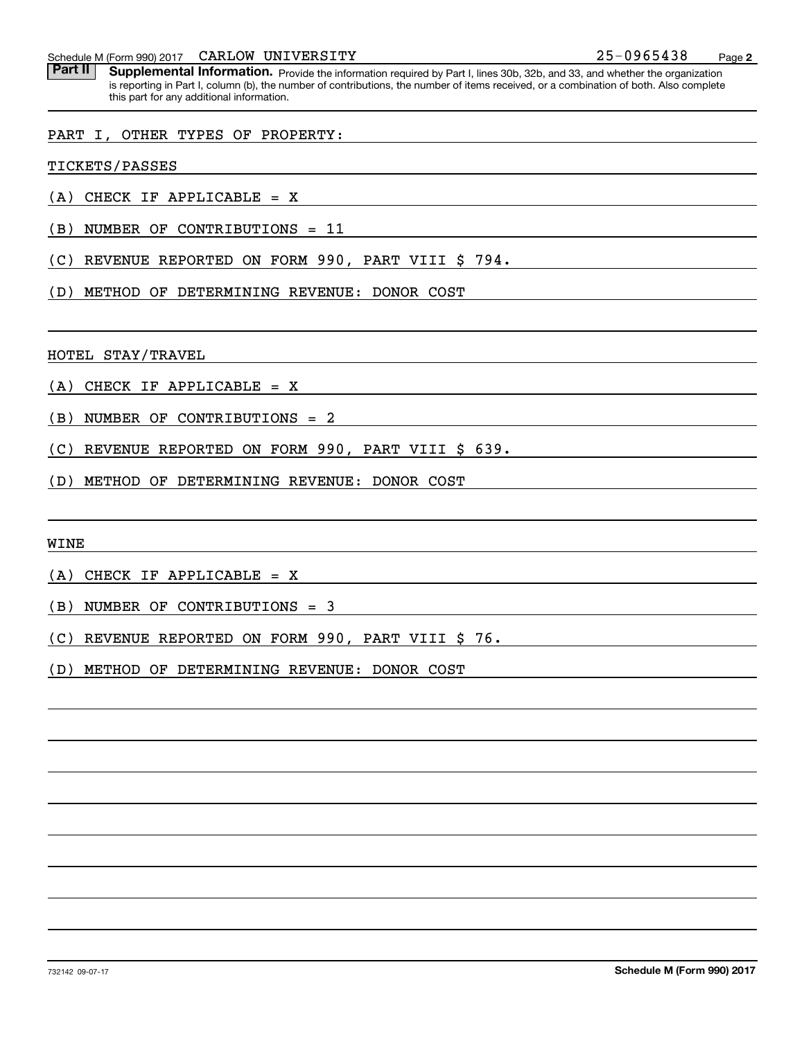Part II | Supplemental Information. Provide the information required by Part I, lines 30b, 32b, and 33, and whether the organization is reporting in Part I, column (b), the number of contributions, the number of items received, or a combination of both. Also complete this part for any additional information.

#### PART I, OTHER TYPES OF PROPERTY:

#### TICKETS/PASSES

- (A) CHECK IF APPLICABLE = X
- (B) NUMBER OF CONTRIBUTIONS = 11
- (C) REVENUE REPORTED ON FORM 990, PART VIII \$ 794.
- (D) METHOD OF DETERMINING REVENUE: DONOR COST

#### HOTEL STAY/TRAVEL

- (A) CHECK IF APPLICABLE = X
- (B) NUMBER OF CONTRIBUTIONS = 2
- (C) REVENUE REPORTED ON FORM 990, PART VIII \$ 639.
- (D) METHOD OF DETERMINING REVENUE: DONOR COST

#### WINE

(A) CHECK IF APPLICABLE = X

(B) NUMBER OF CONTRIBUTIONS = 3

(C) REVENUE REPORTED ON FORM 990, PART VIII \$ 76.

(D) METHOD OF DETERMINING REVENUE: DONOR COST

732142 09-07-17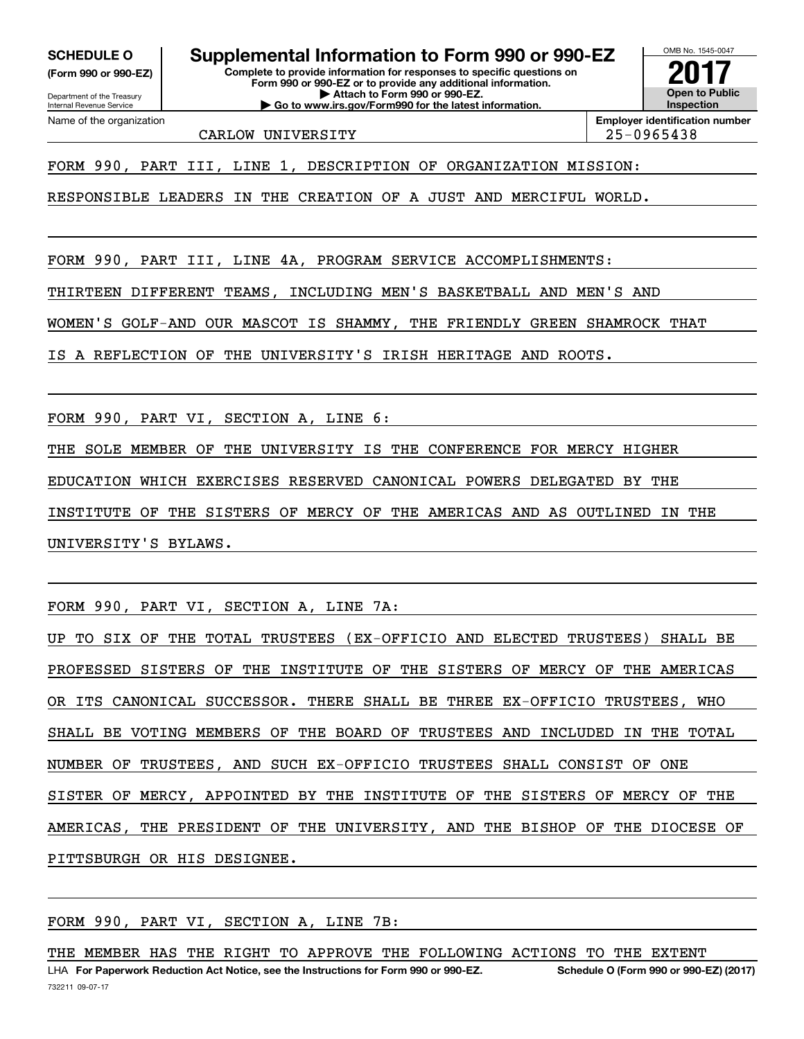**(Form 990 or 990-EZ)**

Department of the Treasury Internal Revenue Service Name of the organization

**Complete to provide information for responses to specific questions on Form 990 or 990-EZ or to provide any additional information. SCHEDULE O Supplemental Information to Form 990 or 990-EZ**

**| Attach to Form 990 or 990-EZ. | Go to www.irs.gov/Form990 for the latest information.**

**Open to Public InspectionEmployer identification number 2017**

OMB No. 1545-0047

CARLOW UNIVERSITY 25-0965438

FORM 990, PART III, LINE 1, DESCRIPTION OF ORGANIZATION MISSION:

RESPONSIBLE LEADERS IN THE CREATION OF A JUST AND MERCIFUL WORLD.

FORM 990, PART III, LINE 4A, PROGRAM SERVICE ACCOMPLISHMENTS:

THIRTEEN DIFFERENT TEAMS, INCLUDING MEN'S BASKETBALL AND MEN'S AND

WOMEN'S GOLF-AND OUR MASCOT IS SHAMMY, THE FRIENDLY GREEN SHAMROCK THAT

IS A REFLECTION OF THE UNIVERSITY'S IRISH HERITAGE AND ROOTS.

FORM 990, PART VI, SECTION A, LINE 6:

THE SOLE MEMBER OF THE UNIVERSITY IS THE CONFERENCE FOR MERCY HIGHER

EDUCATION WHICH EXERCISES RESERVED CANONICAL POWERS DELEGATED BY THE

INSTITUTE OF THE SISTERS OF MERCY OF THE AMERICAS AND AS OUTLINED IN THE

UNIVERSITY'S BYLAWS.

FORM 990, PART VI, SECTION A, LINE 7A:

UP TO SIX OF THE TOTAL TRUSTEES (EX-OFFICIO AND ELECTED TRUSTEES) SHALL BE PROFESSED SISTERS OF THE INSTITUTE OF THE SISTERS OF MERCY OF THE AMERICAS OR ITS CANONICAL SUCCESSOR. THERE SHALL BE THREE EX-OFFICIO TRUSTEES, WHO SHALL BE VOTING MEMBERS OF THE BOARD OF TRUSTEES AND INCLUDED IN THE TOTAL NUMBER OF TRUSTEES, AND SUCH EX-OFFICIO TRUSTEES SHALL CONSIST OF ONE SISTER OF MERCY, APPOINTED BY THE INSTITUTE OF THE SISTERS OF MERCY OF THE AMERICAS, THE PRESIDENT OF THE UNIVERSITY, AND THE BISHOP OF THE DIOCESE OF PITTSBURGH OR HIS DESIGNEE.

FORM 990, PART VI, SECTION A, LINE 7B:

THE MEMBER HAS THE RIGHT TO APPROVE THE FOLLOWING ACTIONS TO THE EXTENT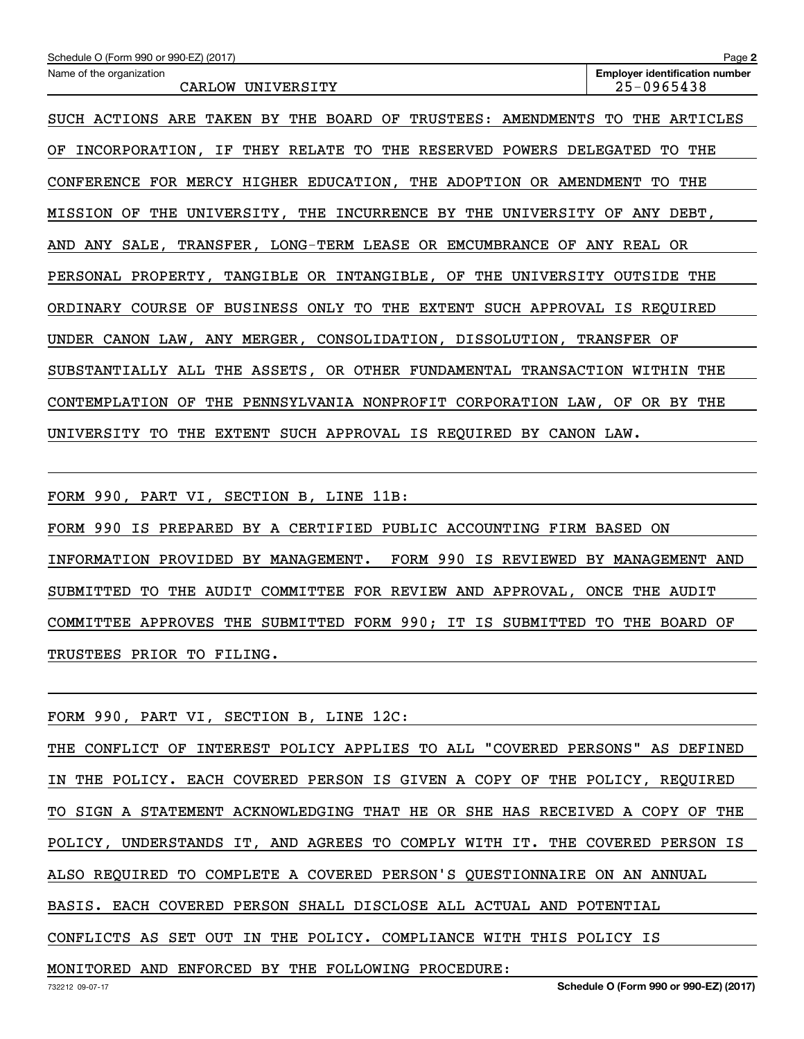| Schedule O (Form 990 or 990-EZ) (2017) Channel Control of the Control of the Control of the Control of the Control of the Control of the Control of the Control of the Control of the Control of the Control of the Control of | Page 2                                                  |  |  |  |  |  |  |  |
|--------------------------------------------------------------------------------------------------------------------------------------------------------------------------------------------------------------------------------|---------------------------------------------------------|--|--|--|--|--|--|--|
| Name of the organization<br>CARLOW UNIVERSITY                                                                                                                                                                                  | <b>Employer identification number</b><br>$25 - 0965438$ |  |  |  |  |  |  |  |
| SUCH ACTIONS ARE TAKEN BY THE BOARD OF TRUSTEES: AMENDMENTS TO THE ARTICLES                                                                                                                                                    |                                                         |  |  |  |  |  |  |  |
| OF INCORPORATION, IF THEY RELATE TO THE RESERVED POWERS DELEGATED TO THE                                                                                                                                                       |                                                         |  |  |  |  |  |  |  |
| CONFERENCE FOR MERCY HIGHER EDUCATION, THE ADOPTION OR AMENDMENT TO THE                                                                                                                                                        |                                                         |  |  |  |  |  |  |  |
| MISSION OF THE UNIVERSITY, THE INCURRENCE BY THE UNIVERSITY OF ANY DEBT,                                                                                                                                                       |                                                         |  |  |  |  |  |  |  |
| AND ANY SALE, TRANSFER, LONG-TERM LEASE OR EMCUMBRANCE OF ANY REAL OR                                                                                                                                                          |                                                         |  |  |  |  |  |  |  |
| PERSONAL PROPERTY, TANGIBLE OR INTANGIBLE, OF THE UNIVERSITY OUTSIDE THE                                                                                                                                                       |                                                         |  |  |  |  |  |  |  |
| ORDINARY COURSE OF BUSINESS ONLY TO THE EXTENT SUCH APPROVAL IS REQUIRED                                                                                                                                                       |                                                         |  |  |  |  |  |  |  |
| UNDER CANON LAW, ANY MERGER, CONSOLIDATION, DISSOLUTION, TRANSFER OF                                                                                                                                                           |                                                         |  |  |  |  |  |  |  |
| SUBSTANTIALLY ALL THE ASSETS, OR OTHER FUNDAMENTAL TRANSACTION WITHIN THE                                                                                                                                                      |                                                         |  |  |  |  |  |  |  |
| CONTEMPLATION OF THE PENNSYLVANIA NONPROFIT CORPORATION LAW, OF OR BY THE                                                                                                                                                      |                                                         |  |  |  |  |  |  |  |
| UNIVERSITY TO THE EXTENT SUCH APPROVAL IS REQUIRED BY CANON LAW.                                                                                                                                                               |                                                         |  |  |  |  |  |  |  |

FORM 990, PART VI, SECTION B, LINE 11B:

FORM 990 IS PREPARED BY A CERTIFIED PUBLIC ACCOUNTING FIRM BASED ON INFORMATION PROVIDED BY MANAGEMENT. FORM 990 IS REVIEWED BY MANAGEMENT AND SUBMITTED TO THE AUDIT COMMITTEE FOR REVIEW AND APPROVAL, ONCE THE AUDIT COMMITTEE APPROVES THE SUBMITTED FORM 990; IT IS SUBMITTED TO THE BOARD OF TRUSTEES PRIOR TO FILING.

FORM 990, PART VI, SECTION B, LINE 12C:

THE CONFLICT OF INTEREST POLICY APPLIES TO ALL "COVERED PERSONS" AS DEFINED IN THE POLICY. EACH COVERED PERSON IS GIVEN A COPY OF THE POLICY, REQUIRED TO SIGN A STATEMENT ACKNOWLEDGING THAT HE OR SHE HAS RECEIVED A COPY OF THE POLICY, UNDERSTANDS IT, AND AGREES TO COMPLY WITH IT. THE COVERED PERSON IS ALSO REQUIRED TO COMPLETE A COVERED PERSON'S QUESTIONNAIRE ON AN ANNUAL BASIS. EACH COVERED PERSON SHALL DISCLOSE ALL ACTUAL AND POTENTIAL CONFLICTS AS SET OUT IN THE POLICY. COMPLIANCE WITH THIS POLICY IS

MONITORED AND ENFORCED BY THE FOLLOWING PROCEDURE: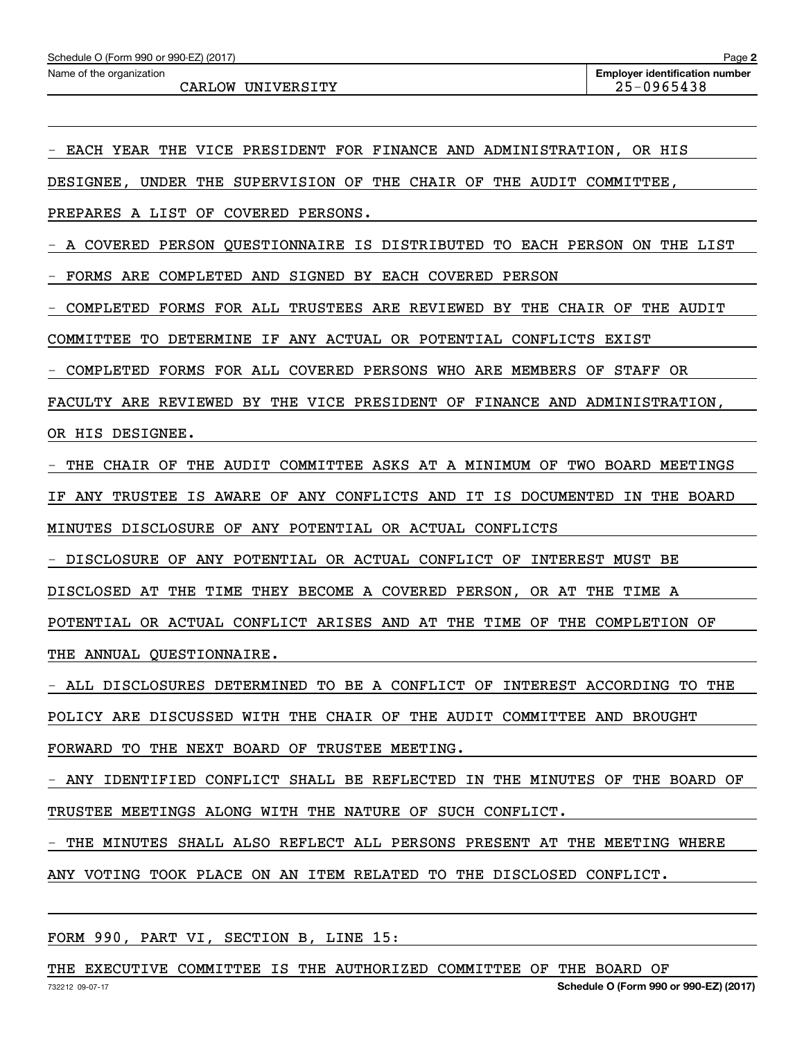CARLOW UNIVERSITY 25-0965438

- EACH YEAR THE VICE PRESIDENT FOR FINANCE AND ADMINISTRATION, OR HIS

DESIGNEE, UNDER THE SUPERVISION OF THE CHAIR OF THE AUDIT COMMITTEE,

PREPARES A LIST OF COVERED PERSONS.

- A COVERED PERSON QUESTIONNAIRE IS DISTRIBUTED TO EACH PERSON ON THE LIST

- FORMS ARE COMPLETED AND SIGNED BY EACH COVERED PERSON

- COMPLETED FORMS FOR ALL TRUSTEES ARE REVIEWED BY THE CHAIR OF THE AUDIT

COMMITTEE TO DETERMINE IF ANY ACTUAL OR POTENTIAL CONFLICTS EXIST

- COMPLETED FORMS FOR ALL COVERED PERSONS WHO ARE MEMBERS OF STAFF OR

FACULTY ARE REVIEWED BY THE VICE PRESIDENT OF FINANCE AND ADMINISTRATION,

OR HIS DESIGNEE.

- THE CHAIR OF THE AUDIT COMMITTEE ASKS AT A MINIMUM OF TWO BOARD MEETINGS

IF ANY TRUSTEE IS AWARE OF ANY CONFLICTS AND IT IS DOCUMENTED IN THE BOARD

MINUTES DISCLOSURE OF ANY POTENTIAL OR ACTUAL CONFLICTS

- DISCLOSURE OF ANY POTENTIAL OR ACTUAL CONFLICT OF INTEREST MUST BE

DISCLOSED AT THE TIME THEY BECOME A COVERED PERSON, OR AT THE TIME A

POTENTIAL OR ACTUAL CONFLICT ARISES AND AT THE TIME OF THE COMPLETION OF

THE ANNUAL QUESTIONNAIRE.

- ALL DISCLOSURES DETERMINED TO BE A CONFLICT OF INTEREST ACCORDING TO THE POLICY ARE DISCUSSED WITH THE CHAIR OF THE AUDIT COMMITTEE AND BROUGHT

FORWARD TO THE NEXT BOARD OF TRUSTEE MEETING.

- ANY IDENTIFIED CONFLICT SHALL BE REFLECTED IN THE MINUTES OF THE BOARD OF TRUSTEE MEETINGS ALONG WITH THE NATURE OF SUCH CONFLICT.

- THE MINUTES SHALL ALSO REFLECT ALL PERSONS PRESENT AT THE MEETING WHERE

ANY VOTING TOOK PLACE ON AN ITEM RELATED TO THE DISCLOSED CONFLICT.

### FORM 990, PART VI, SECTION B, LINE 15:

THE EXECUTIVE COMMITTEE IS THE AUTHORIZED COMMITTEE OF THE BOARD OF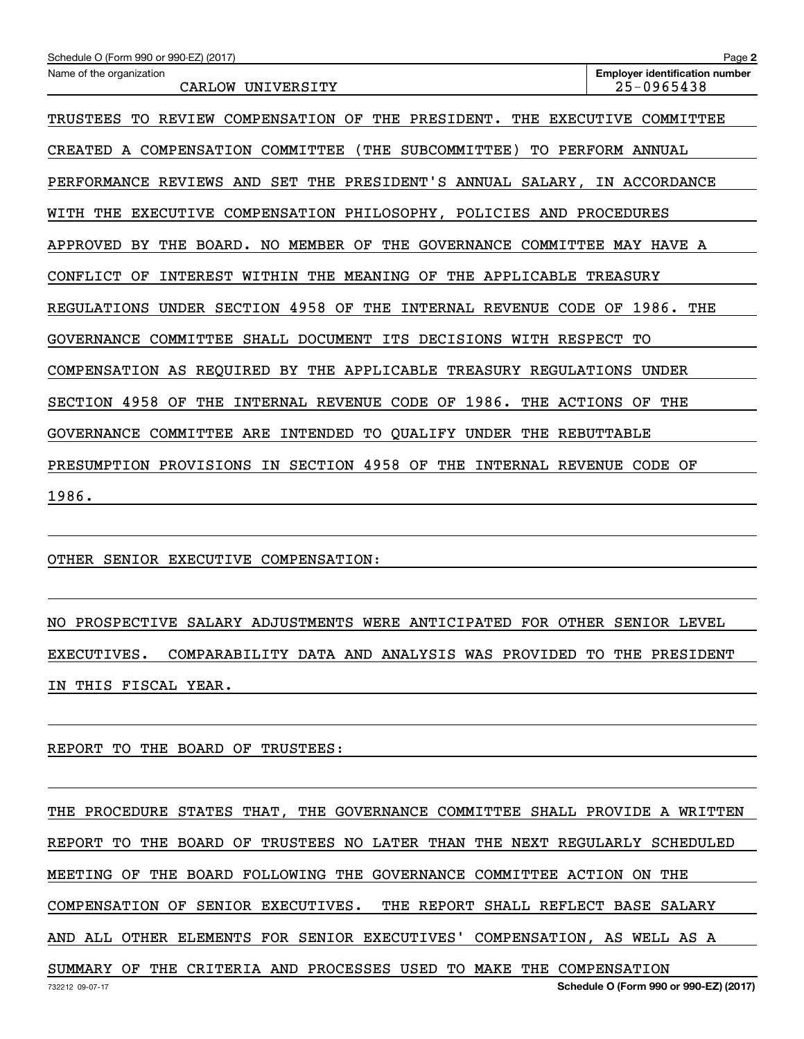| Schedule O (Form 990 or 990-EZ) (2017)                                                          | Page 2                                              |  |  |  |  |  |  |  |  |
|-------------------------------------------------------------------------------------------------|-----------------------------------------------------|--|--|--|--|--|--|--|--|
| Name of the organization<br>UNIVERSITY<br>CARLOW                                                | <b>Employer identification number</b><br>25-0965438 |  |  |  |  |  |  |  |  |
| REVIEW COMPENSATION OF<br>THE<br>PRESIDENT.<br>THE<br>TRUSTEES<br>TO                            | EXECUTIVE COMMITTEE                                 |  |  |  |  |  |  |  |  |
| A COMPENSATION<br>COMMITTEE<br>(THE)<br>SUBCOMMITTEE)<br>PERFORM ANNUAL<br><b>CREATED</b><br>TО |                                                     |  |  |  |  |  |  |  |  |
| PERFORMANCE REVIEWS AND SET THE PRESIDENT'S ANNUAL SALARY,                                      | IN ACCORDANCE                                       |  |  |  |  |  |  |  |  |
| EXECUTIVE COMPENSATION PHILOSOPHY, POLICIES AND PROCEDURES<br>WITH THE                          |                                                     |  |  |  |  |  |  |  |  |
| BY<br>THE<br>BOARD.<br>MEMBER OF THE<br><b>GOVERNANCE</b><br><b>APPROVED</b><br>NO.             | COMMITTEE MAY HAVE A                                |  |  |  |  |  |  |  |  |
| THE MEANING<br>CONFLICT<br>OF<br>INTEREST<br>WITHIN<br>OF<br>THE APPLICABLE TREASURY            |                                                     |  |  |  |  |  |  |  |  |
| UNDER SECTION 4958 OF<br>THE<br>INTERNAL REVENUE<br>REGULATIONS                                 | CODE OF 1986. THE                                   |  |  |  |  |  |  |  |  |
| GOVERNANCE COMMITTEE<br>SHALL DOCUMENT ITS DECISIONS WITH RESPECT TO                            |                                                     |  |  |  |  |  |  |  |  |
| COMPENSATION AS REQUIRED BY THE APPLICABLE TREASURY REGULATIONS<br>UNDER                        |                                                     |  |  |  |  |  |  |  |  |
| 1986.<br>SECTION 4958<br>INTERNAL REVENUE CODE<br>OF<br>OF<br>THE<br>THE ACTIONS                | THE<br>OF                                           |  |  |  |  |  |  |  |  |
| COMMITTEE ARE<br>INTENDED<br>TO QUALIFY UNDER THE<br><b>GOVERNANCE</b>                          | REBUTTABLE                                          |  |  |  |  |  |  |  |  |
| SECTION 4958<br>PRESUMPTION PROVISIONS<br>IN<br>ΟF<br>THE<br>INTERNAL REVENUE                   | CODE OF                                             |  |  |  |  |  |  |  |  |
| 1986.                                                                                           |                                                     |  |  |  |  |  |  |  |  |
|                                                                                                 |                                                     |  |  |  |  |  |  |  |  |

#### OTHER SENIOR EXECUTIVE COMPENSATION:

NO PROSPECTIVE SALARY ADJUSTMENTS WERE ANTICIPATED FOR OTHER SENIOR LEVEL EXECUTIVES. COMPARABILITY DATA AND ANALYSIS WAS PROVIDED TO THE PRESIDENT IN THIS FISCAL YEAR.

REPORT TO THE BOARD OF TRUSTEES:

THE PROCEDURE STATES THAT, THE GOVERNANCE COMMITTEE SHALL PROVIDE A WRITTEN REPORT TO THE BOARD OF TRUSTEES NO LATER THAN THE NEXT REGULARLY SCHEDULED MEETING OF THE BOARD FOLLOWING THE GOVERNANCE COMMITTEE ACTION ON THE COMPENSATION OF SENIOR EXECUTIVES. THE REPORT SHALL REFLECT BASE SALARY AND ALL OTHER ELEMENTS FOR SENIOR EXECUTIVES' COMPENSATION, AS WELL AS A SUMMARY OF THE CRITERIA AND PROCESSES USED TO MAKE THE COMPENSATION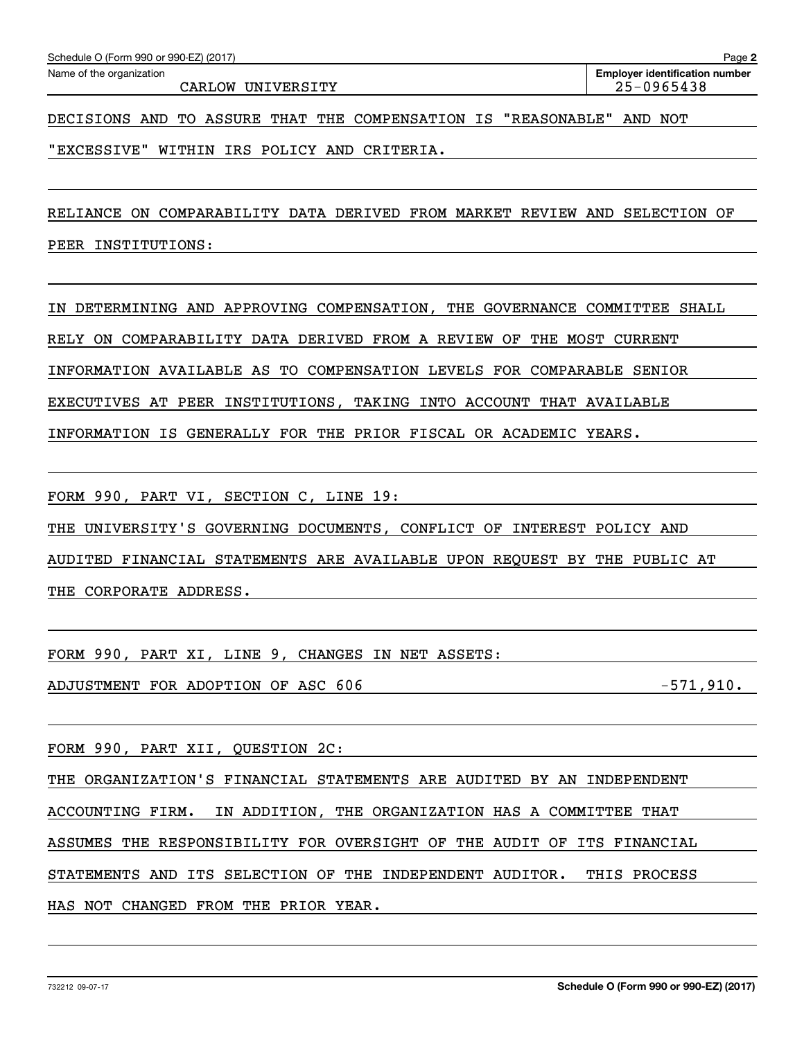DECISIONS AND TO ASSURE THAT THE COMPENSATION IS "REASONABLE" AND NOT

"EXCESSIVE" WITHIN IRS POLICY AND CRITERIA.

RELIANCE ON COMPARABILITY DATA DERIVED FROM MARKET REVIEW AND SELECTION OF PEER INSTITUTIONS:

IN DETERMINING AND APPROVING COMPENSATION, THE GOVERNANCE COMMITTEE SHALL

RELY ON COMPARABILITY DATA DERIVED FROM A REVIEW OF THE MOST CURRENT

INFORMATION AVAILABLE AS TO COMPENSATION LEVELS FOR COMPARABLE SENIOR

EXECUTIVES AT PEER INSTITUTIONS, TAKING INTO ACCOUNT THAT AVAILABLE

INFORMATION IS GENERALLY FOR THE PRIOR FISCAL OR ACADEMIC YEARS.

FORM 990, PART VI, SECTION C, LINE 19:

THE UNIVERSITY'S GOVERNING DOCUMENTS, CONFLICT OF INTEREST POLICY AND

AUDITED FINANCIAL STATEMENTS ARE AVAILABLE UPON REQUEST BY THE PUBLIC AT

THE CORPORATE ADDRESS.

FORM 990, PART XI, LINE 9, CHANGES IN NET ASSETS:

ADJUSTMENT FOR ADOPTION OF ASC 606  $-571,910$ .

FORM 990, PART XII, QUESTION 2C:

THE ORGANIZATION'S FINANCIAL STATEMENTS ARE AUDITED BY AN INDEPENDENT

ACCOUNTING FIRM. IN ADDITION, THE ORGANIZATION HAS A COMMITTEE THAT

ASSUMES THE RESPONSIBILITY FOR OVERSIGHT OF THE AUDIT OF ITS FINANCIAL

STATEMENTS AND ITS SELECTION OF THE INDEPENDENT AUDITOR. THIS PROCESS

HAS NOT CHANGED FROM THE PRIOR YEAR.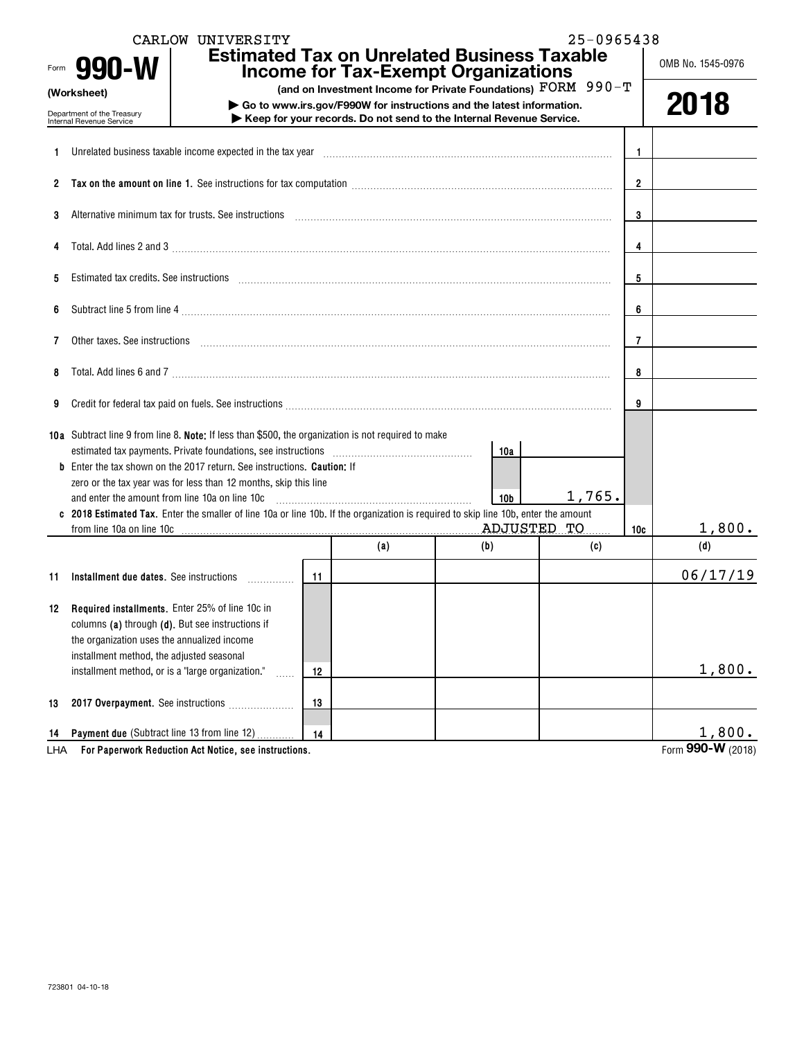|                                                                       |                                                                                                                                                                                                                                | CARLOW UNIVERSITY                                                                            |                                                                                                                                                                                                                                 |     |     | 25-0965438 |     |                   |  |
|-----------------------------------------------------------------------|--------------------------------------------------------------------------------------------------------------------------------------------------------------------------------------------------------------------------------|----------------------------------------------------------------------------------------------|---------------------------------------------------------------------------------------------------------------------------------------------------------------------------------------------------------------------------------|-----|-----|------------|-----|-------------------|--|
|                                                                       | <b>Estimated Tax on Unrelated Business Taxable</b><br>Form 990-W<br><b>Income for Tax-Exempt Organizations</b>                                                                                                                 |                                                                                              |                                                                                                                                                                                                                                 |     |     |            |     | OMB No. 1545-0976 |  |
| (Worksheet)<br>Department of the Treasury<br>Internal Revenue Service |                                                                                                                                                                                                                                |                                                                                              | (and on Investment Income for Private Foundations) $\text{FORM } 990 - \text{T}$<br>Go to www.irs.gov/F990W for instructions and the latest information.<br>Keep for your records. Do not send to the Internal Revenue Service. |     |     |            |     | 2018              |  |
| 1.                                                                    | Unrelated business taxable income expected in the tax year                                                                                                                                                                     | $\mathbf{1}$                                                                                 |                                                                                                                                                                                                                                 |     |     |            |     |                   |  |
|                                                                       |                                                                                                                                                                                                                                | $\overline{2}$                                                                               |                                                                                                                                                                                                                                 |     |     |            |     |                   |  |
| 3                                                                     | Alternative minimum tax for trusts. See instructions entitled and contain an according to the instruction of the state of the state of the state of the state of the state of the state of the state of the state of the state | 3                                                                                            |                                                                                                                                                                                                                                 |     |     |            |     |                   |  |
| 4                                                                     | Total. Add lines 2 and 3 measurements are constructed as a set of the state of the state of the state of the state of the state of the state of the state of the state of the state of the state of the state of the state of  | 4                                                                                            |                                                                                                                                                                                                                                 |     |     |            |     |                   |  |
| 5                                                                     | Estimated tax credits. See instructions with an announcement contract the set of the set of the set of the set of the set of the set of the set of the set of the set of the set of the set of the set of the set of the set o | 5                                                                                            |                                                                                                                                                                                                                                 |     |     |            |     |                   |  |
| 6                                                                     |                                                                                                                                                                                                                                |                                                                                              |                                                                                                                                                                                                                                 |     |     |            |     |                   |  |
| 7                                                                     | Other taxes. See instructions                                                                                                                                                                                                  | $\overline{7}$                                                                               |                                                                                                                                                                                                                                 |     |     |            |     |                   |  |
| 8                                                                     |                                                                                                                                                                                                                                | 8                                                                                            |                                                                                                                                                                                                                                 |     |     |            |     |                   |  |
| 9                                                                     | Credit for federal tax paid on fuels. See instructions [11] productions [11] production of the federal tax paid on fuels. See instructions [11] productions [11] productions [11] productions [11] productions [11] production |                                                                                              |                                                                                                                                                                                                                                 |     |     |            |     |                   |  |
|                                                                       | 10a Subtract line 9 from line 8. Note: If less than \$500, the organization is not required to make                                                                                                                            |                                                                                              |                                                                                                                                                                                                                                 |     |     |            |     |                   |  |
|                                                                       |                                                                                                                                                                                                                                | 10a<br><b>b</b> Enter the tax shown on the 2017 return. See instructions. <b>Caution:</b> If |                                                                                                                                                                                                                                 |     |     |            |     |                   |  |
|                                                                       |                                                                                                                                                                                                                                | zero or the tax year was for less than 12 months, skip this line                             |                                                                                                                                                                                                                                 |     |     |            |     |                   |  |
|                                                                       |                                                                                                                                                                                                                                | 1,765.<br>10 <sub>b</sub><br>and enter the amount from line 10a on line 10c                  |                                                                                                                                                                                                                                 |     |     |            |     |                   |  |
|                                                                       | 2018 Estimated Tax. Enter the smaller of line 10a or line 10b. If the organization is required to skip line 10b, enter the amount<br>ADJUSTED TO                                                                               |                                                                                              |                                                                                                                                                                                                                                 |     |     |            |     |                   |  |
|                                                                       | from line 10a on line 10c                                                                                                                                                                                                      |                                                                                              |                                                                                                                                                                                                                                 |     |     |            | 10c | 1,800.            |  |
|                                                                       |                                                                                                                                                                                                                                |                                                                                              |                                                                                                                                                                                                                                 | (a) | (b) | (c)        |     | (d)               |  |
| 11                                                                    |                                                                                                                                                                                                                                | Installment due dates. See instructions                                                      | -11                                                                                                                                                                                                                             |     |     |            |     | 06/17/19          |  |
|                                                                       |                                                                                                                                                                                                                                |                                                                                              |                                                                                                                                                                                                                                 |     |     |            |     |                   |  |
|                                                                       | 12 Required installments. Enter 25% of line 10c in                                                                                                                                                                             |                                                                                              |                                                                                                                                                                                                                                 |     |     |            |     |                   |  |
|                                                                       | columns (a) through (d). But see instructions if                                                                                                                                                                               |                                                                                              |                                                                                                                                                                                                                                 |     |     |            |     |                   |  |
|                                                                       | the organization uses the annualized income                                                                                                                                                                                    |                                                                                              |                                                                                                                                                                                                                                 |     |     |            |     |                   |  |
|                                                                       | installment method, the adjusted seasonal                                                                                                                                                                                      |                                                                                              |                                                                                                                                                                                                                                 |     |     |            |     |                   |  |
|                                                                       | installment method, or is a "large organization."                                                                                                                                                                              |                                                                                              | 12                                                                                                                                                                                                                              |     |     |            |     | 1,800.            |  |
|                                                                       |                                                                                                                                                                                                                                |                                                                                              |                                                                                                                                                                                                                                 |     |     |            |     |                   |  |
| 13                                                                    |                                                                                                                                                                                                                                | 2017 Overpayment. See instructions                                                           | 13                                                                                                                                                                                                                              |     |     |            |     |                   |  |
| 14                                                                    | Payment due (Subtract line 13 from line 12)                                                                                                                                                                                    |                                                                                              | 14                                                                                                                                                                                                                              |     |     |            |     | <u>1,800.</u>     |  |
| LHA                                                                   | For Paperwork Reduction Act Notice, see instructions.                                                                                                                                                                          |                                                                                              | Form 990-W (2018)                                                                                                                                                                                                               |     |     |            |     |                   |  |